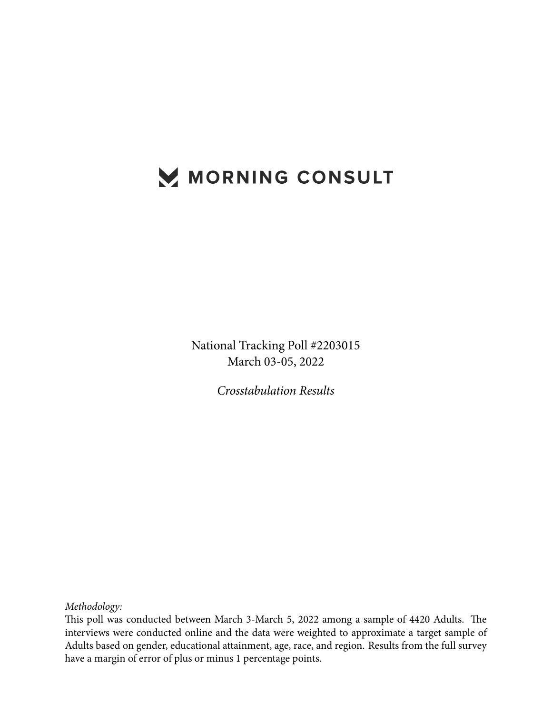# MORNING CONSULT

National Tracking Poll #2203015 March 03-05, 2022

*Crosstabulation Results*

*Methodology:*

This poll was conducted between March 3-March 5, 2022 among a sample of 4420 Adults. The interviews were conducted online and the data were weighted to approximate a target sample of Adults based on gender, educational attainment, age, race, and region. Results from the full survey have a margin of error of plus or minus 1 percentage points.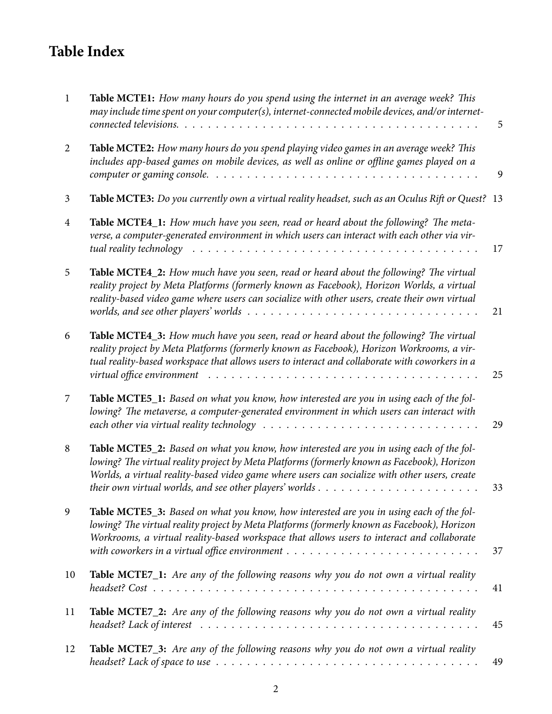## **Table Index**

| $\mathbf{1}$   | Table MCTE1: How many hours do you spend using the internet in an average week? This<br>may include time spent on your computer(s), internet-connected mobile devices, and/or internet-                                                                                                                                                                                                                            | 5  |
|----------------|--------------------------------------------------------------------------------------------------------------------------------------------------------------------------------------------------------------------------------------------------------------------------------------------------------------------------------------------------------------------------------------------------------------------|----|
| $\overline{2}$ | Table MCTE2: How many hours do you spend playing video games in an average week? This<br>includes app-based games on mobile devices, as well as online or offline games played on a<br>computer or gaming console. $\ldots \ldots \ldots \ldots \ldots \ldots \ldots \ldots \ldots \ldots \ldots$                                                                                                                  | 9  |
| 3              | Table MCTE3: Do you currently own a virtual reality headset, such as an Oculus Rift or Quest? 13                                                                                                                                                                                                                                                                                                                   |    |
| 4              | Table MCTE4_1: How much have you seen, read or heard about the following? The meta-<br>verse, a computer-generated environment in which users can interact with each other via vir-<br>tual reality technology                                                                                                                                                                                                     | 17 |
| 5              | Table MCTE4_2: How much have you seen, read or heard about the following? The virtual<br>reality project by Meta Platforms (formerly known as Facebook), Horizon Worlds, a virtual<br>reality-based video game where users can socialize with other users, create their own virtual<br>worlds, and see other players' worlds $\ldots \ldots \ldots \ldots \ldots \ldots \ldots \ldots \ldots \ldots \ldots \ldots$ | 21 |
| 6              | Table MCTE4_3: How much have you seen, read or heard about the following? The virtual<br>reality project by Meta Platforms (formerly known as Facebook), Horizon Workrooms, a vir-<br>tual reality-based workspace that allows users to interact and collaborate with coworkers in a<br>virtual office environment $\ldots \ldots \ldots \ldots \ldots \ldots \ldots \ldots \ldots \ldots$                         | 25 |
| 7              | Table MCTE5_1: Based on what you know, how interested are you in using each of the fol-<br>lowing? The metaverse, a computer-generated environment in which users can interact with<br>each other via virtual reality technology $\ldots \ldots \ldots \ldots \ldots \ldots \ldots \ldots \ldots \ldots \ldots$                                                                                                    | 29 |
| 8              | Table MCTE5_2: Based on what you know, how interested are you in using each of the fol-<br>lowing? The virtual reality project by Meta Platforms (formerly known as Facebook), Horizon<br>Worlds, a virtual reality-based video game where users can socialize with other users, create                                                                                                                            | 33 |
| 9              | Table MCTE5_3: Based on what you know, how interested are you in using each of the fol-<br>lowing? The virtual reality project by Meta Platforms (formerly known as Facebook), Horizon<br>Workrooms, a virtual reality-based workspace that allows users to interact and collaborate<br>with coworkers in a virtual office environment $\dots \dots \dots \dots \dots \dots \dots \dots \dots \dots \dots$         | 37 |
| 10             | Table MCTE7_1: Are any of the following reasons why you do not own a virtual reality                                                                                                                                                                                                                                                                                                                               | 41 |
| 11             | Table MCTE7_2: Are any of the following reasons why you do not own a virtual reality                                                                                                                                                                                                                                                                                                                               | 45 |
| 12             | <b>Table MCTE7_3:</b> Are any of the following reasons why you do not own a virtual reality                                                                                                                                                                                                                                                                                                                        | 49 |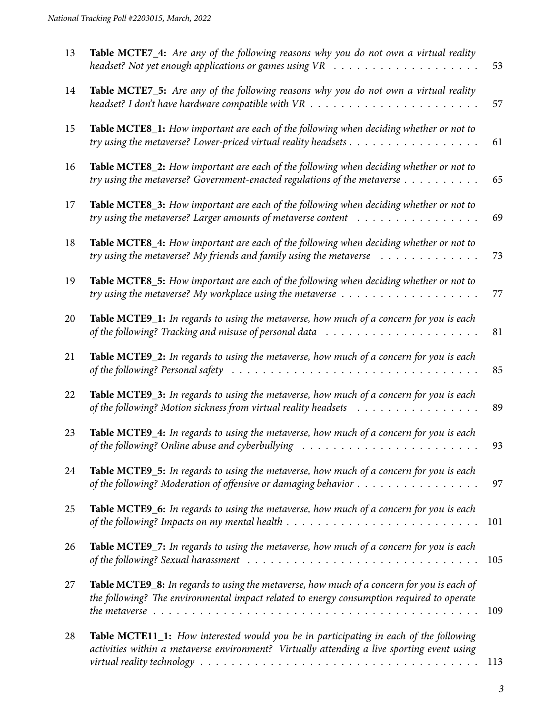| 13 | Table MCTE7_4: Are any of the following reasons why you do not own a virtual reality<br>headset? Not yet enough applications or games using $VR \rightarrow \cdots \rightarrow \cdots \rightarrow \cdots \rightarrow \cdots$                                                                                   | 53  |
|----|----------------------------------------------------------------------------------------------------------------------------------------------------------------------------------------------------------------------------------------------------------------------------------------------------------------|-----|
| 14 | Table MCTE7_5: Are any of the following reasons why you do not own a virtual reality<br>headset? I don't have hardware compatible with $VR$                                                                                                                                                                    | 57  |
| 15 | Table MCTE8_1: How important are each of the following when deciding whether or not to                                                                                                                                                                                                                         | 61  |
| 16 | Table MCTE8_2: How important are each of the following when deciding whether or not to<br>try using the metaverse? Government-enacted regulations of the metaverse                                                                                                                                             | 65  |
| 17 | Table MCTE8_3: How important are each of the following when deciding whether or not to                                                                                                                                                                                                                         | 69  |
| 18 | Table MCTE8_4: How important are each of the following when deciding whether or not to<br>try using the metaverse? My friends and family using the metaverse $\ldots \ldots \ldots \ldots$                                                                                                                     | 73  |
| 19 | Table MCTE8_5: How important are each of the following when deciding whether or not to<br>try using the metaverse? My workplace using the metaverse $\dots \dots \dots \dots \dots \dots \dots$                                                                                                                | 77  |
| 20 | Table MCTE9_1: In regards to using the metaverse, how much of a concern for you is each<br>of the following? Tracking and misuse of personal data $\dots \dots \dots \dots \dots \dots \dots \dots$                                                                                                            | 81  |
| 21 | Table MCTE9_2: In regards to using the metaverse, how much of a concern for you is each<br>of the following? Personal safety $\ldots \ldots \ldots \ldots \ldots \ldots \ldots \ldots \ldots \ldots \ldots$                                                                                                    | 85  |
| 22 | Table MCTE9_3: In regards to using the metaverse, how much of a concern for you is each<br>of the following? Motion sickness from virtual reality headsets                                                                                                                                                     | 89  |
| 23 | Table MCTE9_4: In regards to using the metaverse, how much of a concern for you is each                                                                                                                                                                                                                        | 93  |
| 24 | Table MCTE9_5: In regards to using the metaverse, how much of a concern for you is each<br>of the following? Moderation of offensive or damaging behavior                                                                                                                                                      | 97  |
| 25 | Table MCTE9_6: In regards to using the metaverse, how much of a concern for you is each<br>of the following? Impacts on my mental health $\ldots \ldots \ldots \ldots \ldots \ldots \ldots \ldots \ldots$                                                                                                      | 101 |
| 26 | Table MCTE9_7: In regards to using the metaverse, how much of a concern for you is each<br>of the following? Sexual harassment $\ldots \ldots \ldots \ldots \ldots \ldots \ldots \ldots \ldots \ldots \ldots$                                                                                                  | 105 |
| 27 | Table MCTE9_8: In regards to using the metaverse, how much of a concern for you is each of<br>the following? The environmental impact related to energy consumption required to operate                                                                                                                        | 109 |
| 28 | <b>Table MCTE11_1:</b> How interested would you be in participating in each of the following<br>activities within a metaverse environment? Virtually attending a live sporting event using<br>virtual reality technology $\ldots \ldots \ldots \ldots \ldots \ldots \ldots \ldots \ldots \ldots \ldots \ldots$ | 113 |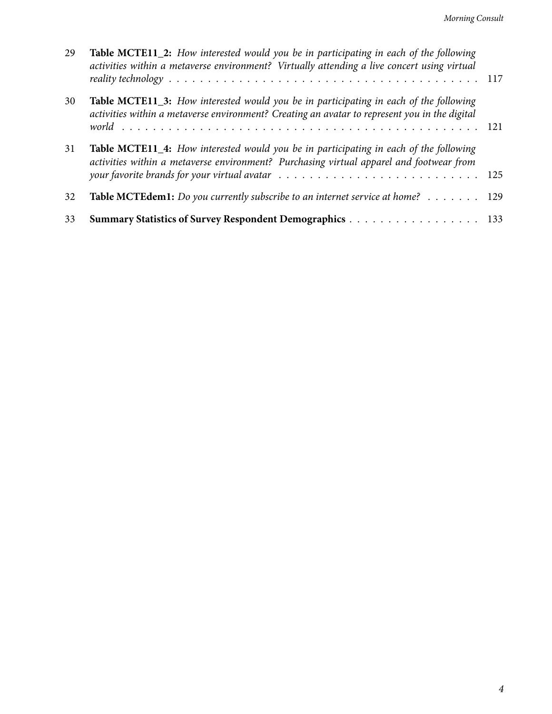| 29 | Table MCTE11_2: How interested would you be in participating in each of the following<br>activities within a metaverse environment? Virtually attending a live concert using virtual                                                                                                                                |  |
|----|---------------------------------------------------------------------------------------------------------------------------------------------------------------------------------------------------------------------------------------------------------------------------------------------------------------------|--|
| 30 | Table MCTE11_3: How interested would you be in participating in each of the following<br>activities within a metaverse environment? Creating an avatar to represent you in the digital                                                                                                                              |  |
| 31 | <b>Table MCTE11_4:</b> How interested would you be in participating in each of the following<br>activities within a metaverse environment? Purchasing virtual apparel and footwear from<br>your favorite brands for your virtual avatar $\ldots \ldots \ldots \ldots \ldots \ldots \ldots \ldots \ldots \ldots 125$ |  |
| 32 | Table MCTEdem1: Do you currently subscribe to an internet service at home? 129                                                                                                                                                                                                                                      |  |
| 33 | Summary Statistics of Survey Respondent Demographics 133                                                                                                                                                                                                                                                            |  |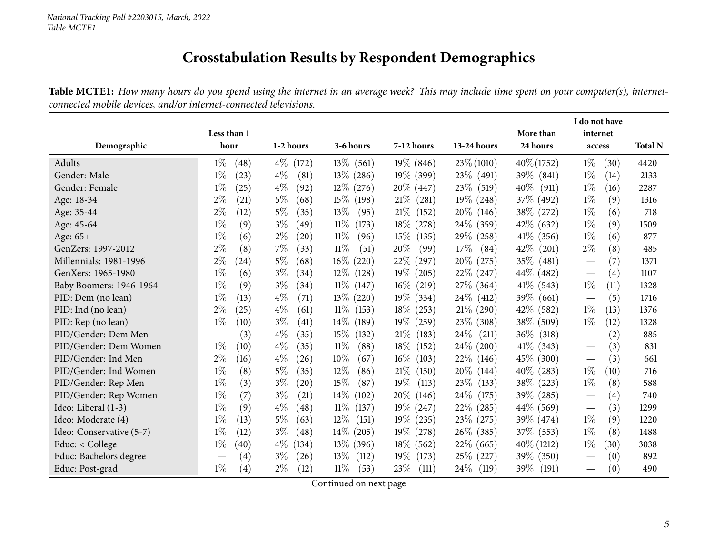### **Crosstabulation Results by Respondent Demographics**

Table MCTE1: How many hours do you spend using the internet in an average week? This may include time spent on your computer(s), internet*connected mobile devices, and/or internet-connected televisions.*

<span id="page-4-0"></span>

|                          |                                      |                             |                 |                 |                 |                 | I do not have                            |                |
|--------------------------|--------------------------------------|-----------------------------|-----------------|-----------------|-----------------|-----------------|------------------------------------------|----------------|
|                          | Less than 1                          |                             |                 |                 |                 | More than       | internet                                 |                |
| Demographic              | hour                                 | 1-2 hours                   | 3-6 hours       | 7-12 hours      | 13-24 hours     | 24 hours        | access                                   | <b>Total N</b> |
| Adults                   | $1\%$<br>(48)                        | 4\% (172)                   | $13\%$ (561)    | $19\%$ (846)    | $23\% (1010)$   | $40\% (1752)$   | $1\%$<br>(30)                            | 4420           |
| Gender: Male             | $1\%$<br>(23)                        | $4\%$<br>(81)               | $13\%$ (286)    | 19\% (399)      | 23\% (491)      | 39\% (841)      | $1\%$<br>(14)                            | 2133           |
| Gender: Female           | $1\%$<br>(25)                        | $4\%$<br>(92)               | $12\%$ (276)    | $20\%$ (447)    | 23\%<br>(519)   | 40\%<br>(911)   | $1\%$<br>(16)                            | 2287           |
| Age: 18-34               | $2\%$<br>(21)                        | $5\%$<br>(68)               | $15\%$<br>(198) | $21\%$ (281)    | 19% (248)       | 37% (492)       | $1\%$<br>(9)                             | 1316           |
| Age: 35-44               | $2\%$<br>(12)                        | $5\%$<br>(35)               | 13\%<br>(95)    | 21%<br>(152)    | $20\%$ (146)    | 38\% (272)      | $1\%$<br>(6)                             | 718            |
| Age: 45-64               | $1\%$<br>(9)                         | $3\%$<br>(49)               | $11\%$<br>(173) | 18\% (278)      | 24\% (359)      | 42\% (632)      | $1\%$<br>(9)                             | 1509           |
| Age: 65+                 | $1\%$<br>(6)                         | $2\%$<br>$\left( 20\right)$ | $11\%$<br>(96)  | $15\%$<br>(135) | 29\% (258)      | $41\%$ (356)    | $1\%$<br>(6)                             | 877            |
| GenZers: 1997-2012       | $2\%$<br>(8)                         | 7%<br>(33)                  | $11\%$<br>(51)  | $20\%$<br>(99)  | 17%<br>(84)     | $42\%$ (201)    | $2\%$<br>(8)                             | 485            |
| Millennials: 1981-1996   | $2\%$<br>(24)                        | $5\%$<br>(68)               | $16\%$<br>(220) | 22% (297)       | 20\% (275)      | 35\% (481)      | (7)<br>$\overbrace{\phantom{aaaaa}}$     | 1371           |
| GenXers: 1965-1980       | $1\%$<br>(6)                         | $3\%$<br>(34)               | $12\%$<br>(128) | 19% (205)       | 22\% (247)      | 44\% (482)      | (4)<br>$\overbrace{\phantom{123221111}}$ | 1107           |
| Baby Boomers: 1946-1964  | $1\%$<br>(9)                         | $3\%$<br>(34)               | $11\%$<br>(147) | $16\%$ (219)    | 27\% (364)      | $41\%$ (543)    | $1\%$<br>(11)                            | 1328           |
| PID: Dem (no lean)       | $1\%$<br>(13)                        | $4\%$<br>(71)               | $13\%$ (220)    | $19\%$ (334)    | $24\%$ (412)    | 39\% (661)      | (5)<br>$\overbrace{\phantom{123221111}}$ | 1716           |
| PID: Ind (no lean)       | $2\%$<br>(25)                        | $4\%$<br>(61)               | $11\%$<br>(153) | 18\% (253)      | $21\%$ (290)    | 42\% (582)      | $1\%$<br>(13)                            | 1376           |
| PID: Rep (no lean)       | $1\%$<br>(10)                        | $3\%$<br>(41)               | $14\%$<br>(189) | $19\%$ (259)    | $23\%$ (308)    | 38\% (509)      | $1\%$<br>(12)                            | 1328           |
| PID/Gender: Dem Men      | (3)                                  | $4\%$<br>(35)               | 15%<br>(132)    | 21%<br>(183)    | 24%<br>(211)    | $36\%$ (318)    | (2)<br>$\hspace{0.1mm}-\hspace{0.1mm}$   | 885            |
| PID/Gender: Dem Women    | $1\%$<br>(10)                        | $4\%$<br>(35)               | $11\%$<br>(88)  | $18\%$<br>(152) | $24\%$ (200)    | $41\%$ (343)    | (3)<br>$\overbrace{\phantom{aaaaa}}$     | 831            |
| PID/Gender: Ind Men      | $2\%$<br>(16)                        | $4\%$<br>(26)               | $10\%$<br>(67)  | $16\%$<br>(103) | $22\%$ (146)    | 45\% (300)      | (3)                                      | 661            |
| PID/Gender: Ind Women    | $1\%$<br>(8)                         | $5\%$<br>(35)               | $12\%$<br>(86)  | 21%<br>(150)    | $20\%$ (144)    | $40\%$ (283)    | $1\%$<br>(10)                            | 716            |
| PID/Gender: Rep Men      | $1\%$<br>(3)                         | $3\%$<br>$\left( 20\right)$ | 15%<br>(87)     | $19\%$<br>(113) | 23\%<br>(133)   | 38\% (223)      | $1\%$<br>(8)                             | 588            |
| PID/Gender: Rep Women    | $1\%$<br>(7)                         | $3\%$<br>(21)               | $14\%$<br>(102) | $20\%$<br>(146) | $24\%$<br>(175) | $39\%$ (285)    | (4)<br>$\overbrace{\phantom{123221111}}$ | 740            |
| Ideo: Liberal (1-3)      | $1\%$<br>(9)                         | $4\%$<br>(48)               | $11\%$<br>(137) | 19% (247)       | $22\%$ (285)    | 44\% (569)      | (3)                                      | 1299           |
| Ideo: Moderate (4)       | $1\%$<br>(13)                        | 5%<br>(63)                  | $12\%$<br>(151) | $19\%$ (235)    | $23\%$ (275)    | 39\% (474)      | $1\%$<br>(9)                             | 1220           |
| Ideo: Conservative (5-7) | $1\%$<br>(12)                        | $3\%$<br>(48)               | $14\%$<br>(205) | 19\% (278)      | $26\%$ (385)    | 37\% (553)      | $1\%$<br>(8)                             | 1488           |
| Educ: < College          | $1\%$<br>(40)                        | $4\%$<br>(134)              | $13\%$ (396)    | $18\%$ (562)    | $22\%$ (665)    | $40\%$ (1212)   | $1\%$<br>(30)                            | 3038           |
| Educ: Bachelors degree   | (4)<br>$\overbrace{\phantom{13333}}$ | $3\%$<br>(26)               | $13\%$<br>(112) | 19\% (173)      | 25\% (227)      | 39\% (350)      | (0)<br>$\overbrace{\phantom{aaaaa}}$     | 892            |
| Educ: Post-grad          | $1\%$<br>(4)                         | $2\%$<br>(12)               | $11\%$<br>(53)  | 23\%<br>(111)   | $24\%$<br>(119) | $39\%$<br>(191) | (0)<br>$\hspace{0.1mm}-\hspace{0.1mm}$   | 490            |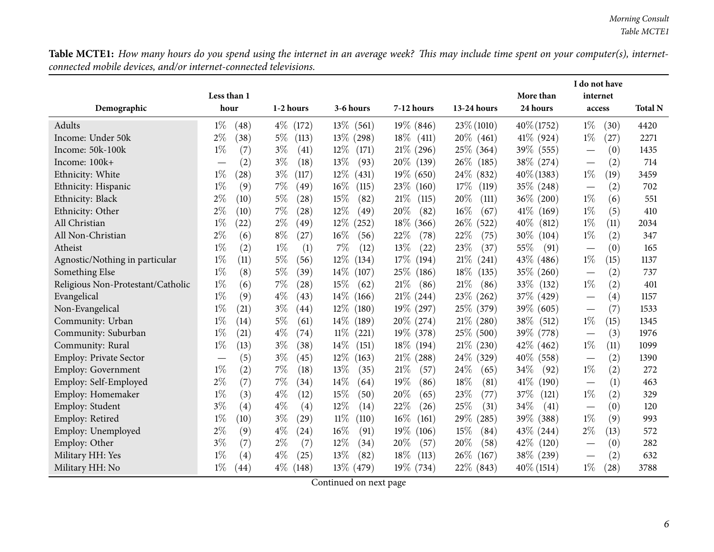Table MCTE1: How many hours do you spend using the internet in an average week? This may include time spent on your computer(s), internet*connected mobile devices, and/or internet-connected televisions.*

|                                   |                                 |                |                 |                 |                 | More than       | I do not have      |                |
|-----------------------------------|---------------------------------|----------------|-----------------|-----------------|-----------------|-----------------|--------------------|----------------|
| Demographic                       | Less than 1<br>hour             | 1-2 hours      | 3-6 hours       | 7-12 hours      | 13-24 hours     | 24 hours        | internet<br>access | <b>Total N</b> |
| Adults                            | $1\%$<br>(48)                   | $4\%$ (172)    | $13\%$ (561)    | $19\%$ (846)    | $23\% (1010)$   | $40\% (1752)$   | $1\%$<br>(30)      | 4420           |
| Income: Under 50k                 | $2\%$<br>(38)                   | $5\%$<br>(113) | $13\%$ (298)    | $18\%$ (411)    | $20\%$ (461)    | $41\%$ (924)    | $1\%$<br>(27)      | 2271           |
| Income: 50k-100k                  | $1\%$<br>(7)                    | $3\%$<br>(41)  | $12\%$<br>(171) | $21\%$ (296)    | 25\% (364)      | 39% (555)       | (0)                | 1435           |
| Income: 100k+                     | (2)                             | $3\%$<br>(18)  | 13%<br>(93)     | $20\%$<br>(139) | 26\%<br>(185)   | 38\% (274)      | (2)                | 714            |
| Ethnicity: White                  | $1\%$<br>(28)                   | $3\%$<br>(117) | $12\%$<br>(431) | $19\%$<br>(650) | 24\% (832)      | $40\% (1383)$   | $1\%$<br>(19)      | 3459           |
| Ethnicity: Hispanic               | $1\%$<br>(9)                    | 7%<br>(49)     | $16\%$<br>(115) | 23\%<br>(160)   | 17%<br>(119)    | 35\% (248)      | (2)                | 702            |
| Ethnicity: Black                  | $2\%$<br>(10)                   | 5%<br>(28)     | 15%<br>(82)     | 21%<br>(115)    | 20%<br>(111)    | 36% (200)       | $1\%$<br>(6)       | 551            |
| Ethnicity: Other                  | $2\%$<br>(10)                   | 7%<br>(28)     | $12\%$<br>(49)  | 20%<br>(82)     | $16\%$<br>(67)  | $41\%$<br>(169) | $1\%$<br>(5)       | 410            |
| All Christian                     | $1\%$<br>(22)                   | $2\%$<br>(49)  | $12\%$<br>(252) | 18\%<br>(366)   | $26\%$<br>(522) | $40\%$<br>(812) | $1\%$<br>(11)      | 2034           |
| All Non-Christian                 | $2\%$<br>(6)                    | $8\%$<br>(27)  | $16\%$<br>(56)  | 22%<br>(78)     | 22%<br>(75)     | $30\%$<br>(104) | $1\%$<br>(2)       | 347            |
| Atheist                           | $1\%$<br>(2)                    | $1\%$<br>(1)   | 7%<br>(12)      | 13%<br>(22)     | 23%<br>(37)     | 55%<br>(91)     | (0)                | 165            |
| Agnostic/Nothing in particular    | $1\%$<br>(11)                   | 5%<br>(56)     | $12\%$<br>(134) | 17\%<br>(194)   | 21%<br>(241)    | 43\% (486)      | $1\%$<br>(15)      | 1137           |
| Something Else                    | $1\%$<br>(8)                    | 5%<br>(39)     | $14\%$<br>(107) | 25\%<br>(186)   | 18\%<br>(135)   | 35%<br>(260)    | (2)                | 737            |
| Religious Non-Protestant/Catholic | $1\%$<br>(6)                    | 7%<br>(28)     | 15%<br>(62)     | 21%<br>(86)     | 21\%<br>(86)    | 33\%<br>(132)   | $1\%$<br>(2)       | 401            |
| Evangelical                       | $1\%$<br>(9)                    | $4\%$<br>(43)  | 14\%<br>(166)   | $21\%$ (244)    | 23\%<br>(262)   | 37% (429)       | (4)                | 1157           |
| Non-Evangelical                   | $1\%$<br>(21)                   | $3\%$<br>(44)  | 12%<br>(180)    | 19\% (297)      | 25\% (379)      | 39\% (605)      | (7)                | 1533           |
| Community: Urban                  | $1\%$<br>(14)                   | $5\%$<br>(61)  | $14\%$<br>(189) | $20\%$<br>(274) | $21\%$ (280)    | 38\%<br>(512)   | $1\%$<br>(15)      | 1345           |
| Community: Suburban               | $1\%$<br>(21)                   | $4\%$<br>(74)  | $11\%$<br>(221) | $19\%$<br>(378) | 25\% (500)      | 39% (778)       | (3)                | 1976           |
| Community: Rural                  | $1\%$<br>(13)                   | $3\%$<br>(38)  | 14\%<br>(151)   | 18%<br>(194)    | $21\%$ (230)    | 42%<br>(462)    | $1\%$<br>(11)      | 1099           |
| <b>Employ: Private Sector</b>     | (5)<br>$\overline{\phantom{m}}$ | $3\%$<br>(45)  | $12\%$<br>(163) | 21%<br>(288)    | 24\% (329)      | $40\%$ (558)    | (2)                | 1390           |
| Employ: Government                | $1\%$<br>(2)                    | 7%<br>(18)     | 13%<br>(35)     | 21%<br>(57)     | 24\%<br>(65)    | 34\%<br>(92)    | $1\%$<br>(2)       | 272            |
| Employ: Self-Employed             | $2\%$<br>(7)                    | 7%<br>(34)     | 14\%<br>(64)    | 19%<br>(86)     | 18%<br>(81)     | 41\%<br>(190)   | (1)                | 463            |
| Employ: Homemaker                 | $1\%$<br>(3)                    | $4\%$<br>(12)  | 15%<br>(50)     | 20%<br>(65)     | 23%<br>(77)     | 37%<br>(121)    | $1\%$<br>(2)       | 329            |
| Employ: Student                   | $3\%$<br>(4)                    | $4\%$<br>(4)   | $12\%$<br>(14)  | 22%<br>(26)     | 25%<br>(31)     | 34%<br>(41)     | (0)                | 120            |
| Employ: Retired                   | $1\%$<br>(10)                   | $3\%$<br>(29)  | $11\%$<br>(110) | 16%<br>(161)    | 29\%<br>(285)   | 39%<br>(388)    | $1\%$<br>(9)       | 993            |
| Employ: Unemployed                | $2\%$<br>(9)                    | $4\%$<br>(24)  | 16%<br>(91)     | 19%<br>(106)    | 15%<br>(84)     | 43\%<br>(244)   | $2\%$<br>(13)      | 572            |
| Employ: Other                     | $3\%$<br>(7)                    | $2\%$<br>(7)   | 12%<br>(34)     | 20%<br>(57)     | 20%<br>(58)     | 42\%<br>(120)   | (0)                | 282            |
| Military HH: Yes                  | $1\%$<br>(4)                    | $4\%$<br>(25)  | 13%<br>(82)     | 18%<br>(113)    | $26\%$<br>(167) | 38\% (239)      | (2)                | 632            |
| Military HH: No                   | $1\%$<br>(44)                   | $4\%$<br>(148) | $13\%$ (479)    | $19\%$ (734)    | 22\% (843)      | $40\%$ (1514)   | $1\%$<br>(28)      | 3788           |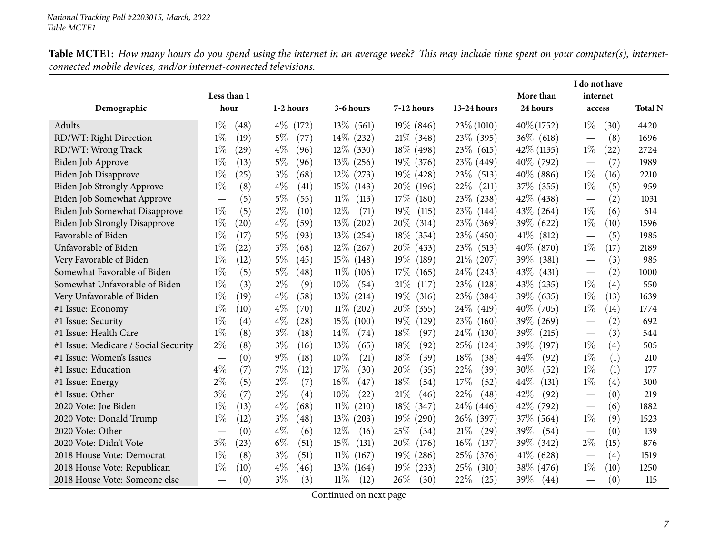|                                      |               |                             |                 |                 |                 |                 | I do not have                            |                |
|--------------------------------------|---------------|-----------------------------|-----------------|-----------------|-----------------|-----------------|------------------------------------------|----------------|
|                                      | Less than 1   |                             |                 |                 |                 | More than       | internet                                 |                |
| Demographic                          | hour          | 1-2 hours                   | 3-6 hours       | 7-12 hours      | 13-24 hours     | 24 hours        | access                                   | <b>Total N</b> |
| Adults                               | $1\%$<br>(48) | $4\%$<br>(172)              | $13\%$<br>(561) | $19\%$ (846)    | 23\% (1010)     | $40\% (1752)$   | $1\%$<br>(30)                            | 4420           |
| RD/WT: Right Direction               | $1\%$<br>(19) | $5\%$<br>(77)               | $14\%$ (232)    | $21\%$ (348)    | 23\% (395)      | $36\%$ (618)    | (8)                                      | 1696           |
| RD/WT: Wrong Track                   | $1\%$<br>(29) | $4\%$<br>(96)               | $12\%$ (330)    | $18\%$ (498)    | $23\%$ (615)    | $42\%$ (1135)   | $1\%$<br>(22)                            | 2724           |
| <b>Biden Job Approve</b>             | $1\%$<br>(13) | $5\%$<br>(96)               | $13\%$ (256)    | $19\%$ (376)    | 23\% (449)      | 40\% (792)      | (7)<br>$\overline{\phantom{0}}$          | 1989           |
| <b>Biden Job Disapprove</b>          | $1\%$<br>(25) | $3\%$<br>(68)               | $12\%$ (273)    | $19\%$ (428)    | $23\%$ (513)    | $40\%$ (886)    | $1\%$<br>(16)                            | 2210           |
| Biden Job Strongly Approve           | $1\%$<br>(8)  | $4\%$<br>(41)               | $15\%$<br>(143) | 20%<br>(196)    | 22\%<br>(211)   | 37\% (355)      | $1\%$<br>(5)                             | 959            |
| Biden Job Somewhat Approve           | (5)           | $5\%$<br>(55)               | $11\%$<br>(113) | 17%<br>(180)    | 23\% (238)      | 42\% (438)      | (2)                                      | 1031           |
| Biden Job Somewhat Disapprove        | (5)<br>$1\%$  | $2\%$<br>(10)               | $12\%$<br>(71)  | 19%<br>(115)    | 23\% (144)      | 43\% (264)      | $1\%$<br>(6)                             | 614            |
| <b>Biden Job Strongly Disapprove</b> | $1\%$<br>(20) | $4\%$<br>(59)               | 13\% (202)      | $20\%$<br>(314) | 23\% (369)      | 39\% (622)      | $1\%$<br>(10)                            | 1596           |
| Favorable of Biden                   | $1\%$<br>(17) | $5\%$<br>(93)               | $13\%$ (254)    | $18\%$<br>(354) | 23\% (450)      | $41\%$<br>(812) | (5)                                      | 1985           |
| Unfavorable of Biden                 | $1\%$<br>(22) | $3\%$<br>(68)               | $12\%$ (267)    | 20%<br>(433)    | 23\% (513)      | $40\%$ (870)    | $1\%$<br>(17)                            | 2189           |
| Very Favorable of Biden              | $1\%$<br>(12) | $5\%$<br>(45)               | $15\%$<br>(148) | 19%<br>(189)    | $21\%$ (207)    | 39% (381)       | (3)<br>$\overbrace{\phantom{123221111}}$ | 985            |
| Somewhat Favorable of Biden          | $1\%$<br>(5)  | $5\%$<br>(48)               | $11\%$<br>(106) | 17%<br>(165)    | $24\%$ (243)    | 43\% (431)      | (2)<br>$\overbrace{\phantom{123221111}}$ | 1000           |
| Somewhat Unfavorable of Biden        | $1\%$<br>(3)  | $2\%$<br>(9)                | $10\%$<br>(54)  | 21%<br>(117)    | 23\% (128)      | 43\% (235)      | $1\%$<br>(4)                             | 550            |
| Very Unfavorable of Biden            | $1\%$<br>(19) | $4\%$<br>(58)               | $13\%$<br>(214) | $19\%$<br>(316) | 23\% (384)      | 39\% (635)      | $1\%$<br>(13)                            | 1639           |
| #1 Issue: Economy                    | $1\%$<br>(10) | $4\%$<br>$\left( 70\right)$ | $11\%$<br>(202) | 20%<br>(355)    | 24\% (419)      | 40\% (705)      | $1\%$<br>(14)                            | 1774           |
| #1 Issue: Security                   | $1\%$<br>(4)  | $4\%$<br>(28)               | 15%<br>(100)    | $19\%$<br>(129) | 23\%<br>(160)   | 39\% (269)      | (2)                                      | 692            |
| #1 Issue: Health Care                | $1\%$<br>(8)  | $3\%$<br>(18)               | 14\%<br>(74)    | 18%<br>(97)     | $24\%$<br>(130) | $39\%$<br>(215) | (3)                                      | 544            |
| #1 Issue: Medicare / Social Security | $2\%$<br>(8)  | $3\%$<br>(16)               | $13\%$<br>(65)  | 18%<br>(92)     | $25\%$<br>(124) | $39\%$<br>(197) | $1\%$<br>(4)                             | 505            |
| #1 Issue: Women's Issues             | (0)           | $9\%$<br>(18)               | 10%<br>(21)     | 18%<br>(39)     | 18%<br>(38)     | 44%<br>(92)     | $1\%$<br>(1)                             | 210            |
| #1 Issue: Education                  | $4\%$<br>(7)  | 7%<br>(12)                  | 17%<br>(30)     | 20%<br>(35)     | 22%<br>(39)     | 30%<br>(52)     | $1\%$<br>(1)                             | 177            |
| #1 Issue: Energy                     | $2\%$<br>(5)  | $2\%$<br>(7)                | 16%<br>(47)     | 18%<br>(54)     | 17%<br>(52)     | 44%<br>(131)    | $1\%$<br>(4)                             | 300            |
| #1 Issue: Other                      | $3\%$<br>(7)  | $2\%$<br>(4)                | 10%<br>(22)     | 21%<br>(46)     | 22%<br>(48)     | 42%<br>(92)     | (0)                                      | 219            |
| 2020 Vote: Joe Biden                 | $1\%$<br>(13) | $4\%$<br>(68)               | $11\%$<br>(210) | $18\%$ (347)    | $24\%$ (446)    | 42% (792)       | (6)                                      | 1882           |
| 2020 Vote: Donald Trump              | $1\%$<br>(12) | $3\%$<br>(48)               | $13\%$<br>(203) | $19\%$<br>(290) | 26\% (397)      | 37% (564)       | $1\%$<br>(9)                             | 1523           |
| 2020 Vote: Other                     | (0)           | $4\%$<br>(6)                | 12%<br>(16)     | 25%<br>(34)     | $21\%$<br>(29)  | 39\%<br>(54)    | (0)<br>$\overline{\phantom{0}}$          | 139            |
| 2020 Vote: Didn't Vote               | $3\%$<br>(23) | $6\%$<br>(51)               | 15%<br>(131)    | 20%<br>(176)    | $16\%$<br>(137) | 39\% (342)      | $2\%$<br>(15)                            | 876            |
| 2018 House Vote: Democrat            | $1\%$<br>(8)  | $3\%$<br>(51)               | $11\%$<br>(167) | $19\%$ (286)    | 25\% (376)      | $41\%$ (628)    | (4)                                      | 1519           |
| 2018 House Vote: Republican          | $1\%$<br>(10) | $4\%$<br>(46)               | $13\%$<br>(164) | $19\%$<br>(233) | $25\%$<br>(310) | 38\% (476)      | $1\%$<br>(10)                            | 1250           |
| 2018 House Vote: Someone else        | (0)           | $3\%$<br>(3)                | $11\%$<br>(12)  | 26\%<br>(30)    | 22\%<br>(25)    | 39\%<br>(44)    | (0)<br>$\overline{\phantom{0}}$          | 115            |

Table MCTE1: How many hours do you spend using the internet in an average week? This may include time spent on your computer(s), internet*connected mobile devices, and/or internet-connected televisions.*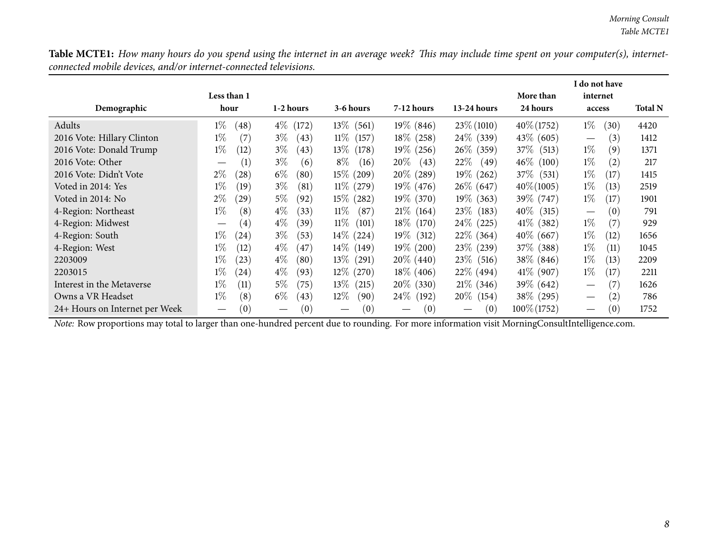Table MCTE1: How many hours do you spend using the internet in an average week? This may include time spent on your computer(s), internet*connected mobile devices, and/or internet-connected televisions.*

|                                                                                                                                                | Less than 1                            |                          |                          |                        |                 | More than      | I do not have<br>internet              |                |
|------------------------------------------------------------------------------------------------------------------------------------------------|----------------------------------------|--------------------------|--------------------------|------------------------|-----------------|----------------|----------------------------------------|----------------|
| Demographic                                                                                                                                    | hour                                   | 1-2 hours                | 3-6 hours                | $7-12$ hours           | $13-24$ hours   | 24 hours       | access                                 | <b>Total N</b> |
| Adults                                                                                                                                         | $1\%$<br>(48)                          | $4\%$<br>(172)           | $13\%$ (561)             | $19\%$ (846)           | $23\% (1010)$   | $40\% (1752)$  | $1\%$<br>(30)                          | 4420           |
| 2016 Vote: Hillary Clinton                                                                                                                     | $1\%$<br>(7)                           | $3\%$<br>(43)            | $11\%$<br>(157)          | $18\%$ (258)           | $24\%$ (339)    | $43\%$ (605)   | (3)<br>$\hspace{0.1mm}-\hspace{0.1mm}$ | 1412           |
| 2016 Vote: Donald Trump                                                                                                                        | $1\%$<br>(12)                          | $3\%$<br>(43)            | $13\%$<br>(178)          | $19\%$ (256)           | $26\%$ (359)    | 37\% (513)     | $1\%$<br>(9)                           | 1371           |
| 2016 Vote: Other                                                                                                                               | (1)                                    | $3\%$<br>(6)             | $8\%$<br>(16)            | $20\%$<br>(43)         | $22\%$<br>(49)  | $46\%$ (100)   | $1\%$<br>(2)                           | 217            |
| 2016 Vote: Didn't Vote                                                                                                                         | $2\%$<br>(28)                          | $6\%$<br>(80)            | $15\%$<br>(209)          | $20\%$ (289)           | $19\%$ (262)    | $37\%$ (531)   | $1\%$<br>(17)                          | 1415           |
| Voted in 2014: Yes                                                                                                                             | $1\%$<br>(19)                          | $3\%$<br>(81)            | $11\%$<br>(279)          | $19\%$ (476)           | $26\%$ (647)    | $40\% (1005)$  | $1\%$<br>(13)                          | 2519           |
| Voted in 2014: No                                                                                                                              | $2\%$<br>(29)                          | $5\%$<br>(92)            | $15\%$<br>(282)          | $19\%$ (370)           | $19\%$ (363)    | 39\% (747)     | $1\%$<br>(17)                          | 1901           |
| 4-Region: Northeast                                                                                                                            | $1\%$<br>(8)                           | $4\%$<br>(33)            | $11\%$<br>(87)           | $21\%$ (164)           | 23\% (183)      | $40\%$ (315)   | (0)<br>$\hspace{0.1mm}-\hspace{0.1mm}$ | 791            |
| 4-Region: Midwest                                                                                                                              | (4)<br>$\hspace{0.1mm}-\hspace{0.1mm}$ | $4\%$<br>(39)            | $11\%$<br>(101)          | 18\% (170)             | $24\%$ (225)    | $41\%$ (382)   | $1\%$<br>(7)                           | 929            |
| 4-Region: South                                                                                                                                | $1\%$<br>(24)                          | $3\%$<br>(53)            | $14\%$<br>(224)          | $19\%$<br>(312)        | $22\%$ (364)    | $40\%$ (667)   | $1\%$<br>(12)                          | 1656           |
| 4-Region: West                                                                                                                                 | $1\%$<br>(12)                          | $4\%$<br>(47)            | $14\%$ (149)             | $19\%$ (200)           | $23\%$ (239)    | 37\% (388)     | $1\%$<br>(11)                          | 1045           |
| 2203009                                                                                                                                        | $1\%$<br>(23)                          | $4\%$<br>(80)            | $13\%$ (291)             | $20\%$ (440)           | $23\%$ (516)    | $38\%$ (846)   | $1\%$<br>(13)                          | 2209           |
| 2203015                                                                                                                                        | $1\%$<br>(24)                          | $4\%$<br>(93)            | $12\%$<br>(270)          | $18\%$ (406)           | $22\%$ (494)    | $41\%$ (907)   | $1\%$<br>(17)                          | 2211           |
| Interest in the Metaverse                                                                                                                      | $1\%$<br>(11)                          | $5\%$<br>(75)            | $13\%$<br>(215)          | $20\%$ (330)           | $21\%$ (346)    | 39\% (642)     | (7)                                    | 1626           |
| Owns a VR Headset                                                                                                                              | (8)<br>$1\%$                           | $6\%$<br>(43)            | $12\%$<br>(90)           | $24\%$<br>(192)        | $20\%$<br>(154) | 38\% (295)     | (2)                                    | 786            |
| 24+ Hours on Internet per Week                                                                                                                 | (0)<br>$\overline{\phantom{m}}$        | (0)<br>$\hspace{0.05cm}$ | (0)<br>$\hspace{0.05cm}$ | (0)<br>$\qquad \qquad$ | (0)             | $100\% (1752)$ | (0)                                    | 1752           |
| Note: Row proportions may total to larger than one-hundred percent due to rounding. For more information visit MorningConsultIntelligence.com. |                                        |                          |                          |                        |                 |                |                                        |                |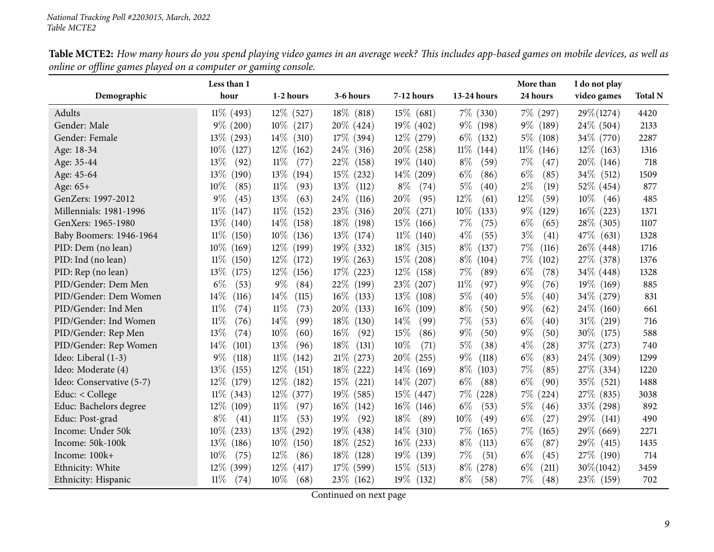<span id="page-8-0"></span>

|                          | Less than 1     |                 |                 |                 |                 | More than                   | I do not play   |                |
|--------------------------|-----------------|-----------------|-----------------|-----------------|-----------------|-----------------------------|-----------------|----------------|
| Demographic              | hour            | 1-2 hours       | 3-6 hours       | 7-12 hours      | 13-24 hours     | 24 hours                    | video games     | <b>Total N</b> |
| Adults                   | $11\%$ (493)    | $12\%$ (527)    | $18\%$ (818)    | $15\%$ (681)    | $7\%$ (330)     | $7\%$ (297)                 | $29\% (1274)$   | 4420           |
| Gender: Male             | $9\%$ (200)     | $10\%$ (217)    | 20\% (424)      | $19\%$ (402)    | 9\% (198)       | $9\%$<br>(189)              | $24\%$ (504)    | 2133           |
| Gender: Female           | $13\%$ (293)    | $14\%$<br>(310) | $17\%$ (394)    | 12\% (279)      | $6\%$<br>(132)  | $5\%$<br>(108)              | 34\% (770)      | 2287           |
| Age: 18-34               | $10\%$<br>(127) | $12\%$<br>(162) | $24\%$<br>(316) | 20\% (258)      | $11\%$<br>(144) | $11\%$<br>(146)             | $12\%$ (163)    | 1316           |
| Age: 35-44               | $13\%$<br>(92)  | $11\%$<br>(77)  | 22\%<br>(158)   | $19\%$<br>(140) | $8\%$<br>(59)   | $7\%$<br>(47)               | 20\% (146)      | 718            |
| Age: 45-64               | $13\%$<br>(190) | $13\%$<br>(194) | $15\%$<br>(232) | $14\%$<br>(209) | $6\%$<br>(86)   | $6\%$<br>(85)               | 34\% (512)      | 1509           |
| Age: 65+                 | $10\%$<br>(85)  | $11\%$<br>(93)  | $13\%$<br>(112) | $8\%$<br>(74)   | $5\%$<br>(40)   | $2\%$<br>(19)               | 52\% (454)      | 877            |
| GenZers: 1997-2012       | $9\%$<br>(45)   | 13%<br>(63)     | 24\%<br>(116)   | 20%<br>(95)     | 12%<br>(61)     | 12%<br>(59)                 | $10\%$<br>(46)  | 485            |
| Millennials: 1981-1996   | $11\%$<br>(147) | $11\%$<br>(152) | 23\%<br>(316)   | 20%<br>(271)    | $10\%$<br>(133) | $9\%$<br>(129)              | $16\%$ (223)    | 1371           |
| GenXers: 1965-1980       | $13\%$<br>(140) | $14\%$<br>(158) | $18\%$<br>(198) | 15%<br>(166)    | $7\%$<br>(75)   | $6\%$<br>(65)               | 28\% (305)      | 1107           |
| Baby Boomers: 1946-1964  | $11\%$<br>(150) | $10\%$<br>(136) | $13\%$<br>(174) | $11\%$<br>(140) | $4\%$<br>(55)   | $3\%$<br>(41)               | 47\% (631)      | 1328           |
| PID: Dem (no lean)       | $10\%$<br>(169) | $12\%$<br>(199) | $19\%$ (332)    | 18\%<br>(315)   | $8\%$<br>(137)  | 7%<br>(116)                 | 26\% (448)      | 1716           |
| PID: Ind (no lean)       | $11\%$<br>(150) | $12\%$<br>(172) | $19\%$ (263)    | $15\%$ (208)    | $8\%$<br>(104)  | $7\%$<br>(102)              | 27\% (378)      | 1376           |
| PID: Rep (no lean)       | $13\%$<br>(175) | $12\%$<br>(156) | $17\%$ (223)    | $12\%$<br>(158) | $7\%$<br>(89)   | $6\%$<br>(78)               | $34\%$ (448)    | 1328           |
| PID/Gender: Dem Men      | $6\%$<br>(53)   | $9\%$<br>(84)   | 22\%<br>(199)   | 23%<br>(207)    | $11\%$<br>(97)  | $9\%$<br>(76)               | 19\% (169)      | 885            |
| PID/Gender: Dem Women    | 14%<br>(116)    | $14\%$<br>(115) | $16\%$<br>(133) | 13\%<br>(108)   | 5%<br>(40)      | $5\%$<br>$\left( 40\right)$ | 34\% (279)      | 831            |
| PID/Gender: Ind Men      | 11%<br>(74)     | $11\%$<br>(73)  | 20%<br>(133)    | $16\%$<br>(109) | $8\%$<br>(50)   | $9\%$<br>(62)               | $24\%$<br>(160) | 661            |
| PID/Gender: Ind Women    | 11%<br>(76)     | 14%<br>(99)     | $18\%$<br>(130) | 14\%<br>(99)    | $7\%$<br>(53)   | $6\%$<br>$\left( 40\right)$ | $31\%$<br>(219) | 716            |
| PID/Gender: Rep Men      | 13\%<br>(74)    | 10%<br>(60)     | $16\%$<br>(92)  | 15%<br>(86)     | $9\%$<br>(50)   | $9\%$<br>(50)               | 30\%<br>(175)   | 588            |
| PID/Gender: Rep Women    | $14\%$<br>(101) | 13%<br>(96)     | 18%<br>(131)    | 10%<br>(71)     | $5\%$<br>(38)   | $4\%$<br>$\left( 28\right)$ | 37\% (273)      | 740            |
| Ideo: Liberal (1-3)      | $9\%$<br>(118)  | $11\%$<br>(142) | 21%<br>(273)    | 20%<br>(255)    | $9\%$<br>(118)  | $6\%$<br>(83)               | 24\% (309)      | 1299           |
| Ideo: Moderate (4)       | $13\%$<br>(155) | $12\%$<br>(151) | $18\%$ (222)    | $14\%$<br>(169) | $8\%$<br>(103)  | 7%<br>(85)                  | 27\% (334)      | 1220           |
| Ideo: Conservative (5-7) | $12\%$ (179)    | $12\%$<br>(182) | $15\%$<br>(221) | $14\%$<br>(207) | $6\%$<br>(88)   | $6\%$<br>(90)               | 35\% (521)      | 1488           |
| Educ: $<$ College        | $11\%$ (343)    | $12\%$ (377)    | $19\%$ (585)    | $15\%$ (447)    | $7\%$<br>(228)  | $7\%$<br>(224)              | 27\% (835)      | 3038           |
| Educ: Bachelors degree   | $12\%$<br>(109) | $11\%$<br>(97)  | $16\%$<br>(142) | $16\%$<br>(146) | $6\%$<br>(53)   | 5%<br>(46)                  | $33\%$<br>(298) | 892            |
| Educ: Post-grad          | $8\%$<br>(41)   | $11\%$<br>(53)  | 19%<br>(92)     | 18%<br>(89)     | $10\%$<br>(49)  | $6\%$<br>(27)               | 29%<br>(141)    | 490            |
| Income: Under 50k        | $10\%$ (233)    | $13\%$<br>(292) | 19% (438)       | 14\%<br>(310)   | $7\%$<br>(165)  | $7\%$<br>(165)              | 29\% (669)      | 2271           |
| Income: 50k-100k         | $13\%$ (186)    | $10\%$<br>(150) | $18\%$ (252)    | $16\%$<br>(233) | $8\%$<br>(113)  | $6\%$<br>(87)               | $29\%$ (415)    | 1435           |
| Income: 100k+            | $10\%$<br>(75)  | $12\%$<br>(86)  | 18\%<br>(128)   | 19%<br>(139)    | $7\%$<br>(51)   | $6\%$<br>(45)               | 27\% (190)      | 714            |
| Ethnicity: White         | $12\%$ (399)    | $12\%$<br>(417) | $17\%$ (599)    | 15%<br>(513)    | $8\%$<br>(278)  | $6\%$<br>(211)              | 30\%(1042)      | 3459           |
| Ethnicity: Hispanic      | $11\%$<br>(74)  | $10\%$<br>(68)  | $23\%$ (162)    | 19%<br>(132)    | $8\%$<br>(58)   | 7%<br>(48)                  | 23\% (159)      | 702            |

Table MCTE2: How many hours do you spend playing video games in an average week? This includes app-based games on mobile devices, as well as *online or offline games <sup>p</sup>layed on <sup>a</sup> computer or gaming console.*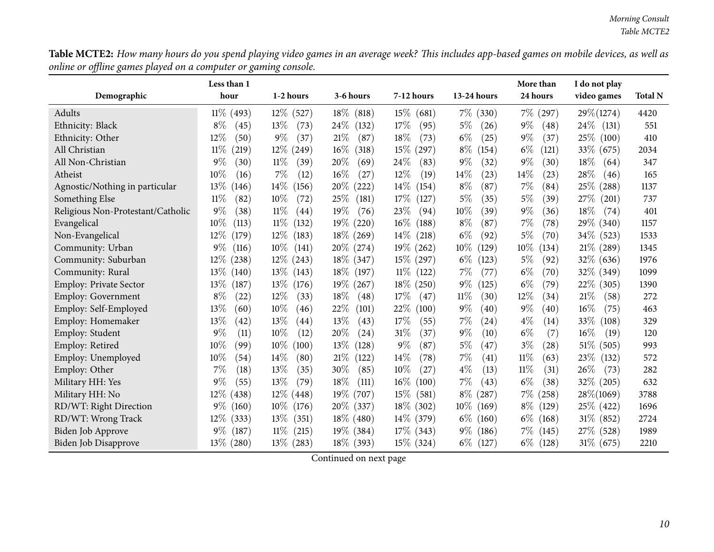Table MCTE2: How many hours do you spend playing video games in an average week? This includes app-based games on mobile devices, as well as *online or offline games <sup>p</sup>layed on <sup>a</sup> computer or gaming console.*

|                                   | Less than 1     |                 |                 |                 |                 | More than                   | I do not play   |                |
|-----------------------------------|-----------------|-----------------|-----------------|-----------------|-----------------|-----------------------------|-----------------|----------------|
| Demographic                       | hour            | 1-2 hours       | 3-6 hours       | 7-12 hours      | 13-24 hours     | 24 hours                    | video games     | <b>Total N</b> |
| Adults                            | $11\%$ (493)    | $12\%$ (527)    | $18\%$ (818)    | $15\%$<br>(681) | $7\%$ (330)     | $7\%$ (297)                 | $29\% (1274)$   | 4420           |
| Ethnicity: Black                  | $8\%$<br>(45)   | 13%<br>(73)     | 24%<br>(132)    | 17%<br>(95)     | $5\%$<br>(26)   | $9\%$<br>(48)               | $24\%$<br>(131) | 551            |
| Ethnicity: Other                  | 12%<br>(50)     | $9\%$<br>(37)   | 21%<br>(87)     | 18%<br>(73)     | $6\%$<br>(25)   | $9\%$<br>(37)               | 25\%<br>(100)   | 410            |
| All Christian                     | 11%<br>(219)    | $12\%$<br>(249) | $16\%$<br>(318) | 15%<br>(297)    | $8\%$<br>(154)  | $6\%$<br>(121)              | 33\% (675)      | 2034           |
| All Non-Christian                 | $9\%$<br>(30)   | 11%<br>(39)     | 20%<br>(69)     | 24\%<br>(83)    | $9\%$<br>(32)   | $9\%$<br>(30)               | 18%<br>(64)     | 347            |
| Atheist                           | 10%<br>(16)     | $7\%$<br>(12)   | $16\%$<br>(27)  | 12%<br>(19)     | 14%<br>(23)     | 14%<br>(23)                 | 28%<br>(46)     | 165            |
| Agnostic/Nothing in particular    | 13\%<br>(146)   | $14\%$<br>(156) | $20\%$<br>(222) | $14\%$<br>(154) | $8\%$<br>(87)   | 7%<br>(84)                  | 25%<br>(288)    | 1137           |
| Something Else                    | 11%<br>(82)     | 10%<br>(72)     | 25\%<br>(181)   | 17%<br>(127)    | 5%<br>(35)      | $5\%$<br>(39)               | 27\%<br>(201)   | 737            |
| Religious Non-Protestant/Catholic | $9\%$<br>(38)   | $11\%$<br>(44)  | $19\%$<br>(76)  | 23%<br>(94)     | 10%<br>(39)     | $9\%$<br>(36)               | 18%<br>(74)     | 401            |
| Evangelical                       | $10\%$<br>(113) | $11\%$<br>(132) | $19\%$<br>(220) | $16\%$<br>(188) | $8\%$<br>(87)   | 7%<br>(78)                  | 29\% (340)      | 1157           |
| Non-Evangelical                   | 12%<br>(179)    | $12\%$<br>(183) | $18\%$<br>(269) | $14\%$<br>(218) | $6\%$<br>(92)   | 5%<br>(70)                  | $34\%$ (523)    | 1533           |
| Community: Urban                  | $9\%$<br>(116)  | $10\%$<br>(141) | 20\% (274)      | $19\%$<br>(262) | $10\%$<br>(129) | 10%<br>(134)                | 21% (289)       | 1345           |
| Community: Suburban               | $12\%$<br>(238) | $12\%$ (243)    | $18\%$ (347)    | 15\% (297)      | $6\%$<br>(123)  | 5%<br>(92)                  | 32\% (636)      | 1976           |
| Community: Rural                  | $13\%$<br>(140) | $13\%$ (143)    | $18\%$<br>(197) | $11\%$<br>(122) | $7\%$<br>(77)   | $6\%$<br>(70)               | 32\% (349)      | 1099           |
| <b>Employ: Private Sector</b>     | 13\%<br>(187)   | $13\%$<br>(176) | $19\%$ (267)    | $18\%$<br>(250) | $9\%$<br>(125)  | $6\%$<br>(79)               | $22\%$ (305)    | 1390           |
| Employ: Government                | $8\%$<br>(22)   | 12%<br>(33)     | 18%<br>(48)     | 17%<br>(47)     | $11\%$<br>(30)  | 12%<br>(34)                 | 21%<br>(58)     | 272            |
| Employ: Self-Employed             | 13%<br>(60)     | $10\%$<br>(46)  | 22%<br>(101)    | 22%<br>(100)    | $9\%$<br>(40)   | $9\%$<br>(40)               | $16\%$<br>(75)  | 463            |
| Employ: Homemaker                 | 13%<br>(42)     | 13%<br>(44)     | 13%<br>(43)     | 17%<br>(55)     | 7%<br>(24)      | $4\%$<br>(14)               | 33\%<br>(108)   | 329            |
| Employ: Student                   | $9\%$<br>(11)   | 10%<br>(12)     | 20%<br>(24)     | $31\%$<br>(37)  | $9\%$<br>(10)   | $6\%$<br>(7)                | 16%<br>(19)     | 120            |
| Employ: Retired                   | 10%<br>(99)     | $10\%$<br>(100) | $13\%$<br>(128) | $9\%$<br>(87)   | 5%<br>(47)      | $3\%$<br>$\left( 28\right)$ | $51\%$ (505)    | 993            |
| Employ: Unemployed                | 10%<br>(54)     | 14%<br>(80)     | 21%<br>(122)    | 14%<br>(78)     | $7\%$<br>(41)   | 11%<br>(63)                 | 23\%<br>(132)   | 572            |
| Employ: Other                     | $7\%$<br>(18)   | 13%<br>(35)     | 30%<br>(85)     | 10%<br>(27)     | $4\%$<br>(13)   | $11\%$<br>(31)              | 26%<br>(73)     | 282            |
| Military HH: Yes                  | $9\%$<br>(55)   | 13%<br>(79)     | 18%<br>(111)    | $16\%$<br>(100) | $7\%$<br>(43)   | $6\%$<br>(38)               | 32\% (205)      | 632            |
| Military HH: No                   | $12\%$ (438)    | $12\%$<br>(448) | $19\%$<br>(707) | 15%<br>(581)    | $8\%$<br>(287)  | $7\%$<br>(258)              | 28\%(1069)      | 3788           |
| RD/WT: Right Direction            | $9\%$<br>(160)  | $10\%$<br>(176) | 20\% (337)      | 18%<br>(302)    | $10\%$<br>(169) | $8\%$<br>(129)              | 25\% (422)      | 1696           |
| RD/WT: Wrong Track                | $12\%$ (333)    | $13\%$<br>(351) | $18\%$ (480)    | $14\%$ (379)    | $6\%$<br>(160)  | $6\%$<br>(168)              | $31\%$ (852)    | 2724           |
| Biden Job Approve                 | $9\%$<br>(187)  | $11\%$<br>(215) | $19\%$ (384)    | $17\%$ (343)    | $9\%$<br>(186)  | $7\%$<br>(145)              | 27\% (528)      | 1989           |
| Biden Job Disapprove              | $13\%$ (280)    | $13\%$ (283)    | 18\% (393)      | $15\%$ (324)    | $6\%$<br>(127)  | $6\%$<br>(128)              | $31\%$ (675)    | 2210           |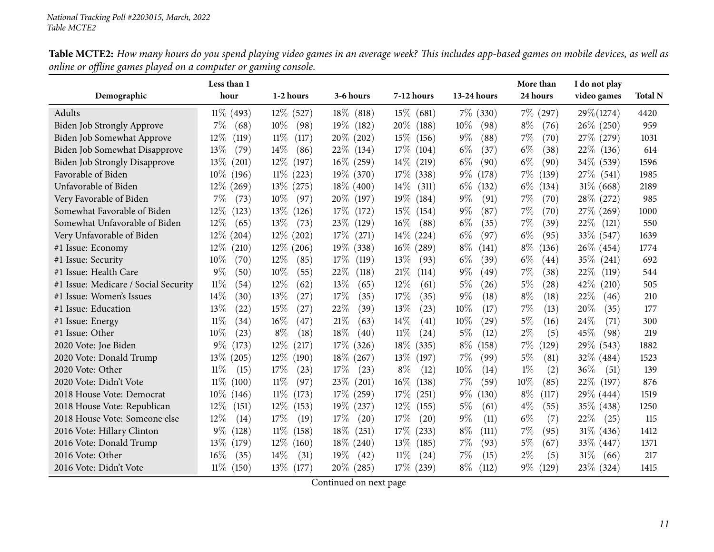|                                      | Less than 1     |                 |                 |                 |                | More than      | I do not play  |                |
|--------------------------------------|-----------------|-----------------|-----------------|-----------------|----------------|----------------|----------------|----------------|
| Demographic                          | hour            | 1-2 hours       | 3-6 hours       | 7-12 hours      | 13-24 hours    | 24 hours       | video games    | <b>Total N</b> |
| Adults                               | $11\%$ (493)    | $12\%$ (527)    | $18\%$ (818)    | 15%<br>(681)    | $7\%$ (330)    | $7\%$<br>(297) | 29\%(1274)     | 4420           |
| Biden Job Strongly Approve           | $7\%$<br>(68)   | $10\%$<br>(98)  | $19\%$<br>(182) | 20%<br>(188)    | $10\%$<br>(98) | $8\%$<br>(76)  | $26\%$ (250)   | 959            |
| Biden Job Somewhat Approve           | $12\%$<br>(119) | $11\%$<br>(117) | $20\%$ (202)    | $15\%$<br>(156) | $9\%$<br>(88)  | 7%<br>(70)     | 27\% (279)     | 1031           |
| Biden Job Somewhat Disapprove        | 13%<br>(79)     | $14\%$<br>(86)  | 22\% (134)      | 17%<br>(104)    | $6\%$<br>(37)  | $6\%$<br>(38)  | 22\% (136)     | 614            |
| <b>Biden Job Strongly Disapprove</b> | $13\%$<br>(201) | $12\%$<br>(197) | $16\%$ (259)    | $14\%$<br>(219) | $6\%$<br>(90)  | $6\%$<br>(90)  | 34\% (539)     | 1596           |
| Favorable of Biden                   | $10\%$<br>(196) | $11\%$ (223)    | 19\% (370)      | 17%<br>(338)    | $9\%$<br>(178) | 7%<br>(139)    | 27\% (541)     | 1985           |
| Unfavorable of Biden                 | $12\%$ (269)    | $13\%$ (275)    | $18\%$ (400)    | 14%<br>(311)    | $6\%$<br>(132) | $6\%$<br>(134) | $31\%$ (668)   | 2189           |
| Very Favorable of Biden              | $7\%$<br>(73)   | $10\%$<br>(97)  | $20\%$<br>(197) | $19\%$<br>(184) | $9\%$<br>(91)  | 7%<br>(70)     | 28\% (272)     | 985            |
| Somewhat Favorable of Biden          | $12\%$<br>(123) | $13\%$<br>(126) | 17%<br>(172)    | 15%<br>(154)    | $9\%$<br>(87)  | 7%<br>(70)     | 27\% (269)     | 1000           |
| Somewhat Unfavorable of Biden        | $12\%$<br>(65)  | $13\%$<br>(73)  | 23\%<br>(129)   | $16\%$<br>(88)  | $6\%$<br>(35)  | 7%<br>(39)     | $22\%$ (121)   | 550            |
| Very Unfavorable of Biden            | $12\%$ (204)    | $12\%$<br>(202) | $17\%$<br>(271) | $14\%$<br>(224) | $6\%$<br>(97)  | $6\%$<br>(95)  | 33\% (547)     | 1639           |
| #1 Issue: Economy                    | $12\%$<br>(210) | $12\%$ (206)    | $19\%$<br>(338) | $16\%$<br>(289) | $8\%$<br>(141) | $8\%$<br>(136) | 26\% (454)     | 1774           |
| #1 Issue: Security                   | 10%<br>(70)     | $12\%$<br>(85)  | 17%<br>(119)    | 13%<br>(93)     | $6\%$<br>(39)  | $6\%$<br>(44)  | 35% (241)      | 692            |
| #1 Issue: Health Care                | $9\%$<br>(50)   | 10%<br>(55)     | 22%<br>(118)    | 21%<br>(114)    | $9\%$<br>(49)  | 7%<br>(38)     | 22\%<br>(119)  | 544            |
| #1 Issue: Medicare / Social Security | $11\%$<br>(54)  | $12\%$<br>(62)  | 13%<br>(65)     | 12%<br>(61)     | $5\%$<br>(26)  | $5\%$<br>(28)  | 42\%<br>(210)  | 505            |
| #1 Issue: Women's Issues             | 14%<br>(30)     | 13%<br>(27)     | 17\%<br>(35)    | 17\%<br>(35)    | 9%<br>(18)     | $8\%$<br>(18)  | 22%<br>(46)    | 210            |
| #1 Issue: Education                  | 13\%<br>(22)    | 15%<br>(27)     | 22%<br>(39)     | 13%<br>(23)     | $10\%$<br>(17) | 7%<br>(13)     | $20\%$<br>(35) | 177            |
| #1 Issue: Energy                     | $11\%$<br>(34)  | 16%<br>(47)     | 21%<br>(63)     | 14\%<br>(41)    | $10\%$<br>(29) | $5\%$<br>(16)  | 24\%<br>(71)   | 300            |
| #1 Issue: Other                      | $10\%$<br>(23)  | $8\%$<br>(18)   | 18\%<br>(40)    | $11\%$<br>(24)  | $5\%$<br>(12)  | $2\%$<br>(5)   | 45%<br>(98)    | 219            |
| 2020 Vote: Joe Biden                 | $9\%$<br>(173)  | $12\%$<br>(217) | $17\%$<br>(326) | 18%<br>(335)    | $8\%$<br>(158) | 7%<br>(129)    | 29\% (543)     | 1882           |
| 2020 Vote: Donald Trump              | $13\%$ (205)    | $12\%$<br>(190) | $18\%$<br>(267) | 13%<br>(197)    | $7\%$<br>(99)  | 5%<br>(81)     | 32% (484)      | 1523           |
| 2020 Vote: Other                     | $11\%$<br>(15)  | 17%<br>(23)     | 17%<br>(23)     | $8\%$<br>(12)   | 10%<br>(14)    | $1\%$<br>(2)   | $36\%$<br>(51) | 139            |
| 2020 Vote: Didn't Vote               | $11\%$<br>(100) | $11\%$<br>(97)  | 23\%<br>(201)   | 16%<br>(138)    | $7\%$<br>(59)  | $10\%$<br>(85) | 22\%<br>(197)  | 876            |
| 2018 House Vote: Democrat            | $10\%$ (146)    | $11\%$<br>(173) | $17\%$ (259)    | 17%<br>(251)    | $9\%$<br>(130) | $8\%$<br>(117) | 29% (444)      | 1519           |
| 2018 House Vote: Republican          | $12\%$<br>(151) | $12\%$<br>(153) | $19\%$ (237)    | $12\%$<br>(155) | $5\%$<br>(61)  | $4\%$<br>(55)  | 35\% (438)     | 1250           |
| 2018 House Vote: Someone else        | $12\%$<br>(14)  | 17%<br>(19)     | 17\%<br>(20)    | 17%<br>(20)     | $9\%$<br>(11)  | $6\%$<br>(7)   | 22%<br>(25)    | 115            |
| 2016 Vote: Hillary Clinton           | $9\%$<br>(128)  | $11\%$<br>(158) | $18\%$<br>(251) | 17%<br>(233)    | $8\%$<br>(111) | 7%<br>(95)     | $31\%$ (436)   | 1412           |
| 2016 Vote: Donald Trump              | $13\%$<br>(179) | $12\%$<br>(160) | $18\%$<br>(240) | 13%<br>(185)    | $7\%$<br>(93)  | 5%<br>(67)     | 33\% (447)     | 1371           |
| 2016 Vote: Other                     | $16\%$<br>(35)  | $14\%$<br>(31)  | $19\%$<br>(42)  | $11\%$<br>(24)  | 7%<br>(15)     | $2\%$<br>(5)   | 31%<br>(66)    | 217            |
| 2016 Vote: Didn't Vote               | $11\%$ (150)    | $13\%$ (177)    | 20% (285)       | $17\%$ (239)    | $8\%$<br>(112) | $9\%$<br>(129) | 23\% (324)     | 1415           |

Table MCTE2: How many hours do you spend playing video games in an average week? This includes app-based games on mobile devices, as well as *online or offline games <sup>p</sup>layed on <sup>a</sup> computer or gaming console.*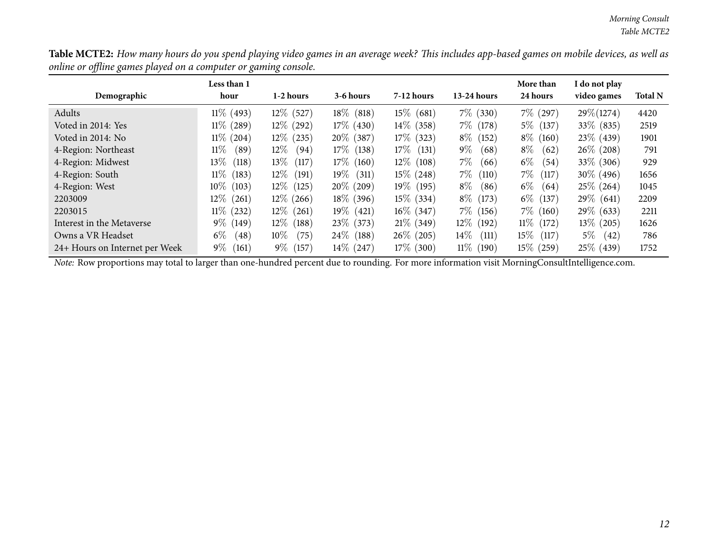Table MCTE2: How many hours do you spend playing video games in an average week? This includes app-based games on mobile devices, as well as *online or offline games <sup>p</sup>layed on <sup>a</sup> computer or gaming console.*

| Demographic                    | Less than 1<br>hour | 1-2 hours       | 3-6 hours    | $7-12$ hours    | $13-24$ hours   | More than<br>24 hours | I do not play<br>video games | <b>Total N</b> |
|--------------------------------|---------------------|-----------------|--------------|-----------------|-----------------|-----------------------|------------------------------|----------------|
| Adults                         | $11\%$ (493)        | $12\%$ (527)    | $18\%$ (818) | $15\%$ (681)    | $7\%$ (330)     | $7\%$ (297)           | $29\% (1274)$                | 4420           |
| Voted in 2014: Yes             | $11\%$ (289)        | $12\%$ (292)    | $17\%$ (430) | $14\%$<br>(358) | $7\%$<br>(178)  | $5\%$<br>(137)        | 33\% (835)                   | 2519           |
| Voted in 2014: No              | $11\%$ (204)        | $12\%$ (235)    | $20\%$ (387) | 17%<br>(323)    | $8\%$ (152)     | $8\%$<br>(160)        | 23\% (439)                   | 1901           |
| 4-Region: Northeast            | 11%<br>(89)         | $12\%$<br>(94)  | $17\%$ (138) | 17%<br>(131)    | $9\%$<br>(68)   | $8\%$<br>(62)         | $26\%$ (208)                 | 791            |
| 4-Region: Midwest              | $13\%$<br>(118)     | $13\%$<br>(117) | $17\%$ (160) | $12\%$ (108)    | 7%<br>(66)      | $6\%$<br>(54)         | 33\% (306)                   | 929            |
| 4-Region: South                | $11\%$<br>(183)     | $12\%$<br>(191) | $19\%$ (311) | $15\%$ (248)    | 7%<br>(110)     | $7\%$<br>(117)        | 30\% (496)                   | 1656           |
| 4-Region: West                 | $10\%$ (103)        | $12\%$ (125)    | $20\%$ (209) | 19\% (195)      | $8\%$<br>(86)   | $6\%$<br>(64)         | $25\%$ (264)                 | 1045           |
| 2203009                        | $12\%$ (261)        | $12\%$ (266)    | $18\%$ (396) | $15\%$ (334)    | $8\%$ (173)     | $6\%$ (137)           | $29\%$ (641)                 | 2209           |
| 2203015                        | $11\%$ (232)        | $12\%$ (261)    | $19\%$ (421) | $16\%$ (347)    | $7\%$ (156)     | $7\%$ (160)           | 29\% (633)                   | 2211           |
| Interest in the Metaverse      | $9\%$ (149)         | $12\%$ (188)    | $23\%$ (373) | $21\%$ (349)    | $12\%$ (192)    | $11\%$ (172)          | $13\%$ (205)                 | 1626           |
| Owns a VR Headset              | $6\%$<br>(48)       | $10\%$<br>(75)  | $24\%$ (188) | $26\%$ (205)    | $14\%$<br>(111) | $15\%$<br>(117)       | $5\%$<br>(42)                | 786            |
| 24+ Hours on Internet per Week | $9\%$<br>(161)      | $9\%$ (157)     | $14\%$ (247) | $17\%$ (300)    | $11\%$ (190)    | $15\%$<br>(259)       | 25\% (439)                   | 1752           |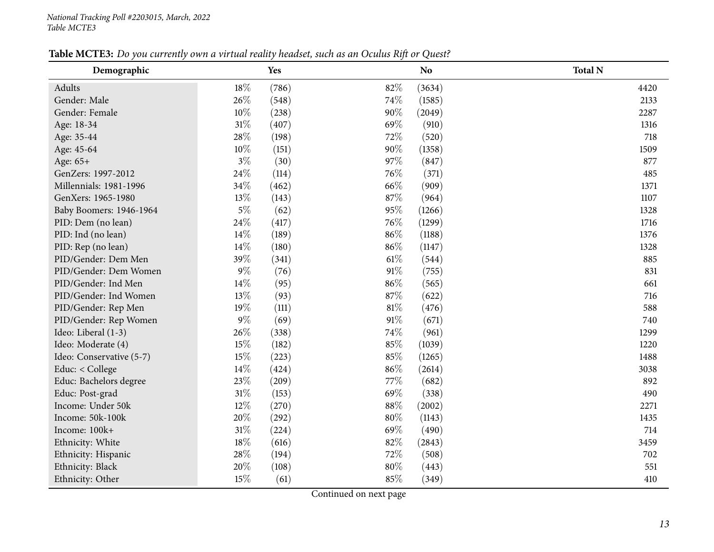| Table MCTE3: Do you currently own a virtual reality headset, such as an Oculus Rift or Quest? |  |  |  |  |  |
|-----------------------------------------------------------------------------------------------|--|--|--|--|--|
|-----------------------------------------------------------------------------------------------|--|--|--|--|--|

<span id="page-12-0"></span>

| Demographic              |        | Yes   |        | N <sub>o</sub> | <b>Total N</b> |
|--------------------------|--------|-------|--------|----------------|----------------|
| Adults                   | $18\%$ | (786) | 82%    | (3634)         | 4420           |
| Gender: Male             | 26%    | (548) | 74%    | (1585)         | 2133           |
| Gender: Female           | 10%    | (238) | 90%    | (2049)         | 2287           |
| Age: 18-34               | $31\%$ | (407) | 69%    | (910)          | 1316           |
| Age: 35-44               | 28\%   | (198) | 72%    | (520)          | 718            |
| Age: 45-64               | 10%    | (151) | 90%    | (1358)         | 1509           |
| Age: 65+                 | $3\%$  | (30)  | 97%    | (847)          | 877            |
| GenZers: 1997-2012       | $24\%$ | (114) | 76%    | (371)          | 485            |
| Millennials: 1981-1996   | 34%    | (462) | 66%    | (909)          | 1371           |
| GenXers: 1965-1980       | 13%    | (143) | 87%    | (964)          | 1107           |
| Baby Boomers: 1946-1964  | $5\%$  | (62)  | 95%    | (1266)         | 1328           |
| PID: Dem (no lean)       | 24%    | (417) | 76%    | (1299)         | 1716           |
| PID: Ind (no lean)       | 14%    | (189) | 86%    | (1188)         | 1376           |
| PID: Rep (no lean)       | 14%    | (180) | 86%    | (1147)         | 1328           |
| PID/Gender: Dem Men      | 39%    | (341) | 61%    | (544)          | 885            |
| PID/Gender: Dem Women    | $9\%$  | (76)  | 91%    | (755)          | 831            |
| PID/Gender: Ind Men      | 14%    | (95)  | 86%    | (565)          | 661            |
| PID/Gender: Ind Women    | 13%    | (93)  | 87%    | (622)          | 716            |
| PID/Gender: Rep Men      | 19%    | (111) | $81\%$ | (476)          | 588            |
| PID/Gender: Rep Women    | $9\%$  | (69)  | 91%    | (671)          | 740            |
| Ideo: Liberal (1-3)      | 26%    | (338) | 74%    | (961)          | 1299           |
| Ideo: Moderate (4)       | 15%    | (182) | 85%    | (1039)         | 1220           |
| Ideo: Conservative (5-7) | 15%    | (223) | 85%    | (1265)         | 1488           |
| Educ: < College          | 14%    | (424) | 86%    | (2614)         | 3038           |
| Educ: Bachelors degree   | 23%    | (209) | 77\%   | (682)          | 892            |
| Educ: Post-grad          | 31%    | (153) | 69%    | (338)          | 490            |
| Income: Under 50k        | 12%    | (270) | 88%    | (2002)         | 2271           |
| Income: 50k-100k         | 20%    | (292) | $80\%$ | (1143)         | 1435           |
| Income: 100k+            | $31\%$ | (224) | 69%    | (490)          | 714            |
| Ethnicity: White         | 18%    | (616) | 82%    | (2843)         | 3459           |
| Ethnicity: Hispanic      | 28\%   | (194) | 72%    | (508)          | 702            |
| Ethnicity: Black         | 20%    | (108) | $80\%$ | (443)          | 551            |
| Ethnicity: Other         | 15%    | (61)  | 85%    | (349)          | 410            |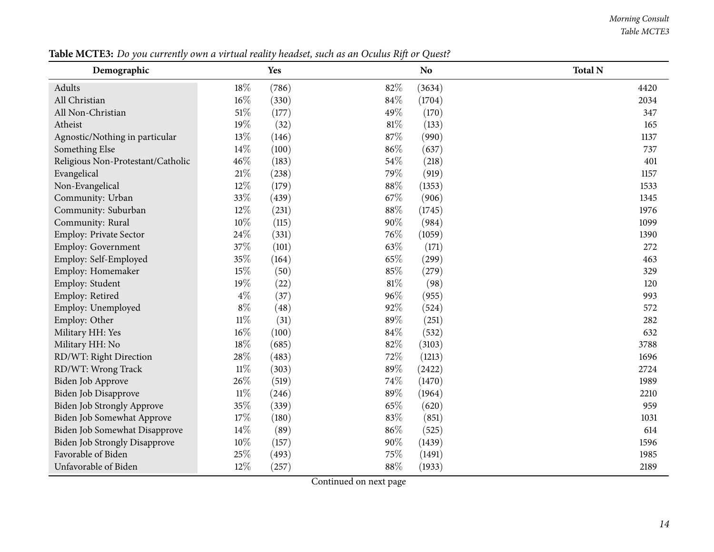#### *Morning Consult Table MCTE3*

| Demographic                          |        | Yes   |        | N <sub>o</sub> | <b>Total N</b> |
|--------------------------------------|--------|-------|--------|----------------|----------------|
| Adults                               | 18%    | (786) | 82%    | (3634)         | 4420           |
| All Christian                        | $16\%$ | (330) | 84%    | (1704)         | 2034           |
| All Non-Christian                    | $51\%$ | (177) | 49%    | (170)          | 347            |
| Atheist                              | 19%    | (32)  | $81\%$ | (133)          | 165            |
| Agnostic/Nothing in particular       | 13%    | (146) | 87%    | (990)          | 1137           |
| Something Else                       | 14%    | (100) | 86%    | (637)          | 737            |
| Religious Non-Protestant/Catholic    | 46%    | (183) | 54%    | (218)          | 401            |
| Evangelical                          | 21\%   | (238) | 79%    | (919)          | 1157           |
| Non-Evangelical                      | 12%    | (179) | 88%    | (1353)         | 1533           |
| Community: Urban                     | 33%    | (439) | 67%    | (906)          | 1345           |
| Community: Suburban                  | 12%    | (231) | 88%    | (1745)         | 1976           |
| Community: Rural                     | $10\%$ | (115) | $90\%$ | (984)          | 1099           |
| Employ: Private Sector               | 24%    | (331) | 76%    | (1059)         | 1390           |
| Employ: Government                   | 37%    | (101) | 63%    | (171)          | 272            |
| Employ: Self-Employed                | 35%    | (164) | 65%    | (299)          | 463            |
| Employ: Homemaker                    | 15%    | (50)  | 85%    | (279)          | 329            |
| Employ: Student                      | 19%    | (22)  | 81%    | (98)           | 120            |
| Employ: Retired                      | $4\%$  | (37)  | 96%    | (955)          | 993            |
| Employ: Unemployed                   | $8\%$  | (48)  | 92%    | (524)          | 572            |
| Employ: Other                        | $11\%$ | (31)  | 89%    | (251)          | 282            |
| Military HH: Yes                     | 16%    | (100) | 84%    | (532)          | 632            |
| Military HH: No                      | 18%    | (685) | 82%    | (3103)         | 3788           |
| RD/WT: Right Direction               | 28%    | (483) | 72%    | (1213)         | 1696           |
| RD/WT: Wrong Track                   | $11\%$ | (303) | $89\%$ | (2422)         | 2724           |
| Biden Job Approve                    | 26%    | (519) | 74%    | (1470)         | 1989           |
| Biden Job Disapprove                 | $11\%$ | (246) | 89%    | (1964)         | 2210           |
| Biden Job Strongly Approve           | 35%    | (339) | 65%    | (620)          | 959            |
| Biden Job Somewhat Approve           | 17%    | (180) | 83%    | (851)          | 1031           |
| Biden Job Somewhat Disapprove        | 14\%   | (89)  | 86%    | (525)          | 614            |
| <b>Biden Job Strongly Disapprove</b> | $10\%$ | (157) | 90%    | (1439)         | 1596           |
| Favorable of Biden                   | 25%    | (493) | 75%    | (1491)         | 1985           |
| Unfavorable of Biden                 | 12%    | (257) | 88%    | (1933)         | 2189           |

Table MCTE3: Do you currently own a virtual reality headset, such as an Oculus Rift or Quest?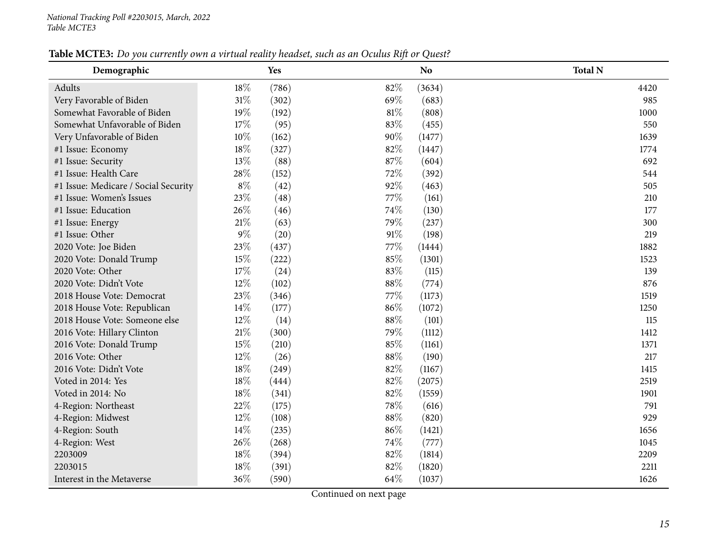| Table MCTE3: Do you currently own a virtual reality headset, such as an Oculus Rift or Quest? |  |  |  |  |  |  |
|-----------------------------------------------------------------------------------------------|--|--|--|--|--|--|
|-----------------------------------------------------------------------------------------------|--|--|--|--|--|--|

| Demographic                          |        | Yes   |      | N <sub>o</sub> | <b>Total N</b> |
|--------------------------------------|--------|-------|------|----------------|----------------|
| Adults                               | $18\%$ | (786) | 82%  | (3634)         | 4420           |
| Very Favorable of Biden              | 31%    | (302) | 69%  | (683)          | 985            |
| Somewhat Favorable of Biden          | 19%    | (192) | 81%  | (808)          | 1000           |
| Somewhat Unfavorable of Biden        | 17%    | (95)  | 83%  | (455)          | 550            |
| Very Unfavorable of Biden            | 10%    | (162) | 90%  | (1477)         | 1639           |
| #1 Issue: Economy                    | 18%    | (327) | 82%  | (1447)         | 1774           |
| #1 Issue: Security                   | 13%    | (88)  | 87%  | (604)          | 692            |
| #1 Issue: Health Care                | 28%    | (152) | 72%  | (392)          | 544            |
| #1 Issue: Medicare / Social Security | $8\%$  | (42)  | 92%  | (463)          | 505            |
| #1 Issue: Women's Issues             | 23%    | (48)  | 77\% | (161)          | 210            |
| #1 Issue: Education                  | 26%    | (46)  | 74%  | (130)          | 177            |
| #1 Issue: Energy                     | 21%    | (63)  | 79%  | (237)          | 300            |
| #1 Issue: Other                      | 9%     | (20)  | 91%  | (198)          | 219            |
| 2020 Vote: Joe Biden                 | 23%    | (437) | 77%  | (1444)         | 1882           |
| 2020 Vote: Donald Trump              | 15%    | (222) | 85%  | (1301)         | 1523           |
| 2020 Vote: Other                     | 17%    | (24)  | 83%  | (115)          | 139            |
| 2020 Vote: Didn't Vote               | 12%    | (102) | 88%  | (774)          | 876            |
| 2018 House Vote: Democrat            | 23%    | (346) | 77\% | (1173)         | 1519           |
| 2018 House Vote: Republican          | 14%    | (177) | 86%  | (1072)         | 1250           |
| 2018 House Vote: Someone else        | 12%    | (14)  | 88%  | (101)          | 115            |
| 2016 Vote: Hillary Clinton           | 21%    | (300) | 79%  | (1112)         | 1412           |
| 2016 Vote: Donald Trump              | 15%    | (210) | 85%  | (1161)         | 1371           |
| 2016 Vote: Other                     | 12%    | (26)  | 88%  | (190)          | 217            |
| 2016 Vote: Didn't Vote               | 18%    | (249) | 82%  | (1167)         | 1415           |
| Voted in 2014: Yes                   | 18%    | (444) | 82%  | (2075)         | 2519           |
| Voted in 2014: No                    | 18%    | (341) | 82%  | (1559)         | 1901           |
| 4-Region: Northeast                  | 22%    | (175) | 78%  | (616)          | 791            |
| 4-Region: Midwest                    | 12%    | (108) | 88%  | (820)          | 929            |
| 4-Region: South                      | 14%    | (235) | 86%  | (1421)         | 1656           |
| 4-Region: West                       | 26%    | (268) | 74%  | (777)          | 1045           |
| 2203009                              | 18%    | (394) | 82%  | (1814)         | 2209           |
| 2203015                              | 18%    | (391) | 82%  | (1820)         | 2211           |
| Interest in the Metaverse            | 36%    | (590) | 64%  | (1037)         | 1626           |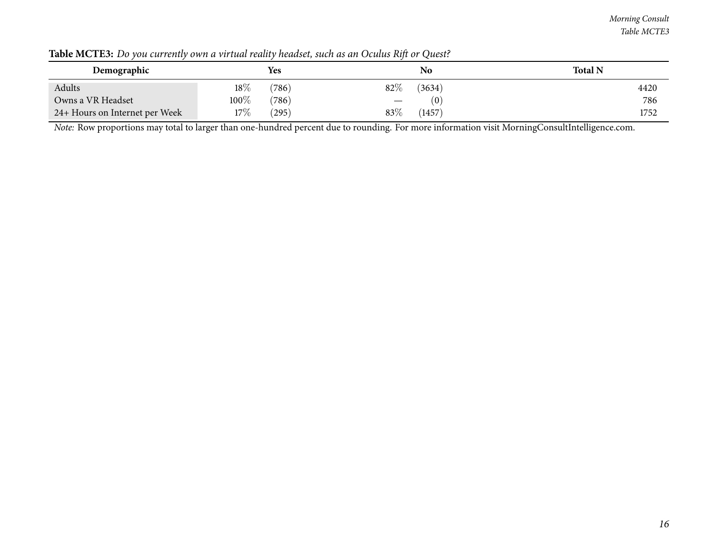| Demographic                    |        | <b>Yes</b> |                                 | No     | <b>Total N</b> |
|--------------------------------|--------|------------|---------------------------------|--------|----------------|
| Adults                         | $18\%$ | (786)      | $82\%$                          | (3634) | 4420           |
| Owns a VR Headset              | 100%   | (786)      | $\hspace{0.1mm}-\hspace{0.1mm}$ | (0)    | 786            |
| 24+ Hours on Internet per Week | 17%    | (295)      | $83\%$                          | (1457) | 1752           |

Table MCTE3: Do you currently own a virtual reality headset, such as an Oculus Rift or Quest?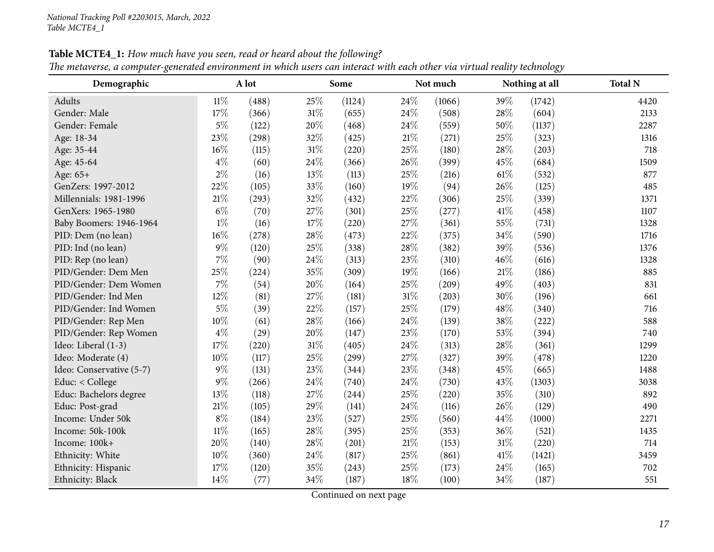<span id="page-16-0"></span>

| Demographic              |        | A lot |      | Some   |        | Not much |        | Nothing at all | <b>Total N</b> |
|--------------------------|--------|-------|------|--------|--------|----------|--------|----------------|----------------|
| Adults                   | $11\%$ | (488) | 25%  | (1124) | 24%    | (1066)   | 39%    | (1742)         | 4420           |
| Gender: Male             | 17%    | (366) | 31%  | (655)  | 24%    | (508)    | 28\%   | (604)          | 2133           |
| Gender: Female           | $5\%$  | (122) | 20%  | (468)  | 24\%   | (559)    | 50%    | (1137)         | 2287           |
| Age: 18-34               | 23%    | (298) | 32%  | (425)  | 21%    | (271)    | 25%    | (323)          | 1316           |
| Age: 35-44               | 16%    | (115) | 31%  | (220)  | 25%    | (180)    | 28%    | (203)          | 718            |
| Age: 45-64               | $4\%$  | (60)  | 24%  | (366)  | 26%    | (399)    | 45%    | (684)          | 1509           |
| Age: 65+                 | $2\%$  | (16)  | 13%  | (113)  | 25%    | (216)    | $61\%$ | (532)          | 877            |
| GenZers: 1997-2012       | 22%    | (105) | 33%  | (160)  | 19%    | (94)     | 26%    | (125)          | 485            |
| Millennials: 1981-1996   | 21%    | (293) | 32%  | (432)  | 22%    | (306)    | 25%    | (339)          | 1371           |
| GenXers: 1965-1980       | $6\%$  | (70)  | 27%  | (301)  | 25%    | (277)    | 41\%   | (458)          | 1107           |
| Baby Boomers: 1946-1964  | $1\%$  | (16)  | 17%  | (220)  | 27%    | (361)    | 55%    | (731)          | 1328           |
| PID: Dem (no lean)       | 16%    | (278) | 28%  | (473)  | 22%    | (375)    | 34%    | (590)          | 1716           |
| PID: Ind (no lean)       | $9\%$  | (120) | 25%  | (338)  | 28%    | (382)    | 39%    | (536)          | 1376           |
| PID: Rep (no lean)       | 7%     | (90)  | 24%  | (313)  | 23%    | (310)    | 46%    | (616)          | 1328           |
| PID/Gender: Dem Men      | 25%    | (224) | 35%  | (309)  | 19%    | (166)    | 21%    | (186)          | 885            |
| PID/Gender: Dem Women    | 7%     | (54)  | 20%  | (164)  | 25%    | (209)    | 49%    | (403)          | 831            |
| PID/Gender: Ind Men      | $12\%$ | (81)  | 27%  | (181)  | 31%    | (203)    | 30%    | (196)          | 661            |
| PID/Gender: Ind Women    | $5\%$  | (39)  | 22%  | (157)  | 25%    | (179)    | 48%    | (340)          | 716            |
| PID/Gender: Rep Men      | 10%    | (61)  | 28%  | (166)  | 24%    | (139)    | 38%    | (222)          | 588            |
| PID/Gender: Rep Women    | $4\%$  | (29)  | 20%  | (147)  | 23%    | (170)    | 53%    | (394)          | 740            |
| Ideo: Liberal (1-3)      | 17%    | (220) | 31%  | (405)  | 24%    | (313)    | 28%    | (361)          | 1299           |
| Ideo: Moderate (4)       | 10%    | (117) | 25%  | (299)  | 27%    | (327)    | 39%    | (478)          | 1220           |
| Ideo: Conservative (5-7) | $9\%$  | (131) | 23%  | (344)  | 23%    | (348)    | 45%    | (665)          | 1488           |
| Educ: < College          | $9\%$  | (266) | 24%  | (740)  | 24\%   | (730)    | 43%    | (1303)         | 3038           |
| Educ: Bachelors degree   | 13%    | (118) | 27%  | (244)  | 25%    | (220)    | 35%    | (310)          | 892            |
| Educ: Post-grad          | 21%    | (105) | 29%  | (141)  | 24%    | (116)    | 26%    | (129)          | 490            |
| Income: Under 50k        | $8\%$  | (184) | 23%  | (527)  | 25%    | (560)    | 44%    | (1000)         | 2271           |
| Income: 50k-100k         | $11\%$ | (165) | 28\% | (395)  | 25%    | (353)    | 36%    | (521)          | 1435           |
| Income: 100k+            | 20%    | (140) | 28%  | (201)  | $21\%$ | (153)    | $31\%$ | (220)          | 714            |
| Ethnicity: White         | 10%    | (360) | 24%  | (817)  | $25\%$ | (861)    | 41\%   | (1421)         | 3459           |
| Ethnicity: Hispanic      | 17%    | (120) | 35%  | (243)  | 25%    | (173)    | 24%    | (165)          | 702            |
| Ethnicity: Black         | 14%    | (77)  | 34%  | (187)  | 18%    | (100)    | 34%    | (187)          | 551            |

Table MCTE4\_1: How much have you seen, read or heard about the following?

The metaverse, a computer-generated environment in which users can interact with each other via virtual reality technology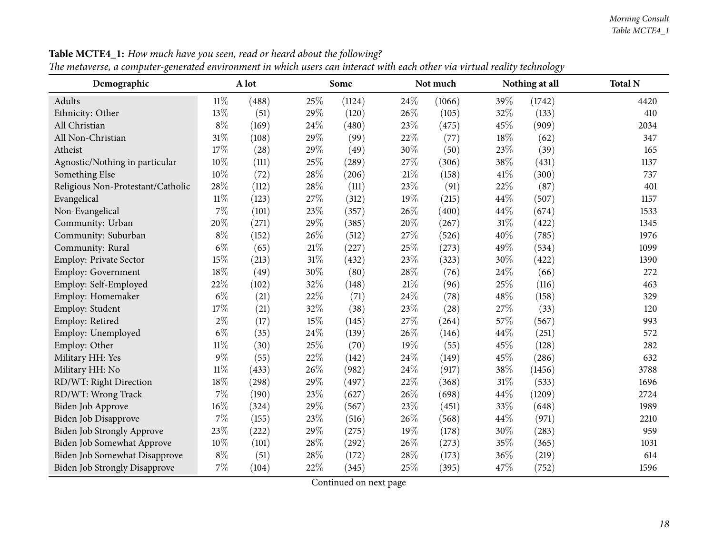| Demographic                          |        | A lot |        | Some   |      | Not much |      | Nothing at all | <b>Total N</b> |
|--------------------------------------|--------|-------|--------|--------|------|----------|------|----------------|----------------|
| Adults                               | $11\%$ | (488) | 25%    | (1124) | 24\% | (1066)   | 39%  | (1742)         | 4420           |
| Ethnicity: Other                     | 13%    | (51)  | 29%    | (120)  | 26%  | (105)    | 32%  | (133)          | 410            |
| All Christian                        | $8\%$  | (169) | 24%    | (480)  | 23%  | (475)    | 45%  | (909)          | 2034           |
| All Non-Christian                    | $31\%$ | (108) | 29%    | (99)   | 22%  | (77)     | 18%  | (62)           | 347            |
| Atheist                              | 17%    | (28)  | 29%    | (49)   | 30%  | (50)     | 23%  | (39)           | 165            |
| Agnostic/Nothing in particular       | 10%    | (111) | 25%    | (289)  | 27%  | (306)    | 38%  | (431)          | 1137           |
| Something Else                       | 10%    | (72)  | 28%    | (206)  | 21%  | (158)    | 41\% | (300)          | 737            |
| Religious Non-Protestant/Catholic    | 28%    | (112) | 28%    | (111)  | 23%  | (91)     | 22%  | (87)           | 401            |
| Evangelical                          | $11\%$ | (123) | 27%    | (312)  | 19%  | (215)    | 44%  | (507)          | 1157           |
| Non-Evangelical                      | $7\%$  | (101) | 23%    | (357)  | 26%  | (400)    | 44%  | (674)          | 1533           |
| Community: Urban                     | 20%    | (271) | 29%    | (385)  | 20%  | (267)    | 31%  | (422)          | 1345           |
| Community: Suburban                  | $8\%$  | (152) | 26%    | (512)  | 27%  | (526)    | 40%  | (785)          | 1976           |
| Community: Rural                     | $6\%$  | (65)  | $21\%$ | (227)  | 25%  | (273)    | 49%  | (534)          | 1099           |
| Employ: Private Sector               | 15%    | (213) | 31%    | (432)  | 23%  | (323)    | 30%  | (422)          | 1390           |
| Employ: Government                   | 18%    | (49)  | 30%    | (80)   | 28%  | (76)     | 24%  | (66)           | 272            |
| Employ: Self-Employed                | 22%    | (102) | 32%    | (148)  | 21\% | (96)     | 25%  | (116)          | 463            |
| Employ: Homemaker                    | $6\%$  | (21)  | 22%    | (71)   | 24%  | (78)     | 48%  | (158)          | 329            |
| Employ: Student                      | 17%    | (21)  | 32%    | (38)   | 23%  | (28)     | 27\% | (33)           | 120            |
| Employ: Retired                      | $2\%$  | (17)  | 15%    | (145)  | 27%  | (264)    | 57%  | (567)          | 993            |
| Employ: Unemployed                   | $6\%$  | (35)  | 24%    | (139)  | 26%  | (146)    | 44%  | (251)          | 572            |
| Employ: Other                        | $11\%$ | (30)  | 25%    | (70)   | 19%  | (55)     | 45%  | (128)          | 282            |
| Military HH: Yes                     | $9\%$  | (55)  | 22%    | (142)  | 24%  | (149)    | 45%  | (286)          | 632            |
| Military HH: No                      | $11\%$ | (433) | 26%    | (982)  | 24%  | (917)    | 38%  | (1456)         | 3788           |
| RD/WT: Right Direction               | 18%    | (298) | 29%    | (497)  | 22%  | (368)    | 31%  | (533)          | 1696           |
| RD/WT: Wrong Track                   | $7\%$  | (190) | 23%    | (627)  | 26%  | (698)    | 44%  | (1209)         | 2724           |
| Biden Job Approve                    | 16%    | (324) | 29%    | (567)  | 23%  | (451)    | 33%  | (648)          | 1989           |
| Biden Job Disapprove                 | 7%     | (155) | 23%    | (516)  | 26%  | (568)    | 44%  | (971)          | 2210           |
| Biden Job Strongly Approve           | 23%    | (222) | 29%    | (275)  | 19%  | (178)    | 30%  | (283)          | 959            |
| Biden Job Somewhat Approve           | 10%    | (101) | 28%    | (292)  | 26%  | (273)    | 35%  | (365)          | 1031           |
| Biden Job Somewhat Disapprove        | $8\%$  | (51)  | 28%    | (172)  | 28\% | (173)    | 36%  | (219)          | 614            |
| <b>Biden Job Strongly Disapprove</b> | $7\%$  | (104) | 22%    | (345)  | 25%  | (395)    | 47%  | (752)          | 1596           |

Table MCTE4\_1: How much have you seen, read or heard about the following?

The metaverse, a computer-generated environment in which users can interact with each other via virtual reality technology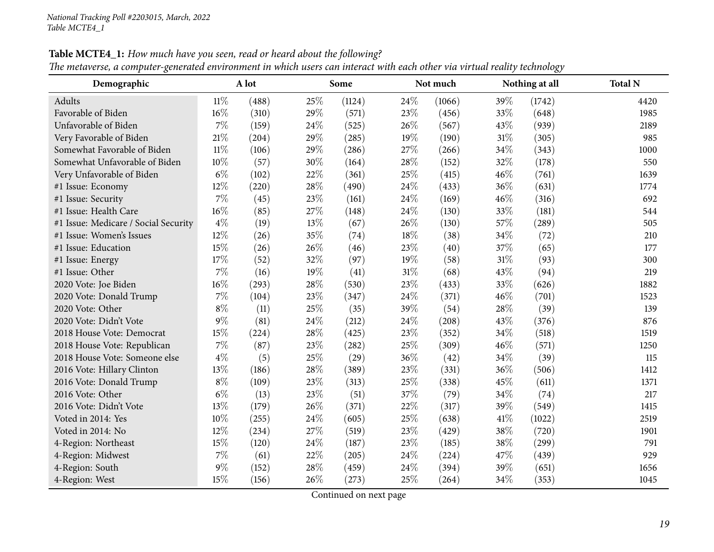| Demographic                          |        | A lot |     | Some   |        | Not much |        | Nothing at all | <b>Total N</b> |
|--------------------------------------|--------|-------|-----|--------|--------|----------|--------|----------------|----------------|
| Adults                               | $11\%$ | (488) | 25% | (1124) | 24\%   | (1066)   | 39%    | (1742)         | 4420           |
| Favorable of Biden                   | 16%    | (310) | 29% | (571)  | 23%    | (456)    | 33%    | (648)          | 1985           |
| Unfavorable of Biden                 | $7\%$  | (159) | 24% | (525)  | 26%    | (567)    | 43%    | (939)          | 2189           |
| Very Favorable of Biden              | $21\%$ | (204) | 29% | (285)  | 19%    | (190)    | $31\%$ | (305)          | 985            |
| Somewhat Favorable of Biden          | $11\%$ | (106) | 29% | (286)  | 27%    | (266)    | 34%    | (343)          | 1000           |
| Somewhat Unfavorable of Biden        | 10%    | (57)  | 30% | (164)  | 28%    | (152)    | 32%    | (178)          | 550            |
| Very Unfavorable of Biden            | $6\%$  | (102) | 22% | (361)  | 25%    | (415)    | 46%    | (761)          | 1639           |
| #1 Issue: Economy                    | 12%    | (220) | 28% | (490)  | 24%    | (433)    | 36%    | (631)          | 1774           |
| #1 Issue: Security                   | $7\%$  | (45)  | 23% | (161)  | 24%    | (169)    | 46%    | (316)          | 692            |
| #1 Issue: Health Care                | 16%    | (85)  | 27% | (148)  | 24%    | (130)    | 33%    | (181)          | 544            |
| #1 Issue: Medicare / Social Security | $4\%$  | (19)  | 13% | (67)   | 26%    | (130)    | 57%    | (289)          | 505            |
| #1 Issue: Women's Issues             | 12%    | (26)  | 35% | (74)   | 18%    | (38)     | 34%    | (72)           | 210            |
| #1 Issue: Education                  | 15%    | (26)  | 26% | (46)   | 23%    | (40)     | 37%    | (65)           | 177            |
| #1 Issue: Energy                     | 17%    | (52)  | 32% | (97)   | 19%    | (58)     | $31\%$ | (93)           | 300            |
| #1 Issue: Other                      | $7\%$  | (16)  | 19% | (41)   | $31\%$ | (68)     | 43%    | (94)           | 219            |
| 2020 Vote: Joe Biden                 | 16%    | (293) | 28% | (530)  | 23%    | (433)    | 33%    | (626)          | 1882           |
| 2020 Vote: Donald Trump              | 7%     | (104) | 23% | (347)  | 24%    | (371)    | 46%    | (701)          | 1523           |
| 2020 Vote: Other                     | $8\%$  | (11)  | 25% | (35)   | 39%    | (54)     | 28%    | (39)           | 139            |
| 2020 Vote: Didn't Vote               | $9\%$  | (81)  | 24% | (212)  | 24\%   | (208)    | 43%    | (376)          | 876            |
| 2018 House Vote: Democrat            | 15%    | (224) | 28% | (425)  | 23%    | (352)    | 34%    | (518)          | 1519           |
| 2018 House Vote: Republican          | 7%     | (87)  | 23% | (282)  | 25%    | (309)    | 46%    | (571)          | 1250           |
| 2018 House Vote: Someone else        | $4\%$  | (5)   | 25% | (29)   | 36%    | (42)     | 34%    | (39)           | 115            |
| 2016 Vote: Hillary Clinton           | 13%    | (186) | 28% | (389)  | 23%    | (331)    | 36%    | (506)          | 1412           |
| 2016 Vote: Donald Trump              | $8\%$  | (109) | 23% | (313)  | 25%    | (338)    | 45%    | (611)          | 1371           |
| 2016 Vote: Other                     | $6\%$  | (13)  | 23% | (51)   | 37%    | (79)     | 34%    | (74)           | 217            |
| 2016 Vote: Didn't Vote               | 13%    | (179) | 26% | (371)  | 22%    | (317)    | 39%    | (549)          | 1415           |
| Voted in 2014: Yes                   | 10%    | (255) | 24% | (605)  | 25%    | (638)    | 41\%   | (1022)         | 2519           |
| Voted in 2014: No                    | 12%    | (234) | 27% | (519)  | 23%    | (429)    | 38%    | (720)          | 1901           |
| 4-Region: Northeast                  | 15%    | (120) | 24% | (187)  | 23%    | (185)    | 38%    | (299)          | 791            |
| 4-Region: Midwest                    | $7\%$  | (61)  | 22% | (205)  | 24%    | (224)    | 47%    | (439)          | 929            |
| 4-Region: South                      | $9\%$  | (152) | 28% | (459)  | 24%    | (394)    | 39%    | (651)          | 1656           |
| 4-Region: West                       | 15%    | (156) | 26% | (273)  | 25%    | (264)    | 34%    | (353)          | 1045           |

Table MCTE4\_1: How much have you seen, read or heard about the following?

The metaverse, a computer-generated environment in which users can interact with each other via virtual reality technology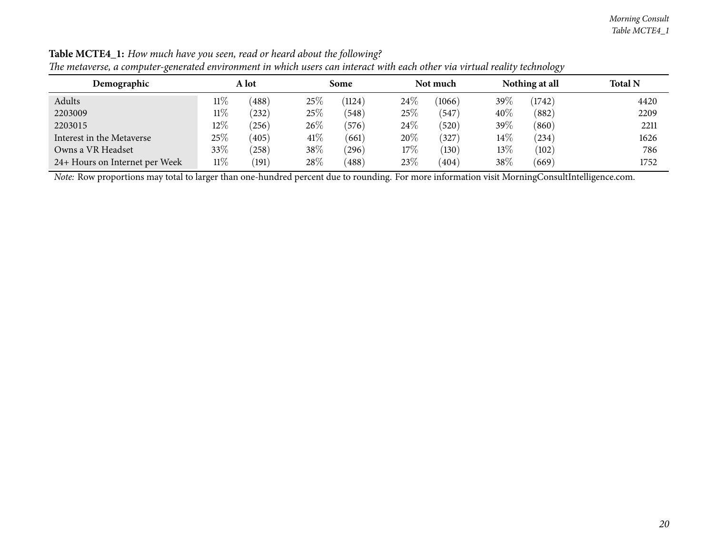| $\mathbf \sigma$               |        |       |        |        |        |                 |        | <u>v</u>       |                |
|--------------------------------|--------|-------|--------|--------|--------|-----------------|--------|----------------|----------------|
| Demographic                    | A lot  |       |        | Some   |        | Not much        |        | Nothing at all | <b>Total N</b> |
| Adults                         | $11\%$ | (488) | 25%    | (1124) | $24\%$ | (1066)          | 39%    | (1742)         | 4420           |
| 2203009                        | $11\%$ | (232) | 25%    | (548)  | $25\%$ | (547)           | 40%    | (882)          | 2209           |
| 2203015                        | $12\%$ | (256) | 26%    | (576)  | $24\%$ | (520)           | 39%    | (860)          | 2211           |
| Interest in the Metaverse      | 25%    | (405) | 41\%   | (661)  | 20%    | $^{\prime}327)$ | $14\%$ | (234)          | 1626           |
| Owns a VR Headset              | 33\%   | (258) | 38%    | (296)  | $17\%$ | (130)           | $13\%$ | (102)          | 786            |
| 24+ Hours on Internet per Week | $11\%$ | (191) | $28\%$ | (488)  | 23\%   | (404)           | 38%    | (669)          | 1752           |

Table MCTE4\_1: How much have you seen, read or heard about the following? The metaverse, a computer-generated environment in which users can interact with each other via virtual reality technology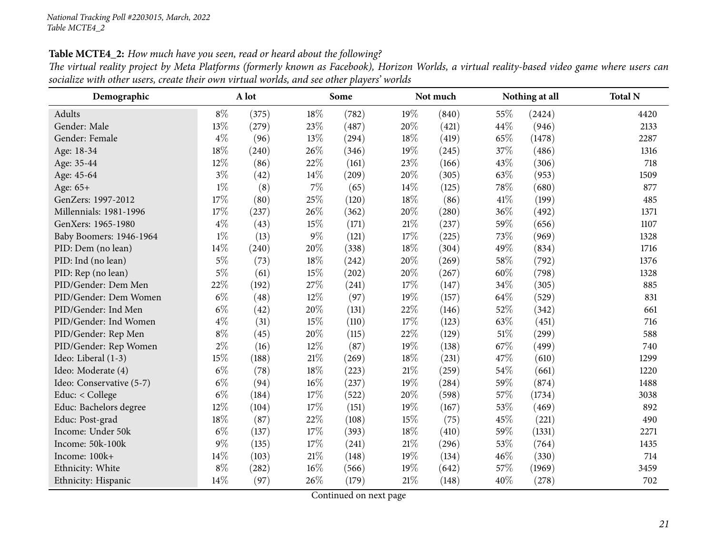Table MCTE4\_2: How much have you seen, read or heard about the following?

| The virtual reality project by Meta Platforms (formerly known as Facebook), Horizon Worlds, a virtual reality-based video game where users can |  |
|------------------------------------------------------------------------------------------------------------------------------------------------|--|
| socialize with other users, create their own virtual worlds, and see other players' worlds                                                     |  |

<span id="page-20-0"></span>

| Demographic              |       | A lot |        | Some  |      | Not much |      | Nothing at all | <b>Total N</b> |
|--------------------------|-------|-------|--------|-------|------|----------|------|----------------|----------------|
| Adults                   | $8\%$ | (375) | 18%    | (782) | 19%  | (840)    | 55%  | (2424)         | 4420           |
| Gender: Male             | 13%   | (279) | 23%    | (487) | 20%  | (421)    | 44%  | (946)          | 2133           |
| Gender: Female           | $4\%$ | (96)  | 13%    | (294) | 18%  | (419)    | 65%  | (1478)         | 2287           |
| Age: 18-34               | 18%   | (240) | 26%    | (346) | 19%  | (245)    | 37%  | (486)          | 1316           |
| Age: 35-44               | 12%   | (86)  | 22%    | (161) | 23%  | (166)    | 43%  | (306)          | 718            |
| Age: 45-64               | $3\%$ | (42)  | 14%    | (209) | 20%  | (305)    | 63%  | (953)          | 1509           |
| Age: 65+                 | $1\%$ | (8)   | 7%     | (65)  | 14%  | (125)    | 78%  | (680)          | 877            |
| GenZers: 1997-2012       | 17%   | (80)  | 25%    | (120) | 18%  | (86)     | 41\% | (199)          | 485            |
| Millennials: 1981-1996   | 17%   | (237) | 26%    | (362) | 20%  | (280)    | 36%  | (492)          | 1371           |
| GenXers: 1965-1980       | $4\%$ | (43)  | 15%    | (171) | 21%  | (237)    | 59%  | (656)          | 1107           |
| Baby Boomers: 1946-1964  | $1\%$ | (13)  | $9\%$  | (121) | 17%  | (225)    | 73%  | (969)          | 1328           |
| PID: Dem (no lean)       | 14%   | (240) | 20%    | (338) | 18%  | (304)    | 49%  | (834)          | 1716           |
| PID: Ind (no lean)       | $5\%$ | (73)  | 18%    | (242) | 20%  | (269)    | 58%  | (792)          | 1376           |
| PID: Rep (no lean)       | $5\%$ | (61)  | 15%    | (202) | 20%  | (267)    | 60%  | (798)          | 1328           |
| PID/Gender: Dem Men      | 22%   | (192) | 27%    | (241) | 17%  | (147)    | 34%  | (305)          | 885            |
| PID/Gender: Dem Women    | $6\%$ | (48)  | 12%    | (97)  | 19%  | (157)    | 64%  | (529)          | 831            |
| PID/Gender: Ind Men      | $6\%$ | (42)  | 20%    | (131) | 22%  | (146)    | 52%  | (342)          | 661            |
| PID/Gender: Ind Women    | $4\%$ | (31)  | 15%    | (110) | 17%  | (123)    | 63%  | (451)          | 716            |
| PID/Gender: Rep Men      | $8\%$ | (45)  | 20%    | (115) | 22%  | (129)    | 51%  | (299)          | 588            |
| PID/Gender: Rep Women    | $2\%$ | (16)  | 12%    | (87)  | 19%  | (138)    | 67%  | (499)          | 740            |
| Ideo: Liberal (1-3)      | 15%   | (188) | 21%    | (269) | 18%  | (231)    | 47%  | (610)          | 1299           |
| Ideo: Moderate (4)       | $6\%$ | (78)  | 18%    | (223) | 21\% | (259)    | 54%  | (661)          | 1220           |
| Ideo: Conservative (5-7) | $6\%$ | (94)  | 16%    | (237) | 19%  | (284)    | 59%  | (874)          | 1488           |
| Educ: < College          | $6\%$ | (184) | 17%    | (522) | 20%  | (598)    | 57%  | (1734)         | 3038           |
| Educ: Bachelors degree   | 12%   | (104) | 17%    | (151) | 19%  | (167)    | 53%  | (469)          | 892            |
| Educ: Post-grad          | 18%   | (87)  | 22%    | (108) | 15%  | (75)     | 45%  | (221)          | 490            |
| Income: Under 50k        | $6\%$ | (137) | 17%    | (393) | 18%  | (410)    | 59%  | (1331)         | 2271           |
| Income: 50k-100k         | $9\%$ | (135) | 17%    | (241) | 21\% | (296)    | 53%  | (764)          | 1435           |
| Income: 100k+            | 14%   | (103) | $21\%$ | (148) | 19%  | (134)    | 46%  | (330)          | 714            |
| Ethnicity: White         | $8\%$ | (282) | 16%    | (566) | 19%  | (642)    | 57%  | (1969)         | 3459           |
| Ethnicity: Hispanic      | 14%   | (97)  | 26%    | (179) | 21%  | (148)    | 40%  | (278)          | 702            |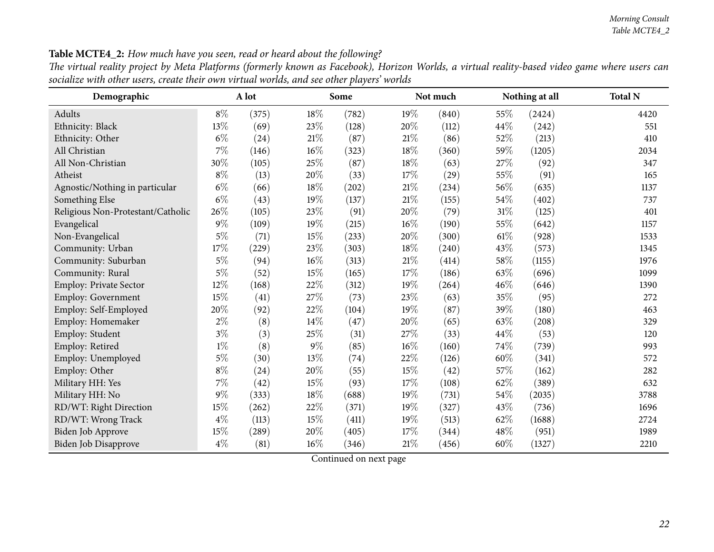| Demographic                       |        | A lot               |        | Some                |        | Not much |        | Nothing at all | <b>Total N</b> |
|-----------------------------------|--------|---------------------|--------|---------------------|--------|----------|--------|----------------|----------------|
| Adults                            | $8\%$  | (375)               | 18%    | (782)               | 19%    | (840)    | 55%    | (2424)         | 4420           |
| Ethnicity: Black                  | 13%    | (69)                | 23%    | (128)               | 20%    | (112)    | 44\%   | (242)          | 551            |
| Ethnicity: Other                  | $6\%$  | (24)                | 21%    | (87)                | 21%    | (86)     | 52%    | (213)          | 410            |
| All Christian                     | $7\%$  | (146)               | $16\%$ | (323)               | 18%    | (360)    | 59%    | (1205)         | 2034           |
| All Non-Christian                 | 30%    | (105)               | 25%    | (87)                | 18%    | (63)     | 27%    | (92)           | 347            |
| Atheist                           | $8\%$  | (13)                | 20%    | (33)                | 17%    | (29)     | 55%    | (91)           | 165            |
| Agnostic/Nothing in particular    | $6\%$  | (66)                | $18\%$ | $\left( 202\right)$ | $21\%$ | (234)    | 56%    | (635)          | 1137           |
| Something Else                    | $6\%$  | (43)                | 19%    | (137)               | $21\%$ | (155)    | 54%    | (402)          | 737            |
| Religious Non-Protestant/Catholic | 26%    | (105)               | $23\%$ | (91)                | 20%    | (79)     | 31%    | (125)          | 401            |
| Evangelical                       | $9\%$  | (109)               | $19\%$ | (215)               | 16%    | (190)    | 55%    | (642)          | 1157           |
| Non-Evangelical                   | $5\%$  | (71)                | $15\%$ | (233)               | 20%    | (300)    | $61\%$ | (928)          | 1533           |
| Community: Urban                  | 17%    | (229)               | $23\%$ | (303)               | 18%    | (240)    | 43%    | (573)          | 1345           |
| Community: Suburban               | $5\%$  | (94)                | 16%    | (313)               | 21%    | (414)    | 58%    | (1155)         | 1976           |
| Community: Rural                  | $5\%$  | (52)                | 15%    | (165)               | 17%    | (186)    | 63%    | (696)          | 1099           |
| Employ: Private Sector            | $12\%$ | (168)               | 22\%   | (312)               | 19%    | (264)    | 46%    | (646)          | 1390           |
| <b>Employ: Government</b>         | $15\%$ | (41)                | $27\%$ | (73)                | 23%    | (63)     | 35%    | (95)           | 272            |
| Employ: Self-Employed             | 20%    | (92)                | 22%    | (104)               | 19%    | (87)     | 39%    | (180)          | 463            |
| Employ: Homemaker                 | $2\%$  | (8)                 | $14\%$ | (47)                | 20%    | (65)     | 63%    | (208)          | 329            |
| Employ: Student                   | $3\%$  | (3)                 | $25\%$ | (31)                | 27\%   | (33)     | 44\%   | (53)           | 120            |
| Employ: Retired                   | $1\%$  | (8)                 | $9\%$  | (85)                | $16\%$ | (160)    | 74\%   | (739)          | 993            |
| Employ: Unemployed                | $5\%$  | (30)                | 13%    | (74)                | 22\%   | (126)    | 60%    | (341)          | 572            |
| Employ: Other                     | $8\%$  | (24)                | 20%    | (55)                | 15%    | (42)     | 57%    | (162)          | 282            |
| Military HH: Yes                  | $7\%$  | (42)                | $15\%$ | (93)                | 17%    | (108)    | 62%    | (389)          | 632            |
| Military HH: No                   | $9\%$  | (333)               | $18\%$ | (688)               | 19%    | (731)    | 54%    | (2035)         | 3788           |
| RD/WT: Right Direction            | 15%    | (262)               | 22%    | (371)               | 19%    | (327)    | 43%    | (736)          | 1696           |
| RD/WT: Wrong Track                | $4\%$  | (113)               | 15%    | (411)               | 19%    | (513)    | 62%    | (1688)         | 2724           |
| Biden Job Approve                 | 15%    | $\left( 289\right)$ | 20%    | (405)               | 17%    | (344)    | 48%    | (951)          | 1989           |
| Biden Job Disapprove              | $4\%$  | (81)                | $16\%$ | (346)               | 21%    | (456)    | $60\%$ | (1327)         | 2210           |

Table MCTE4\_2: How much have you seen, read or heard about the following?

The virtual reality project by Meta Platforms (formerly known as Facebook), Horizon Worlds, a virtual reality-based video game where users can socialize with other users, create their own virtual worlds, and see other players' worlds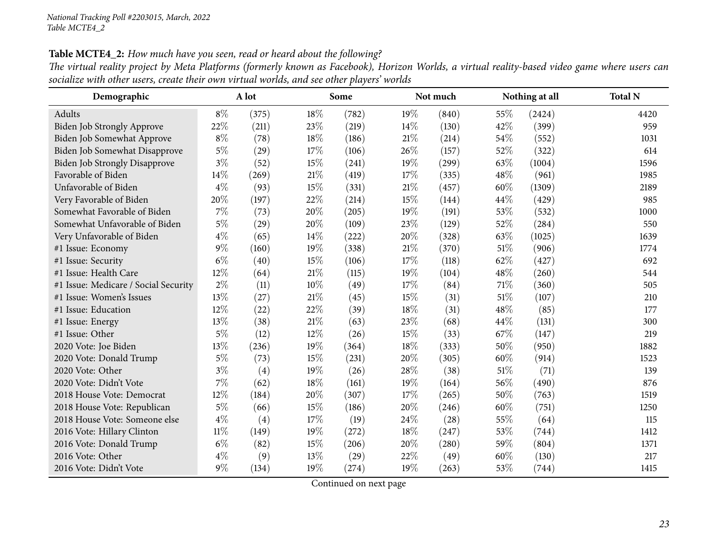Table MCTE4\_2: How much have you seen, read or heard about the following?

| The virtual reality project by Meta Platforms (formerly known as Facebook), Horizon Worlds, a virtual reality-based video game where users can |  |
|------------------------------------------------------------------------------------------------------------------------------------------------|--|
| socialize with other users, create their own virtual worlds, and see other players' worlds                                                     |  |

| Demographic                          |        | A lot |     | Some               |      | Not much |        | Nothing at all | <b>Total N</b> |
|--------------------------------------|--------|-------|-----|--------------------|------|----------|--------|----------------|----------------|
| Adults                               | $8\%$  | (375) | 18% | (782)              | 19%  | (840)    | $55\%$ | (2424)         | 4420           |
| <b>Biden Job Strongly Approve</b>    | 22%    | (211) | 23% | (219)              | 14\% | (130)    | 42%    | (399)          | 959            |
| Biden Job Somewhat Approve           | $8\%$  | (78)  | 18% | (186)              | 21%  | (214)    | 54%    | (552)          | 1031           |
| Biden Job Somewhat Disapprove        | $5\%$  | (29)  | 17% | (106)              | 26%  | (157)    | 52%    | (322)          | 614            |
| <b>Biden Job Strongly Disapprove</b> | $3\%$  | (52)  | 15% | (241)              | 19%  | (299)    | 63%    | (1004)         | 1596           |
| Favorable of Biden                   | 14%    | (269) | 21% | (419)              | 17%  | (335)    | 48%    | (961)          | 1985           |
| Unfavorable of Biden                 | $4\%$  | (93)  | 15% | (331)              | 21\% | (457)    | 60%    | (1309)         | 2189           |
| Very Favorable of Biden              | 20%    | (197) | 22% | (214)              | 15%  | (144)    | 44%    | (429)          | 985            |
| Somewhat Favorable of Biden          | $7\%$  | (73)  | 20% | (205)              | 19%  | (191)    | 53%    | (532)          | 1000           |
| Somewhat Unfavorable of Biden        | $5\%$  | (29)  | 20% | (109)              | 23%  | (129)    | 52%    | (284)          | 550            |
| Very Unfavorable of Biden            | $4\%$  | (65)  | 14% | (222)              | 20%  | (328)    | 63%    | (1025)         | 1639           |
| #1 Issue: Economy                    | $9\%$  | (160) | 19% | (338)              | 21\% | (370)    | 51%    | (906)          | 1774           |
| #1 Issue: Security                   | $6\%$  | (40)  | 15% | (106)              | 17%  | (118)    | 62%    | (427)          | 692            |
| #1 Issue: Health Care                | 12%    | (64)  | 21% | (115)              | 19%  | (104)    | 48%    | (260)          | 544            |
| #1 Issue: Medicare / Social Security | $2\%$  | (11)  | 10% | (49)               | 17%  | (84)     | 71\%   | (360)          | 505            |
| #1 Issue: Women's Issues             | 13%    | (27)  | 21% | (45)               | 15%  | (31)     | 51%    | (107)          | 210            |
| #1 Issue: Education                  | 12%    | (22)  | 22% | (39)               | 18%  | (31)     | 48%    | (85)           | 177            |
| #1 Issue: Energy                     | 13\%   | (38)  | 21% | (63)               | 23%  | (68)     | 44%    | (131)          | 300            |
| #1 Issue: Other                      | $5\%$  | (12)  | 12% | (26)               | 15%  | (33)     | 67\%   | (147)          | 219            |
| 2020 Vote: Joe Biden                 | 13%    | (236) | 19% | (364)              | 18%  | (333)    | 50%    | (950)          | 1882           |
| 2020 Vote: Donald Trump              | $5\%$  | (73)  | 15% | (231)              | 20%  | (305)    | 60%    | (914)          | 1523           |
| 2020 Vote: Other                     | $3\%$  | (4)   | 19% | (26)               | 28%  | (38)     | 51\%   | (71)           | 139            |
| 2020 Vote: Didn't Vote               | 7%     | (62)  | 18% | (161)              | 19%  | (164)    | 56%    | (490)          | 876            |
| 2018 House Vote: Democrat            | 12%    | (184) | 20% | (307)              | 17%  | (265)    | 50%    | (763)          | 1519           |
| 2018 House Vote: Republican          | $5\%$  | (66)  | 15% | (186)              | 20%  | (246)    | 60%    | (751)          | 1250           |
| 2018 House Vote: Someone else        | $4\%$  | (4)   | 17% | (19)               | 24%  | (28)     | 55%    | (64)           | 115            |
| 2016 Vote: Hillary Clinton           | $11\%$ | (149) | 19% | (272)              | 18%  | (247)    | 53%    | (744)          | 1412           |
| 2016 Vote: Donald Trump              | $6\%$  | (82)  | 15% | (206)              | 20%  | (280)    | 59%    | (804)          | 1371           |
| 2016 Vote: Other                     | $4\%$  | (9)   | 13% | $\left( 29\right)$ | 22%  | (49)     | 60%    | (130)          | 217            |
| 2016 Vote: Didn't Vote               | $9\%$  | (134) | 19% | (274)              | 19%  | (263)    | 53%    | (744)          | 1415           |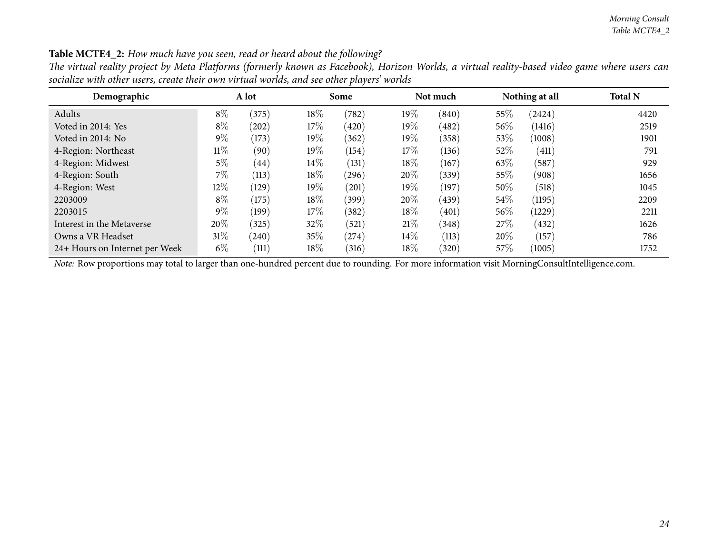| Demographic                    | A lot  |       |        | Some  |        | Not much |        | Nothing at all | <b>Total N</b> |
|--------------------------------|--------|-------|--------|-------|--------|----------|--------|----------------|----------------|
| Adults                         | $8\%$  | (375) | 18%    | (782) | $19\%$ | (840)    | 55%    | (2424)         | 4420           |
| Voted in 2014: Yes             | $8\%$  | (202) | $17\%$ | (420) | $19\%$ | (482)    | 56\%   | (1416)         | 2519           |
| Voted in 2014: No              | $9\%$  | (173) | $19\%$ | (362) | $19\%$ | (358)    | $53\%$ | (1008)         | 1901           |
| 4-Region: Northeast            | $11\%$ | (90)  | $19\%$ | (154) | $17\%$ | (136)    | $52\%$ | (411)          | 791            |
| 4-Region: Midwest              | 5%     | (44)  | $14\%$ | (131) | $18\%$ | (167)    | 63\%   | (587)          | 929            |
| 4-Region: South                | $7\%$  | (113) | 18%    | (296) | $20\%$ | (339)    | 55%    | (908)          | 1656           |
| 4-Region: West                 | $12\%$ | (129) | $19\%$ | (201) | $19\%$ | (197)    | 50\%   | (518)          | 1045           |
| 2203009                        | $8\%$  | (175) | 18%    | (399) | $20\%$ | (439)    | 54\%   | (1195)         | 2209           |
| 2203015                        | $9\%$  | (199) | $17\%$ | (382) | $18\%$ | (401)    | 56%    | (1229)         | 2211           |
| Interest in the Metaverse      | $20\%$ | (325) | 32%    | (521) | 21%    | (348)    | 27\%   | (432)          | 1626           |
| Owns a VR Headset              | $31\%$ | (240) | 35\%   | (274) | $14\%$ | (113)    | 20%    | (157)          | 786            |
| 24+ Hours on Internet per Week | $6\%$  | (111) | 18%    | (316) | $18\%$ | (320)    | $57\%$ | (1005)         | 1752           |

Table MCTE4\_2: How much have you seen, read or heard about the following?

The virtual reality project by Meta Platforms (formerly known as Facebook), Horizon Worlds, a virtual reality-based video game where users can socialize with other users, create their own virtual worlds, and see other players' worlds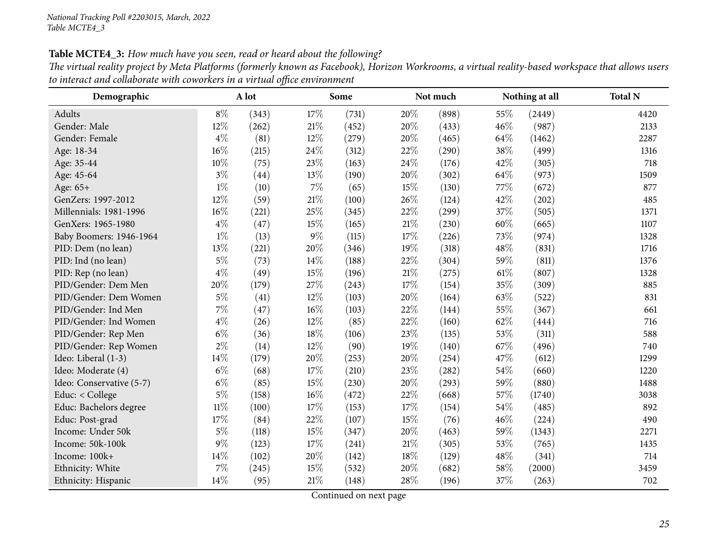Table MCTE4\_3: How much have you seen, read or heard about the following?

| The virtual reality project by Meta Platforms (formerly known as Facebook), Horizon Workrooms, a virtual reality-based workspace that allows users |
|----------------------------------------------------------------------------------------------------------------------------------------------------|
| to interact and collaborate with coworkers in a virtual office environment                                                                         |

<span id="page-24-0"></span>

| Demographic              | A lot  |       |        | Some  |        | Not much |        | Nothing at all | <b>Total N</b> |  |
|--------------------------|--------|-------|--------|-------|--------|----------|--------|----------------|----------------|--|
| Adults                   | $8\%$  | (343) | 17%    | (731) | 20%    | (898)    | 55%    | (2449)         | 4420           |  |
| Gender: Male             | 12%    | (262) | 21%    | (452) | 20%    | (433)    | 46%    | (987)          | 2133           |  |
| Gender: Female           | $4\%$  | (81)  | 12%    | (279) | 20%    | (465)    | 64\%   | (1462)         | 2287           |  |
| Age: 18-34               | 16%    | (215) | 24\%   | (312) | 22%    | (290)    | 38%    | (499)          | 1316           |  |
| Age: 35-44               | 10%    | (75)  | 23%    | (163) | 24%    | (176)    | 42%    | (305)          | 718            |  |
| Age: 45-64               | $3\%$  | (44)  | 13%    | (190) | 20%    | (302)    | 64\%   | (973)          | 1509           |  |
| Age: $65+$               | $1\%$  | (10)  | $7\%$  | (65)  | 15%    | (130)    | 77%    | (672)          | 877            |  |
| GenZers: 1997-2012       | 12%    | (59)  | $21\%$ | (100) | 26%    | (124)    | 42%    | (202)          | 485            |  |
| Millennials: 1981-1996   | 16%    | (221) | 25%    | (345) | 22%    | (299)    | 37%    | (505)          | 1371           |  |
| GenXers: 1965-1980       | $4\%$  | (47)  | 15%    | (165) | 21%    | (230)    | 60%    | (665)          | 1107           |  |
| Baby Boomers: 1946-1964  | $1\%$  | (13)  | $9\%$  | (115) | 17\%   | (226)    | 73%    | (974)          | 1328           |  |
| PID: Dem (no lean)       | 13%    | (221) | 20%    | (346) | 19%    | (318)    | 48%    | (831)          | 1716           |  |
| PID: Ind (no lean)       | $5\%$  | (73)  | 14%    | (188) | 22%    | (304)    | 59%    | (811)          | 1376           |  |
| PID: Rep (no lean)       | $4\%$  | (49)  | 15%    | (196) | $21\%$ | (275)    | $61\%$ | (807)          | 1328           |  |
| PID/Gender: Dem Men      | 20%    | (179) | 27%    | (243) | 17%    | (154)    | 35%    | (309)          | 885            |  |
| PID/Gender: Dem Women    | $5\%$  | (41)  | 12%    | (103) | 20%    | (164)    | 63%    | (522)          | 831            |  |
| PID/Gender: Ind Men      | 7%     | (47)  | 16%    | (103) | 22%    | (144)    | 55%    | (367)          | 661            |  |
| PID/Gender: Ind Women    | $4\%$  | (26)  | $12\%$ | (85)  | 22%    | (160)    | 62%    | (444)          | 716            |  |
| PID/Gender: Rep Men      | $6\%$  | (36)  | 18%    | (106) | 23%    | (135)    | 53%    | (311)          | 588            |  |
| PID/Gender: Rep Women    | $2\%$  | (14)  | 12%    | (90)  | 19%    | (140)    | 67\%   | (496)          | 740            |  |
| Ideo: Liberal (1-3)      | 14%    | (179) | 20%    | (253) | 20%    | (254)    | 47%    | (612)          | 1299           |  |
| Ideo: Moderate (4)       | $6\%$  | (68)  | 17%    | (210) | 23%    | (282)    | $54\%$ | (660)          | 1220           |  |
| Ideo: Conservative (5-7) | $6\%$  | (85)  | 15%    | (230) | 20%    | (293)    | 59%    | (880)          | 1488           |  |
| Educ: < College          | $5\%$  | (158) | 16%    | (472) | 22%    | (668)    | 57%    | (1740)         | 3038           |  |
| Educ: Bachelors degree   | $11\%$ | (100) | 17%    | (153) | 17\%   | (154)    | 54%    | (485)          | 892            |  |
| Educ: Post-grad          | 17%    | (84)  | 22%    | (107) | 15%    | (76)     | 46%    | (224)          | 490            |  |
| Income: Under 50k        | $5\%$  | (118) | 15%    | (347) | 20%    | (463)    | 59%    | (1343)         | 2271           |  |
| Income: 50k-100k         | 9%     | (123) | $17\%$ | (241) | 21%    | (305)    | 53%    | (765)          | 1435           |  |
| Income: 100k+            | 14%    | (102) | $20\%$ | (142) | 18%    | (129)    | 48\%   | (341)          | 714            |  |
| Ethnicity: White         | 7%     | (245) | 15%    | (532) | 20%    | (682)    | 58%    | (2000)         | 3459           |  |
| Ethnicity: Hispanic      | 14%    | (95)  | 21%    | (148) | 28%    | (196)    | 37%    | (263)          | 702            |  |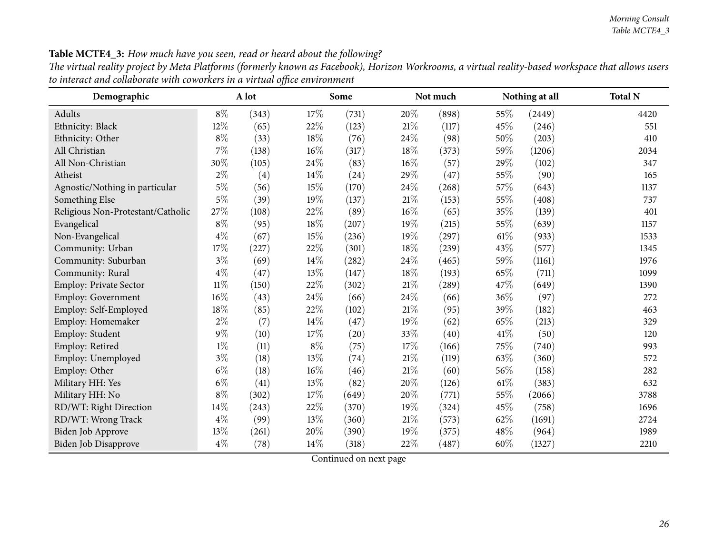| Demographic                       |        | A lot |        | Some  |        | Not much |        | Nothing at all | <b>Total N</b> |
|-----------------------------------|--------|-------|--------|-------|--------|----------|--------|----------------|----------------|
| Adults                            | $8\%$  | (343) | 17%    | (731) | 20%    | (898)    | 55%    | (2449)         | 4420           |
| Ethnicity: Black                  | $12\%$ | (65)  | 22%    | (123) | $21\%$ | (117)    | 45%    | (246)          | 551            |
| Ethnicity: Other                  | $8\%$  | (33)  | $18\%$ | (76)  | 24\%   | (98)     | 50%    | (203)          | 410            |
| All Christian                     | $7\%$  | (138) | $16\%$ | (317) | $18\%$ | (373)    | 59%    | (1206)         | 2034           |
| All Non-Christian                 | 30%    | (105) | 24\%   | (83)  | 16%    | (57)     | 29%    | (102)          | 347            |
| Atheist                           | $2\%$  | (4)   | 14%    | (24)  | 29%    | (47)     | 55%    | (90)           | 165            |
| Agnostic/Nothing in particular    | $5\%$  | (56)  | 15\%   | (170) | 24\%   | (268)    | 57%    | (643)          | 1137           |
| Something Else                    | $5\%$  | (39)  | 19%    | (137) | $21\%$ | (153)    | 55%    | (408)          | 737            |
| Religious Non-Protestant/Catholic | 27\%   | (108) | 22%    | (89)  | $16\%$ | (65)     | $35\%$ | (139)          | 401            |
| Evangelical                       | $8\%$  | (95)  | 18%    | (207) | 19%    | (215)    | 55%    | (639)          | 1157           |
| Non-Evangelical                   | $4\%$  | (67)  | 15%    | (236) | 19%    | (297)    | $61\%$ | (933)          | 1533           |
| Community: Urban                  | 17%    | (227) | 22%    | (301) | 18%    | (239)    | 43%    | (577)          | 1345           |
| Community: Suburban               | $3\%$  | (69)  | 14%    | (282) | 24%    | (465)    | 59%    | (1161)         | 1976           |
| Community: Rural                  | $4\%$  | (47)  | 13%    | (147) | 18%    | (193)    | 65%    | (711)          | 1099           |
| Employ: Private Sector            | $11\%$ | (150) | 22%    | (302) | $21\%$ | (289)    | 47%    | (649)          | 1390           |
| Employ: Government                | 16%    | (43)  | 24%    | (66)  | 24%    | (66)     | 36%    | (97)           | 272            |
| Employ: Self-Employed             | 18%    | (85)  | 22%    | (102) | 21%    | (95)     | 39%    | (182)          | 463            |
| Employ: Homemaker                 | $2\%$  | (7)   | 14%    | (47)  | 19%    | (62)     | 65%    | (213)          | 329            |
| Employ: Student                   | $9\%$  | (10)  | 17%    | (20)  | 33%    | (40)     | 41\%   | (50)           | 120            |
| Employ: Retired                   | $1\%$  | (11)  | $8\%$  | (75)  | 17\%   | (166)    | 75%    | (740)          | 993            |
| Employ: Unemployed                | $3\%$  | (18)  | 13%    | (74)  | 21%    | (119)    | 63%    | (360)          | 572            |
| Employ: Other                     | $6\%$  | (18)  | 16%    | (46)  | $21\%$ | (60)     | 56%    | (158)          | 282            |
| Military HH: Yes                  | $6\%$  | (41)  | 13%    | (82)  | 20%    | (126)    | 61%    | (383)          | 632            |
| Military HH: No                   | $8\%$  | (302) | 17%    | (649) | 20%    | (771)    | 55%    | (2066)         | 3788           |
| RD/WT: Right Direction            | 14\%   | (243) | 22%    | (370) | 19%    | (324)    | 45%    | (758)          | 1696           |
| RD/WT: Wrong Track                | $4\%$  | (99)  | 13%    | (360) | $21\%$ | (573)    | 62%    | (1691)         | 2724           |
| Biden Job Approve                 | 13%    | (261) | 20%    | (390) | 19%    | (375)    | 48%    | (964)          | 1989           |
| Biden Job Disapprove              | $4\%$  | (78)  | 14\%   | (318) | 22%    | (487)    | 60%    | (1327)         | 2210           |

Table MCTE4\_3: How much have you seen, read or heard about the following?

The virtual reality project by Meta Platforms (formerly known as Facebook), Horizon Workrooms, a virtual reality-based workspace that allows users *to interact and collaborate with coworkers in <sup>a</sup> virtual office environment*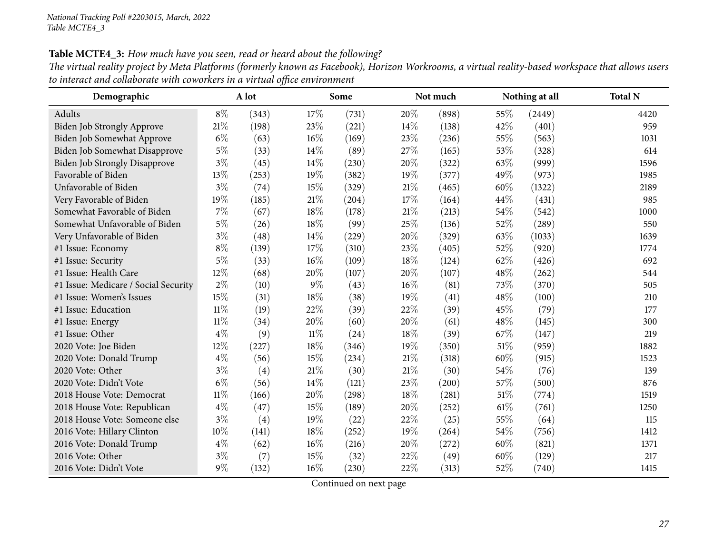Table MCTE4\_3: How much have you seen, read or heard about the following?

| The virtual reality project by Meta Platforms (formerly known as Facebook), Horizon Workrooms, a virtual reality-based workspace that allows users |  |
|----------------------------------------------------------------------------------------------------------------------------------------------------|--|
| to interact and collaborate with coworkers in a virtual office environment                                                                         |  |

| Demographic                          |        | A lot |        | Some  |      | Not much |      | Nothing at all | <b>Total N</b> |
|--------------------------------------|--------|-------|--------|-------|------|----------|------|----------------|----------------|
| Adults                               | $8\%$  | (343) | 17%    | (731) | 20%  | (898)    | 55%  | (2449)         | 4420           |
| <b>Biden Job Strongly Approve</b>    | 21%    | (198) | 23%    | (221) | 14\% | (138)    | 42%  | (401)          | 959            |
| Biden Job Somewhat Approve           | $6\%$  | (63)  | 16%    | (169) | 23%  | (236)    | 55%  | (563)          | 1031           |
| Biden Job Somewhat Disapprove        | $5\%$  | (33)  | 14%    | (89)  | 27%  | (165)    | 53%  | (328)          | 614            |
| <b>Biden Job Strongly Disapprove</b> | $3\%$  | (45)  | 14%    | (230) | 20%  | (322)    | 63%  | (999)          | 1596           |
| Favorable of Biden                   | 13%    | (253) | 19%    | (382) | 19%  | (377)    | 49%  | (973)          | 1985           |
| Unfavorable of Biden                 | $3\%$  | (74)  | 15%    | (329) | 21%  | (465)    | 60%  | (1322)         | 2189           |
| Very Favorable of Biden              | 19%    | (185) | 21%    | (204) | 17%  | (164)    | 44%  | (431)          | 985            |
| Somewhat Favorable of Biden          | 7%     | (67)  | 18%    | (178) | 21%  | (213)    | 54%  | (542)          | 1000           |
| Somewhat Unfavorable of Biden        | 5%     | (26)  | 18%    | (99)  | 25%  | (136)    | 52%  | (289)          | 550            |
| Very Unfavorable of Biden            | $3\%$  | (48)  | 14%    | (229) | 20%  | (329)    | 63%  | (1033)         | 1639           |
| #1 Issue: Economy                    | $8\%$  | (139) | 17%    | (310) | 23%  | (405)    | 52%  | (920)          | 1774           |
| #1 Issue: Security                   | $5\%$  | (33)  | 16%    | (109) | 18%  | (124)    | 62%  | (426)          | 692            |
| #1 Issue: Health Care                | 12%    | (68)  | 20%    | (107) | 20%  | (107)    | 48%  | (262)          | 544            |
| #1 Issue: Medicare / Social Security | $2\%$  | (10)  | $9\%$  | (43)  | 16%  | (81)     | 73%  | (370)          | 505            |
| #1 Issue: Women's Issues             | 15%    | (31)  | 18%    | (38)  | 19%  | (41)     | 48%  | (100)          | 210            |
| #1 Issue: Education                  | $11\%$ | (19)  | 22%    | (39)  | 22%  | (39)     | 45%  | (79)           | 177            |
| #1 Issue: Energy                     | 11%    | (34)  | 20%    | (60)  | 20%  | (61)     | 48\% | (145)          | 300            |
| #1 Issue: Other                      | $4\%$  | (9)   | $11\%$ | (24)  | 18%  | (39)     | 67\% | (147)          | 219            |
| 2020 Vote: Joe Biden                 | 12%    | (227) | 18%    | (346) | 19%  | (350)    | 51\% | (959)          | 1882           |
| 2020 Vote: Donald Trump              | $4\%$  | (56)  | 15%    | (234) | 21%  | (318)    | 60%  | (915)          | 1523           |
| 2020 Vote: Other                     | $3\%$  | (4)   | 21%    | (30)  | 21%  | (30)     | 54%  | (76)           | 139            |
| 2020 Vote: Didn't Vote               | $6\%$  | (56)  | 14%    | (121) | 23%  | (200)    | 57%  | (500)          | 876            |
| 2018 House Vote: Democrat            | $11\%$ | (166) | 20%    | (298) | 18%  | (281)    | 51\% | (774)          | 1519           |
| 2018 House Vote: Republican          | $4\%$  | (47)  | 15%    | (189) | 20%  | (252)    | 61%  | (761)          | 1250           |
| 2018 House Vote: Someone else        | $3\%$  | (4)   | 19%    | (22)  | 22%  | (25)     | 55%  | (64)           | 115            |
| 2016 Vote: Hillary Clinton           | 10%    | (141) | 18%    | (252) | 19%  | (264)    | 54%  | (756)          | 1412           |
| 2016 Vote: Donald Trump              | $4\%$  | (62)  | 16%    | (216) | 20%  | (272)    | 60%  | (821)          | 1371           |
| 2016 Vote: Other                     | $3\%$  | (7)   | 15%    | (32)  | 22%  | (49)     | 60%  | (129)          | 217            |
| 2016 Vote: Didn't Vote               | $9\%$  | (132) | 16%    | (230) | 22%  | (313)    | 52%  | (740)          | 1415           |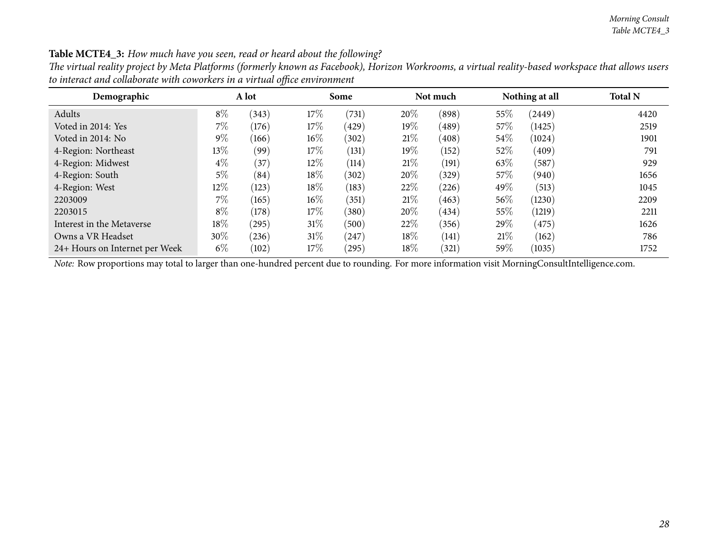| Demographic                    |        | A lot |        | Some  |        | Not much |        | Nothing at all | <b>Total N</b> |
|--------------------------------|--------|-------|--------|-------|--------|----------|--------|----------------|----------------|
| Adults                         | $8\%$  | (343) | 17%    | (731) | 20%    | (898)    | $55\%$ | (2449)         | 4420           |
| Voted in 2014: Yes             | $7\%$  | (176) | 17\%   | (429) | $19\%$ | (489)    | $57\%$ | (1425)         | 2519           |
| Voted in 2014: No              | $9\%$  | (166) | $16\%$ | (302) | 21%    | (408)    | $54\%$ | (1024)         | 1901           |
| 4-Region: Northeast            | $13\%$ | (99)  | 17\%   | (131) | $19\%$ | (152)    | 52%    | (409)          | 791            |
| 4-Region: Midwest              | $4\%$  | (37)  | 12\%   | (114) | 21%    | (191)    | 63\%   | (587)          | 929            |
| 4-Region: South                | $5\%$  | (84)  | 18%    | (302) | 20%    | (329)    | $57\%$ | (940)          | 1656           |
| 4-Region: West                 | $12\%$ | (123) | 18%    | (183) | 22%    | (226)    | 49%    | (513)          | 1045           |
| 2203009                        | $7\%$  | (165) | $16\%$ | (351) | 21%    | (463)    | $56\%$ | (1230)         | 2209           |
| 2203015                        | $8\%$  | (178) | 17\%   | (380) | 20%    | (434)    | $55\%$ | (1219)         | 2211           |
| Interest in the Metaverse      | 18\%   | (295) | $31\%$ | (500) | 22%    | (356)    | 29\%   | (475)          | 1626           |
| Owns a VR Headset              | $30\%$ | (236) | $31\%$ | (247) | 18%    | (141)    | 21%    | (162)          | 786            |
| 24+ Hours on Internet per Week | $6\%$  | (102) | 17\%   | (295) | 18%    | (321)    | $59\%$ | (1035)         | 1752           |

Table MCTE4\_3: How much have you seen, read or heard about the following?

The virtual reality project by Meta Platforms (formerly known as Facebook), Horizon Workrooms, a virtual reality-based workspace that allows users *to interact and collaborate with coworkers in <sup>a</sup> virtual office environment*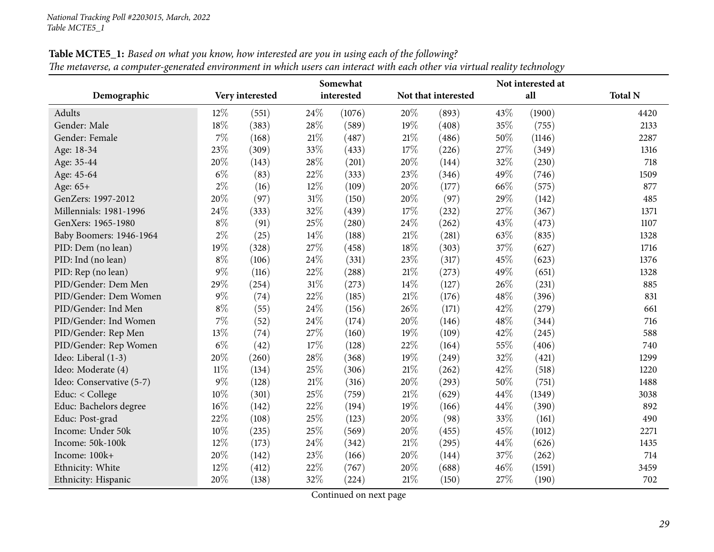<span id="page-28-0"></span>

|                          |       |                 |      | Somewhat   |        |                     |     | Not interested at |                |
|--------------------------|-------|-----------------|------|------------|--------|---------------------|-----|-------------------|----------------|
| Demographic              |       | Very interested |      | interested |        | Not that interested |     | all               | <b>Total N</b> |
| Adults                   | 12%   | (551)           | 24\% | (1076)     | 20%    | (893)               | 43% | (1900)            | 4420           |
| Gender: Male             | 18%   | (383)           | 28%  | (589)      | 19%    | (408)               | 35% | (755)             | 2133           |
| Gender: Female           | 7%    | (168)           | 21%  | (487)      | 21%    | (486)               | 50% | (1146)            | 2287           |
| Age: 18-34               | 23%   | (309)           | 33%  | (433)      | 17%    | (226)               | 27% | (349)             | 1316           |
| Age: 35-44               | 20%   | (143)           | 28\% | (201)      | 20%    | (144)               | 32% | (230)             | 718            |
| Age: 45-64               | $6\%$ | (83)            | 22%  | (333)      | 23%    | (346)               | 49% | (746)             | 1509           |
| Age: 65+                 | $2\%$ | (16)            | 12%  | (109)      | 20%    | (177)               | 66% | (575)             | 877            |
| GenZers: 1997-2012       | 20%   | (97)            | 31%  | (150)      | 20%    | (97)                | 29% | (142)             | 485            |
| Millennials: 1981-1996   | 24%   | (333)           | 32%  | (439)      | 17%    | (232)               | 27% | (367)             | 1371           |
| GenXers: 1965-1980       | $8\%$ | (91)            | 25%  | (280)      | 24%    | (262)               | 43% | (473)             | 1107           |
| Baby Boomers: 1946-1964  | $2\%$ | (25)            | 14%  | (188)      | $21\%$ | (281)               | 63% | (835)             | 1328           |
| PID: Dem (no lean)       | 19%   | (328)           | 27%  | (458)      | 18%    | (303)               | 37% | (627)             | 1716           |
| PID: Ind (no lean)       | $8\%$ | (106)           | 24%  | (331)      | 23%    | (317)               | 45% | (623)             | 1376           |
| PID: Rep (no lean)       | $9\%$ | (116)           | 22%  | (288)      | 21%    | (273)               | 49% | (651)             | 1328           |
| PID/Gender: Dem Men      | 29%   | (254)           | 31%  | (273)      | 14%    | (127)               | 26% | (231)             | 885            |
| PID/Gender: Dem Women    | $9\%$ | (74)            | 22%  | (185)      | 21%    | (176)               | 48% | (396)             | 831            |
| PID/Gender: Ind Men      | $8\%$ | (55)            | 24%  | (156)      | 26%    | (171)               | 42% | (279)             | 661            |
| PID/Gender: Ind Women    | 7%    | (52)            | 24%  | (174)      | 20%    | (146)               | 48% | (344)             | 716            |
| PID/Gender: Rep Men      | 13%   | (74)            | 27%  | (160)      | 19%    | (109)               | 42% | (245)             | 588            |
| PID/Gender: Rep Women    | $6\%$ | (42)            | 17%  | (128)      | 22%    | (164)               | 55% | (406)             | 740            |
| Ideo: Liberal (1-3)      | 20%   | (260)           | 28%  | (368)      | 19%    | (249)               | 32% | (421)             | 1299           |
| Ideo: Moderate (4)       | 11%   | (134)           | 25%  | (306)      | 21\%   | (262)               | 42% | (518)             | 1220           |
| Ideo: Conservative (5-7) | $9\%$ | (128)           | 21%  | (316)      | 20%    | (293)               | 50% | (751)             | 1488           |
| Educ: < College          | 10%   | (301)           | 25%  | (759)      | 21%    | (629)               | 44% | (1349)            | 3038           |
| Educ: Bachelors degree   | 16%   | (142)           | 22%  | (194)      | 19%    | (166)               | 44% | (390)             | 892            |
| Educ: Post-grad          | 22%   | (108)           | 25%  | (123)      | 20%    | (98)                | 33% | (161)             | 490            |
| Income: Under 50k        | 10%   | (235)           | 25%  | (569)      | 20%    | (455)               | 45% | (1012)            | 2271           |
| Income: 50k-100k         | 12%   | (173)           | 24%  | (342)      | 21\%   | (295)               | 44% | (626)             | 1435           |
| Income: 100k+            | 20%   | (142)           | 23%  | (166)      | 20%    | (144)               | 37% | (262)             | 714            |
| Ethnicity: White         | 12%   | (412)           | 22%  | (767)      | 20%    | (688)               | 46% | (1591)            | 3459           |
| Ethnicity: Hispanic      | 20%   | (138)           | 32%  | (224)      | $21\%$ | (150)               | 27% | (190)             | 702            |

Table MCTE5\_1: Based on what you know, how interested are you in using each of the following? The metaverse, a computer-generated environment in which users can interact with each other via virtual reality technology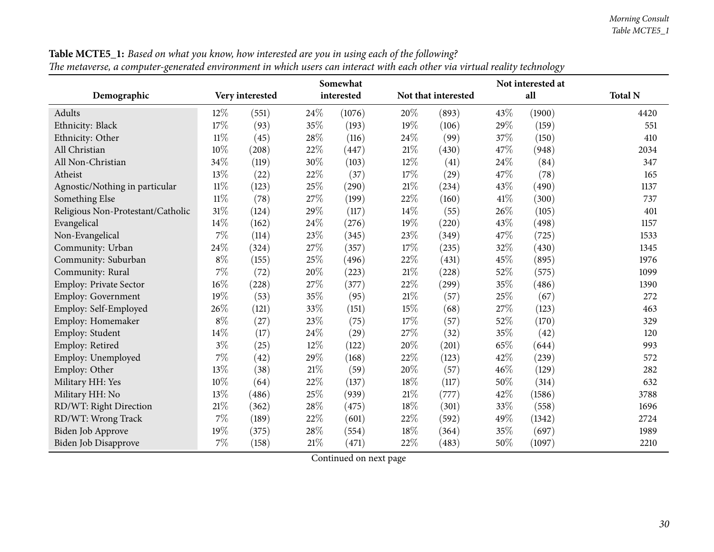| $\mathcal{O}^{\bullet}$           |        |                 |        | Somewhat   |        |                     |     | Not interested at |                |
|-----------------------------------|--------|-----------------|--------|------------|--------|---------------------|-----|-------------------|----------------|
| Demographic                       |        | Very interested |        | interested |        | Not that interested |     | all               | <b>Total N</b> |
| Adults                            | $12\%$ | (551)           | 24\%   | (1076)     | 20%    | (893)               | 43% | (1900)            | 4420           |
| Ethnicity: Black                  | 17%    | (93)            | 35%    | (193)      | 19%    | (106)               | 29% | (159)             | 551            |
| Ethnicity: Other                  | $11\%$ | (45)            | 28%    | (116)      | 24\%   | (99)                | 37% | (150)             | 410            |
| All Christian                     | 10%    | (208)           | 22%    | (447)      | $21\%$ | (430)               | 47% | (948)             | 2034           |
| All Non-Christian                 | 34%    | (119)           | 30%    | (103)      | $12\%$ | (41)                | 24% | (84)              | 347            |
| Atheist                           | 13%    | (22)            | $22\%$ | (37)       | 17%    | (29)                | 47% | (78)              | 165            |
| Agnostic/Nothing in particular    | $11\%$ | (123)           | 25%    | (290)      | $21\%$ | (234)               | 43% | (490)             | 1137           |
| Something Else                    | $11\%$ | (78)            | 27%    | (199)      | 22%    | (160)               | 41% | (300)             | 737            |
| Religious Non-Protestant/Catholic | 31%    | (124)           | 29%    | (117)      | $14\%$ | (55)                | 26% | (105)             | 401            |
| Evangelical                       | 14%    | (162)           | 24\%   | (276)      | $19\%$ | (220)               | 43% | (498)             | 1157           |
| Non-Evangelical                   | 7%     | (114)           | $23\%$ | (345)      | 23%    | (349)               | 47% | (725)             | 1533           |
| Community: Urban                  | 24%    | (324)           | $27\%$ | (357)      | 17%    | (235)               | 32% | (430)             | 1345           |
| Community: Suburban               | $8\%$  | (155)           | 25%    | (496)      | 22%    | (431)               | 45% | (895)             | 1976           |
| Community: Rural                  | 7%     | (72)            | 20%    | (223)      | 21\%   | (228)               | 52% | (575)             | 1099           |
| <b>Employ: Private Sector</b>     | 16%    | (228)           | 27%    | (377)      | 22%    | (299)               | 35% | (486)             | 1390           |
| Employ: Government                | 19%    | (53)            | 35%    | (95)       | $21\%$ | (57)                | 25% | (67)              | 272            |
| Employ: Self-Employed             | 26%    | (121)           | 33%    | (151)      | $15\%$ | (68)                | 27% | (123)             | 463            |
| Employ: Homemaker                 | $8\%$  | (27)            | 23%    | (75)       | 17%    | (57)                | 52% | (170)             | 329            |
| Employ: Student                   | 14%    | (17)            | 24%    | (29)       | 27\%   | (32)                | 35% | (42)              | 120            |
| Employ: Retired                   | $3\%$  | (25)            | 12%    | (122)      | 20%    | (201)               | 65% | (644)             | 993            |
| Employ: Unemployed                | $7\%$  | (42)            | 29%    | (168)      | 22%    | (123)               | 42% | (239)             | 572            |
| Employ: Other                     | 13%    | (38)            | $21\%$ | (59)       | 20%    | (57)                | 46% | (129)             | 282            |
| Military HH: Yes                  | 10%    | (64)            | 22%    | (137)      | 18%    | (117)               | 50% | (314)             | 632            |
| Military HH: No                   | 13%    | (486)           | 25%    | (939)      | $21\%$ | (777)               | 42% | (1586)            | 3788           |
| RD/WT: Right Direction            | 21%    | (362)           | 28%    | (475)      | 18%    | (301)               | 33% | (558)             | 1696           |
| RD/WT: Wrong Track                | 7%     | (189)           | $22\%$ | (601)      | 22%    | (592)               | 49% | (1342)            | 2724           |
| Biden Job Approve                 | 19%    | (375)           | 28%    | (554)      | 18\%   | (364)               | 35% | (697)             | 1989           |
| Biden Job Disapprove              | 7%     | (158)           | 21%    | (471)      | 22%    | (483)               | 50% | (1097)            | 2210           |

Table MCTE5\_1: Based on what you know, how interested are you in using each of the following? The metaverse, a computer-generated environment in which users can interact with each other via virtual reality technology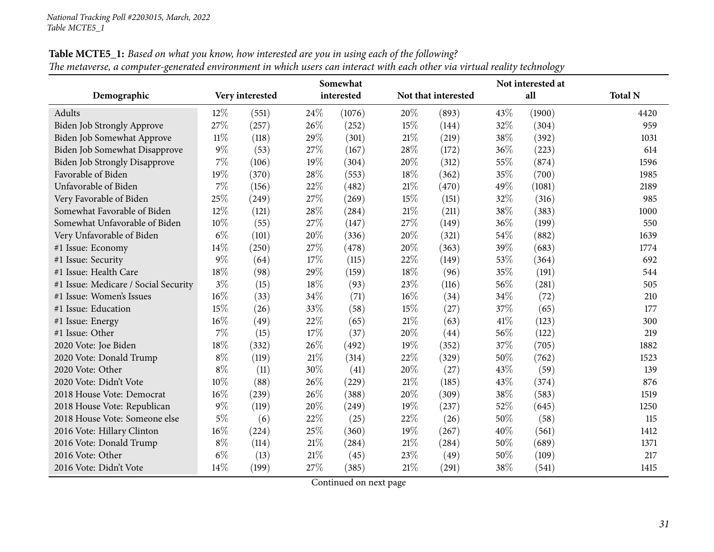|                                      |        |                 |        | Somewhat   |        | Not interested at   |      |        |                |  |  |
|--------------------------------------|--------|-----------------|--------|------------|--------|---------------------|------|--------|----------------|--|--|
| Demographic                          |        | Very interested |        | interested |        | Not that interested |      | all    | <b>Total N</b> |  |  |
| Adults                               | $12\%$ | (551)           | 24\%   | (1076)     | 20%    | (893)               | 43%  | (1900) | 4420           |  |  |
| Biden Job Strongly Approve           | 27%    | (257)           | 26%    | (252)      | 15%    | (144)               | 32%  | (304)  | 959            |  |  |
| Biden Job Somewhat Approve           | $11\%$ | (118)           | 29%    | (301)      | 21\%   | (219)               | 38%  | (392)  | 1031           |  |  |
| Biden Job Somewhat Disapprove        | $9\%$  | (53)            | 27%    | (167)      | 28\%   | (172)               | 36%  | (223)  | 614            |  |  |
| <b>Biden Job Strongly Disapprove</b> | 7%     | (106)           | 19%    | (304)      | 20%    | (312)               | 55%  | (874)  | 1596           |  |  |
| Favorable of Biden                   | 19%    | (370)           | 28%    | (553)      | 18%    | (362)               | 35%  | (700)  | 1985           |  |  |
| Unfavorable of Biden                 | 7%     | (156)           | 22%    | (482)      | 21%    | (470)               | 49%  | (1081) | 2189           |  |  |
| Very Favorable of Biden              | 25%    | (249)           | 27%    | (269)      | 15%    | (151)               | 32%  | (316)  | 985            |  |  |
| Somewhat Favorable of Biden          | 12%    | (121)           | 28%    | (284)      | 21%    | (211)               | 38%  | (383)  | 1000           |  |  |
| Somewhat Unfavorable of Biden        | 10%    | (55)            | 27%    | (147)      | 27%    | (149)               | 36%  | (199)  | 550            |  |  |
| Very Unfavorable of Biden            | $6\%$  | (101)           | 20%    | (336)      | 20%    | (321)               | 54%  | (882)  | 1639           |  |  |
| #1 Issue: Economy                    | 14%    | (250)           | 27%    | (478)      | 20%    | (363)               | 39%  | (683)  | 1774           |  |  |
| #1 Issue: Security                   | $9\%$  | (64)            | 17%    | (115)      | 22%    | (149)               | 53%  | (364)  | 692            |  |  |
| #1 Issue: Health Care                | 18%    | (98)            | 29%    | (159)      | 18%    | (96)                | 35%  | (191)  | 544            |  |  |
| #1 Issue: Medicare / Social Security | $3\%$  | (15)            | 18%    | (93)       | 23%    | (116)               | 56%  | (281)  | 505            |  |  |
| #1 Issue: Women's Issues             | 16%    | (33)            | 34%    | (71)       | 16%    | (34)                | 34%  | (72)   | 210            |  |  |
| #1 Issue: Education                  | 15%    | (26)            | 33%    | (58)       | 15%    | (27)                | 37%  | (65)   | 177            |  |  |
| #1 Issue: Energy                     | 16%    | (49)            | 22%    | (65)       | 21%    | (63)                | 41\% | (123)  | 300            |  |  |
| #1 Issue: Other                      | 7%     | (15)            | 17%    | (37)       | 20%    | (44)                | 56%  | (122)  | 219            |  |  |
| 2020 Vote: Joe Biden                 | 18%    | (332)           | 26%    | (492)      | 19%    | (352)               | 37%  | (705)  | 1882           |  |  |
| 2020 Vote: Donald Trump              | $8\%$  | (119)           | 21%    | (314)      | 22%    | (329)               | 50%  | (762)  | 1523           |  |  |
| 2020 Vote: Other                     | $8\%$  | (11)            | 30%    | (41)       | 20%    | (27)                | 43%  | (59)   | 139            |  |  |
| 2020 Vote: Didn't Vote               | 10%    | (88)            | 26%    | (229)      | 21%    | (185)               | 43%  | (374)  | 876            |  |  |
| 2018 House Vote: Democrat            | 16%    | (239)           | 26%    | (388)      | 20%    | (309)               | 38%  | (583)  | 1519           |  |  |
| 2018 House Vote: Republican          | $9\%$  | (119)           | 20%    | (249)      | 19%    | (237)               | 52%  | (645)  | 1250           |  |  |
| 2018 House Vote: Someone else        | $5\%$  | (6)             | 22%    | (25)       | 22%    | (26)                | 50%  | (58)   | 115            |  |  |
| 2016 Vote: Hillary Clinton           | 16%    | (224)           | 25%    | (360)      | $19\%$ | (267)               | 40%  | (561)  | 1412           |  |  |
| 2016 Vote: Donald Trump              | $8\%$  | (114)           | $21\%$ | (284)      | 21%    | (284)               | 50%  | (689)  | 1371           |  |  |
| 2016 Vote: Other                     | $6\%$  | (13)            | 21%    | (45)       | 23%    | (49)                | 50%  | (109)  | 217            |  |  |
| 2016 Vote: Didn't Vote               | 14%    | (199)           | 27%    | (385)      | 21%    | (291)               | 38%  | (541)  | 1415           |  |  |

Table MCTE5\_1: Based on what you know, how interested are you in using each of the following? The metaverse, a computer-generated environment in which users can interact with each other via virtual reality technology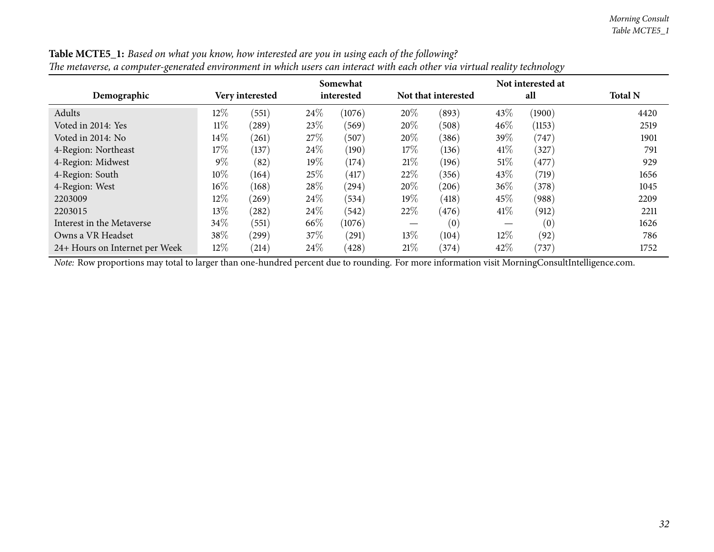| тие ниличены, и сотирают-хененией енглионной интийнизмых син инстист тип сист оние тий тийн тейнгу иссниоту у |        |                 |        |            |        |                     |        |        |                |  |
|---------------------------------------------------------------------------------------------------------------|--------|-----------------|--------|------------|--------|---------------------|--------|--------|----------------|--|
|                                                                                                               |        |                 |        | Somewhat   |        |                     |        |        |                |  |
| Demographic                                                                                                   |        | Very interested |        | interested |        | Not that interested |        | all    | <b>Total N</b> |  |
| Adults                                                                                                        | 12%    | (551)           | 24\%   | (1076)     | 20%    | (893)               | 43\%   | (1900) | 4420           |  |
| Voted in 2014: Yes                                                                                            | $11\%$ | $^{(289)}$      | 23\%   | (569)      | 20%    | (508)               | 46%    | (1153) | 2519           |  |
| Voted in 2014: No                                                                                             | $14\%$ | (261)           | 27\%   | (507)      | $20\%$ | (386)               | 39\%   | (747)  | 1901           |  |
| 4-Region: Northeast                                                                                           | 17%    | (137)           | 24%    | (190)      | $17\%$ | (136)               | 41%    | (327)  | 791            |  |
| 4-Region: Midwest                                                                                             | $9\%$  | (82)            | 19%    | (174)      | 21%    | (196)               | $51\%$ | (477)  | 929            |  |
| 4-Region: South                                                                                               | $10\%$ | (164)           | 25%    | (417)      | 22%    | (356)               | 43\%   | (719)  | 1656           |  |
| 4-Region: West                                                                                                | $16\%$ | (168)           | 28\%   | (294)      | $20\%$ | (206)               | $36\%$ | (378)  | 1045           |  |
| 2203009                                                                                                       | 12%    | (269)           | 24\%   | (534)      | $19\%$ | (418)               | 45\%   | (988)  | 2209           |  |
| 2203015                                                                                                       | 13%    | (282)           | 24\%   | (542)      | 22%    | (476)               | 41%    | (912)  | 2211           |  |
| Interest in the Metaverse                                                                                     | 34\%   | (551)           | 66\%   | (1076)     |        | (0)                 |        | (0)    | 1626           |  |
| Owns a VR Headset                                                                                             | 38\%   | (299)           | $37\%$ | (291)      | $13\%$ | (104)               | 12\%   | (92)   | 786            |  |
| 24+ Hours on Internet per Week                                                                                | $12\%$ | (214)           | $24\%$ | (428)      | 21%    | (374)               | 42\%   | (737)  | 1752           |  |

Table MCTE5\_1: Based on what you know, how interested are you in using each of the following? The metaverse, a computer-generated environment in which users can interact with each other via virtual reality technology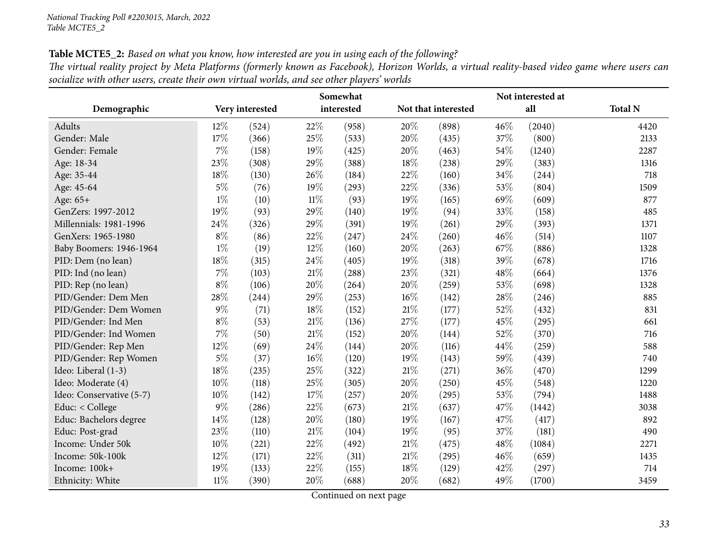Table MCTE5\_2: Based on what you know, how interested are you in using each of the following?

| The virtual reality project by Meta Platforms (formerly known as Facebook), Horizon Worlds, a virtual reality-based video game where users can |  |
|------------------------------------------------------------------------------------------------------------------------------------------------|--|
| socialize with other users, create their own virtual worlds, and see other players' worlds                                                     |  |

<span id="page-32-0"></span>

|                          |        |                 | Somewhat |            |        |                     | Not interested at |        |                |
|--------------------------|--------|-----------------|----------|------------|--------|---------------------|-------------------|--------|----------------|
| Demographic              |        | Very interested |          | interested |        | Not that interested |                   | all    | <b>Total N</b> |
| Adults                   | $12\%$ | (524)           | 22%      | (958)      | 20%    | (898)               | 46%               | (2040) | 4420           |
| Gender: Male             | 17%    | (366)           | 25%      | (533)      | 20%    | (435)               | 37%               | (800)  | 2133           |
| Gender: Female           | 7%     | (158)           | 19%      | (425)      | 20%    | (463)               | 54%               | (1240) | 2287           |
| Age: 18-34               | 23%    | (308)           | 29%      | (388)      | 18%    | (238)               | 29%               | (383)  | 1316           |
| Age: 35-44               | 18%    | (130)           | 26%      | (184)      | $22\%$ | (160)               | 34%               | (244)  | 718            |
| Age: 45-64               | $5\%$  | (76)            | 19%      | (293)      | 22%    | (336)               | 53%               | (804)  | 1509           |
| Age: 65+                 | $1\%$  | (10)            | $11\%$   | (93)       | 19%    | (165)               | 69%               | (609)  | 877            |
| GenZers: 1997-2012       | 19%    | (93)            | 29%      | (140)      | 19%    | (94)                | 33\%              | (158)  | 485            |
| Millennials: 1981-1996   | 24%    | (326)           | 29%      | (391)      | 19%    | (261)               | 29%               | (393)  | 1371           |
| GenXers: 1965-1980       | $8\%$  | (86)            | 22%      | (247)      | 24%    | (260)               | 46%               | (514)  | 1107           |
| Baby Boomers: 1946-1964  | $1\%$  | (19)            | 12%      | (160)      | 20%    | (263)               | 67%               | (886)  | 1328           |
| PID: Dem (no lean)       | 18%    | (315)           | 24%      | (405)      | 19%    | (318)               | 39%               | (678)  | 1716           |
| PID: Ind (no lean)       | 7%     | (103)           | $21\%$   | (288)      | 23%    | (321)               | 48%               | (664)  | 1376           |
| PID: Rep (no lean)       | $8\%$  | (106)           | 20%      | (264)      | 20%    | (259)               | 53%               | (698)  | 1328           |
| PID/Gender: Dem Men      | 28%    | (244)           | 29%      | (253)      | 16%    | (142)               | 28\%              | (246)  | 885            |
| PID/Gender: Dem Women    | 9%     | (71)            | 18%      | (152)      | 21%    | (177)               | 52%               | (432)  | 831            |
| PID/Gender: Ind Men      | $8\%$  | (53)            | $21\%$   | (136)      | 27%    | (177)               | 45%               | (295)  | 661            |
| PID/Gender: Ind Women    | 7%     | (50)            | 21%      | (152)      | 20%    | (144)               | 52%               | (370)  | 716            |
| PID/Gender: Rep Men      | 12%    | (69)            | 24%      | (144)      | 20%    | (116)               | 44%               | (259)  | 588            |
| PID/Gender: Rep Women    | $5\%$  | (37)            | $16\%$   | (120)      | 19%    | (143)               | 59%               | (439)  | 740            |
| Ideo: Liberal (1-3)      | 18%    | (235)           | 25%      | (322)      | 21%    | (271)               | 36%               | (470)  | 1299           |
| Ideo: Moderate (4)       | 10%    | (118)           | 25%      | (305)      | 20%    | (250)               | 45%               | (548)  | 1220           |
| Ideo: Conservative (5-7) | 10%    | (142)           | 17%      | (257)      | 20%    | (295)               | 53%               | (794)  | 1488           |
| Educ: < College          | 9%     | (286)           | 22%      | (673)      | 21%    | (637)               | 47%               | (1442) | 3038           |
| Educ: Bachelors degree   | 14\%   | (128)           | 20%      | (180)      | 19%    | (167)               | 47\%              | (417)  | 892            |
| Educ: Post-grad          | 23%    | (110)           | 21%      | (104)      | 19%    | (95)                | 37%               | (181)  | 490            |
| Income: Under 50k        | 10%    | (221)           | 22%      | (492)      | 21%    | (475)               | 48%               | (1084) | 2271           |
| Income: 50k-100k         | 12%    | (171)           | 22%      | (311)      | 21%    | (295)               | 46%               | (659)  | 1435           |
| Income: 100k+            | 19%    | (133)           | 22%      | (155)      | 18%    | (129)               | 42%               | (297)  | 714            |
| Ethnicity: White         | $11\%$ | (390)           | 20%      | (688)      | 20%    | (682)               | 49%               | (1700) | 3459           |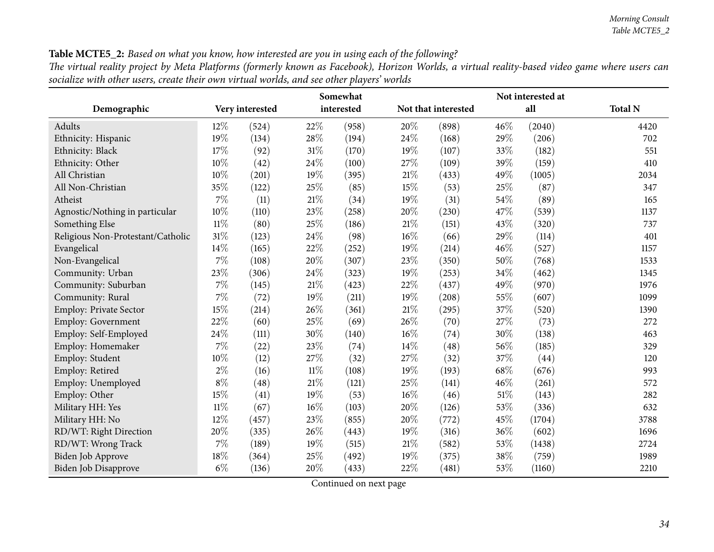#### Table MCTE5\_2: Based on what you know, how interested are you in using each of the following?

The virtual reality project by Meta Platforms (formerly known as Facebook), Horizon Worlds, a virtual reality-based video game where users can socialize with other users, create their own virtual worlds, and see other players' worlds

|                                   |        |                 |        | Somewhat   | Not interested at   |       |      |        |                |  |  |
|-----------------------------------|--------|-----------------|--------|------------|---------------------|-------|------|--------|----------------|--|--|
| Demographic                       |        | Very interested |        | interested | Not that interested |       | all  |        | <b>Total N</b> |  |  |
| Adults                            | 12%    | (524)           | 22%    | (958)      | 20%                 | (898) | 46%  | (2040) | 4420           |  |  |
| Ethnicity: Hispanic               | 19%    | (134)           | 28%    | (194)      | 24%                 | (168) | 29%  | (206)  | 702            |  |  |
| Ethnicity: Black                  | 17%    | (92)            | 31%    | (170)      | 19%                 | (107) | 33%  | (182)  | 551            |  |  |
| Ethnicity: Other                  | 10%    | (42)            | 24%    | (100)      | 27%                 | (109) | 39%  | (159)  | 410            |  |  |
| All Christian                     | 10%    | (201)           | 19%    | (395)      | 21%                 | (433) | 49%  | (1005) | 2034           |  |  |
| All Non-Christian                 | 35%    | (122)           | 25%    | (85)       | 15%                 | (53)  | 25%  | (87)   | 347            |  |  |
| Atheist                           | 7%     | (11)            | $21\%$ | (34)       | 19%                 | (31)  | 54%  | (89)   | 165            |  |  |
| Agnostic/Nothing in particular    | 10%    | (110)           | 23%    | (258)      | 20%                 | (230) | 47%  | (539)  | 1137           |  |  |
| Something Else                    | $11\%$ | (80)            | 25%    | (186)      | $21\%$              | (151) | 43%  | (320)  | 737            |  |  |
| Religious Non-Protestant/Catholic | 31%    | (123)           | 24%    | (98)       | 16%                 | (66)  | 29%  | (114)  | 401            |  |  |
| Evangelical                       | 14%    | (165)           | 22%    | (252)      | 19%                 | (214) | 46%  | (527)  | 1157           |  |  |
| Non-Evangelical                   | 7%     | (108)           | 20%    | (307)      | 23%                 | (350) | 50%  | (768)  | 1533           |  |  |
| Community: Urban                  | 23%    | (306)           | 24%    | (323)      | 19%                 | (253) | 34%  | (462)  | 1345           |  |  |
| Community: Suburban               | $7\%$  | (145)           | 21%    | (423)      | 22%                 | (437) | 49%  | (970)  | 1976           |  |  |
| Community: Rural                  | 7%     | (72)            | 19%    | (211)      | 19%                 | (208) | 55%  | (607)  | 1099           |  |  |
| Employ: Private Sector            | 15%    | (214)           | 26%    | (361)      | 21%                 | (295) | 37%  | (520)  | 1390           |  |  |
| Employ: Government                | 22%    | (60)            | 25%    | (69)       | 26%                 | (70)  | 27%  | (73)   | 272            |  |  |
| Employ: Self-Employed             | 24\%   | (111)           | 30%    | (140)      | 16%                 | (74)  | 30%  | (138)  | 463            |  |  |
| Employ: Homemaker                 | $7\%$  | (22)            | 23%    | (74)       | 14%                 | (48)  | 56%  | (185)  | 329            |  |  |
| Employ: Student                   | 10%    | (12)            | 27%    | (32)       | 27%                 | (32)  | 37%  | (44)   | 120            |  |  |
| Employ: Retired                   | $2\%$  | (16)            | $11\%$ | (108)      | 19%                 | (193) | 68%  | (676)  | 993            |  |  |
| Employ: Unemployed                | $8\%$  | (48)            | $21\%$ | (121)      | 25%                 | (141) | 46%  | (261)  | 572            |  |  |
| Employ: Other                     | 15%    | (41)            | 19%    | (53)       | 16%                 | (46)  | 51\% | (143)  | 282            |  |  |
| Military HH: Yes                  | $11\%$ | (67)            | 16%    | (103)      | 20%                 | (126) | 53%  | (336)  | 632            |  |  |
| Military HH: No                   | 12%    | (457)           | 23%    | (855)      | 20%                 | (772) | 45%  | (1704) | 3788           |  |  |
| RD/WT: Right Direction            | 20%    | (335)           | 26%    | (443)      | 19%                 | (316) | 36%  | (602)  | 1696           |  |  |
| RD/WT: Wrong Track                | 7%     | (189)           | 19%    | (515)      | 21%                 | (582) | 53%  | (1438) | 2724           |  |  |
| Biden Job Approve                 | 18%    | (364)           | 25%    | (492)      | 19%                 | (375) | 38%  | (759)  | 1989           |  |  |
| Biden Job Disapprove              | $6\%$  | (136)           | 20%    | (433)      | 22%                 | (481) | 53%  | (1160) | 2210           |  |  |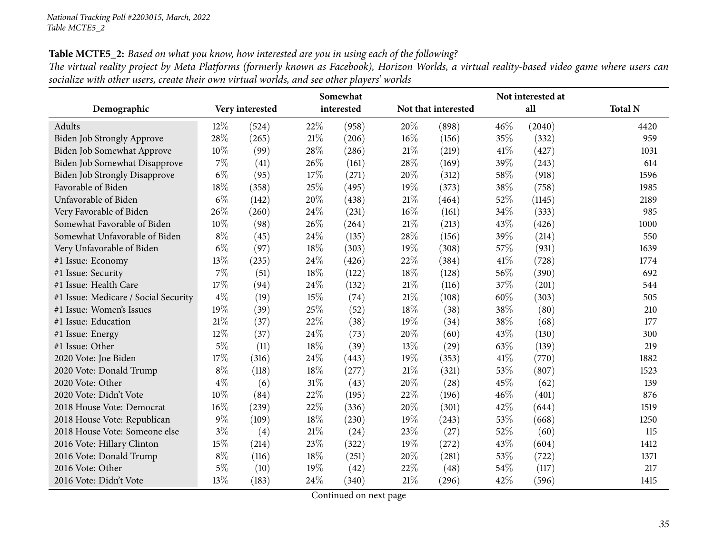Table MCTE5\_2: Based on what you know, how interested are you in using each of the following?

| The virtual reality project by Meta Platforms (formerly known as Facebook), Horizon Worlds, a virtual reality-based video game where users can |  |
|------------------------------------------------------------------------------------------------------------------------------------------------|--|
| socialize with other users, create their own virtual worlds, and see other players' worlds                                                     |  |

|                                      |       |                 |     | Somewhat   | Not interested at |                     |      |        |                |  |  |
|--------------------------------------|-------|-----------------|-----|------------|-------------------|---------------------|------|--------|----------------|--|--|
| Demographic                          |       | Very interested |     | interested |                   | Not that interested |      | all    | <b>Total N</b> |  |  |
| Adults                               | 12%   | (524)           | 22% | (958)      | 20%               | (898)               | 46%  | (2040) | 4420           |  |  |
| Biden Job Strongly Approve           | 28%   | (265)           | 21% | (206)      | 16%               | (156)               | 35%  | (332)  | 959            |  |  |
| Biden Job Somewhat Approve           | 10%   | (99)            | 28% | (286)      | 21%               | (219)               | 41\% | (427)  | 1031           |  |  |
| Biden Job Somewhat Disapprove        | 7%    | (41)            | 26% | (161)      | 28%               | (169)               | 39%  | (243)  | 614            |  |  |
| <b>Biden Job Strongly Disapprove</b> | $6\%$ | (95)            | 17% | (271)      | 20%               | (312)               | 58%  | (918)  | 1596           |  |  |
| Favorable of Biden                   | 18%   | (358)           | 25% | (495)      | 19%               | (373)               | 38%  | (758)  | 1985           |  |  |
| Unfavorable of Biden                 | $6\%$ | (142)           | 20% | (438)      | 21%               | (464)               | 52%  | (1145) | 2189           |  |  |
| Very Favorable of Biden              | 26%   | (260)           | 24% | (231)      | 16%               | (161)               | 34%  | (333)  | 985            |  |  |
| Somewhat Favorable of Biden          | 10%   | (98)            | 26% | (264)      | 21%               | (213)               | 43%  | (426)  | 1000           |  |  |
| Somewhat Unfavorable of Biden        | $8\%$ | (45)            | 24% | (135)      | 28%               | (156)               | 39%  | (214)  | 550            |  |  |
| Very Unfavorable of Biden            | $6\%$ | (97)            | 18% | (303)      | 19%               | (308)               | 57%  | (931)  | 1639           |  |  |
| #1 Issue: Economy                    | 13%   | (235)           | 24% | (426)      | 22%               | (384)               | 41\% | (728)  | 1774           |  |  |
| #1 Issue: Security                   | $7\%$ | (51)            | 18% | (122)      | 18%               | (128)               | 56%  | (390)  | 692            |  |  |
| #1 Issue: Health Care                | 17%   | (94)            | 24% | (132)      | 21%               | (116)               | 37%  | (201)  | 544            |  |  |
| #1 Issue: Medicare / Social Security | $4\%$ | (19)            | 15% | (74)       | 21%               | (108)               | 60%  | (303)  | 505            |  |  |
| #1 Issue: Women's Issues             | 19%   | (39)            | 25% | (52)       | 18%               | (38)                | 38%  | (80)   | 210            |  |  |
| #1 Issue: Education                  | 21\%  | (37)            | 22% | (38)       | 19%               | (34)                | 38%  | (68)   | 177            |  |  |
| #1 Issue: Energy                     | 12%   | (37)            | 24% | (73)       | 20%               | (60)                | 43%  | (130)  | 300            |  |  |
| #1 Issue: Other                      | 5%    | (11)            | 18% | (39)       | 13%               | (29)                | 63%  | (139)  | 219            |  |  |
| 2020 Vote: Joe Biden                 | 17%   | (316)           | 24% | (443)      | 19%               | (353)               | 41\% | (770)  | 1882           |  |  |
| 2020 Vote: Donald Trump              | $8\%$ | (118)           | 18% | (277)      | 21%               | (321)               | 53%  | (807)  | 1523           |  |  |
| 2020 Vote: Other                     | $4\%$ | (6)             | 31% | (43)       | 20%               | (28)                | 45%  | (62)   | 139            |  |  |
| 2020 Vote: Didn't Vote               | 10%   | (84)            | 22% | (195)      | 22%               | (196)               | 46%  | (401)  | 876            |  |  |
| 2018 House Vote: Democrat            | 16%   | (239)           | 22% | (336)      | 20%               | (301)               | 42%  | (644)  | 1519           |  |  |
| 2018 House Vote: Republican          | $9\%$ | (109)           | 18% | (230)      | 19%               | (243)               | 53%  | (668)  | 1250           |  |  |
| 2018 House Vote: Someone else        | $3\%$ | (4)             | 21% | (24)       | 23%               | (27)                | 52%  | (60)   | 115            |  |  |
| 2016 Vote: Hillary Clinton           | 15%   | (214)           | 23% | (322)      | 19%               | (272)               | 43%  | (604)  | 1412           |  |  |
| 2016 Vote: Donald Trump              | $8\%$ | (116)           | 18% | (251)      | 20%               | (281)               | 53%  | (722)  | 1371           |  |  |
| 2016 Vote: Other                     | $5\%$ | (10)            | 19% | (42)       | 22%               | (48)                | 54%  | (117)  | 217            |  |  |
| 2016 Vote: Didn't Vote               | 13%   | (183)           | 24% | (340)      | 21%               | (296)               | 42%  | (596)  | 1415           |  |  |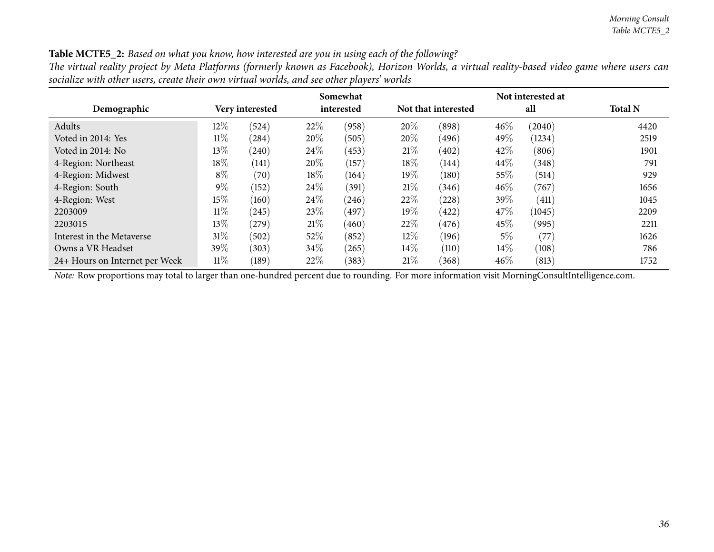#### Table MCTE5\_2: Based on what you know, how interested are you in using each of the following?

The virtual reality project by Meta Platforms (formerly known as Facebook), Horizon Worlds, a virtual reality-based video game where users can socialize with other users, create their own virtual worlds, and see other players' worlds

|                                |        |                 |        | Somewhat   |        |                     |        |        |                |
|--------------------------------|--------|-----------------|--------|------------|--------|---------------------|--------|--------|----------------|
| Demographic                    |        | Very interested |        | interested |        | Not that interested |        | all    | <b>Total N</b> |
| Adults                         | $12\%$ | (524)           | 22%    | (958)      | 20%    | (898)               | $46\%$ | (2040) | 4420           |
| Voted in 2014: Yes             | $11\%$ | (284)           | 20%    | (505)      | $20\%$ | (496)               | 49\%   | (1234) | 2519           |
| Voted in 2014: No              | $13\%$ | (240)           | 24\%   | (453)      | 21%    | (402)               | 42\%   | (806)  | 1901           |
| 4-Region: Northeast            | 18\%   | (141)           | 20%    | (157)      | $18\%$ | (144)               | $44\%$ | (348)  | 791            |
| 4-Region: Midwest              | $8\%$  | (70)            | $18\%$ | (164)      | $19\%$ | (180)               | $55\%$ | (514)  | 929            |
| 4-Region: South                | $9\%$  | (152)           | 24\%   | (391)      | 21%    | (346)               | $46\%$ | (767)  | 1656           |
| 4-Region: West                 | 15%    | (160)           | 24\%   | (246)      | 22%    | (228)               | $39\%$ | (411)  | 1045           |
| 2203009                        | $11\%$ | (245)           | 23\%   | (497)      | $19\%$ | (422)               | 47\%   | (1045) | 2209           |
| 2203015                        | $13\%$ | (279)           | 21%    | (460)      | 22\%   | (476)               | 45\%   | (995)  | 2211           |
| Interest in the Metaverse      | $31\%$ | (502)           | 52\%   | (852)      | $12\%$ | (196)               | $5\%$  | (77)   | 1626           |
| Owns a VR Headset              | 39\%   | (303)           | 34\%   | (265)      | $14\%$ | (110)               | $14\%$ | (108)  | 786            |
| 24+ Hours on Internet per Week | 11%    | (189)           | 22%    | (383)      | 21%    | (368)               | 46%    | (813)  | 1752           |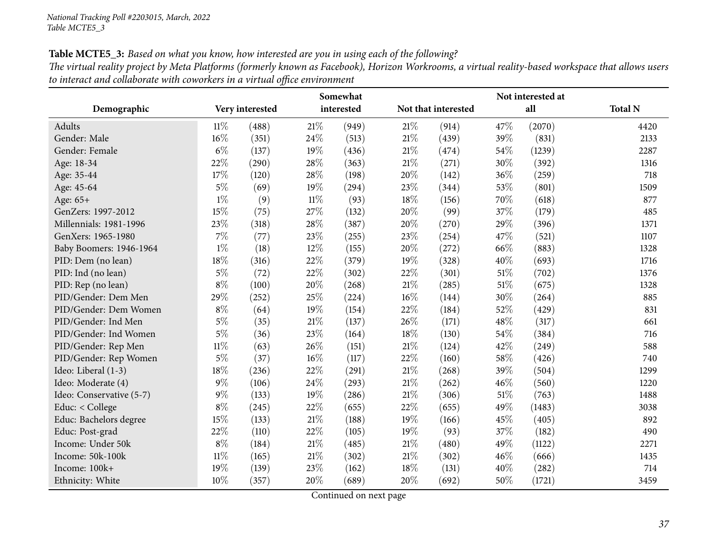Table MCTE5\_3: Based on what you know, how interested are you in using each of the following? The virtual reality project by Meta Platforms (formerly known as Facebook), Horizon Workrooms, a virtual reality-based workspace that allows users *to interact and collaborate with coworkers in <sup>a</sup> virtual office environment*

| Somewhat                 |        |                 |        |            |     | Not interested at   |        |        |                |  |
|--------------------------|--------|-----------------|--------|------------|-----|---------------------|--------|--------|----------------|--|
| Demographic              |        | Very interested |        | interested |     | Not that interested |        | all    | <b>Total N</b> |  |
| Adults                   | $11\%$ | (488)           | 21%    | (949)      | 21% | (914)               | 47%    | (2070) | 4420           |  |
| Gender: Male             | 16%    | (351)           | 24%    | (513)      | 21% | (439)               | 39%    | (831)  | 2133           |  |
| Gender: Female           | $6\%$  | (137)           | 19%    | (436)      | 21% | (474)               | 54%    | (1239) | 2287           |  |
| Age: 18-34               | 22%    | (290)           | 28%    | (363)      | 21% | (271)               | 30%    | (392)  | 1316           |  |
| Age: 35-44               | 17%    | (120)           | 28%    | (198)      | 20% | (142)               | 36%    | (259)  | 718            |  |
| Age: 45-64               | $5\%$  | (69)            | 19%    | (294)      | 23% | (344)               | 53%    | (801)  | 1509           |  |
| Age: 65+                 | $1\%$  | (9)             | $11\%$ | (93)       | 18% | (156)               | 70%    | (618)  | 877            |  |
| GenZers: 1997-2012       | 15%    | (75)            | 27%    | (132)      | 20% | (99)                | 37%    | (179)  | 485            |  |
| Millennials: 1981-1996   | 23%    | (318)           | 28%    | (387)      | 20% | (270)               | 29%    | (396)  | 1371           |  |
| GenXers: 1965-1980       | $7\%$  | (77)            | 23%    | (255)      | 23% | (254)               | 47%    | (521)  | 1107           |  |
| Baby Boomers: 1946-1964  | $1\%$  | (18)            | 12%    | (155)      | 20% | (272)               | 66%    | (883)  | 1328           |  |
| PID: Dem (no lean)       | 18%    | (316)           | 22%    | (379)      | 19% | (328)               | 40%    | (693)  | 1716           |  |
| PID: Ind (no lean)       | $5\%$  | (72)            | 22%    | (302)      | 22% | (301)               | 51\%   | (702)  | 1376           |  |
| PID: Rep (no lean)       | $8\%$  | (100)           | 20%    | (268)      | 21% | (285)               | $51\%$ | (675)  | 1328           |  |
| PID/Gender: Dem Men      | 29%    | (252)           | 25%    | (224)      | 16% | (144)               | 30%    | (264)  | 885            |  |
| PID/Gender: Dem Women    | $8\%$  | (64)            | 19%    | (154)      | 22% | (184)               | 52%    | (429)  | 831            |  |
| PID/Gender: Ind Men      | 5%     | (35)            | 21%    | (137)      | 26% | (171)               | 48%    | (317)  | 661            |  |
| PID/Gender: Ind Women    | $5\%$  | (36)            | 23%    | (164)      | 18% | (130)               | 54%    | (384)  | 716            |  |
| PID/Gender: Rep Men      | $11\%$ | (63)            | 26%    | (151)      | 21% | (124)               | 42%    | (249)  | 588            |  |
| PID/Gender: Rep Women    | $5\%$  | (37)            | 16%    | (117)      | 22% | (160)               | 58%    | (426)  | 740            |  |
| Ideo: Liberal (1-3)      | 18%    | (236)           | 22%    | (291)      | 21% | (268)               | 39%    | (504)  | 1299           |  |
| Ideo: Moderate (4)       | $9\%$  | (106)           | 24%    | (293)      | 21% | (262)               | 46%    | (560)  | 1220           |  |
| Ideo: Conservative (5-7) | $9\%$  | (133)           | 19%    | (286)      | 21% | (306)               | $51\%$ | (763)  | 1488           |  |
| Educ: < College          | $8\%$  | (245)           | 22%    | (655)      | 22% | (655)               | 49%    | (1483) | 3038           |  |
| Educ: Bachelors degree   | 15%    | (133)           | $21\%$ | (188)      | 19% | (166)               | 45%    | (405)  | 892            |  |
| Educ: Post-grad          | 22%    | (110)           | 22%    | (105)      | 19% | (93)                | 37%    | (182)  | 490            |  |
| Income: Under 50k        | $8\%$  | (184)           | $21\%$ | (485)      | 21% | (480)               | 49%    | (1122) | 2271           |  |
| Income: 50k-100k         | $11\%$ | (165)           | $21\%$ | (302)      | 21% | (302)               | 46%    | (666)  | 1435           |  |
| Income: 100k+            | 19%    | (139)           | 23%    | (162)      | 18% | (131)               | 40%    | (282)  | 714            |  |
| Ethnicity: White         | 10%    | (357)           | 20%    | (689)      | 20% | (692)               | 50%    | (1721) | 3459           |  |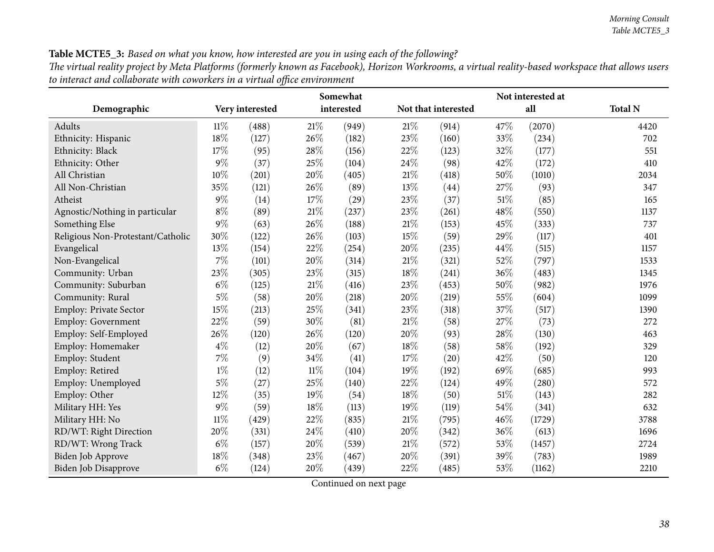# Table MCTE5\_3: Based on what you know, how interested are you in using each of the following?

The virtual reality project by Meta Platforms (formerly known as Facebook), Horizon Workrooms, a virtual reality-based workspace that allows users *to interact and collaborate with coworkers in <sup>a</sup> virtual office environment*

|                                   | Somewhat |                 |        |            |        |                     |        | Not interested at |                |  |
|-----------------------------------|----------|-----------------|--------|------------|--------|---------------------|--------|-------------------|----------------|--|
| Demographic                       |          | Very interested |        | interested |        | Not that interested |        | all               | <b>Total N</b> |  |
| Adults                            | $11\%$   | (488)           | $21\%$ | (949)      | $21\%$ | (914)               | 47%    | (2070)            | 4420           |  |
| Ethnicity: Hispanic               | 18%      | (127)           | 26%    | (182)      | 23%    | (160)               | 33%    | (234)             | 702            |  |
| Ethnicity: Black                  | 17%      | (95)            | 28%    | (156)      | 22%    | (123)               | 32%    | (177)             | 551            |  |
| Ethnicity: Other                  | $9\%$    | (37)            | 25%    | (104)      | 24%    | (98)                | 42%    | (172)             | 410            |  |
| All Christian                     | 10%      | (201)           | 20%    | (405)      | $21\%$ | (418)               | 50%    | (1010)            | 2034           |  |
| All Non-Christian                 | 35%      | (121)           | 26%    | (89)       | 13%    | (44)                | 27%    | (93)              | 347            |  |
| Atheist                           | $9\%$    | (14)            | 17%    | (29)       | 23%    | (37)                | $51\%$ | (85)              | 165            |  |
| Agnostic/Nothing in particular    | $8\%$    | (89)            | $21\%$ | (237)      | 23%    | (261)               | 48%    | (550)             | 1137           |  |
| Something Else                    | $9\%$    | (63)            | 26%    | (188)      | $21\%$ | (153)               | 45%    | (333)             | 737            |  |
| Religious Non-Protestant/Catholic | 30%      | (122)           | 26%    | (103)      | 15%    | (59)                | 29%    | (117)             | 401            |  |
| Evangelical                       | 13%      | (154)           | 22%    | (254)      | 20%    | (235)               | 44%    | (515)             | 1157           |  |
| Non-Evangelical                   | $7\%$    | (101)           | 20%    | (314)      | 21\%   | (321)               | 52%    | (797)             | 1533           |  |
| Community: Urban                  | 23%      | (305)           | 23%    | (315)      | 18%    | (241)               | 36%    | (483)             | 1345           |  |
| Community: Suburban               | $6\%$    | (125)           | $21\%$ | (416)      | 23%    | (453)               | 50%    | (982)             | 1976           |  |
| Community: Rural                  | $5\%$    | (58)            | 20%    | (218)      | 20%    | (219)               | 55%    | (604)             | 1099           |  |
| Employ: Private Sector            | 15%      | (213)           | 25%    | (341)      | 23%    | (318)               | 37%    | (517)             | 1390           |  |
| Employ: Government                | 22%      | (59)            | 30%    | (81)       | $21\%$ | (58)                | 27%    | (73)              | 272            |  |
| Employ: Self-Employed             | 26%      | (120)           | 26%    | (120)      | 20%    | (93)                | 28%    | (130)             | 463            |  |
| Employ: Homemaker                 | $4\%$    | (12)            | 20%    | (67)       | 18%    | (58)                | 58%    | (192)             | 329            |  |
| Employ: Student                   | $7\%$    | (9)             | 34%    | (41)       | 17%    | (20)                | 42%    | (50)              | 120            |  |
| Employ: Retired                   | $1\%$    | (12)            | $11\%$ | (104)      | 19%    | (192)               | 69%    | (685)             | 993            |  |
| Employ: Unemployed                | $5\%$    | (27)            | 25%    | (140)      | 22%    | (124)               | 49%    | (280)             | 572            |  |
| Employ: Other                     | $12\%$   | (35)            | 19%    | (54)       | 18%    | (50)                | 51%    | (143)             | 282            |  |
| Military HH: Yes                  | $9\%$    | (59)            | $18\%$ | (113)      | 19%    | (119)               | 54%    | (341)             | 632            |  |
| Military HH: No                   | $11\%$   | (429)           | 22%    | (835)      | $21\%$ | (795)               | 46%    | (1729)            | 3788           |  |
| RD/WT: Right Direction            | 20%      | (331)           | 24%    | (410)      | 20%    | (342)               | 36%    | (613)             | 1696           |  |
| RD/WT: Wrong Track                | $6\%$    | (157)           | 20%    | (539)      | 21%    | (572)               | 53%    | (1457)            | 2724           |  |
| Biden Job Approve                 | 18%      | (348)           | 23%    | (467)      | 20%    | (391)               | 39%    | (783)             | 1989           |  |
| Biden Job Disapprove              | $6\%$    | (124)           | 20%    | (439)      | 22%    | (485)               | 53%    | (1162)            | 2210           |  |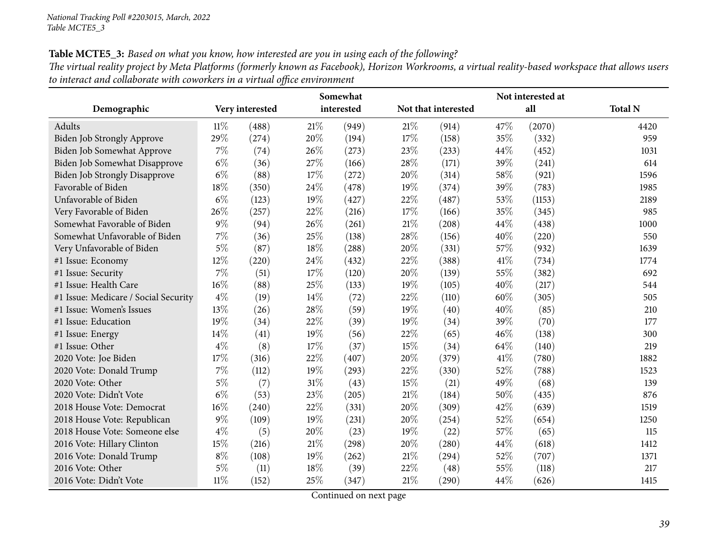Table MCTE5\_3: Based on what you know, how interested are you in using each of the following? The virtual reality project by Meta Platforms (formerly known as Facebook), Horizon Workrooms, a virtual reality-based workspace that allows users *to interact and collaborate with coworkers in <sup>a</sup> virtual office environment*

|                                      |        |                 |        | Somewhat   |        |                     |      | Not interested at |                |
|--------------------------------------|--------|-----------------|--------|------------|--------|---------------------|------|-------------------|----------------|
| Demographic                          |        | Very interested |        | interested |        | Not that interested |      | all               | <b>Total N</b> |
| Adults                               | $11\%$ | (488)           | 21%    | (949)      | 21\%   | (914)               | 47%  | (2070)            | 4420           |
| <b>Biden Job Strongly Approve</b>    | 29%    | (274)           | 20%    | (194)      | 17%    | (158)               | 35%  | (332)             | 959            |
| Biden Job Somewhat Approve           | $7\%$  | (74)            | 26%    | (273)      | 23%    | (233)               | 44%  | (452)             | 1031           |
| Biden Job Somewhat Disapprove        | $6\%$  | (36)            | 27%    | (166)      | 28%    | (171)               | 39%  | (241)             | 614            |
| Biden Job Strongly Disapprove        | $6\%$  | (88)            | 17%    | (272)      | 20%    | (314)               | 58%  | (921)             | 1596           |
| Favorable of Biden                   | 18%    | (350)           | 24%    | (478)      | 19%    | (374)               | 39%  | (783)             | 1985           |
| Unfavorable of Biden                 | $6\%$  | (123)           | 19%    | (427)      | 22%    | (487)               | 53%  | (1153)            | 2189           |
| Very Favorable of Biden              | 26%    | (257)           | 22%    | (216)      | 17%    | (166)               | 35%  | (345)             | 985            |
| Somewhat Favorable of Biden          | $9\%$  | (94)            | 26%    | (261)      | $21\%$ | (208)               | 44%  | (438)             | 1000           |
| Somewhat Unfavorable of Biden        | $7\%$  | (36)            | 25%    | (138)      | 28%    | (156)               | 40%  | (220)             | 550            |
| Very Unfavorable of Biden            | $5\%$  | (87)            | 18%    | (288)      | 20%    | (331)               | 57%  | (932)             | 1639           |
| #1 Issue: Economy                    | $12\%$ | (220)           | 24%    | (432)      | 22%    | (388)               | 41\% | (734)             | 1774           |
| #1 Issue: Security                   | 7%     | (51)            | 17%    | (120)      | $20\%$ | (139)               | 55%  | (382)             | 692            |
| #1 Issue: Health Care                | $16\%$ | (88)            | 25%    | (133)      | 19%    | (105)               | 40%  | (217)             | 544            |
| #1 Issue: Medicare / Social Security | $4\%$  | (19)            | 14%    | (72)       | 22%    | (110)               | 60%  | (305)             | 505            |
| #1 Issue: Women's Issues             | 13%    | (26)            | 28%    | (59)       | 19%    | (40)                | 40%  | (85)              | 210            |
| #1 Issue: Education                  | 19%    | (34)            | 22%    | (39)       | 19%    | (34)                | 39%  | (70)              | 177            |
| #1 Issue: Energy                     | 14%    | (41)            | 19%    | (56)       | 22%    | (65)                | 46%  | (138)             | 300            |
| #1 Issue: Other                      | $4\%$  | (8)             | 17%    | (37)       | 15%    | (34)                | 64\% | (140)             | 219            |
| 2020 Vote: Joe Biden                 | 17\%   | (316)           | 22%    | (407)      | 20%    | (379)               | 41\% | (780)             | 1882           |
| 2020 Vote: Donald Trump              | 7%     | (112)           | 19%    | (293)      | 22%    | (330)               | 52%  | (788)             | 1523           |
| 2020 Vote: Other                     | $5\%$  | (7)             | $31\%$ | (43)       | 15%    | (21)                | 49%  | (68)              | 139            |
| 2020 Vote: Didn't Vote               | $6\%$  | (53)            | 23%    | (205)      | $21\%$ | (184)               | 50%  | (435)             | 876            |
| 2018 House Vote: Democrat            | $16\%$ | (240)           | 22%    | (331)      | 20%    | (309)               | 42%  | (639)             | 1519           |
| 2018 House Vote: Republican          | $9\%$  | (109)           | 19%    | (231)      | 20%    | (254)               | 52%  | (654)             | 1250           |
| 2018 House Vote: Someone else        | $4\%$  | (5)             | 20%    | (23)       | 19%    | (22)                | 57%  | (65)              | 115            |
| 2016 Vote: Hillary Clinton           | 15%    | (216)           | $21\%$ | (298)      | $20\%$ | (280)               | 44%  | (618)             | 1412           |
| 2016 Vote: Donald Trump              | $8\%$  | (108)           | 19%    | (262)      | $21\%$ | (294)               | 52%  | (707)             | 1371           |
| 2016 Vote: Other                     | $5\%$  | (11)            | 18%    | (39)       | $22\%$ | (48)                | 55%  | (118)             | 217            |
| 2016 Vote: Didn't Vote               | $11\%$ | (152)           | 25%    | (347)      | $21\%$ | (290)               | 44%  | (626)             | 1415           |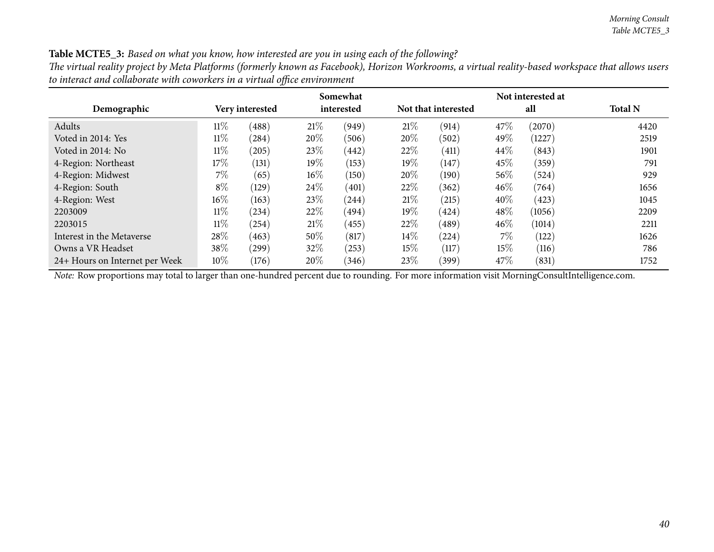#### Table MCTE5\_3: Based on what you know, how interested are you in using each of the following?

The virtual reality project by Meta Platforms (formerly known as Facebook), Horizon Workrooms, a virtual reality-based workspace that allows users *to interact and collaborate with coworkers in <sup>a</sup> virtual office environment*

|                                |        |                 |        | Somewhat   |        |                     |        | Not interested at |                |
|--------------------------------|--------|-----------------|--------|------------|--------|---------------------|--------|-------------------|----------------|
| Demographic                    |        | Very interested |        | interested |        | Not that interested |        | all               | <b>Total N</b> |
| Adults                         | $11\%$ | (488)           | 21%    | (949)      | 21%    | (914)               | 47\%   | (2070)            | 4420           |
| Voted in 2014: Yes             | $11\%$ | (284)           | 20%    | (506)      | $20\%$ | (502)               | 49\%   | (1227)            | 2519           |
| Voted in 2014: No              | $11\%$ | (205)           | 23\%   | (442)      | 22%    | $\left( 411\right)$ | 44\%   | (843)             | 1901           |
| 4-Region: Northeast            | 17%    | (131)           | $19\%$ | (153)      | $19\%$ | (147)               | 45%    | (359)             | 791            |
| 4-Region: Midwest              | $7\%$  | (65)            | $16\%$ | (150)      | $20\%$ | (190)               | 56%    | (524)             | 929            |
| 4-Region: South                | $8\%$  | (129)           | 24\%   | (401)      | 22\%   | (362)               | 46%    | (764)             | 1656           |
| 4-Region: West                 | $16\%$ | (163)           | 23\%   | (244)      | 21%    | (215)               | $40\%$ | (423)             | 1045           |
| 2203009                        | $11\%$ | (234)           | 22\%   | (494)      | $19\%$ | (424)               | 48%    | (1056)            | 2209           |
| 2203015                        | $11\%$ | (254)           | 21%    | (455)      | 22%    | (489)               | 46%    | (1014)            | 2211           |
| Interest in the Metaverse      | 28\%   | (463)           | 50%    | (817)      | $14\%$ | (224)               | $7\%$  | (122)             | 1626           |
| Owns a VR Headset              | 38\%   | (299)           | 32%    | (253)      | $15\%$ | (117)               | $15\%$ | (116)             | 786            |
| 24+ Hours on Internet per Week | $10\%$ | (176)           | 20%    | (346)      | 23\%   | (399)               | 47\%   | (831)             | 1752           |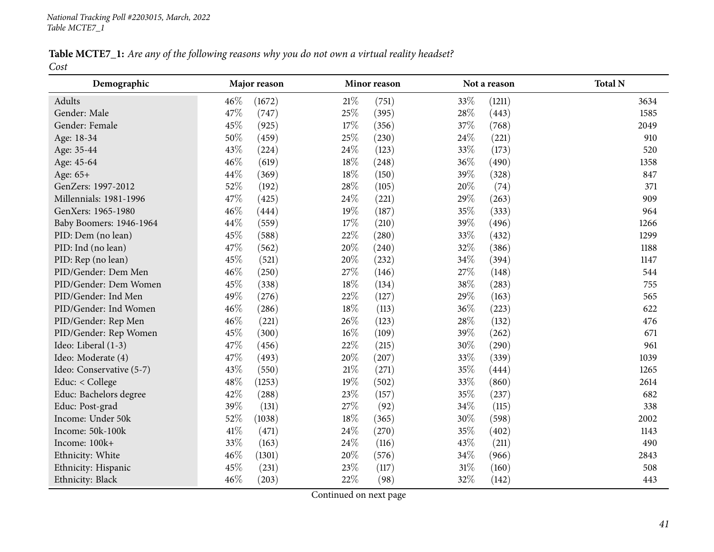Table MCTE7\_1: Are any of the following reasons why you do not own a virtual reality headset? *Cost*

| Demographic              | Major reason  | Minor reason    | Not a reason    | <b>Total N</b> |
|--------------------------|---------------|-----------------|-----------------|----------------|
| Adults                   | 46%<br>(1672) | $21\%$<br>(751) | 33%<br>(1211)   | 3634           |
| Gender: Male             | 47%<br>(747)  | 25%<br>(395)    | 28%<br>(443)    | 1585           |
| Gender: Female           | 45%<br>(925)  | 17%<br>(356)    | 37%<br>(768)    | 2049           |
| Age: 18-34               | 50%<br>(459)  | 25%<br>(230)    | 24\%<br>(221)   | 910            |
| Age: 35-44               | 43%<br>(224)  | 24%<br>(123)    | 33%<br>(173)    | 520            |
| Age: 45-64               | 46%<br>(619)  | 18%<br>(248)    | 36%<br>(490)    | 1358           |
| Age: 65+                 | 44%<br>(369)  | 18%<br>(150)    | 39%<br>(328)    | 847            |
| GenZers: 1997-2012       | 52%<br>(192)  | 28%<br>(105)    | 20%<br>(74)     | 371            |
| Millennials: 1981-1996   | 47%<br>(425)  | 24\%<br>(221)   | 29%<br>(263)    | 909            |
| GenXers: 1965-1980       | 46%<br>(444)  | 19%<br>(187)    | 35%<br>(333)    | 964            |
| Baby Boomers: 1946-1964  | 44%<br>(559)  | 17%<br>(210)    | 39%<br>(496)    | 1266           |
| PID: Dem (no lean)       | 45%<br>(588)  | 22%<br>(280)    | 33%<br>(432)    | 1299           |
| PID: Ind (no lean)       | 47%<br>(562)  | 20%<br>(240)    | 32%<br>(386)    | 1188           |
| PID: Rep (no lean)       | 45%<br>(521)  | 20%<br>(232)    | 34%<br>(394)    | 1147           |
| PID/Gender: Dem Men      | 46%<br>(250)  | 27%<br>(146)    | 27%<br>(148)    | 544            |
| PID/Gender: Dem Women    | 45%<br>(338)  | 18%<br>(134)    | 38%<br>(283)    | 755            |
| PID/Gender: Ind Men      | 49%<br>(276)  | 22%<br>(127)    | 29%<br>(163)    | 565            |
| PID/Gender: Ind Women    | 46%<br>(286)  | $18\%$<br>(113) | $36\%$<br>(223) | 622            |
| PID/Gender: Rep Men      | 46%<br>(221)  | 26\%<br>(123)   | 28\%<br>(132)   | 476            |
| PID/Gender: Rep Women    | 45%<br>(300)  | $16\%$<br>(109) | 39%<br>(262)    | 671            |
| Ideo: Liberal (1-3)      | 47%<br>(456)  | 22%<br>(215)    | 30%<br>(290)    | 961            |
| Ideo: Moderate (4)       | 47%<br>(493)  | 20%<br>(207)    | 33%<br>(339)    | 1039           |
| Ideo: Conservative (5-7) | 43%<br>(550)  | $21\%$<br>(271) | 35%<br>(444)    | 1265           |
| Educ: < College          | 48%<br>(1253) | 19%<br>(502)    | 33%<br>(860)    | 2614           |
| Educ: Bachelors degree   | 42%<br>(288)  | 23%<br>(157)    | 35%<br>(237)    | 682            |
| Educ: Post-grad          | 39%<br>(131)  | 27%<br>(92)     | 34%<br>(115)    | 338            |
| Income: Under 50k        | 52%<br>(1038) | 18%<br>(365)    | 30%<br>(598)    | 2002           |
| Income: 50k-100k         | 41\%<br>(471) | 24\%<br>(270)   | 35%<br>(402)    | 1143           |
| Income: 100k+            | 33%<br>(163)  | 24\%<br>(116)   | 43%<br>(211)    | 490            |
| Ethnicity: White         | 46%<br>(1301) | 20%<br>(576)    | 34%<br>(966)    | 2843           |
| Ethnicity: Hispanic      | 45%<br>(231)  | 23%<br>(117)    | $31\%$<br>(160) | 508            |
| Ethnicity: Black         | 46%<br>(203)  | 22%<br>(98)     | 32%<br>(142)    | 443            |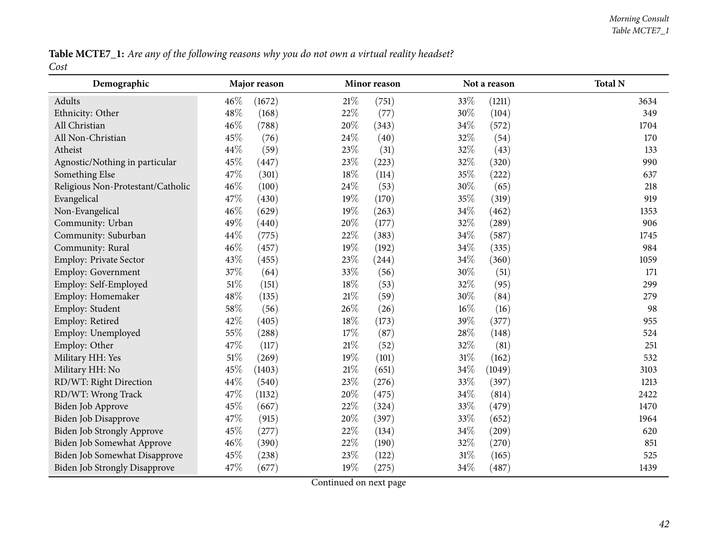Table MCTE7\_1: Are any of the following reasons why you do not own a virtual reality headset? *Cost*

| Demographic                          | Major reason     | Minor reason    | Not a reason    | <b>Total N</b> |
|--------------------------------------|------------------|-----------------|-----------------|----------------|
| Adults                               | $46\%$<br>(1672) | 21%<br>(751)    | 33\%<br>(1211)  | 3634           |
| Ethnicity: Other                     | 48%<br>(168)     | 22%<br>(77)     | 30%<br>(104)    | 349            |
| All Christian                        | 46%<br>(788)     | 20%<br>(343)    | $34\%$<br>(572) | 1704           |
| All Non-Christian                    | 45%<br>(76)      | 24%<br>(40)     | 32%<br>(54)     | 170            |
| Atheist                              | 44%<br>(59)      | 23%<br>(31)     | 32%<br>(43)     | 133            |
| Agnostic/Nothing in particular       | 45%<br>(447)     | 23%<br>(223)    | 32%<br>(320)    | 990            |
| Something Else                       | 47%<br>(301)     | 18%<br>(114)    | 35%<br>(222)    | 637            |
| Religious Non-Protestant/Catholic    | 46%<br>(100)     | 24%<br>(53)     | 30%<br>(65)     | 218            |
| Evangelical                          | 47%<br>(430)     | 19%<br>(170)    | 35%<br>(319)    | 919            |
| Non-Evangelical                      | 46%<br>(629)     | 19%<br>(263)    | 34%<br>(462)    | 1353           |
| Community: Urban                     | 49%<br>(440)     | 20%<br>(177)    | 32%<br>(289)    | 906            |
| Community: Suburban                  | 44%<br>(775)     | 22%<br>(383)    | 34%<br>(587)    | 1745           |
| Community: Rural                     | 46%<br>(457)     | 19%<br>(192)    | 34%<br>(335)    | 984            |
| Employ: Private Sector               | 43%<br>(455)     | 23%<br>(244)    | 34%<br>(360)    | 1059           |
| Employ: Government                   | 37%<br>(64)      | 33%<br>(56)     | 30%<br>(51)     | 171            |
| Employ: Self-Employed                | $51\%$<br>(151)  | 18%<br>(53)     | 32%<br>(95)     | 299            |
| Employ: Homemaker                    | 48%<br>(135)     | 21%<br>(59)     | 30%<br>(84)     | 279            |
| Employ: Student                      | 58%<br>(56)      | 26%<br>(26)     | 16%<br>(16)     | 98             |
| Employ: Retired                      | 42%<br>(405)     | 18%<br>(173)    | 39%<br>(377)    | 955            |
| Employ: Unemployed                   | 55%<br>(288)     | 17%<br>(87)     | 28%<br>(148)    | 524            |
| Employ: Other                        | 47%<br>(117)     | 21%<br>(52)     | 32%<br>(81)     | 251            |
| Military HH: Yes                     | $51\%$<br>(269)  | 19%<br>(101)    | 31%<br>(162)    | 532            |
| Military HH: No                      | 45%<br>(1403)    | $21\%$<br>(651) | 34%<br>(1049)   | 3103           |
| RD/WT: Right Direction               | 44%<br>(540)     | 23%<br>(276)    | 33%<br>(397)    | 1213           |
| RD/WT: Wrong Track                   | 47%<br>(1132)    | 20%<br>(475)    | 34%<br>(814)    | 2422           |
| Biden Job Approve                    | 45%<br>(667)     | 22%<br>(324)    | 33%<br>(479)    | 1470           |
| Biden Job Disapprove                 | 47%<br>(915)     | 20%<br>(397)    | 33%<br>(652)    | 1964           |
| <b>Biden Job Strongly Approve</b>    | 45%<br>(277)     | 22%<br>(134)    | $34\%$<br>(209) | 620            |
| Biden Job Somewhat Approve           | 46%<br>(390)     | 22%<br>(190)    | 32%<br>(270)    | 851            |
| Biden Job Somewhat Disapprove        | 45%<br>(238)     | 23%<br>(122)    | $31\%$<br>(165) | 525            |
| <b>Biden Job Strongly Disapprove</b> | 47%<br>(677)     | 19%<br>(275)    | 34%<br>(487)    | 1439           |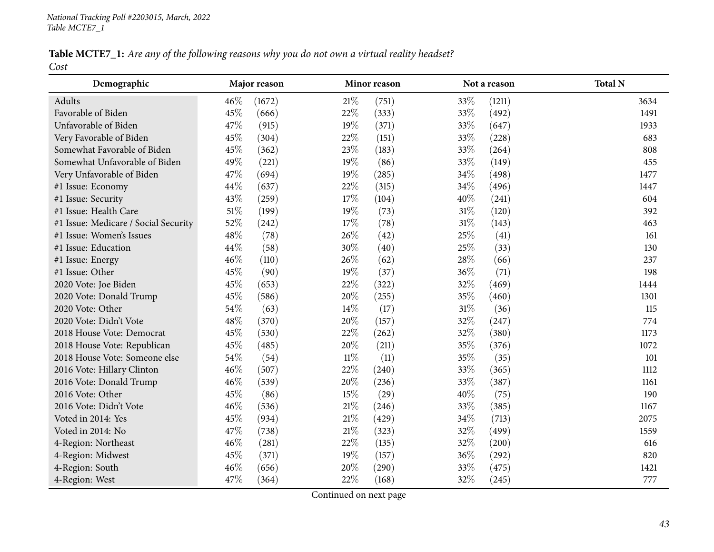Table MCTE7\_1: Are any of the following reasons why you do not own a virtual reality headset? *Cost*

| Demographic                          | Major reason    |        | Minor reason |        | Not a reason | <b>Total N</b> |
|--------------------------------------|-----------------|--------|--------------|--------|--------------|----------------|
| Adults                               | 46\%<br>(1672)  | $21\%$ | (751)        | 33%    | (1211)       | 3634           |
| Favorable of Biden                   | 45%<br>(666)    | 22%    | (333)        | 33%    | (492)        | 1491           |
| Unfavorable of Biden                 | 47%<br>(915)    | 19%    | (371)        | 33%    | (647)        | 1933           |
| Very Favorable of Biden              | 45\%<br>(304)   | 22%    | (151)        | 33%    | (228)        | 683            |
| Somewhat Favorable of Biden          | 45%<br>(362)    | 23%    | (183)        | 33%    | (264)        | 808            |
| Somewhat Unfavorable of Biden        | 49%<br>(221)    | 19%    | (86)         | 33%    | (149)        | 455            |
| Very Unfavorable of Biden            | 47%<br>(694)    | 19%    | (285)        | 34%    | (498)        | 1477           |
| #1 Issue: Economy                    | 44\%<br>(637)   | 22%    | (315)        | 34%    | (496)        | 1447           |
| #1 Issue: Security                   | 43%<br>(259)    | 17%    | (104)        | 40%    | (241)        | 604            |
| #1 Issue: Health Care                | $51\%$<br>(199) | 19%    | (73)         | $31\%$ | (120)        | 392            |
| #1 Issue: Medicare / Social Security | 52%<br>(242)    | 17%    | (78)         | $31\%$ | (143)        | 463            |
| #1 Issue: Women's Issues             | 48%<br>(78)     | 26%    | (42)         | 25%    | (41)         | 161            |
| #1 Issue: Education                  | 44\%<br>(58)    | 30%    | (40)         | 25%    | (33)         | 130            |
| #1 Issue: Energy                     | 46%<br>(110)    | 26\%   | (62)         | 28\%   | (66)         | 237            |
| #1 Issue: Other                      | 45%<br>(90)     | 19%    | (37)         | 36%    | (71)         | 198            |
| 2020 Vote: Joe Biden                 | 45%<br>(653)    | 22%    | (322)        | 32%    | (469)        | 1444           |
| 2020 Vote: Donald Trump              | 45%<br>(586)    | $20\%$ | (255)        | 35%    | (460)        | 1301           |
| 2020 Vote: Other                     | 54\%<br>(63)    | 14\%   | (17)         | $31\%$ | (36)         | 115            |
| 2020 Vote: Didn't Vote               | 48%<br>(370)    | 20%    | (157)        | 32%    | (247)        | 774            |
| 2018 House Vote: Democrat            | 45%<br>(530)    | 22%    | (262)        | 32%    | (380)        | 1173           |
| 2018 House Vote: Republican          | 45%<br>(485)    | 20%    | (211)        | 35%    | (376)        | 1072           |
| 2018 House Vote: Someone else        | 54\%<br>(54)    | $11\%$ | (11)         | 35%    | (35)         | 101            |
| 2016 Vote: Hillary Clinton           | 46%<br>(507)    | 22%    | (240)        | 33%    | (365)        | 1112           |
| 2016 Vote: Donald Trump              | 46%<br>(539)    | 20%    | (236)        | 33%    | (387)        | 1161           |
| 2016 Vote: Other                     | 45%<br>(86)     | 15%    | (29)         | 40%    | (75)         | 190            |
| 2016 Vote: Didn't Vote               | 46%<br>(536)    | $21\%$ | (246)        | 33%    | (385)        | 1167           |
| Voted in 2014: Yes                   | 45%<br>(934)    | $21\%$ | (429)        | 34%    | (713)        | 2075           |
| Voted in 2014: No                    | 47\%<br>(738)   | $21\%$ | (323)        | 32%    | (499)        | 1559           |
| 4-Region: Northeast                  | 46%<br>(281)    | 22%    | (135)        | 32%    | (200)        | 616            |
| 4-Region: Midwest                    | 45%<br>(371)    | 19%    | (157)        | 36%    | (292)        | 820            |
| 4-Region: South                      | 46%<br>(656)    | 20%    | (290)        | 33%    | (475)        | 1421           |
| 4-Region: West                       | 47%<br>(364)    | 22%    | (168)        | 32%    | (245)        | 777            |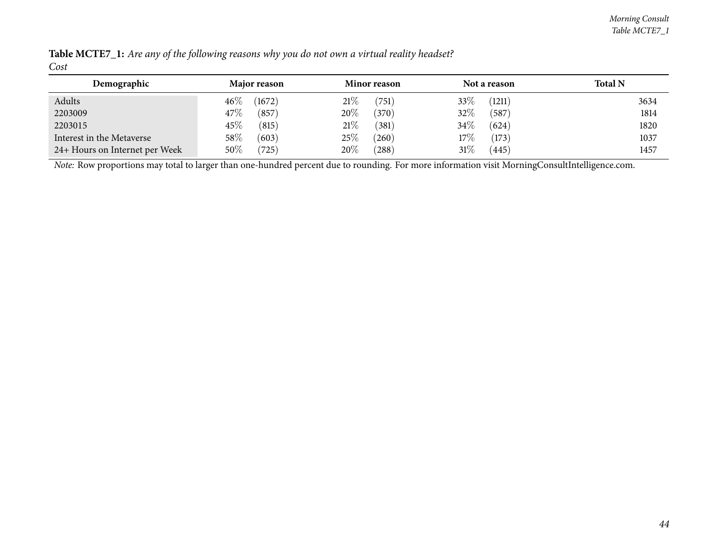| Demographic                    | Major reason     | <b>Minor reason</b>    | Not a reason    | <b>Total N</b> |
|--------------------------------|------------------|------------------------|-----------------|----------------|
| Adults                         | $46\%$<br>(1672) | 21%<br>$^{\prime}751]$ | 33\%<br>(1211)  | 3634           |
| 2203009                        | 47\%<br>(857)    | 20%<br>(370)           | 32\%<br>(587    | 1814           |
| 2203015                        | $45\%$<br>(815)  | 21%<br>(381)           | $34\%$<br>(624) | 1820           |
| Interest in the Metaverse      | $58\%$<br>(603)  | 25%<br>(260)           | 17%<br>(173)    | 1037           |
| 24+ Hours on Internet per Week | $50\%$<br>(725)  | 20%<br>$^{'}288)$      | 31%<br>(445)    | 1457           |

Table MCTE7\_1: Are any of the following reasons why you do not own a virtual reality headset? *Cost*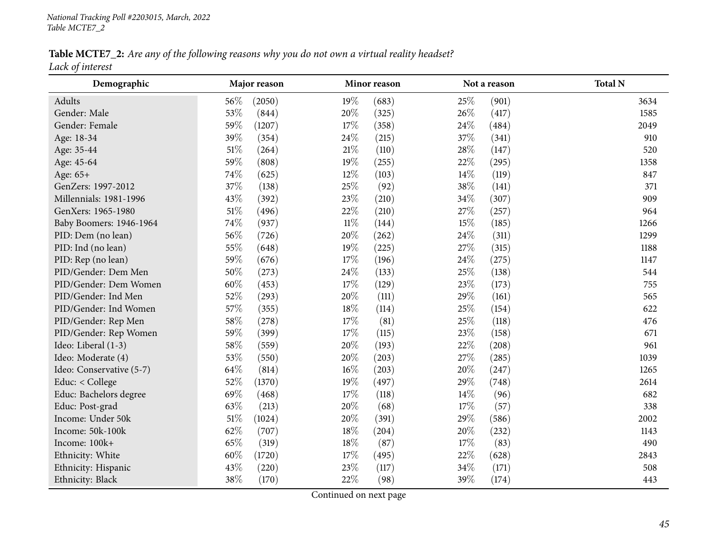Table MCTE7\_2: Are any of the following reasons why you do not own a virtual reality headset? *Lack of interest*

| Demographic              | Major reason     | Minor reason    | Not a reason   | <b>Total N</b> |
|--------------------------|------------------|-----------------|----------------|----------------|
| Adults                   | 56%<br>(2050)    | 19%<br>(683)    | 25%<br>(901)   | 3634           |
| Gender: Male             | 53%<br>(844)     | 20%<br>(325)    | 26%<br>(417)   | 1585           |
| Gender: Female           | 59%<br>(1207)    | 17%<br>(358)    | 24%<br>(484)   | 2049           |
| Age: 18-34               | 39%<br>(354)     | 24%<br>(215)    | 37%<br>(341)   | 910            |
| Age: 35-44               | $51\%$<br>(264)  | $21\%$<br>(110) | 28\%<br>(147)  | 520            |
| Age: 45-64               | 59%<br>(808)     | 19%<br>(255)    | 22%<br>(295)   | 1358           |
| Age: 65+                 | 74%<br>(625)     | 12%<br>(103)    | 14%<br>(119)   | 847            |
| GenZers: 1997-2012       | 37%<br>(138)     | 25%<br>(92)     | 38%<br>(141)   | 371            |
| Millennials: 1981-1996   | 43%<br>(392)     | 23%<br>(210)    | 34%<br>(307)   | 909            |
| GenXers: 1965-1980       | $51\%$<br>(496)  | 22%<br>(210)    | 27\%<br>(257)  | 964            |
| Baby Boomers: 1946-1964  | 74%<br>(937)     | $11\%$<br>(144) | 15%<br>(185)   | 1266           |
| PID: Dem (no lean)       | 56%<br>(726)     | 20%<br>(262)    | 24\%<br>(311)  | 1299           |
| PID: Ind (no lean)       | 55%<br>(648)     | 19%<br>(225)    | 27%<br>(315)   | 1188           |
| PID: Rep (no lean)       | 59%<br>(676)     | 17%<br>(196)    | 24\%<br>(275)  | 1147           |
| PID/Gender: Dem Men      | 50%<br>(273)     | 24\%<br>(133)   | 25%<br>(138)   | 544            |
| PID/Gender: Dem Women    | $60\%$<br>(453)  | 17%<br>(129)    | 23%<br>(173)   | 755            |
| PID/Gender: Ind Men      | 52%<br>(293)     | 20%<br>(111)    | 29%<br>(161)   | 565            |
| PID/Gender: Ind Women    | 57%<br>(355)     | 18%<br>(114)    | 25%<br>(154)   | 622            |
| PID/Gender: Rep Men      | 58\%<br>(278)    | 17%<br>(81)     | 25%<br>(118)   | 476            |
| PID/Gender: Rep Women    | 59%<br>(399)     | 17%<br>(115)    | 23%<br>(158)   | 671            |
| Ideo: Liberal (1-3)      | 58\%<br>(559)    | 20%<br>(193)    | 22%<br>(208)   | 961            |
| Ideo: Moderate (4)       | 53%<br>(550)     | 20%<br>(203)    | 27%<br>(285)   | 1039           |
| Ideo: Conservative (5-7) | 64\%<br>(814)    | $16\%$<br>(203) | 20%<br>(247)   | 1265           |
| Educ: < College          | 52%<br>(1370)    | 19%<br>(497)    | 29%<br>(748)   | 2614           |
| Educ: Bachelors degree   | 69%<br>(468)     | 17%<br>(118)    | 14\%<br>(96)   | 682            |
| Educ: Post-grad          | 63%<br>(213)     | 20%<br>(68)     | 17%<br>(57)    | 338            |
| Income: Under 50k        | 51%<br>(1024)    | 20%<br>(391)    | 29%<br>(586)   | 2002           |
| Income: 50k-100k         | 62%<br>(707)     | 18%<br>(204)    | 20%<br>(232)   | 1143           |
| Income: 100k+            | 65%<br>(319)     | 18%<br>(87)     | $17\%$<br>(83) | 490            |
| Ethnicity: White         | $60\%$<br>(1720) | 17%<br>(495)    | 22%<br>(628)   | 2843           |
| Ethnicity: Hispanic      | 43%<br>(220)     | 23%<br>(117)    | 34%<br>(171)   | 508            |
| Ethnicity: Black         | 38%<br>(170)     | 22%<br>(98)     | 39%<br>(174)   | 443            |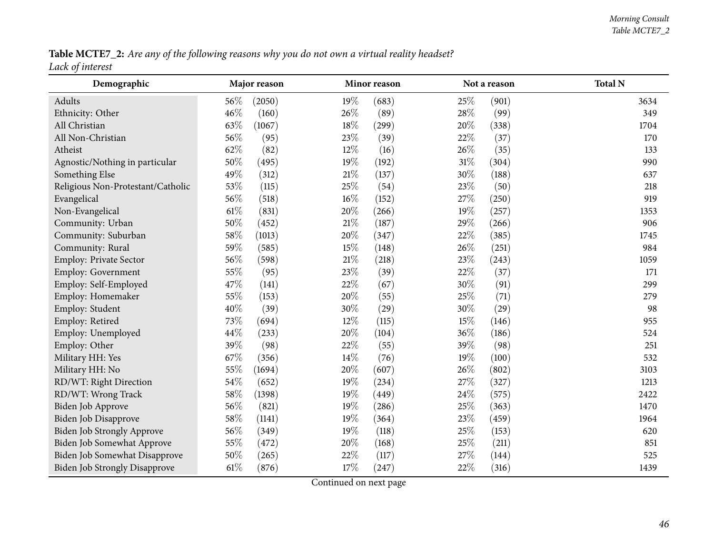Table MCTE7\_2: Are any of the following reasons why you do not own a virtual reality headset? *Lack of interest*

| Demographic                          |        | Major reason |        | Minor reason |        | Not a reason | <b>Total N</b> |
|--------------------------------------|--------|--------------|--------|--------------|--------|--------------|----------------|
| Adults                               | 56\%   | (2050)       | $19\%$ | (683)        | 25\%   | (901)        | 3634           |
| Ethnicity: Other                     | 46%    | (160)        | 26%    | (89)         | 28\%   | (99)         | 349            |
| All Christian                        | 63%    | (1067)       | 18%    | (299)        | $20\%$ | (338)        | 1704           |
| All Non-Christian                    | 56%    | (95)         | 23%    | (39)         | $22\%$ | (37)         | 170            |
| Atheist                              | 62%    | (82)         | $12\%$ | (16)         | 26%    | (35)         | 133            |
| Agnostic/Nothing in particular       | 50%    | (495)        | 19%    | (192)        | $31\%$ | (304)        | 990            |
| Something Else                       | 49%    | (312)        | $21\%$ | (137)        | 30%    | (188)        | 637            |
| Religious Non-Protestant/Catholic    | 53%    | (115)        | 25%    | (54)         | 23%    | (50)         | 218            |
| Evangelical                          | 56%    | (518)        | $16\%$ | (152)        | 27%    | (250)        | 919            |
| Non-Evangelical                      | $61\%$ | (831)        | 20%    | (266)        | 19%    | (257)        | 1353           |
| Community: Urban                     | $50\%$ | (452)        | 21%    | (187)        | 29%    | (266)        | 906            |
| Community: Suburban                  | 58\%   | (1013)       | 20%    | (347)        | 22%    | (385)        | 1745           |
| Community: Rural                     | $59\%$ | (585)        | $15\%$ | (148)        | $26\%$ | (251)        | 984            |
| Employ: Private Sector               | 56%    | (598)        | $21\%$ | (218)        | 23%    | (243)        | 1059           |
| <b>Employ: Government</b>            | 55%    | (95)         | 23%    | (39)         | 22%    | (37)         | 171            |
| Employ: Self-Employed                | 47%    | (141)        | 22%    | (67)         | 30%    | (91)         | 299            |
| Employ: Homemaker                    | 55%    | (153)        | 20%    | (55)         | 25%    | (71)         | 279            |
| Employ: Student                      | 40%    | (39)         | 30%    | (29)         | 30%    | (29)         | 98             |
| Employ: Retired                      | 73%    | (694)        | 12%    | (115)        | 15%    | (146)        | 955            |
| Employ: Unemployed                   | 44%    | (233)        | 20%    | (104)        | 36%    | (186)        | 524            |
| Employ: Other                        | 39%    | (98)         | 22%    | (55)         | 39%    | (98)         | 251            |
| Military HH: Yes                     | 67%    | (356)        | 14\%   | (76)         | 19%    | (100)        | 532            |
| Military HH: No                      | 55%    | (1694)       | 20%    | (607)        | 26%    | (802)        | 3103           |
| RD/WT: Right Direction               | 54%    | (652)        | 19%    | (234)        | 27%    | (327)        | 1213           |
| RD/WT: Wrong Track                   | 58%    | (1398)       | 19%    | (449)        | 24%    | (575)        | 2422           |
| Biden Job Approve                    | 56%    | (821)        | 19%    | (286)        | 25%    | (363)        | 1470           |
| <b>Biden Job Disapprove</b>          | 58%    | (1141)       | 19%    | (364)        | 23%    | (459)        | 1964           |
| <b>Biden Job Strongly Approve</b>    | 56%    | (349)        | 19%    | (118)        | 25%    | (153)        | 620            |
| Biden Job Somewhat Approve           | 55%    | (472)        | 20%    | (168)        | 25%    | (211)        | 851            |
| Biden Job Somewhat Disapprove        | 50%    | (265)        | 22%    | (117)        | 27%    | (144)        | 525            |
| <b>Biden Job Strongly Disapprove</b> | $61\%$ | (876)        | 17%    | (247)        | 22%    | (316)        | 1439           |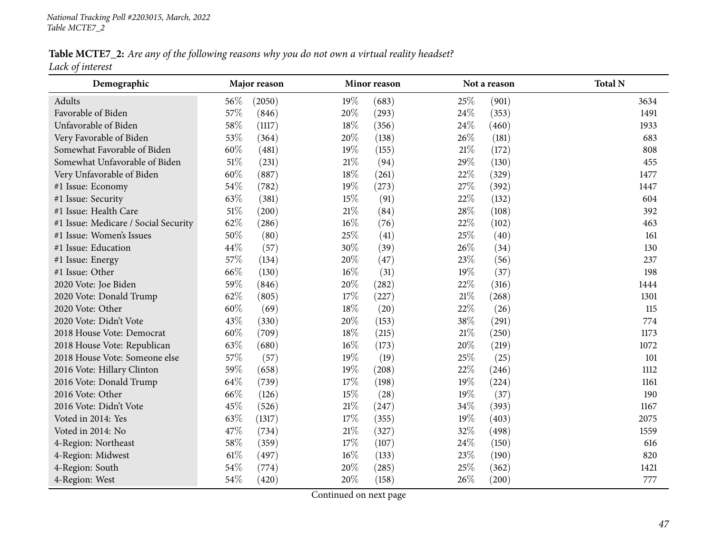Table MCTE7\_2: Are any of the following reasons why you do not own a virtual reality headset? *Lack of interest*

| Demographic                          |        | Major reason |        | Minor reason |        | Not a reason | <b>Total N</b> |
|--------------------------------------|--------|--------------|--------|--------------|--------|--------------|----------------|
| Adults                               | 56%    | (2050)       | 19%    | (683)        | 25%    | (901)        | 3634           |
| Favorable of Biden                   | 57%    | (846)        | 20%    | (293)        | 24\%   | (353)        | 1491           |
| Unfavorable of Biden                 | 58%    | (1117)       | 18%    | (356)        | 24%    | (460)        | 1933           |
| Very Favorable of Biden              | 53%    | (364)        | 20%    | (138)        | 26%    | (181)        | 683            |
| Somewhat Favorable of Biden          | 60%    | (481)        | 19%    | (155)        | 21\%   | (172)        | 808            |
| Somewhat Unfavorable of Biden        | $51\%$ | (231)        | $21\%$ | (94)         | 29%    | (130)        | 455            |
| Very Unfavorable of Biden            | $60\%$ | (887)        | $18\%$ | (261)        | 22%    | (329)        | 1477           |
| #1 Issue: Economy                    | 54%    | (782)        | 19%    | (273)        | 27%    | (392)        | 1447           |
| #1 Issue: Security                   | 63%    | (381)        | 15%    | (91)         | 22%    | (132)        | 604            |
| #1 Issue: Health Care                | $51\%$ | (200)        | $21\%$ | (84)         | 28\%   | (108)        | 392            |
| #1 Issue: Medicare / Social Security | 62%    | (286)        | $16\%$ | (76)         | 22%    | (102)        | 463            |
| #1 Issue: Women's Issues             | 50%    | (80)         | 25%    | (41)         | 25%    | (40)         | 161            |
| #1 Issue: Education                  | 44%    | (57)         | 30%    | (39)         | 26%    | (34)         | 130            |
| #1 Issue: Energy                     | 57%    | (134)        | 20%    | (47)         | 23%    | (56)         | 237            |
| #1 Issue: Other                      | 66%    | (130)        | $16\%$ | (31)         | 19%    | (37)         | 198            |
| 2020 Vote: Joe Biden                 | 59%    | (846)        | $20\%$ | (282)        | 22%    | (316)        | 1444           |
| 2020 Vote: Donald Trump              | 62%    | (805)        | 17%    | (227)        | $21\%$ | (268)        | 1301           |
| 2020 Vote: Other                     | $60\%$ | (69)         | 18%    | (20)         | 22%    | (26)         | 115            |
| 2020 Vote: Didn't Vote               | 43%    | (330)        | 20%    | (153)        | 38%    | (291)        | 774            |
| 2018 House Vote: Democrat            | $60\%$ | (709)        | 18%    | (215)        | $21\%$ | (250)        | 1173           |
| 2018 House Vote: Republican          | 63%    | (680)        | $16\%$ | (173)        | 20%    | (219)        | 1072           |
| 2018 House Vote: Someone else        | 57%    | (57)         | 19%    | (19)         | 25%    | (25)         | 101            |
| 2016 Vote: Hillary Clinton           | 59%    | (658)        | 19%    | (208)        | 22%    | (246)        | 1112           |
| 2016 Vote: Donald Trump              | 64\%   | (739)        | 17%    | (198)        | 19%    | (224)        | 1161           |
| 2016 Vote: Other                     | 66%    | (126)        | 15%    | (28)         | 19%    | (37)         | 190            |
| 2016 Vote: Didn't Vote               | 45%    | (526)        | $21\%$ | (247)        | 34%    | (393)        | 1167           |
| Voted in 2014: Yes                   | 63%    | (1317)       | 17%    | (355)        | 19%    | (403)        | 2075           |
| Voted in 2014: No                    | 47%    | (734)        | $21\%$ | (327)        | 32%    | (498)        | 1559           |
| 4-Region: Northeast                  | 58\%   | (359)        | 17%    | (107)        | 24%    | (150)        | 616            |
| 4-Region: Midwest                    | $61\%$ | (497)        | $16\%$ | (133)        | 23%    | (190)        | 820            |
| 4-Region: South                      | 54%    | (774)        | 20%    | (285)        | 25%    | (362)        | 1421           |
| 4-Region: West                       | 54\%   | (420)        | 20%    | (158)        | 26%    | (200)        | 777            |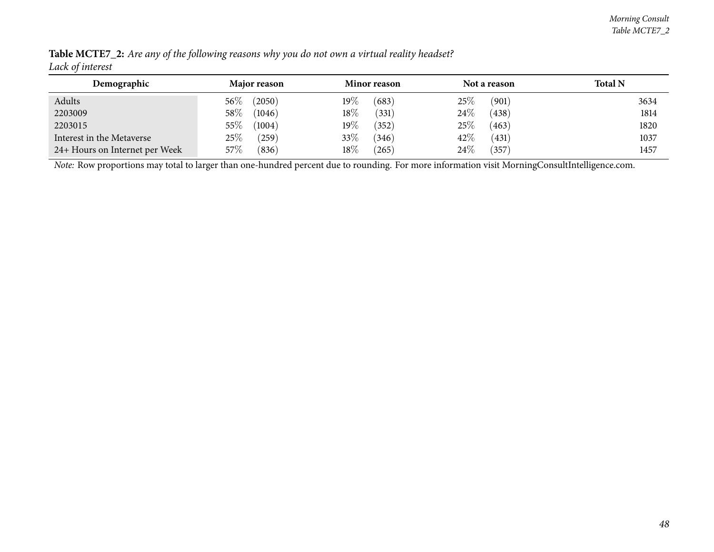| Demographic                    | Major reason         | <b>Minor reason</b> | Not a reason    | <b>Total N</b> |
|--------------------------------|----------------------|---------------------|-----------------|----------------|
| Adults                         | (2050)<br>$56\%$     | $19\%$<br>(683)     | $25\%$<br>(901) | 3634           |
| 2203009                        | $58\%$<br>(1046)     | $18\%$<br>(331)     | 24\%<br>(438)   | 1814           |
| 2203015                        | $55\%$<br>(1004)     | $19\%$<br>(352)     | 25%<br>(463)    | 1820           |
| Interest in the Metaverse      | $25\%$<br>$^{'}259)$ | 33%<br>(346)        | 42%<br>(431)    | 1037           |
| 24+ Hours on Internet per Week | $57\%$<br>(836)      | $18\%$<br>(265)     | 24%<br>357      | 1457           |

Table MCTE7\_2: Are any of the following reasons why you do not own a virtual reality headset? *Lack of interest*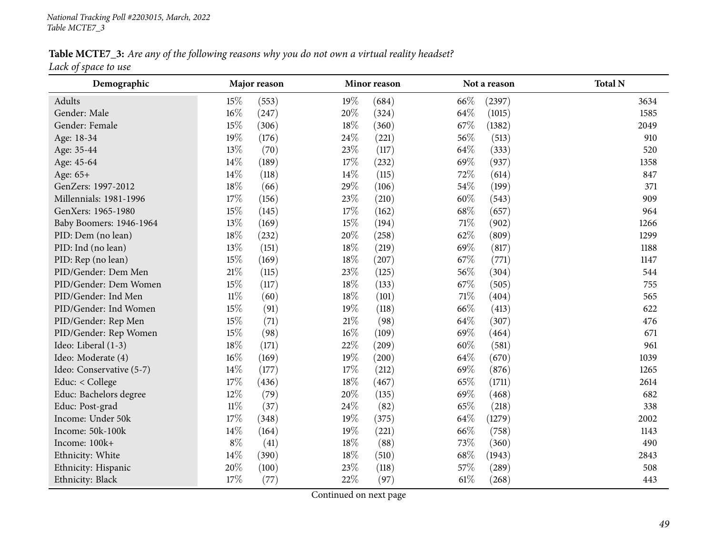Table MCTE7\_3: Are any of the following reasons why you do not own a virtual reality headset? *Lack of space to use*

| Demographic              |        | Major reason |        | Minor reason |        | Not a reason | <b>Total N</b> |
|--------------------------|--------|--------------|--------|--------------|--------|--------------|----------------|
| Adults                   | 15%    | (553)        | 19%    | (684)        | 66\%   | (2397)       | 3634           |
| Gender: Male             | 16%    | (247)        | 20%    | (324)        | 64%    | (1015)       | 1585           |
| Gender: Female           | 15%    | (306)        | 18%    | (360)        | 67\%   | (1382)       | 2049           |
| Age: 18-34               | 19%    | (176)        | 24%    | (221)        | 56%    | (513)        | 910            |
| Age: 35-44               | 13%    | (70)         | 23%    | (117)        | 64%    | (333)        | 520            |
| Age: 45-64               | 14%    | (189)        | 17%    | (232)        | 69%    | (937)        | 1358           |
| Age: 65+                 | 14%    | (118)        | $14\%$ | (115)        | 72%    | (614)        | 847            |
| GenZers: 1997-2012       | 18%    | (66)         | 29%    | (106)        | 54%    | (199)        | 371            |
| Millennials: 1981-1996   | 17%    | (156)        | 23%    | (210)        | 60%    | (543)        | 909            |
| GenXers: 1965-1980       | 15%    | (145)        | 17%    | (162)        | 68%    | (657)        | 964            |
| Baby Boomers: 1946-1964  | 13%    | (169)        | 15%    | (194)        | 71%    | (902)        | 1266           |
| PID: Dem (no lean)       | 18%    | (232)        | 20%    | (258)        | 62%    | (809)        | 1299           |
| PID: Ind (no lean)       | 13%    | (151)        | 18%    | (219)        | 69%    | (817)        | 1188           |
| PID: Rep (no lean)       | 15%    | (169)        | 18%    | (207)        | 67%    | (771)        | 1147           |
| PID/Gender: Dem Men      | $21\%$ | (115)        | 23%    | (125)        | 56%    | (304)        | 544            |
| PID/Gender: Dem Women    | 15%    | (117)        | 18%    | (133)        | 67%    | (505)        | 755            |
| PID/Gender: Ind Men      | $11\%$ | (60)         | $18\%$ | (101)        | $71\%$ | (404)        | 565            |
| PID/Gender: Ind Women    | 15%    | (91)         | 19%    | (118)        | 66%    | (413)        | 622            |
| PID/Gender: Rep Men      | 15%    | (71)         | 21%    | (98)         | 64%    | (307)        | 476            |
| PID/Gender: Rep Women    | 15%    | (98)         | $16\%$ | (109)        | 69%    | (464)        | 671            |
| Ideo: Liberal (1-3)      | 18%    | (171)        | 22%    | (209)        | 60%    | (581)        | 961            |
| Ideo: Moderate (4)       | $16\%$ | (169)        | 19%    | (200)        | 64%    | (670)        | 1039           |
| Ideo: Conservative (5-7) | 14%    | (177)        | 17%    | (212)        | 69%    | (876)        | 1265           |
| Educ: < College          | 17%    | (436)        | 18%    | (467)        | 65%    | (1711)       | 2614           |
| Educ: Bachelors degree   | 12%    | (79)         | 20%    | (135)        | 69%    | (468)        | 682            |
| Educ: Post-grad          | $11\%$ | (37)         | 24%    | (82)         | 65%    | (218)        | 338            |
| Income: Under 50k        | 17%    | (348)        | 19%    | (375)        | 64%    | (1279)       | 2002           |
| Income: 50k-100k         | 14%    | (164)        | 19%    | (221)        | 66%    | (758)        | 1143           |
| Income: 100k+            | $8\%$  | (41)         | $18\%$ | (88)         | 73%    | (360)        | 490            |
| Ethnicity: White         | 14%    | (390)        | $18\%$ | (510)        | 68\%   | (1943)       | 2843           |
| Ethnicity: Hispanic      | 20%    | (100)        | 23%    | (118)        | 57%    | (289)        | 508            |
| Ethnicity: Black         | 17%    | (77)         | 22%    | (97)         | $61\%$ | (268)        | 443            |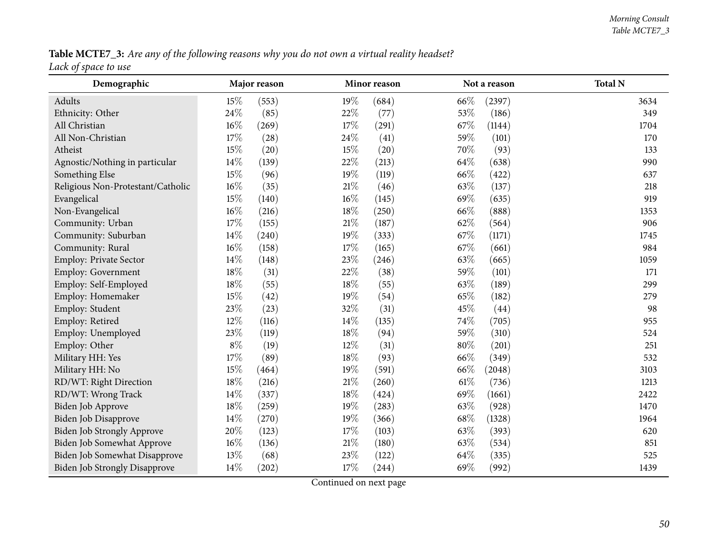Table MCTE7\_3: Are any of the following reasons why you do not own a virtual reality headset? *Lack of space to use*

| Demographic                          |        | Major reason |        | Minor reason |        | Not a reason | <b>Total N</b> |
|--------------------------------------|--------|--------------|--------|--------------|--------|--------------|----------------|
| Adults                               | 15%    | (553)        | $19\%$ | (684)        | 66\%   | (2397)       | 3634           |
| Ethnicity: Other                     | 24\%   | (85)         | 22%    | (77)         | 53%    | (186)        | 349            |
| All Christian                        | $16\%$ | (269)        | $17\%$ | (291)        | 67%    | (1144)       | 1704           |
| All Non-Christian                    | $17\%$ | (28)         | 24\%   | (41)         | 59%    | (101)        | 170            |
| Atheist                              | $15\%$ | (20)         | 15%    | (20)         | 70%    | (93)         | 133            |
| Agnostic/Nothing in particular       | $14\%$ | (139)        | 22%    | (213)        | 64%    | (638)        | 990            |
| Something Else                       | 15%    | (96)         | 19%    | (119)        | 66%    | (422)        | 637            |
| Religious Non-Protestant/Catholic    | $16\%$ | (35)         | $21\%$ | (46)         | 63%    | (137)        | 218            |
| Evangelical                          | $15\%$ | (140)        | $16\%$ | (145)        | 69%    | (635)        | 919            |
| Non-Evangelical                      | $16\%$ | (216)        | $18\%$ | (250)        | 66%    | (888)        | 1353           |
| Community: Urban                     | $17\%$ | (155)        | $21\%$ | (187)        | 62%    | (564)        | 906            |
| Community: Suburban                  | $14\%$ | (240)        | 19%    | (333)        | 67%    | (1171)       | 1745           |
| Community: Rural                     | $16\%$ | (158)        | 17%    | (165)        | 67%    | (661)        | 984            |
| Employ: Private Sector               | 14%    | (148)        | 23%    | (246)        | 63%    | (665)        | 1059           |
| Employ: Government                   | $18\%$ | (31)         | 22\%   | (38)         | 59%    | (101)        | 171            |
| Employ: Self-Employed                | 18%    | (55)         | 18%    | (55)         | 63%    | (189)        | 299            |
| Employ: Homemaker                    | 15%    | (42)         | 19%    | (54)         | 65%    | (182)        | 279            |
| Employ: Student                      | 23%    | (23)         | 32%    | (31)         | 45%    | (44)         | 98             |
| Employ: Retired                      | 12%    | (116)        | 14\%   | (135)        | 74%    | (705)        | 955            |
| Employ: Unemployed                   | 23%    | (119)        | 18%    | (94)         | 59%    | (310)        | 524            |
| Employ: Other                        | $8\%$  | (19)         | 12%    | (31)         | $80\%$ | (201)        | 251            |
| Military HH: Yes                     | $17\%$ | (89)         | 18%    | (93)         | 66%    | (349)        | 532            |
| Military HH: No                      | $15\%$ | (464)        | 19%    | (591)        | 66%    | (2048)       | 3103           |
| RD/WT: Right Direction               | 18%    | (216)        | $21\%$ | (260)        | 61\%   | (736)        | 1213           |
| RD/WT: Wrong Track                   | 14\%   | (337)        | 18%    | (424)        | 69%    | (1661)       | 2422           |
| Biden Job Approve                    | 18%    | (259)        | 19%    | (283)        | 63%    | (928)        | 1470           |
| <b>Biden Job Disapprove</b>          | 14%    | (270)        | 19%    | (366)        | 68\%   | (1328)       | 1964           |
| <b>Biden Job Strongly Approve</b>    | $20\%$ | (123)        | $17\%$ | (103)        | 63%    | (393)        | 620            |
| Biden Job Somewhat Approve           | $16\%$ | (136)        | $21\%$ | (180)        | 63%    | (534)        | 851            |
| Biden Job Somewhat Disapprove        | 13%    | (68)         | 23%    | (122)        | 64%    | (335)        | 525            |
| <b>Biden Job Strongly Disapprove</b> | 14\%   | (202)        | $17\%$ | (244)        | 69%    | (992)        | 1439           |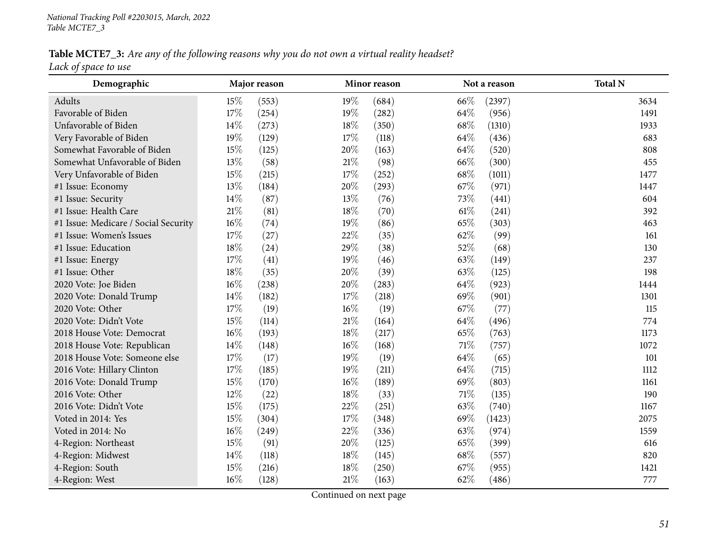Table MCTE7\_3: Are any of the following reasons why you do not own a virtual reality headset? *Lack of space to use*

| Demographic                          |        | Major reason |        | Minor reason |        | Not a reason | <b>Total N</b> |
|--------------------------------------|--------|--------------|--------|--------------|--------|--------------|----------------|
| Adults                               | 15%    | (553)        | 19%    | (684)        | 66%    | (2397)       | 3634           |
| Favorable of Biden                   | 17%    | (254)        | 19%    | (282)        | 64%    | (956)        | 1491           |
| Unfavorable of Biden                 | 14\%   | (273)        | 18%    | (350)        | 68\%   | (1310)       | 1933           |
| Very Favorable of Biden              | 19%    | (129)        | 17%    | (118)        | 64%    | (436)        | 683            |
| Somewhat Favorable of Biden          | 15%    | (125)        | 20%    | (163)        | 64\%   | (520)        | 808            |
| Somewhat Unfavorable of Biden        | 13%    | (58)         | $21\%$ | (98)         | 66%    | (300)        | 455            |
| Very Unfavorable of Biden            | 15%    | (215)        | 17%    | (252)        | 68\%   | (1011)       | 1477           |
| #1 Issue: Economy                    | $13\%$ | (184)        | $20\%$ | (293)        | 67%    | (971)        | 1447           |
| #1 Issue: Security                   | 14%    | (87)         | 13%    | (76)         | 73%    | (441)        | 604            |
| #1 Issue: Health Care                | $21\%$ | (81)         | 18%    | (70)         | $61\%$ | (241)        | 392            |
| #1 Issue: Medicare / Social Security | $16\%$ | (74)         | 19%    | (86)         | 65%    | (303)        | 463            |
| #1 Issue: Women's Issues             | $17\%$ | (27)         | 22%    | (35)         | 62%    | (99)         | 161            |
| #1 Issue: Education                  | $18\%$ | (24)         | 29%    | (38)         | 52%    | (68)         | 130            |
| #1 Issue: Energy                     | $17\%$ | (41)         | 19%    | (46)         | 63%    | (149)        | 237            |
| #1 Issue: Other                      | $18\%$ | (35)         | 20%    | (39)         | 63%    | (125)        | 198            |
| 2020 Vote: Joe Biden                 | $16\%$ | (238)        | 20%    | (283)        | 64\%   | (923)        | 1444           |
| 2020 Vote: Donald Trump              | 14%    | (182)        | 17%    | (218)        | 69%    | (901)        | 1301           |
| 2020 Vote: Other                     | 17%    | (19)         | $16\%$ | (19)         | 67%    | (77)         | 115            |
| 2020 Vote: Didn't Vote               | 15%    | (114)        | $21\%$ | (164)        | 64%    | (496)        | 774            |
| 2018 House Vote: Democrat            | $16\%$ | (193)        | 18%    | (217)        | 65%    | (763)        | 1173           |
| 2018 House Vote: Republican          | 14\%   | (148)        | $16\%$ | (168)        | $71\%$ | (757)        | 1072           |
| 2018 House Vote: Someone else        | 17%    | (17)         | 19%    | (19)         | 64%    | (65)         | 101            |
| 2016 Vote: Hillary Clinton           | 17%    | (185)        | 19%    | (211)        | 64%    | (715)        | 1112           |
| 2016 Vote: Donald Trump              | 15%    | (170)        | $16\%$ | (189)        | 69%    | (803)        | 1161           |
| 2016 Vote: Other                     | 12%    | (22)         | $18\%$ | (33)         | $71\%$ | (135)        | 190            |
| 2016 Vote: Didn't Vote               | 15%    | (175)        | 22%    | (251)        | 63%    | (740)        | 1167           |
| Voted in 2014: Yes                   | 15%    | (304)        | 17%    | (348)        | 69%    | (1423)       | 2075           |
| Voted in 2014: No                    | $16\%$ | (249)        | 22%    | (336)        | 63%    | (974)        | 1559           |
| 4-Region: Northeast                  | 15%    | (91)         | 20%    | (125)        | 65%    | (399)        | 616            |
| 4-Region: Midwest                    | 14%    | (118)        | 18%    | (145)        | 68%    | (557)        | 820            |
| 4-Region: South                      | 15%    | (216)        | 18%    | (250)        | 67%    | (955)        | 1421           |
| 4-Region: West                       | $16\%$ | (128)        | $21\%$ | (163)        | 62%    | (486)        | 777            |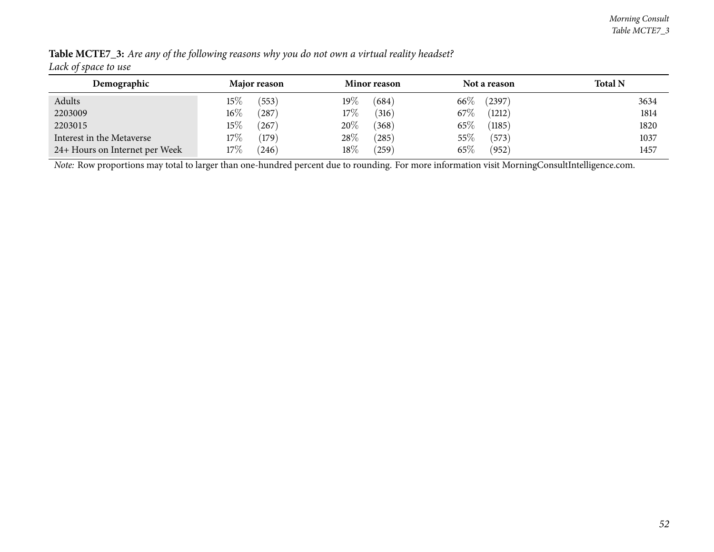| <u>.</u>                       |                       |                  |                  |                |
|--------------------------------|-----------------------|------------------|------------------|----------------|
| Demographic                    | Major reason          | Minor reason     | Not a reason     | <b>Total N</b> |
| Adults                         | $15\%$<br>(553)       | 19 $\%$<br>(684) | $66\%$<br>(2397) | 3634           |
| 2203009                        | $16\%$<br>287         | 17%<br>(316)     | 67\%<br>(1212)   | 1814           |
| 2203015                        | 15%<br>$^{\prime}267$ | 20%<br>(368)     | 65%<br>(1185)    | 1820           |
| Interest in the Metaverse      | $17\%$<br>(179)       | 28\%<br>(285)    | $55\%$<br>(573)  | 1037           |
| 24+ Hours on Internet per Week | $17\%$<br>(246)       | $18\%$<br>(259)  | 65%<br>(952)     | 1457           |

Table MCTE7\_3: Are any of the following reasons why you do not own a virtual reality headset? *Lack of space to use*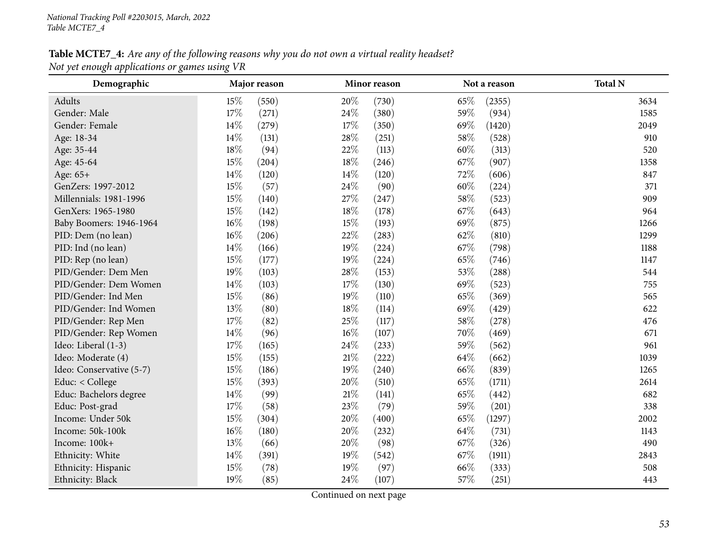### Table MCTE7\_4: Are any of the following reasons why you do not own a virtual reality headset? *Not ye<sup>t</sup> enough applications or games using VR*

| Demographic              |        | Major reason |        | Minor reason |        | Not a reason | <b>Total N</b> |
|--------------------------|--------|--------------|--------|--------------|--------|--------------|----------------|
| Adults                   | 15%    | (550)        | 20%    | (730)        | 65%    | (2355)       | 3634           |
| Gender: Male             | $17\%$ | (271)        | 24\%   | (380)        | 59%    | (934)        | 1585           |
| Gender: Female           | $14\%$ | (279)        | 17%    | (350)        | 69%    | (1420)       | 2049           |
| Age: 18-34               | 14%    | (131)        | 28%    | (251)        | 58\%   | (528)        | 910            |
| Age: 35-44               | $18\%$ | (94)         | 22%    | (113)        | 60%    | (313)        | 520            |
| Age: 45-64               | 15%    | (204)        | $18\%$ | (246)        | 67%    | (907)        | 1358           |
| Age: 65+                 | 14%    | (120)        | 14\%   | (120)        | 72%    | (606)        | 847            |
| GenZers: 1997-2012       | $15\%$ | (57)         | 24\%   | (90)         | $60\%$ | (224)        | 371            |
| Millennials: 1981-1996   | $15\%$ | (140)        | 27%    | (247)        | 58%    | (523)        | 909            |
| GenXers: 1965-1980       | 15%    | (142)        | 18%    | (178)        | 67%    | (643)        | 964            |
| Baby Boomers: 1946-1964  | $16\%$ | (198)        | 15%    | (193)        | 69%    | (875)        | 1266           |
| PID: Dem (no lean)       | $16\%$ | (206)        | 22%    | (283)        | 62%    | (810)        | 1299           |
| PID: Ind (no lean)       | 14\%   | (166)        | 19%    | (224)        | 67%    | (798)        | 1188           |
| PID: Rep (no lean)       | 15%    | (177)        | 19%    | (224)        | 65%    | (746)        | 1147           |
| PID/Gender: Dem Men      | 19%    | (103)        | $28\%$ | (153)        | 53%    | (288)        | 544            |
| PID/Gender: Dem Women    | $14\%$ | (103)        | 17%    | (130)        | 69%    | (523)        | 755            |
| PID/Gender: Ind Men      | 15%    | (86)         | 19%    | (110)        | 65%    | (369)        | 565            |
| PID/Gender: Ind Women    | 13%    | (80)         | 18%    | (114)        | 69%    | (429)        | 622            |
| PID/Gender: Rep Men      | 17%    | (82)         | 25%    | (117)        | 58\%   | (278)        | 476            |
| PID/Gender: Rep Women    | 14%    | (96)         | $16\%$ | (107)        | 70%    | (469)        | 671            |
| Ideo: Liberal (1-3)      | 17%    | (165)        | 24%    | (233)        | 59%    | (562)        | 961            |
| Ideo: Moderate (4)       | 15%    | (155)        | $21\%$ | (222)        | 64%    | (662)        | 1039           |
| Ideo: Conservative (5-7) | 15%    | (186)        | 19%    | (240)        | 66%    | (839)        | 1265           |
| Educ: < College          | 15%    | (393)        | 20%    | (510)        | 65%    | (1711)       | 2614           |
| Educ: Bachelors degree   | 14\%   | (99)         | $21\%$ | (141)        | 65%    | (442)        | 682            |
| Educ: Post-grad          | 17%    | (58)         | 23%    | (79)         | 59%    | (201)        | 338            |
| Income: Under 50k        | 15%    | (304)        | 20%    | (400)        | 65%    | (1297)       | 2002           |
| Income: 50k-100k         | $16\%$ | (180)        | 20%    | (232)        | 64\%   | (731)        | 1143           |
| Income: 100k+            | 13%    | (66)         | 20%    | (98)         | 67%    | (326)        | 490            |
| Ethnicity: White         | 14%    | (391)        | 19%    | (542)        | 67%    | (1911)       | 2843           |
| Ethnicity: Hispanic      | 15%    | (78)         | 19%    | (97)         | 66%    | (333)        | 508            |
| Ethnicity: Black         | 19%    | (85)         | 24\%   | (107)        | 57%    | (251)        | 443            |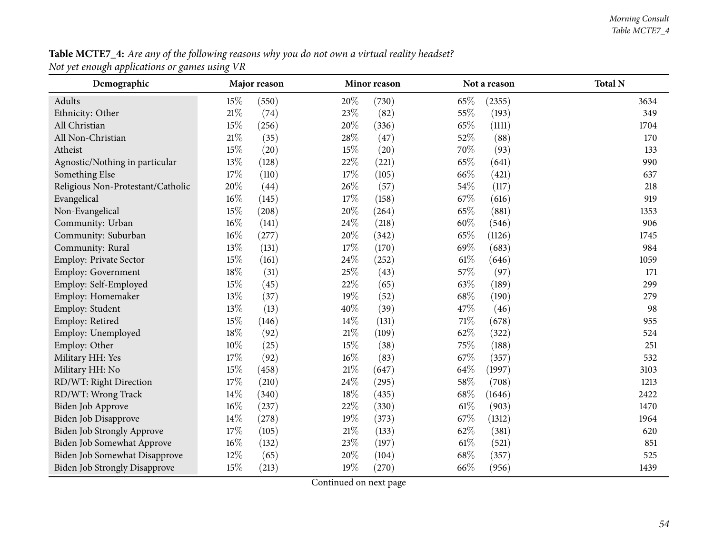**Table MCTE7\_4:** Are any of the following reasons why you do not own a virtual reality headset? *Not ye<sup>t</sup> enough applications or games using VR*

| Demographic                          |        | Major reason |        | Minor reason |        | Not a reason | <b>Total N</b> |
|--------------------------------------|--------|--------------|--------|--------------|--------|--------------|----------------|
| Adults                               | 15%    | (550)        | 20%    | (730)        | 65%    | (2355)       | 3634           |
| Ethnicity: Other                     | $21\%$ | (74)         | 23%    | (82)         | 55%    | (193)        | 349            |
| All Christian                        | 15%    | (256)        | 20%    | (336)        | 65%    | (1111)       | 1704           |
| All Non-Christian                    | $21\%$ | (35)         | 28\%   | (47)         | 52%    | (88)         | 170            |
| Atheist                              | 15%    | (20)         | 15%    | (20)         | 70%    | (93)         | 133            |
| Agnostic/Nothing in particular       | $13\%$ | (128)        | 22%    | (221)        | 65%    | (641)        | 990            |
| Something Else                       | 17%    | (110)        | 17%    | (105)        | 66%    | (421)        | 637            |
| Religious Non-Protestant/Catholic    | 20%    | (44)         | 26%    | (57)         | 54\%   | (117)        | 218            |
| Evangelical                          | 16%    | (145)        | 17%    | (158)        | 67%    | (616)        | 919            |
| Non-Evangelical                      | $15\%$ | (208)        | 20%    | (264)        | 65%    | (881)        | 1353           |
| Community: Urban                     | 16%    | (141)        | 24%    | (218)        | 60%    | (546)        | 906            |
| Community: Suburban                  | $16\%$ | (277)        | $20\%$ | (342)        | 65%    | (1126)       | 1745           |
| Community: Rural                     | 13%    | (131)        | 17%    | (170)        | 69%    | (683)        | 984            |
| Employ: Private Sector               | $15\%$ | (161)        | 24\%   | (252)        | $61\%$ | (646)        | 1059           |
| Employ: Government                   | $18\%$ | (31)         | 25%    | (43)         | 57%    | (97)         | 171            |
| Employ: Self-Employed                | $15\%$ | (45)         | 22%    | (65)         | 63%    | (189)        | 299            |
| Employ: Homemaker                    | 13%    | (37)         | 19%    | (52)         | 68%    | (190)        | 279            |
| Employ: Student                      | 13%    | (13)         | 40%    | (39)         | 47%    | (46)         | 98             |
| Employ: Retired                      | $15\%$ | (146)        | 14\%   | (131)        | $71\%$ | (678)        | 955            |
| Employ: Unemployed                   | $18\%$ | (92)         | $21\%$ | (109)        | 62%    | (322)        | 524            |
| Employ: Other                        | 10%    | (25)         | 15%    | (38)         | 75%    | (188)        | 251            |
| Military HH: Yes                     | $17\%$ | (92)         | $16\%$ | (83)         | 67%    | (357)        | 532            |
| Military HH: No                      | $15\%$ | (458)        | $21\%$ | (647)        | 64\%   | (1997)       | 3103           |
| RD/WT: Right Direction               | $17\%$ | (210)        | 24%    | (295)        | 58\%   | (708)        | 1213           |
| RD/WT: Wrong Track                   | $14\%$ | (340)        | 18%    | (435)        | 68%    | (1646)       | 2422           |
| Biden Job Approve                    | $16\%$ | (237)        | 22%    | (330)        | $61\%$ | (903)        | 1470           |
| Biden Job Disapprove                 | $14\%$ | (278)        | 19%    | (373)        | 67\%   | (1312)       | 1964           |
| Biden Job Strongly Approve           | 17\%   | (105)        | $21\%$ | (133)        | 62%    | (381)        | 620            |
| Biden Job Somewhat Approve           | $16\%$ | (132)        | 23%    | (197)        | $61\%$ | (521)        | 851            |
| Biden Job Somewhat Disapprove        | $12\%$ | (65)         | 20%    | (104)        | 68\%   | (357)        | 525            |
| <b>Biden Job Strongly Disapprove</b> | 15%    | (213)        | 19%    | (270)        | 66%    | (956)        | 1439           |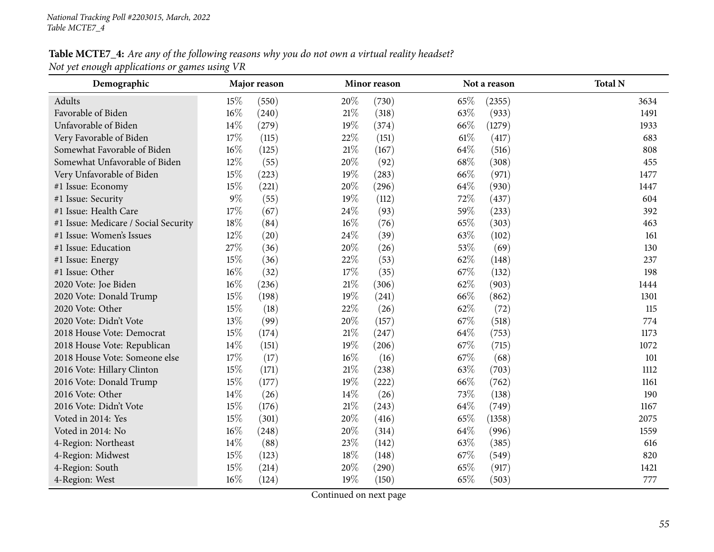### Table MCTE7\_4: Are any of the following reasons why you do not own a virtual reality headset? *Not ye<sup>t</sup> enough applications or games using VR*

| Demographic                          |        | Major reason |        | Minor reason |        | Not a reason | <b>Total N</b> |
|--------------------------------------|--------|--------------|--------|--------------|--------|--------------|----------------|
| Adults                               | 15%    | (550)        | 20%    | (730)        | 65%    | (2355)       | 3634           |
| Favorable of Biden                   | 16%    | (240)        | $21\%$ | (318)        | 63%    | (933)        | 1491           |
| Unfavorable of Biden                 | 14%    | (279)        | 19%    | (374)        | 66%    | (1279)       | 1933           |
| Very Favorable of Biden              | 17%    | (115)        | 22%    | (151)        | $61\%$ | (417)        | 683            |
| Somewhat Favorable of Biden          | 16%    | (125)        | $21\%$ | (167)        | 64%    | (516)        | 808            |
| Somewhat Unfavorable of Biden        | 12%    | (55)         | 20%    | (92)         | 68\%   | (308)        | 455            |
| Very Unfavorable of Biden            | 15%    | (223)        | 19%    | (283)        | 66%    | (971)        | 1477           |
| #1 Issue: Economy                    | $15\%$ | (221)        | $20\%$ | (296)        | 64\%   | (930)        | 1447           |
| #1 Issue: Security                   | $9\%$  | (55)         | 19%    | (112)        | 72%    | (437)        | 604            |
| #1 Issue: Health Care                | $17\%$ | (67)         | 24\%   | (93)         | 59%    | (233)        | 392            |
| #1 Issue: Medicare / Social Security | $18\%$ | (84)         | $16\%$ | (76)         | 65%    | (303)        | 463            |
| #1 Issue: Women's Issues             | 12%    | (20)         | 24\%   | (39)         | 63%    | (102)        | 161            |
| #1 Issue: Education                  | 27%    | (36)         | 20%    | (26)         | 53%    | (69)         | 130            |
| #1 Issue: Energy                     | 15%    | (36)         | 22%    | (53)         | 62%    | (148)        | 237            |
| #1 Issue: Other                      | 16%    | (32)         | 17%    | (35)         | 67%    | (132)        | 198            |
| 2020 Vote: Joe Biden                 | $16\%$ | (236)        | $21\%$ | (306)        | 62%    | (903)        | 1444           |
| 2020 Vote: Donald Trump              | 15%    | (198)        | 19%    | (241)        | 66%    | (862)        | 1301           |
| 2020 Vote: Other                     | $15\%$ | (18)         | 22%    | (26)         | 62%    | (72)         | 115            |
| 2020 Vote: Didn't Vote               | 13%    | (99)         | 20%    | (157)        | 67%    | (518)        | 774            |
| 2018 House Vote: Democrat            | 15%    | (174)        | $21\%$ | (247)        | 64\%   | (753)        | 1173           |
| 2018 House Vote: Republican          | 14%    | (151)        | 19%    | (206)        | 67%    | (715)        | 1072           |
| 2018 House Vote: Someone else        | 17%    | (17)         | $16\%$ | (16)         | 67%    | (68)         | 101            |
| 2016 Vote: Hillary Clinton           | 15%    | (171)        | $21\%$ | (238)        | 63%    | (703)        | 1112           |
| 2016 Vote: Donald Trump              | 15%    | (177)        | 19%    | (222)        | 66%    | (762)        | 1161           |
| 2016 Vote: Other                     | 14%    | (26)         | 14%    | (26)         | 73%    | (138)        | 190            |
| 2016 Vote: Didn't Vote               | 15%    | (176)        | $21\%$ | (243)        | 64\%   | (749)        | 1167           |
| Voted in 2014: Yes                   | 15%    | (301)        | 20%    | (416)        | 65%    | (1358)       | 2075           |
| Voted in 2014: No                    | $16\%$ | (248)        | 20%    | (314)        | 64\%   | (996)        | 1559           |
| 4-Region: Northeast                  | 14%    | (88)         | 23%    | (142)        | 63%    | (385)        | 616            |
| 4-Region: Midwest                    | 15%    | (123)        | 18%    | (148)        | 67%    | (549)        | 820            |
| 4-Region: South                      | 15%    | (214)        | 20%    | (290)        | 65%    | (917)        | 1421           |
| 4-Region: West                       | $16\%$ | (124)        | 19%    | (150)        | 65%    | (503)        | 777            |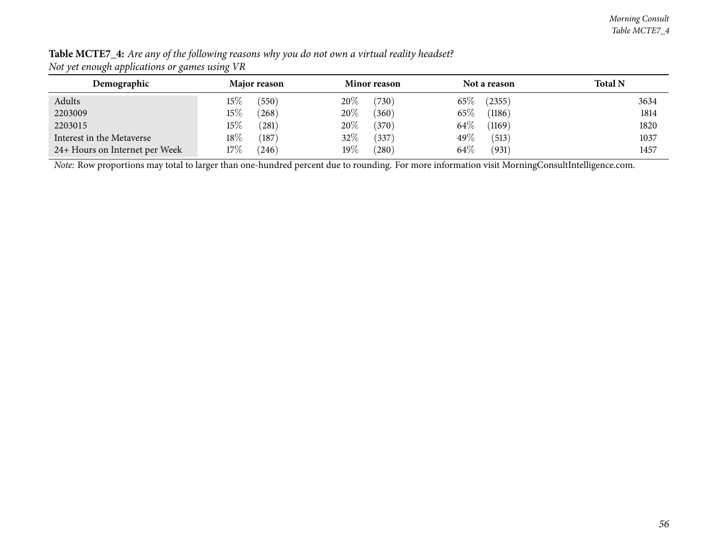| Demographic                    | Major reason         | <b>Minor reason</b>  | Not a reason     | <b>Total N</b> |
|--------------------------------|----------------------|----------------------|------------------|----------------|
|                                |                      |                      |                  |                |
| Adults                         | $15\%$<br>550        | 20%<br>(730)         | 65%<br>(2355)    | 3634           |
| 2203009                        | $15\%$<br>$^{'}268)$ | 20%<br>(360)         | 65%<br>(1186)    | 1814           |
| 2203015                        | $15\%$<br>(281)      | 20%<br>(370)         | $64\%$<br>(1169) | 1820           |
| Interest in the Metaverse      | $18\%$<br>(187)      | 32%<br>(337)         | 49%<br>(513)     | 1037           |
| 24+ Hours on Internet per Week | 17%<br>(246)         | $19\%$<br>$^{'}280)$ | 64\%<br>(931)    | 1457           |

Table MCTE7\_4: Are any of the following reasons why you do not own a virtual reality headset? *Not ye<sup>t</sup> enough applications or games using VR*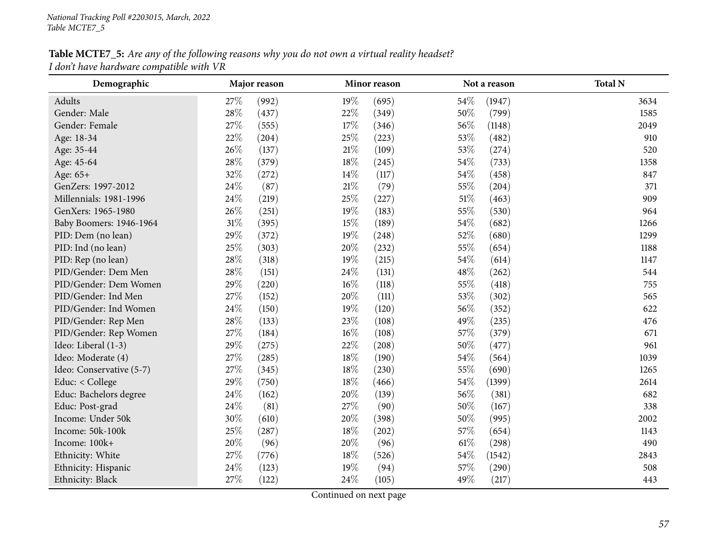## Table MCTE7\_5: Are any of the following reasons why you do not own a virtual reality headset? *<sup>I</sup> don't have hardware compatible with VR*

| Demographic              |        | Major reason |        | Minor reason |        | Not a reason | <b>Total N</b> |
|--------------------------|--------|--------------|--------|--------------|--------|--------------|----------------|
| Adults                   | 27\%   | (992)        | 19%    | (695)        | 54%    | (1947)       | 3634           |
| Gender: Male             | 28\%   | (437)        | 22%    | (349)        | 50%    | (799)        | 1585           |
| Gender: Female           | 27%    | (555)        | 17%    | (346)        | 56%    | (1148)       | 2049           |
| Age: 18-34               | 22%    | (204)        | 25%    | (223)        | 53%    | (482)        | 910            |
| Age: 35-44               | 26%    | (137)        | $21\%$ | (109)        | 53%    | (274)        | 520            |
| Age: 45-64               | 28\%   | (379)        | 18%    | (245)        | 54%    | (733)        | 1358           |
| Age: 65+                 | 32%    | (272)        | 14%    | (117)        | 54%    | (458)        | 847            |
| GenZers: 1997-2012       | 24%    | (87)         | $21\%$ | (79)         | 55%    | (204)        | 371            |
| Millennials: 1981-1996   | 24%    | (219)        | 25%    | (227)        | 51\%   | (463)        | 909            |
| GenXers: 1965-1980       | 26%    | (251)        | 19%    | (183)        | 55%    | (530)        | 964            |
| Baby Boomers: 1946-1964  | $31\%$ | (395)        | 15%    | (189)        | 54%    | (682)        | 1266           |
| PID: Dem (no lean)       | 29%    | (372)        | 19%    | (248)        | 52%    | (680)        | 1299           |
| PID: Ind (no lean)       | 25%    | (303)        | 20%    | (232)        | 55%    | (654)        | 1188           |
| PID: Rep (no lean)       | 28%    | (318)        | 19%    | (215)        | 54%    | (614)        | 1147           |
| PID/Gender: Dem Men      | 28\%   | (151)        | 24%    | (131)        | 48%    | (262)        | 544            |
| PID/Gender: Dem Women    | 29%    | (220)        | $16\%$ | (118)        | 55%    | (418)        | 755            |
| PID/Gender: Ind Men      | 27%    | (152)        | 20%    | (111)        | 53%    | (302)        | 565            |
| PID/Gender: Ind Women    | 24\%   | (150)        | $19\%$ | (120)        | 56%    | (352)        | 622            |
| PID/Gender: Rep Men      | 28\%   | (133)        | $23\%$ | (108)        | 49%    | (235)        | 476            |
| PID/Gender: Rep Women    | 27%    | (184)        | $16\%$ | (108)        | 57%    | (379)        | 671            |
| Ideo: Liberal (1-3)      | 29%    | (275)        | 22%    | (208)        | $50\%$ | (477)        | 961            |
| Ideo: Moderate (4)       | 27%    | (285)        | 18%    | (190)        | 54%    | (564)        | 1039           |
| Ideo: Conservative (5-7) | 27%    | (345)        | 18%    | (230)        | 55%    | (690)        | 1265           |
| Educ: < College          | 29%    | (750)        | 18%    | (466)        | $54\%$ | (1399)       | 2614           |
| Educ: Bachelors degree   | 24%    | (162)        | 20%    | (139)        | 56%    | (381)        | 682            |
| Educ: Post-grad          | 24\%   | (81)         | 27%    | (90)         | 50%    | (167)        | 338            |
| Income: Under 50k        | 30%    | (610)        | $20\%$ | (398)        | 50%    | (995)        | 2002           |
| Income: 50k-100k         | 25%    | (287)        | $18\%$ | (202)        | 57%    | (654)        | 1143           |
| Income: 100k+            | 20%    | (96)         | $20\%$ | (96)         | $61\%$ | (298)        | 490            |
| Ethnicity: White         | 27%    | (776)        | 18%    | (526)        | 54\%   | (1542)       | 2843           |
| Ethnicity: Hispanic      | 24\%   | (123)        | 19%    | (94)         | 57%    | (290)        | 508            |
| Ethnicity: Black         | 27%    | (122)        | 24\%   | (105)        | 49%    | (217)        | 443            |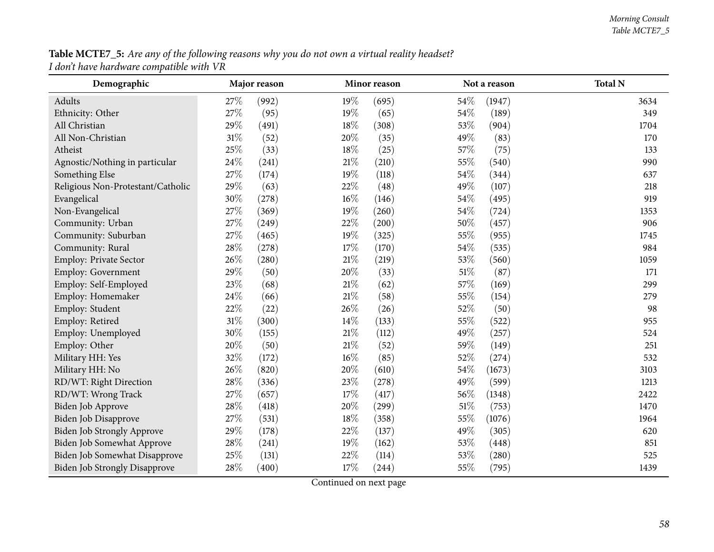**Table MCTE7\_5:** Are any of the following reasons why you do not own a virtual reality headset? *<sup>I</sup> don't have hardware compatible with VR*

| Demographic                          |        | Major reason |        | Minor reason |        | Not a reason | <b>Total N</b> |
|--------------------------------------|--------|--------------|--------|--------------|--------|--------------|----------------|
| Adults                               | 27\%   | (992)        | $19\%$ | (695)        | 54\%   | (1947)       | 3634           |
| Ethnicity: Other                     | 27%    | (95)         | 19%    | (65)         | 54%    | (189)        | 349            |
| All Christian                        | 29%    | (491)        | 18%    | (308)        | 53%    | (904)        | 1704           |
| All Non-Christian                    | $31\%$ | (52)         | 20%    | (35)         | 49%    | (83)         | 170            |
| Atheist                              | 25%    | (33)         | $18\%$ | (25)         | 57%    | (75)         | 133            |
| Agnostic/Nothing in particular       | 24%    | (241)        | $21\%$ | (210)        | 55%    | (540)        | 990            |
| Something Else                       | 27%    | (174)        | 19%    | (118)        | 54%    | (344)        | 637            |
| Religious Non-Protestant/Catholic    | 29%    | (63)         | 22%    | (48)         | 49%    | (107)        | 218            |
| Evangelical                          | $30\%$ | (278)        | $16\%$ | (146)        | 54%    | (495)        | 919            |
| Non-Evangelical                      | 27%    | (369)        | 19%    | (260)        | 54\%   | (724)        | 1353           |
| Community: Urban                     | 27%    | (249)        | 22%    | (200)        | 50%    | (457)        | 906            |
| Community: Suburban                  | 27%    | (465)        | 19%    | (325)        | 55%    | (955)        | 1745           |
| Community: Rural                     | $28\%$ | (278)        | $17\%$ | (170)        | $54\%$ | (535)        | 984            |
| Employ: Private Sector               | 26%    | (280)        | $21\%$ | (219)        | 53%    | (560)        | 1059           |
| Employ: Government                   | 29%    | (50)         | 20%    | (33)         | $51\%$ | (87)         | 171            |
| Employ: Self-Employed                | 23%    | (68)         | $21\%$ | (62)         | 57%    | (169)        | 299            |
| Employ: Homemaker                    | 24%    | (66)         | 21\%   | (58)         | 55%    | (154)        | 279            |
| Employ: Student                      | 22%    | (22)         | 26\%   | (26)         | 52%    | (50)         | 98             |
| Employ: Retired                      | $31\%$ | (300)        | 14%    | (133)        | 55%    | (522)        | 955            |
| Employ: Unemployed                   | 30%    | (155)        | $21\%$ | (112)        | 49%    | (257)        | 524            |
| Employ: Other                        | 20%    | (50)         | $21\%$ | (52)         | 59%    | (149)        | 251            |
| Military HH: Yes                     | 32%    | (172)        | $16\%$ | (85)         | 52%    | (274)        | 532            |
| Military HH: No                      | 26%    | (820)        | 20%    | (610)        | 54%    | (1673)       | 3103           |
| RD/WT: Right Direction               | 28\%   | (336)        | 23%    | (278)        | 49%    | (599)        | 1213           |
| RD/WT: Wrong Track                   | 27%    | (657)        | 17%    | (417)        | 56%    | (1348)       | 2422           |
| Biden Job Approve                    | 28%    | (418)        | 20%    | (299)        | $51\%$ | (753)        | 1470           |
| <b>Biden Job Disapprove</b>          | 27%    | (531)        | 18%    | (358)        | 55%    | (1076)       | 1964           |
| <b>Biden Job Strongly Approve</b>    | 29%    | (178)        | 22\%   | (137)        | 49%    | (305)        | 620            |
| Biden Job Somewhat Approve           | 28\%   | (241)        | 19%    | (162)        | 53%    | (448)        | 851            |
| Biden Job Somewhat Disapprove        | 25%    | (131)        | 22%    | (114)        | 53%    | (280)        | 525            |
| <b>Biden Job Strongly Disapprove</b> | 28%    | (400)        | 17%    | (244)        | 55%    | (795)        | 1439           |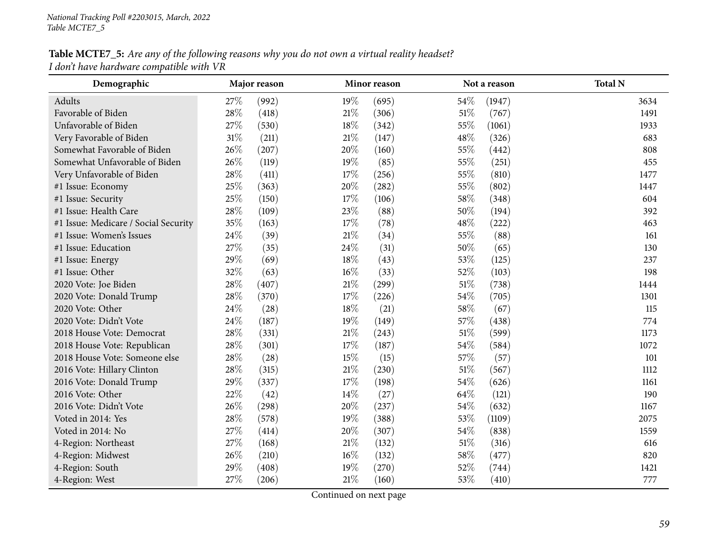## Table MCTE7\_5: Are any of the following reasons why you do not own a virtual reality headset? *<sup>I</sup> don't have hardware compatible with VR*

| Demographic                          |        | Major reason |        | Minor reason |        | Not a reason | <b>Total N</b> |
|--------------------------------------|--------|--------------|--------|--------------|--------|--------------|----------------|
| Adults                               | 27%    | (992)        | 19%    | (695)        | 54%    | (1947)       | 3634           |
| Favorable of Biden                   | 28%    | (418)        | $21\%$ | (306)        | $51\%$ | (767)        | 1491           |
| Unfavorable of Biden                 | 27%    | (530)        | 18%    | (342)        | 55%    | (1061)       | 1933           |
| Very Favorable of Biden              | $31\%$ | (211)        | $21\%$ | (147)        | 48%    | (326)        | 683            |
| Somewhat Favorable of Biden          | 26%    | (207)        | 20%    | (160)        | 55%    | (442)        | 808            |
| Somewhat Unfavorable of Biden        | 26%    | (119)        | 19%    | (85)         | 55%    | (251)        | 455            |
| Very Unfavorable of Biden            | 28\%   | (411)        | 17%    | (256)        | 55%    | (810)        | 1477           |
| #1 Issue: Economy                    | 25%    | (363)        | $20\%$ | (282)        | 55%    | (802)        | 1447           |
| #1 Issue: Security                   | 25%    | (150)        | 17%    | (106)        | 58\%   | (348)        | 604            |
| #1 Issue: Health Care                | 28\%   | (109)        | 23%    | (88)         | $50\%$ | (194)        | 392            |
| #1 Issue: Medicare / Social Security | 35%    | (163)        | 17%    | (78)         | 48%    | (222)        | 463            |
| #1 Issue: Women's Issues             | 24%    | (39)         | $21\%$ | (34)         | 55%    | (88)         | 161            |
| #1 Issue: Education                  | 27%    | (35)         | 24\%   | (31)         | 50%    | (65)         | 130            |
| #1 Issue: Energy                     | 29%    | (69)         | 18%    | (43)         | 53%    | (125)        | 237            |
| #1 Issue: Other                      | 32%    | (63)         | $16\%$ | (33)         | 52%    | (103)        | 198            |
| 2020 Vote: Joe Biden                 | 28%    | (407)        | $21\%$ | (299)        | $51\%$ | (738)        | 1444           |
| 2020 Vote: Donald Trump              | 28\%   | (370)        | 17%    | (226)        | 54%    | (705)        | 1301           |
| 2020 Vote: Other                     | 24\%   | (28)         | 18%    | (21)         | 58%    | (67)         | 115            |
| 2020 Vote: Didn't Vote               | 24\%   | (187)        | 19%    | (149)        | 57%    | (438)        | 774            |
| 2018 House Vote: Democrat            | 28\%   | (331)        | $21\%$ | (243)        | $51\%$ | (599)        | 1173           |
| 2018 House Vote: Republican          | 28\%   | (301)        | 17%    | (187)        | 54\%   | (584)        | 1072           |
| 2018 House Vote: Someone else        | 28\%   | (28)         | 15%    | (15)         | 57%    | (57)         | 101            |
| 2016 Vote: Hillary Clinton           | 28\%   | (315)        | $21\%$ | (230)        | $51\%$ | (567)        | 1112           |
| 2016 Vote: Donald Trump              | 29%    | (337)        | 17%    | (198)        | 54%    | (626)        | 1161           |
| 2016 Vote: Other                     | 22%    | (42)         | 14%    | (27)         | 64\%   | (121)        | 190            |
| 2016 Vote: Didn't Vote               | 26%    | (298)        | 20%    | (237)        | 54%    | (632)        | 1167           |
| Voted in 2014: Yes                   | 28\%   | (578)        | 19%    | (388)        | 53%    | (1109)       | 2075           |
| Voted in 2014: No                    | 27%    | (414)        | 20%    | (307)        | 54%    | (838)        | 1559           |
| 4-Region: Northeast                  | 27%    | (168)        | $21\%$ | (132)        | $51\%$ | (316)        | 616            |
| 4-Region: Midwest                    | 26%    | (210)        | $16\%$ | (132)        | 58\%   | (477)        | 820            |
| 4-Region: South                      | 29%    | (408)        | 19%    | (270)        | 52%    | (744)        | 1421           |
| 4-Region: West                       | 27%    | (206)        | $21\%$ | (160)        | 53%    | (410)        | 777            |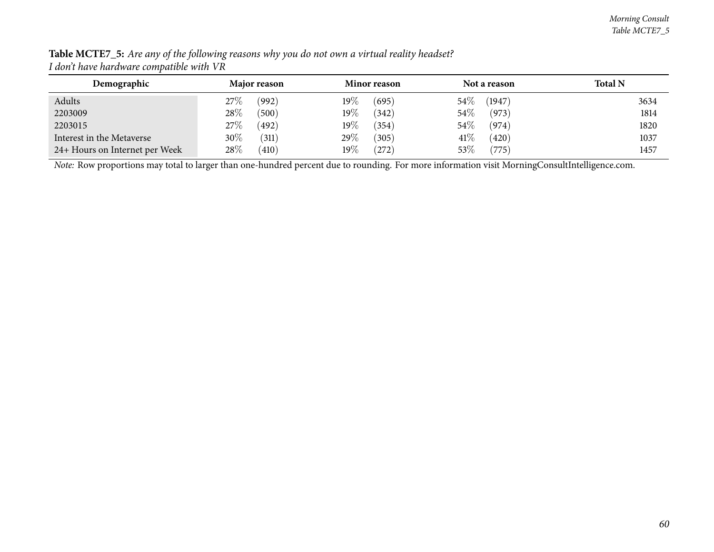| Demographic                    | Major reason    | Minor reason         | Not a reason    | <b>Total N</b> |
|--------------------------------|-----------------|----------------------|-----------------|----------------|
| Adults                         | $27\%$<br>(992) | $19\%$<br>(695)      | 54%<br>(1947)   | 3634           |
| 2203009                        | $28\%$<br>(500) | $19\%$<br>(342)      | 54%<br>(973)    | 1814           |
| 2203015                        | $27\%$<br>(492) | $19\%$<br>(354)      | 54\%<br>(974)   | 1820           |
| Interest in the Metaverse      | 30\%<br>(311)   | $29\%$<br>(305)      | $41\%$<br>(420) | 1037           |
| 24+ Hours on Internet per Week | 28\%<br>(410)   | $19\%$<br>$^{'}272)$ | 53%<br>(775)    | 1457           |

Table MCTE7\_5: Are any of the following reasons why you do not own a virtual reality headset? *<sup>I</sup> don't have hardware compatible with VR*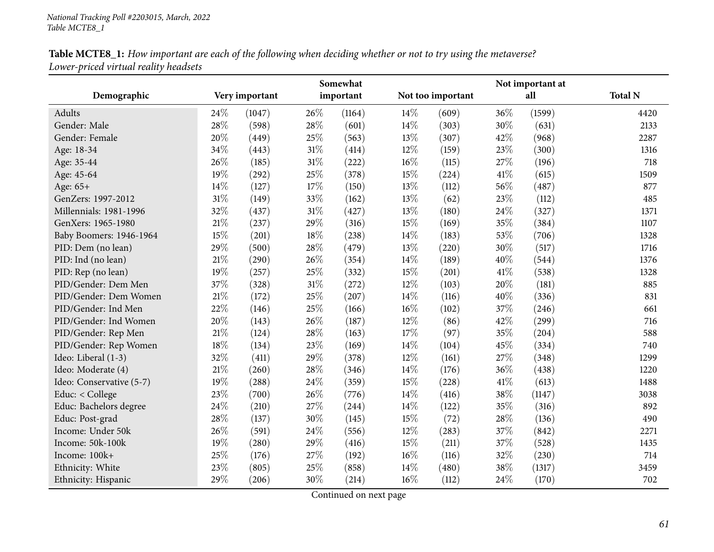| Table MCTE8_1: How important are each of the following when deciding whether or not to try using the metaverse? |  |
|-----------------------------------------------------------------------------------------------------------------|--|
| Lower-priced virtual reality headsets                                                                           |  |

|                          |        |                |        | Somewhat  |        |                   |     | Not important at |                |  |
|--------------------------|--------|----------------|--------|-----------|--------|-------------------|-----|------------------|----------------|--|
| Demographic              |        | Very important |        | important |        | Not too important |     | all              | <b>Total N</b> |  |
| Adults                   | 24\%   | (1047)         | 26\%   | (1164)    | 14%    | (609)             | 36% | (1599)           | 4420           |  |
| Gender: Male             | 28%    | (598)          | 28%    | (601)     | 14%    | (303)             | 30% | (631)            | 2133           |  |
| Gender: Female           | 20%    | (449)          | 25%    | (563)     | 13%    | (307)             | 42% | (968)            | 2287           |  |
| Age: 18-34               | 34%    | (443)          | $31\%$ | (414)     | $12\%$ | (159)             | 23% | (300)            | 1316           |  |
| Age: 35-44               | 26%    | (185)          | $31\%$ | (222)     | 16%    | (115)             | 27% | (196)            | 718            |  |
| Age: 45-64               | 19%    | (292)          | 25%    | (378)     | 15%    | (224)             | 41% | (615)            | 1509           |  |
| Age: 65+                 | 14%    | (127)          | 17%    | (150)     | 13%    | (112)             | 56% | (487)            | 877            |  |
| GenZers: 1997-2012       | $31\%$ | (149)          | 33%    | (162)     | 13%    | (62)              | 23% | (112)            | 485            |  |
| Millennials: 1981-1996   | 32%    | (437)          | $31\%$ | (427)     | 13%    | (180)             | 24% | (327)            | 1371           |  |
| GenXers: 1965-1980       | $21\%$ | (237)          | 29%    | (316)     | 15%    | (169)             | 35% | (384)            | 1107           |  |
| Baby Boomers: 1946-1964  | 15%    | (201)          | 18%    | (238)     | 14%    | (183)             | 53% | (706)            | 1328           |  |
| PID: Dem (no lean)       | 29%    | (500)          | 28%    | (479)     | 13%    | (220)             | 30% | (517)            | 1716           |  |
| PID: Ind (no lean)       | 21\%   | (290)          | 26%    | (354)     | $14\%$ | (189)             | 40% | (544)            | 1376           |  |
| PID: Rep (no lean)       | 19%    | (257)          | 25%    | (332)     | 15%    | (201)             | 41% | (538)            | 1328           |  |
| PID/Gender: Dem Men      | 37%    | (328)          | $31\%$ | (272)     | 12%    | (103)             | 20% | (181)            | 885            |  |
| PID/Gender: Dem Women    | 21%    | (172)          | 25%    | (207)     | 14%    | (116)             | 40% | (336)            | 831            |  |
| PID/Gender: Ind Men      | 22%    | (146)          | 25%    | (166)     | 16%    | (102)             | 37% | (246)            | 661            |  |
| PID/Gender: Ind Women    | 20%    | (143)          | 26%    | (187)     | $12\%$ | (86)              | 42% | (299)            | 716            |  |
| PID/Gender: Rep Men      | 21%    | (124)          | 28%    | (163)     | 17%    | (97)              | 35% | (204)            | 588            |  |
| PID/Gender: Rep Women    | $18\%$ | (134)          | 23%    | (169)     | 14%    | (104)             | 45% | (334)            | 740            |  |
| Ideo: Liberal (1-3)      | 32%    | (411)          | 29%    | (378)     | 12%    | (161)             | 27% | (348)            | 1299           |  |
| Ideo: Moderate (4)       | $21\%$ | (260)          | 28%    | (346)     | 14%    | (176)             | 36% | (438)            | 1220           |  |
| Ideo: Conservative (5-7) | 19%    | (288)          | 24%    | (359)     | 15%    | (228)             | 41% | (613)            | 1488           |  |
| Educ: < College          | 23\%   | (700)          | 26%    | (776)     | 14%    | (416)             | 38% | (1147)           | 3038           |  |
| Educ: Bachelors degree   | 24\%   | (210)          | 27%    | (244)     | 14%    | (122)             | 35% | (316)            | 892            |  |
| Educ: Post-grad          | 28\%   | (137)          | 30%    | (145)     | 15%    | (72)              | 28% | (136)            | 490            |  |
| Income: Under 50k        | 26%    | (591)          | 24%    | (556)     | 12%    | (283)             | 37% | (842)            | 2271           |  |
| Income: 50k-100k         | 19%    | (280)          | 29%    | (416)     | 15%    | (211)             | 37% | (528)            | 1435           |  |
| Income: 100k+            | 25%    | (176)          | 27%    | (192)     | 16%    | (116)             | 32% | (230)            | 714            |  |
| Ethnicity: White         | 23%    | (805)          | 25%    | (858)     | 14%    | (480)             | 38% | (1317)           | 3459           |  |
| Ethnicity: Hispanic      | 29%    | (206)          | 30%    | (214)     | 16%    | (112)             | 24% | (170)            | 702            |  |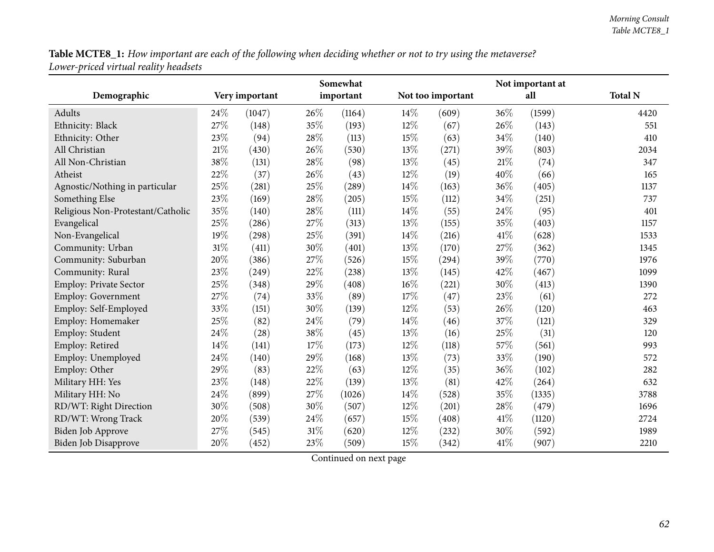Table MCTE8\_1: How important are each of the following when deciding whether or not to try using the metaverse? *Lower-priced virtual reality headsets*

|                                   |      |                |        | Somewhat  |        |                   | Not important at |        |                |
|-----------------------------------|------|----------------|--------|-----------|--------|-------------------|------------------|--------|----------------|
| Demographic                       |      | Very important |        | important |        | Not too important |                  | all    | <b>Total N</b> |
| Adults                            | 24\% | (1047)         | 26\%   | (1164)    | $14\%$ | (609)             | 36%              | (1599) | 4420           |
| Ethnicity: Black                  | 27%  | (148)          | 35%    | (193)     | 12%    | (67)              | 26%              | (143)  | 551            |
| Ethnicity: Other                  | 23%  | (94)           | 28%    | (113)     | $15\%$ | (63)              | 34%              | (140)  | 410            |
| All Christian                     | 21%  | (430)          | 26%    | (530)     | 13%    | (271)             | 39%              | (803)  | 2034           |
| All Non-Christian                 | 38%  | (131)          | 28%    | (98)      | 13%    | (45)              | 21\%             | (74)   | 347            |
| Atheist                           | 22%  | (37)           | 26%    | (43)      | $12\%$ | (19)              | 40%              | (66)   | 165            |
| Agnostic/Nothing in particular    | 25%  | (281)          | 25%    | (289)     | 14\%   | (163)             | 36%              | (405)  | 1137           |
| Something Else                    | 23%  | (169)          | 28%    | (205)     | 15%    | (112)             | 34%              | (251)  | 737            |
| Religious Non-Protestant/Catholic | 35%  | (140)          | 28%    | (111)     | 14\%   | (55)              | 24%              | (95)   | 401            |
| Evangelical                       | 25%  | (286)          | 27%    | (313)     | 13\%   | (155)             | 35%              | (403)  | 1157           |
| Non-Evangelical                   | 19%  | (298)          | $25\%$ | (391)     | 14\%   | (216)             | 41\%             | (628)  | 1533           |
| Community: Urban                  | 31%  | (411)          | 30%    | (401)     | 13%    | (170)             | 27%              | (362)  | 1345           |
| Community: Suburban               | 20%  | (386)          | 27%    | (526)     | 15%    | (294)             | 39%              | (770)  | 1976           |
| Community: Rural                  | 23%  | (249)          | $22\%$ | (238)     | 13%    | (145)             | 42%              | (467)  | 1099           |
| Employ: Private Sector            | 25%  | (348)          | 29%    | (408)     | 16%    | (221)             | 30%              | (413)  | 1390           |
| Employ: Government                | 27%  | (74)           | 33%    | (89)      | 17%    | (47)              | 23%              | (61)   | 272            |
| Employ: Self-Employed             | 33%  | (151)          | 30%    | (139)     | 12%    | (53)              | 26%              | (120)  | 463            |
| Employ: Homemaker                 | 25%  | (82)           | 24%    | (79)      | 14\%   | (46)              | 37%              | (121)  | 329            |
| Employ: Student                   | 24%  | (28)           | 38%    | (45)      | 13\%   | (16)              | 25%              | (31)   | 120            |
| Employ: Retired                   | 14%  | (141)          | 17%    | (173)     | 12%    | (118)             | 57%              | (561)  | 993            |
| Employ: Unemployed                | 24%  | (140)          | 29%    | (168)     | 13%    | (73)              | 33%              | (190)  | 572            |
| Employ: Other                     | 29%  | (83)           | 22%    | (63)      | 12%    | (35)              | 36%              | (102)  | 282            |
| Military HH: Yes                  | 23%  | (148)          | 22%    | (139)     | 13%    | (81)              | 42%              | (264)  | 632            |
| Military HH: No                   | 24%  | (899)          | 27%    | (1026)    | 14%    | (528)             | 35%              | (1335) | 3788           |
| RD/WT: Right Direction            | 30%  | (508)          | 30%    | (507)     | $12\%$ | (201)             | 28%              | (479)  | 1696           |
| RD/WT: Wrong Track                | 20%  | (539)          | 24%    | (657)     | 15%    | (408)             | 41%              | (1120) | 2724           |
| <b>Biden Job Approve</b>          | 27%  | (545)          | 31%    | (620)     | 12%    | (232)             | 30%              | (592)  | 1989           |
| <b>Biden Job Disapprove</b>       | 20%  | (452)          | 23%    | (509)     | 15%    | (342)             | 41%              | (907)  | 2210           |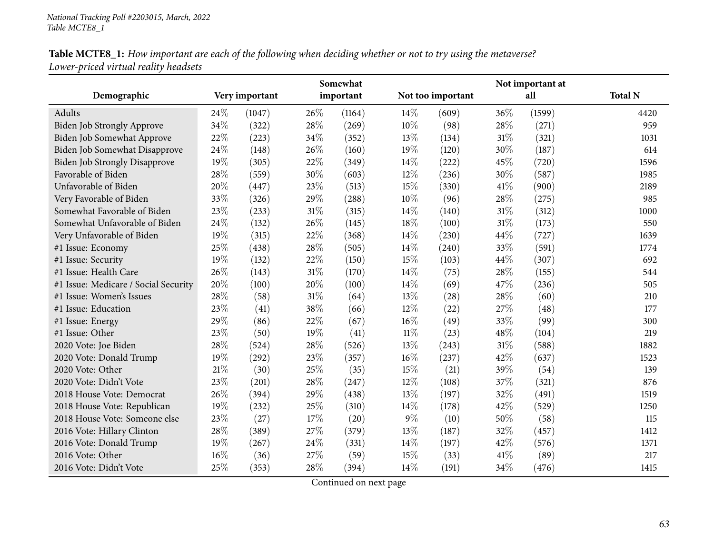Table MCTE8\_1: How important are each of the following when deciding whether or not to try using the metaverse? *Lower-priced virtual reality headsets*

|                                      |      |                |     | Somewhat  |        |                   |      | Not important at |                |
|--------------------------------------|------|----------------|-----|-----------|--------|-------------------|------|------------------|----------------|
| Demographic                          |      | Very important |     | important |        | Not too important |      | all              | <b>Total N</b> |
| Adults                               | 24\% | (1047)         | 26% | (1164)    | 14%    | (609)             | 36%  | (1599)           | 4420           |
| <b>Biden Job Strongly Approve</b>    | 34%  | (322)          | 28% | (269)     | 10%    | (98)              | 28%  | (271)            | 959            |
| Biden Job Somewhat Approve           | 22%  | (223)          | 34% | (352)     | 13%    | (134)             | 31%  | (321)            | 1031           |
| Biden Job Somewhat Disapprove        | 24\% | (148)          | 26% | (160)     | 19%    | (120)             | 30%  | (187)            | 614            |
| <b>Biden Job Strongly Disapprove</b> | 19%  | (305)          | 22% | (349)     | 14%    | (222)             | 45%  | (720)            | 1596           |
| Favorable of Biden                   | 28%  | (559)          | 30% | (603)     | 12%    | (236)             | 30%  | (587)            | 1985           |
| Unfavorable of Biden                 | 20%  | (447)          | 23% | (513)     | 15%    | (330)             | 41\% | (900)            | 2189           |
| Very Favorable of Biden              | 33%  | (326)          | 29% | (288)     | 10%    | (96)              | 28%  | (275)            | 985            |
| Somewhat Favorable of Biden          | 23%  | (233)          | 31% | (315)     | 14\%   | (140)             | 31%  | (312)            | 1000           |
| Somewhat Unfavorable of Biden        | 24%  | (132)          | 26% | (145)     | 18%    | (100)             | 31\% | (173)            | 550            |
| Very Unfavorable of Biden            | 19%  | (315)          | 22% | (368)     | 14\%   | (230)             | 44%  | (727)            | 1639           |
| #1 Issue: Economy                    | 25%  | (438)          | 28% | (505)     | 14%    | (240)             | 33%  | (591)            | 1774           |
| #1 Issue: Security                   | 19%  | (132)          | 22% | (150)     | 15%    | (103)             | 44%  | (307)            | 692            |
| #1 Issue: Health Care                | 26%  | (143)          | 31% | (170)     | 14%    | (75)              | 28%  | (155)            | 544            |
| #1 Issue: Medicare / Social Security | 20%  | (100)          | 20% | (100)     | 14%    | (69)              | 47%  | (236)            | 505            |
| #1 Issue: Women's Issues             | 28%  | (58)           | 31% | (64)      | 13%    | (28)              | 28%  | (60)             | 210            |
| #1 Issue: Education                  | 23%  | (41)           | 38% | (66)      | 12%    | (22)              | 27%  | (48)             | 177            |
| #1 Issue: Energy                     | 29%  | (86)           | 22% | (67)      | 16%    | (49)              | 33%  | (99)             | 300            |
| #1 Issue: Other                      | 23%  | (50)           | 19% | (41)      | $11\%$ | (23)              | 48%  | (104)            | 219            |
| 2020 Vote: Joe Biden                 | 28%  | (524)          | 28% | (526)     | 13%    | (243)             | 31%  | (588)            | 1882           |
| 2020 Vote: Donald Trump              | 19%  | (292)          | 23% | (357)     | 16%    | (237)             | 42%  | (637)            | 1523           |
| 2020 Vote: Other                     | 21%  | (30)           | 25% | (35)      | 15%    | (21)              | 39%  | (54)             | 139            |
| 2020 Vote: Didn't Vote               | 23%  | (201)          | 28% | (247)     | 12%    | (108)             | 37%  | (321)            | 876            |
| 2018 House Vote: Democrat            | 26%  | (394)          | 29% | (438)     | 13%    | (197)             | 32%  | (491)            | 1519           |
| 2018 House Vote: Republican          | 19%  | (232)          | 25% | (310)     | 14%    | (178)             | 42%  | (529)            | 1250           |
| 2018 House Vote: Someone else        | 23%  | (27)           | 17% | (20)      | $9\%$  | (10)              | 50%  | (58)             | 115            |
| 2016 Vote: Hillary Clinton           | 28%  | (389)          | 27% | (379)     | 13%    | (187)             | 32%  | (457)            | 1412           |
| 2016 Vote: Donald Trump              | 19%  | (267)          | 24% | (331)     | 14%    | (197)             | 42%  | (576)            | 1371           |
| 2016 Vote: Other                     | 16%  | (36)           | 27% | (59)      | 15%    | (33)              | 41\% | (89)             | 217            |
| 2016 Vote: Didn't Vote               | 25%  | (353)          | 28% | (394)     | 14\%   | (191)             | 34%  | (476)            | 1415           |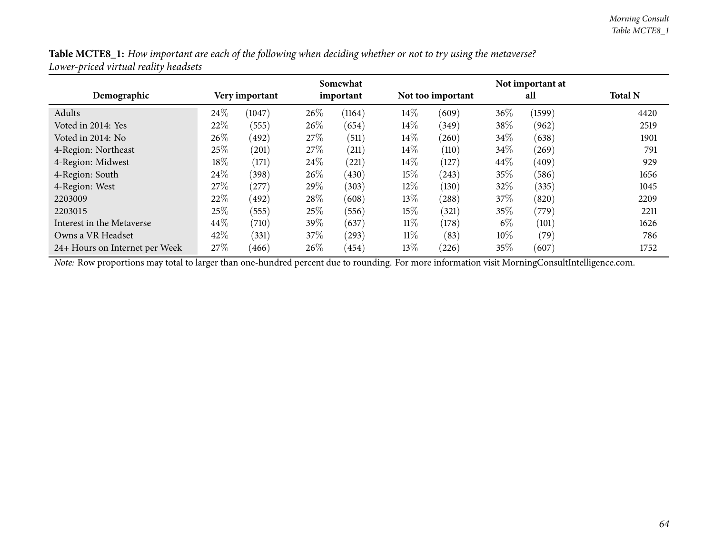| Table MCTE8_1: How important are each of the following when deciding whether or not to try using the metaverse? |  |
|-----------------------------------------------------------------------------------------------------------------|--|
| Lower-priced virtual reality headsets                                                                           |  |

|                                |                |            |      | Somewhat  |        |                   |        | Not important at |                |
|--------------------------------|----------------|------------|------|-----------|--------|-------------------|--------|------------------|----------------|
| Demographic                    | Very important |            |      | important |        | Not too important |        | all              | <b>Total N</b> |
| Adults                         | 24\%           | (1047)     | 26%  | (1164)    | $14\%$ | (609)             | 36%    | (1599)           | 4420           |
| Voted in 2014: Yes             | 22%            | (555)      | 26\% | (654)     | $14\%$ | (349)             | 38%    | (962)            | 2519           |
| Voted in 2014: No              | 26\%           | (492)      | 27\% | (511)     | $14\%$ | (260)             | 34%    | (638)            | 1901           |
| 4-Region: Northeast            | 25%            | (201)      | 27\% | (211)     | $14\%$ | (110)             | 34%    | (269)            | 791            |
| 4-Region: Midwest              | 18%            | (171)      | 24\% | (221)     | $14\%$ | (127)             | 44\%   | (409)            | 929            |
| 4-Region: South                | 24\%           | (398)      | 26\% | (430)     | $15\%$ | (243)             | $35\%$ | (586)            | 1656           |
| 4-Region: West                 | 27%            | $^{'}277)$ | 29%  | (303)     | $12\%$ | (130)             | 32\%   | (335)            | 1045           |
| 2203009                        | 22%            | (492)      | 28\% | (608)     | 13\%   | (288)             | $37\%$ | (820)            | 2209           |
| 2203015                        | 25%            | (555)      | 25\% | (556)     | $15\%$ | (321)             | $35\%$ | (779)            | 2211           |
| Interest in the Metaverse      | $44\%$         | (710)      | 39\% | (637)     | $11\%$ | (178)             | $6\%$  | (101)            | 1626           |
| Owns a VR Headset              | 42%            | (331)      | 37\% | (293)     | $11\%$ | (83)              | $10\%$ | (79)             | 786            |
| 24+ Hours on Internet per Week | 27%            | (466)      | 26\% | (454)     | $13\%$ | $^{(226)}$        | $35\%$ | (607)            | 1752           |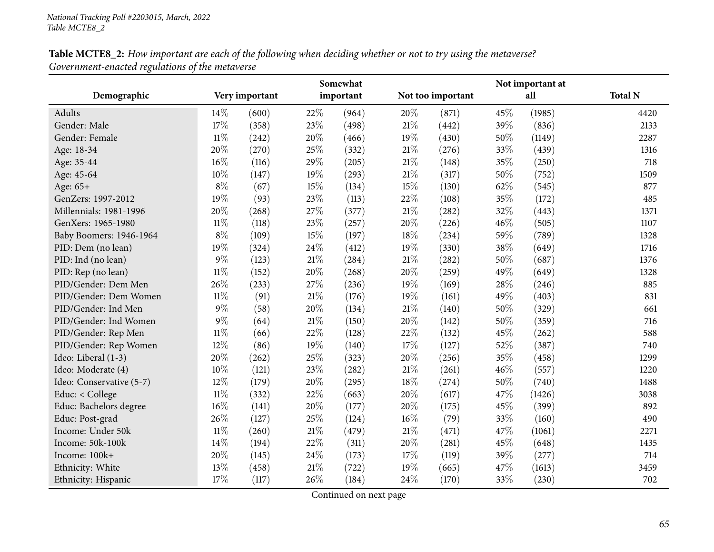| Table MCTE8_2: How important are each of the following when deciding whether or not to try using the metaverse? |  |
|-----------------------------------------------------------------------------------------------------------------|--|
| Government-enacted regulations of the metaverse                                                                 |  |

|                          |        |                |        | Somewhat  |        |                   |     | Not important at |                |  |
|--------------------------|--------|----------------|--------|-----------|--------|-------------------|-----|------------------|----------------|--|
| Demographic              |        | Very important |        | important |        | Not too important | all |                  | <b>Total N</b> |  |
| Adults                   | 14%    | (600)          | 22%    | (964)     | 20%    | (871)             | 45% | (1985)           | 4420           |  |
| Gender: Male             | 17%    | (358)          | 23%    | (498)     | 21\%   | (442)             | 39% | (836)            | 2133           |  |
| Gender: Female           | $11\%$ | (242)          | 20%    | (466)     | 19%    | (430)             | 50% | (1149)           | 2287           |  |
| Age: 18-34               | $20\%$ | (270)          | 25%    | (332)     | $21\%$ | (276)             | 33% | (439)            | 1316           |  |
| Age: 35-44               | $16\%$ | (116)          | 29%    | (205)     | $21\%$ | (148)             | 35% | (250)            | 718            |  |
| Age: 45-64               | 10%    | (147)          | 19%    | (293)     | $21\%$ | (317)             | 50% | (752)            | 1509           |  |
| Age: 65+                 | $8\%$  | (67)           | 15%    | (134)     | 15%    | (130)             | 62% | (545)            | 877            |  |
| GenZers: 1997-2012       | 19%    | (93)           | 23%    | (113)     | 22%    | (108)             | 35% | (172)            | 485            |  |
| Millennials: 1981-1996   | 20%    | (268)          | 27%    | (377)     | $21\%$ | (282)             | 32% | (443)            | 1371           |  |
| GenXers: 1965-1980       | $11\%$ | (118)          | 23%    | (257)     | 20%    | (226)             | 46% | (505)            | 1107           |  |
| Baby Boomers: 1946-1964  | $8\%$  | (109)          | 15%    | (197)     | 18%    | (234)             | 59% | (789)            | 1328           |  |
| PID: Dem (no lean)       | 19%    | (324)          | 24%    | (412)     | 19%    | (330)             | 38% | (649)            | 1716           |  |
| PID: Ind (no lean)       | $9\%$  | (123)          | $21\%$ | (284)     | $21\%$ | (282)             | 50% | (687)            | 1376           |  |
| PID: Rep (no lean)       | $11\%$ | (152)          | 20%    | (268)     | 20%    | (259)             | 49% | (649)            | 1328           |  |
| PID/Gender: Dem Men      | 26%    | (233)          | 27%    | (236)     | 19%    | (169)             | 28% | (246)            | 885            |  |
| PID/Gender: Dem Women    | $11\%$ | (91)           | $21\%$ | (176)     | 19%    | (161)             | 49% | (403)            | 831            |  |
| PID/Gender: Ind Men      | $9\%$  | (58)           | 20%    | (134)     | $21\%$ | (140)             | 50% | (329)            | 661            |  |
| PID/Gender: Ind Women    | $9\%$  | (64)           | 21%    | (150)     | 20%    | (142)             | 50% | (359)            | 716            |  |
| PID/Gender: Rep Men      | $11\%$ | (66)           | 22%    | (128)     | 22%    | (132)             | 45% | (262)            | 588            |  |
| PID/Gender: Rep Women    | 12%    | (86)           | 19%    | (140)     | 17%    | (127)             | 52% | (387)            | 740            |  |
| Ideo: Liberal (1-3)      | $20\%$ | (262)          | 25%    | (323)     | 20%    | (256)             | 35% | (458)            | 1299           |  |
| Ideo: Moderate (4)       | 10%    | (121)          | 23%    | (282)     | $21\%$ | (261)             | 46% | (557)            | 1220           |  |
| Ideo: Conservative (5-7) | $12\%$ | (179)          | 20%    | (295)     | 18%    | (274)             | 50% | (740)            | 1488           |  |
| Educ: < College          | $11\%$ | (332)          | 22%    | (663)     | 20%    | (617)             | 47% | (1426)           | 3038           |  |
| Educ: Bachelors degree   | $16\%$ | (141)          | 20%    | (177)     | 20%    | (175)             | 45% | (399)            | 892            |  |
| Educ: Post-grad          | 26%    | (127)          | 25%    | (124)     | 16%    | (79)              | 33% | (160)            | 490            |  |
| Income: Under 50k        | $11\%$ | (260)          | $21\%$ | (479)     | $21\%$ | (471)             | 47% | (1061)           | 2271           |  |
| Income: 50k-100k         | 14%    | (194)          | 22%    | (311)     | 20%    | (281)             | 45% | (648)            | 1435           |  |
| Income: 100k+            | 20%    | (145)          | 24%    | (173)     | 17%    | (119)             | 39% | (277)            | 714            |  |
| Ethnicity: White         | 13%    | (458)          | 21\%   | (722)     | 19%    | (665)             | 47% | (1613)           | 3459           |  |
| Ethnicity: Hispanic      | 17%    | (117)          | 26%    | (184)     | 24\%   | (170)             | 33% | (230)            | 702            |  |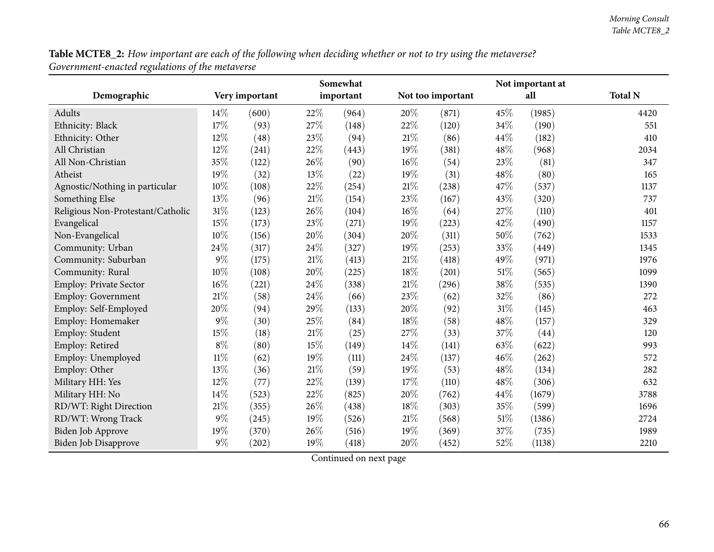Table MCTE8\_2: How important are each of the following when deciding whether or not to try using the metaverse? *Government-enacted regulations of the metaverse*

|                                   |        |                |        | Somewhat  |        |                   | Not important at |        |                |  |
|-----------------------------------|--------|----------------|--------|-----------|--------|-------------------|------------------|--------|----------------|--|
| Demographic                       |        | Very important |        | important |        | Not too important |                  | all    | <b>Total N</b> |  |
| Adults                            | 14\%   | (600)          | 22%    | (964)     | 20%    | (871)             | 45%              | (1985) | 4420           |  |
| Ethnicity: Black                  | 17%    | (93)           | 27%    | (148)     | 22%    | (120)             | 34%              | (190)  | 551            |  |
| Ethnicity: Other                  | 12%    | (48)           | 23%    | (94)      | 21%    | (86)              | 44%              | (182)  | 410            |  |
| All Christian                     | 12%    | (241)          | $22\%$ | (443)     | 19%    | (381)             | 48%              | (968)  | 2034           |  |
| All Non-Christian                 | 35%    | (122)          | 26%    | (90)      | $16\%$ | (54)              | 23%              | (81)   | 347            |  |
| Atheist                           | 19%    | (32)           | 13%    | (22)      | 19%    | (31)              | 48%              | (80)   | 165            |  |
| Agnostic/Nothing in particular    | 10%    | (108)          | $22\%$ | (254)     | $21\%$ | (238)             | 47%              | (537)  | 1137           |  |
| Something Else                    | 13%    | (96)           | 21%    | (154)     | 23%    | (167)             | 43%              | (320)  | 737            |  |
| Religious Non-Protestant/Catholic | 31%    | (123)          | 26%    | (104)     | $16\%$ | (64)              | 27%              | (110)  | 401            |  |
| Evangelical                       | 15%    | (173)          | 23%    | (271)     | 19%    | (223)             | 42%              | (490)  | 1157           |  |
| Non-Evangelical                   | 10%    | (156)          | 20%    | (304)     | 20%    | (311)             | 50%              | (762)  | 1533           |  |
| Community: Urban                  | 24%    | (317)          | 24%    | (327)     | 19%    | (253)             | 33%              | (449)  | 1345           |  |
| Community: Suburban               | $9\%$  | (175)          | 21\%   | (413)     | $21\%$ | (418)             | 49%              | (971)  | 1976           |  |
| Community: Rural                  | 10%    | (108)          | 20%    | (225)     | $18\%$ | (201)             | $51\%$           | (565)  | 1099           |  |
| Employ: Private Sector            | 16%    | (221)          | 24%    | (338)     | $21\%$ | (296)             | 38%              | (535)  | 1390           |  |
| <b>Employ: Government</b>         | 21\%   | (58)           | 24%    | (66)      | 23%    | (62)              | 32%              | (86)   | 272            |  |
| Employ: Self-Employed             | 20%    | (94)           | 29%    | (133)     | 20%    | (92)              | $31\%$           | (145)  | 463            |  |
| Employ: Homemaker                 | $9\%$  | (30)           | 25%    | (84)      | 18%    | (58)              | 48%              | (157)  | 329            |  |
| Employ: Student                   | 15%    | (18)           | $21\%$ | (25)      | 27%    | (33)              | 37%              | (44)   | 120            |  |
| Employ: Retired                   | $8\%$  | (80)           | 15%    | (149)     | 14%    | (141)             | 63%              | (622)  | 993            |  |
| Employ: Unemployed                | $11\%$ | (62)           | 19%    | (111)     | 24%    | (137)             | 46%              | (262)  | 572            |  |
| Employ: Other                     | 13%    | (36)           | 21\%   | (59)      | 19%    | (53)              | 48%              | (134)  | 282            |  |
| Military HH: Yes                  | $12\%$ | (77)           | 22%    | (139)     | 17%    | (110)             | 48%              | (306)  | 632            |  |
| Military HH: No                   | 14%    | (523)          | 22%    | (825)     | 20%    | (762)             | 44%              | (1679) | 3788           |  |
| RD/WT: Right Direction            | $21\%$ | (355)          | 26%    | (438)     | 18%    | (303)             | 35%              | (599)  | 1696           |  |
| RD/WT: Wrong Track                | $9\%$  | (245)          | 19%    | (526)     | $21\%$ | (568)             | $51\%$           | (1386) | 2724           |  |
| <b>Biden Job Approve</b>          | 19%    | (370)          | 26%    | (516)     | 19%    | (369)             | 37%              | (735)  | 1989           |  |
| <b>Biden Job Disapprove</b>       | $9\%$  | (202)          | 19%    | (418)     | 20%    | (452)             | 52%              | (1138) | 2210           |  |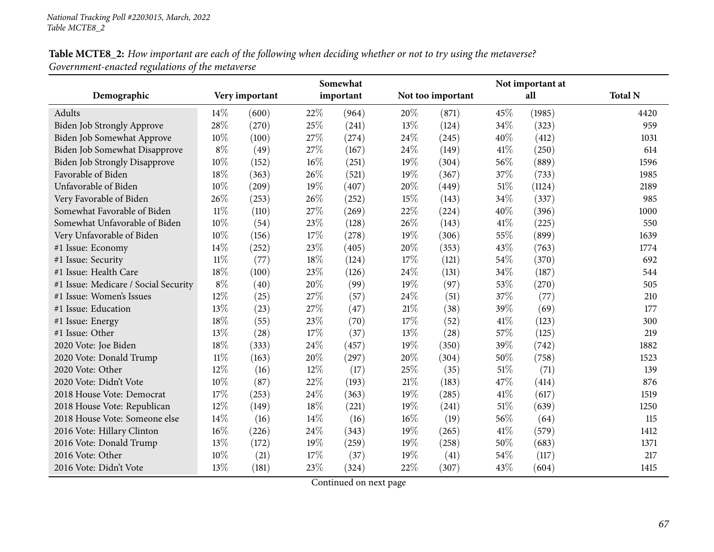Table MCTE8\_2: How important are each of the following when deciding whether or not to try using the metaverse? *Government-enacted regulations of the metaverse*

|                                      | Somewhat | Not important at |        |           |     |                   |      |        |                |
|--------------------------------------|----------|------------------|--------|-----------|-----|-------------------|------|--------|----------------|
| Demographic                          |          | Very important   |        | important |     | Not too important |      | all    | <b>Total N</b> |
| Adults                               | 14%      | (600)            | 22%    | (964)     | 20% | (871)             | 45%  | (1985) | 4420           |
| Biden Job Strongly Approve           | 28%      | (270)            | 25%    | (241)     | 13% | (124)             | 34%  | (323)  | 959            |
| Biden Job Somewhat Approve           | 10%      | (100)            | 27%    | (274)     | 24% | (245)             | 40%  | (412)  | 1031           |
| Biden Job Somewhat Disapprove        | $8\%$    | (49)             | 27%    | (167)     | 24% | (149)             | 41\% | (250)  | 614            |
| Biden Job Strongly Disapprove        | 10%      | (152)            | 16%    | (251)     | 19% | (304)             | 56%  | (889)  | 1596           |
| Favorable of Biden                   | 18%      | (363)            | 26%    | (521)     | 19% | (367)             | 37%  | (733)  | 1985           |
| Unfavorable of Biden                 | 10%      | (209)            | 19%    | (407)     | 20% | (449)             | 51%  | (1124) | 2189           |
| Very Favorable of Biden              | 26%      | (253)            | 26%    | (252)     | 15% | (143)             | 34%  | (337)  | 985            |
| Somewhat Favorable of Biden          | 11%      | (110)            | 27%    | (269)     | 22% | (224)             | 40%  | (396)  | 1000           |
| Somewhat Unfavorable of Biden        | 10%      | (54)             | 23%    | (128)     | 26% | (143)             | 41\% | (225)  | 550            |
| Very Unfavorable of Biden            | 10%      | (156)            | 17%    | (278)     | 19% | (306)             | 55%  | (899)  | 1639           |
| #1 Issue: Economy                    | 14%      | (252)            | 23%    | (405)     | 20% | (353)             | 43%  | (763)  | 1774           |
| #1 Issue: Security                   | $11\%$   | (77)             | $18\%$ | (124)     | 17% | (121)             | 54%  | (370)  | 692            |
| #1 Issue: Health Care                | 18%      | (100)            | 23%    | (126)     | 24% | (131)             | 34%  | (187)  | 544            |
| #1 Issue: Medicare / Social Security | $8\%$    | (40)             | 20%    | (99)      | 19% | (97)              | 53%  | (270)  | 505            |
| #1 Issue: Women's Issues             | 12%      | (25)             | 27%    | (57)      | 24% | (51)              | 37%  | (77)   | 210            |
| #1 Issue: Education                  | 13%      | (23)             | 27%    | (47)      | 21% | (38)              | 39%  | (69)   | 177            |
| #1 Issue: Energy                     | 18%      | (55)             | 23%    | (70)      | 17% | (52)              | 41\% | (123)  | 300            |
| #1 Issue: Other                      | 13%      | (28)             | 17%    | (37)      | 13% | (28)              | 57%  | (125)  | 219            |
| 2020 Vote: Joe Biden                 | 18%      | (333)            | 24%    | (457)     | 19% | (350)             | 39%  | (742)  | 1882           |
| 2020 Vote: Donald Trump              | $11\%$   | (163)            | 20%    | (297)     | 20% | (304)             | 50%  | (758)  | 1523           |
| 2020 Vote: Other                     | 12%      | (16)             | 12%    | (17)      | 25% | (35)              | 51%  | (71)   | 139            |
| 2020 Vote: Didn't Vote               | 10%      | (87)             | 22%    | (193)     | 21% | (183)             | 47%  | (414)  | 876            |
| 2018 House Vote: Democrat            | 17%      | (253)            | 24%    | (363)     | 19% | (285)             | 41\% | (617)  | 1519           |
| 2018 House Vote: Republican          | 12%      | (149)            | 18%    | (221)     | 19% | (241)             | 51%  | (639)  | 1250           |
| 2018 House Vote: Someone else        | 14%      | (16)             | 14%    | (16)      | 16% | (19)              | 56%  | (64)   | 115            |
| 2016 Vote: Hillary Clinton           | 16%      | (226)            | 24%    | (343)     | 19% | (265)             | 41\% | (579)  | 1412           |
| 2016 Vote: Donald Trump              | 13%      | (172)            | 19%    | (259)     | 19% | (258)             | 50%  | (683)  | 1371           |
| 2016 Vote: Other                     | 10%      | (21)             | 17%    | (37)      | 19% | (41)              | 54%  | (117)  | 217            |
| 2016 Vote: Didn't Vote               | 13%      | (181)            | 23%    | (324)     | 22% | (307)             | 43%  | (604)  | 1415           |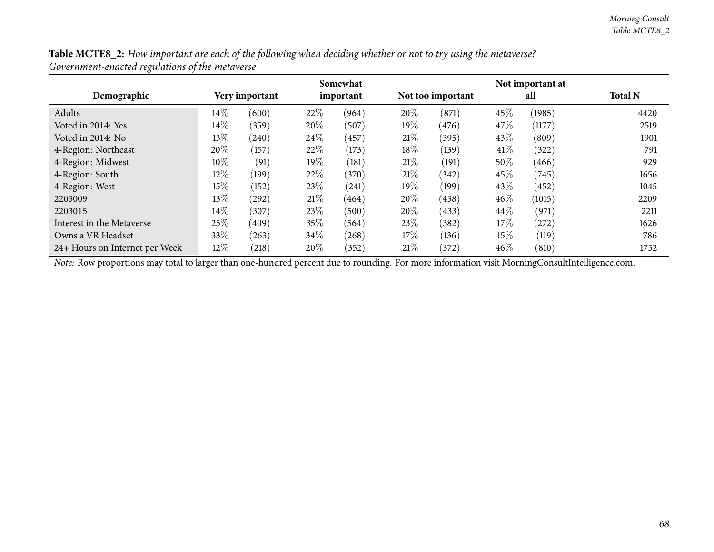| Table MCTE8_2: How important are each of the following when deciding whether or not to try using the metaverse? |  |
|-----------------------------------------------------------------------------------------------------------------|--|
| Government-enacted regulations of the metaverse                                                                 |  |

|                                |                |            |        | Somewhat  |        |                   |        | Not important at |                |
|--------------------------------|----------------|------------|--------|-----------|--------|-------------------|--------|------------------|----------------|
| Demographic                    | Very important |            |        | important |        | Not too important |        | all              | <b>Total N</b> |
| Adults                         | 14\%           | (600)      | 22%    | (964)     | 20%    | (871)             | 45%    | (1985)           | 4420           |
| Voted in 2014: Yes             | 14\%           | (359)      | 20%    | (507)     | $19\%$ | (476)             | 47\%   | (1177)           | 2519           |
| Voted in 2014: No              | 13%            | (240)      | 24\%   | (457)     | 21%    | (395)             | 43\%   | (809)            | 1901           |
| 4-Region: Northeast            | 20%            | (157)      | 22\%   | (173)     | 18%    | (139)             | 41\%   | (322)            | 791            |
| 4-Region: Midwest              | 10\%           | (91)       | 19%    | (181)     | 21%    | (191)             | $50\%$ | (466)            | 929            |
| 4-Region: South                | $12\%$         | (199)      | 22\%   | (370)     | 21%    | (342)             | 45%    | (745)            | 1656           |
| 4-Region: West                 | 15%            | (152)      | 23\%   | (241)     | $19\%$ | (199)             | 43%    | (452)            | 1045           |
| 2203009                        | 13%            | $^{(292)}$ | 21%    | (464)     | 20%    | (438)             | $46\%$ | (1015)           | 2209           |
| 2203015                        | 14\%           | (307)      | 23\%   | (500)     | $20\%$ | (433)             | $44\%$ | (971)            | 2211           |
| Interest in the Metaverse      | 25%            | (409)      | $35\%$ | (564)     | 23\%   | (382)             | 17\%   | (272)            | 1626           |
| Owns a VR Headset              | 33%            | (263)      | 34\%   | (268)     | $17\%$ | (136)             | $15\%$ | (119)            | 786            |
| 24+ Hours on Internet per Week | 12%            | (218)      | 20%    | (352)     | 21%    | (372)             | 46%    | (810)            | 1752           |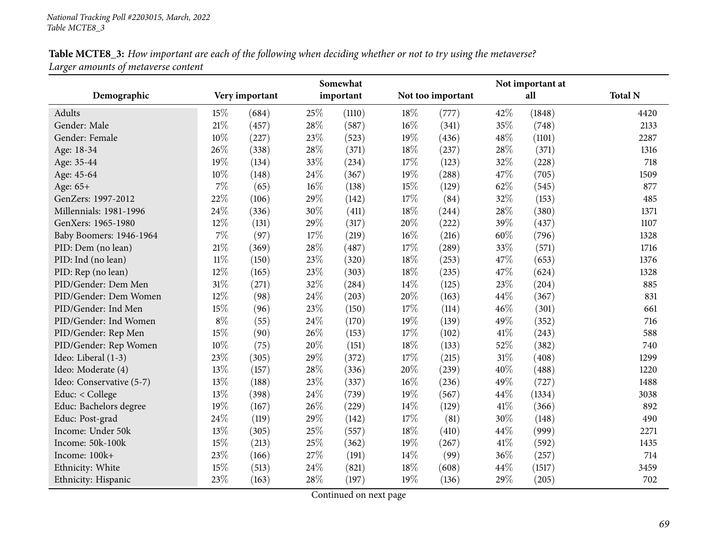| Table MCTE8_3: How important are each of the following when deciding whether or not to try using the metaverse? |
|-----------------------------------------------------------------------------------------------------------------|
| Larger amounts of metaverse content                                                                             |

|                          | Somewhat |                |      |           | Not important at |                   |     |        |                |  |
|--------------------------|----------|----------------|------|-----------|------------------|-------------------|-----|--------|----------------|--|
| Demographic              |          | Very important |      | important |                  | Not too important |     | all    | <b>Total N</b> |  |
| Adults                   | 15%      | (684)          | 25%  | (1110)    | 18%              | (777)             | 42% | (1848) | 4420           |  |
| Gender: Male             | $21\%$   | (457)          | 28%  | (587)     | $16\%$           | (341)             | 35% | (748)  | 2133           |  |
| Gender: Female           | 10%      | (227)          | 23%  | (523)     | 19%              | (436)             | 48% | (1101) | 2287           |  |
| Age: 18-34               | 26\%     | (338)          | 28%  | (371)     | 18%              | (237)             | 28% | (371)  | 1316           |  |
| Age: 35-44               | 19%      | (134)          | 33%  | (234)     | 17%              | (123)             | 32% | (228)  | 718            |  |
| Age: 45-64               | $10\%$   | (148)          | 24%  | (367)     | 19%              | (288)             | 47% | (705)  | 1509           |  |
| Age: 65+                 | 7%       | (65)           | 16%  | (138)     | 15%              | (129)             | 62% | (545)  | 877            |  |
| GenZers: 1997-2012       | 22%      | (106)          | 29%  | (142)     | 17%              | (84)              | 32% | (153)  | 485            |  |
| Millennials: 1981-1996   | 24%      | (336)          | 30%  | (411)     | 18%              | (244)             | 28% | (380)  | 1371           |  |
| GenXers: 1965-1980       | 12%      | (131)          | 29%  | (317)     | 20%              | (222)             | 39% | (437)  | 1107           |  |
| Baby Boomers: 1946-1964  | $7\%$    | (97)           | 17%  | (219)     | 16%              | (216)             | 60% | (796)  | 1328           |  |
| PID: Dem (no lean)       | 21%      | (369)          | 28%  | (487)     | 17%              | (289)             | 33% | (571)  | 1716           |  |
| PID: Ind (no lean)       | $11\%$   | (150)          | 23%  | (320)     | 18%              | (253)             | 47% | (653)  | 1376           |  |
| PID: Rep (no lean)       | 12%      | (165)          | 23%  | (303)     | 18%              | (235)             | 47% | (624)  | 1328           |  |
| PID/Gender: Dem Men      | $31\%$   | (271)          | 32%  | (284)     | 14\%             | (125)             | 23% | (204)  | 885            |  |
| PID/Gender: Dem Women    | 12%      | (98)           | 24%  | (203)     | 20%              | (163)             | 44% | (367)  | 831            |  |
| PID/Gender: Ind Men      | 15%      | (96)           | 23%  | (150)     | 17%              | (114)             | 46% | (301)  | 661            |  |
| PID/Gender: Ind Women    | $8\%$    | (55)           | 24\% | (170)     | 19%              | (139)             | 49% | (352)  | 716            |  |
| PID/Gender: Rep Men      | 15%      | (90)           | 26%  | (153)     | 17%              | (102)             | 41% | (243)  | 588            |  |
| PID/Gender: Rep Women    | $10\%$   | (75)           | 20%  | (151)     | 18%              | (133)             | 52% | (382)  | 740            |  |
| Ideo: Liberal (1-3)      | 23%      | (305)          | 29%  | (372)     | 17%              | (215)             | 31% | (408)  | 1299           |  |
| Ideo: Moderate (4)       | 13%      | (157)          | 28%  | (336)     | 20%              | (239)             | 40% | (488)  | 1220           |  |
| Ideo: Conservative (5-7) | 13%      | (188)          | 23%  | (337)     | 16%              | (236)             | 49% | (727)  | 1488           |  |
| Educ: < College          | 13%      | (398)          | 24%  | (739)     | 19%              | (567)             | 44% | (1334) | 3038           |  |
| Educ: Bachelors degree   | 19%      | (167)          | 26%  | (229)     | 14%              | (129)             | 41% | (366)  | 892            |  |
| Educ: Post-grad          | 24\%     | (119)          | 29%  | (142)     | 17%              | (81)              | 30% | (148)  | 490            |  |
| Income: Under 50k        | 13%      | (305)          | 25%  | (557)     | 18%              | (410)             | 44% | (999)  | 2271           |  |
| Income: 50k-100k         | 15%      | (213)          | 25%  | (362)     | 19%              | (267)             | 41% | (592)  | 1435           |  |
| Income: 100k+            | 23%      | (166)          | 27%  | (191)     | 14%              | (99)              | 36% | (257)  | 714            |  |
| Ethnicity: White         | 15%      | (513)          | 24%  | (821)     | 18%              | (608)             | 44% | (1517) | 3459           |  |
| Ethnicity: Hispanic      | 23%      | (163)          | 28%  | (197)     | 19%              | (136)             | 29% | (205)  | 702            |  |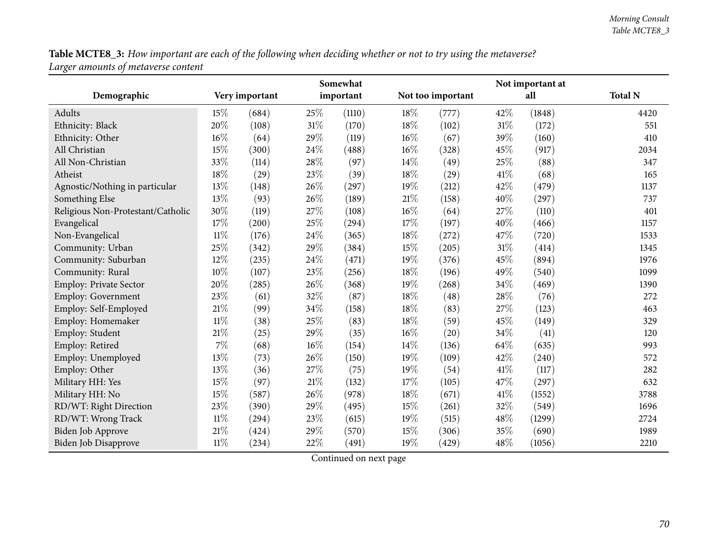Table MCTE8\_3: How important are each of the following when deciding whether or not to try using the metaverse? *Larger amounts of metaverse content*

|                                   | Somewhat       |                     |           |        |                   |       |     |        |                |
|-----------------------------------|----------------|---------------------|-----------|--------|-------------------|-------|-----|--------|----------------|
| Demographic                       | Very important |                     | important |        | Not too important |       | all |        | <b>Total N</b> |
| Adults                            | 15%            | (684)               | 25\%      | (1110) | 18\%              | (777) | 42% | (1848) | 4420           |
| Ethnicity: Black                  | 20%            | (108)               | 31%       | (170)  | 18%               | (102) | 31% | (172)  | 551            |
| Ethnicity: Other                  | 16%            | (64)                | 29%       | (119)  | 16%               | (67)  | 39% | (160)  | 410            |
| All Christian                     | 15%            | (300)               | 24%       | (488)  | 16%               | (328) | 45% | (917)  | 2034           |
| All Non-Christian                 | 33%            | (114)               | 28%       | (97)   | 14\%              | (49)  | 25% | (88)   | 347            |
| Atheist                           | 18%            | (29)                | 23%       | (39)   | 18%               | (29)  | 41% | (68)   | 165            |
| Agnostic/Nothing in particular    | 13%            | (148)               | 26%       | (297)  | 19%               | (212) | 42% | (479)  | 1137           |
| Something Else                    | 13%            | (93)                | 26%       | (189)  | $21\%$            | (158) | 40% | (297)  | 737            |
| Religious Non-Protestant/Catholic | 30%            | (119)               | 27%       | (108)  | 16%               | (64)  | 27% | (110)  | 401            |
| Evangelical                       | 17%            | (200)               | 25%       | (294)  | 17\%              | (197) | 40% | (466)  | 1157           |
| Non-Evangelical                   | $11\%$         | (176)               | $24\%$    | (365)  | 18%               | (272) | 47% | (720)  | 1533           |
| Community: Urban                  | 25%            | (342)               | 29%       | (384)  | $15\%$            | (205) | 31% | (414)  | 1345           |
| Community: Suburban               | 12%            | (235)               | 24%       | (471)  | 19%               | (376) | 45% | (894)  | 1976           |
| Community: Rural                  | 10%            | (107)               | 23%       | (256)  | 18%               | (196) | 49% | (540)  | 1099           |
| Employ: Private Sector            | 20%            | (285)               | 26%       | (368)  | 19%               | (268) | 34% | (469)  | 1390           |
| <b>Employ: Government</b>         | 23%            | (61)                | 32%       | (87)   | 18%               | (48)  | 28% | (76)   | 272            |
| Employ: Self-Employed             | $21\%$         | (99)                | 34%       | (158)  | 18%               | (83)  | 27% | (123)  | 463            |
| Employ: Homemaker                 | $11\%$         | (38)                | 25%       | (83)   | 18%               | (59)  | 45% | (149)  | 329            |
| Employ: Student                   | $21\%$         | (25)                | 29%       | (35)   | 16%               | (20)  | 34% | (41)   | 120            |
| Employ: Retired                   | $7\%$          | (68)                | 16%       | (154)  | 14%               | (136) | 64% | (635)  | 993            |
| Employ: Unemployed                | 13%            | (73)                | 26%       | (150)  | 19%               | (109) | 42% | (240)  | 572            |
| Employ: Other                     | 13%            | (36)                | $27\%$    | (75)   | 19%               | (54)  | 41% | (117)  | 282            |
| Military HH: Yes                  | 15%            | (97)                | 21%       | (132)  | 17\%              | (105) | 47% | (297)  | 632            |
| Military HH: No                   | 15%            | (587)               | 26%       | (978)  | 18%               | (671) | 41% | (1552) | 3788           |
| RD/WT: Right Direction            | 23%            | (390)               | 29%       | (495)  | 15%               | (261) | 32% | (549)  | 1696           |
| RD/WT: Wrong Track                | $11\%$         | $\left( 294\right)$ | 23%       | (615)  | $19\%$            | (515) | 48% | (1299) | 2724           |
| Biden Job Approve                 | 21%            | (424)               | 29%       | (570)  | 15%               | (306) | 35% | (690)  | 1989           |
| Biden Job Disapprove              | $11\%$         | (234)               | 22%       | (491)  | 19%               | (429) | 48% | (1056) | 2210           |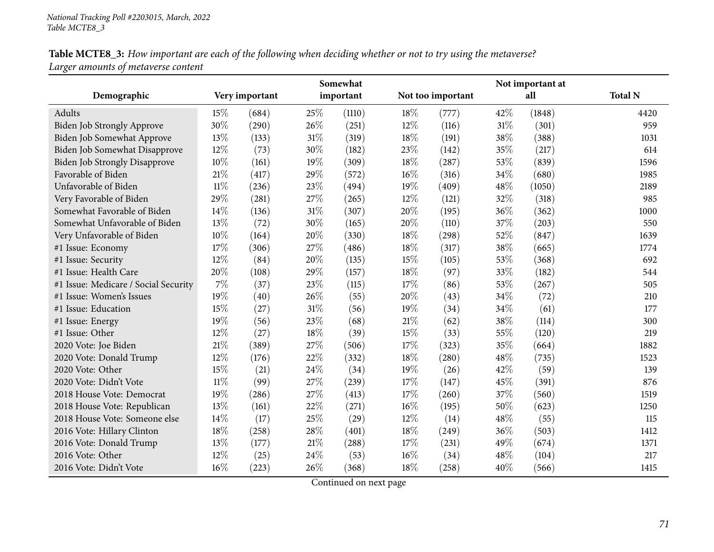Table MCTE8\_3: How important are each of the following when deciding whether or not to try using the metaverse? *Larger amounts of metaverse content*

|                                      | Somewhat |                |        | Not important at |     |                   |     |        |                |
|--------------------------------------|----------|----------------|--------|------------------|-----|-------------------|-----|--------|----------------|
| Demographic                          |          | Very important |        | important        |     | Not too important |     | all    | <b>Total N</b> |
| Adults                               | 15%      | (684)          | 25%    | (1110)           | 18% | (777)             | 42% | (1848) | 4420           |
| <b>Biden Job Strongly Approve</b>    | 30%      | (290)          | 26%    | (251)            | 12% | (116)             | 31% | (301)  | 959            |
| Biden Job Somewhat Approve           | 13%      | (133)          | 31%    | (319)            | 18% | (191)             | 38% | (388)  | 1031           |
| Biden Job Somewhat Disapprove        | 12%      | (73)           | 30%    | (182)            | 23% | (142)             | 35% | (217)  | 614            |
| <b>Biden Job Strongly Disapprove</b> | 10%      | (161)          | 19%    | (309)            | 18% | (287)             | 53% | (839)  | 1596           |
| Favorable of Biden                   | 21\%     | (417)          | 29%    | (572)            | 16% | (316)             | 34% | (680)  | 1985           |
| Unfavorable of Biden                 | 11%      | (236)          | 23%    | (494)            | 19% | (409)             | 48% | (1050) | 2189           |
| Very Favorable of Biden              | 29%      | (281)          | 27%    | (265)            | 12% | (121)             | 32% | (318)  | 985            |
| Somewhat Favorable of Biden          | 14%      | (136)          | 31%    | (307)            | 20% | (195)             | 36% | (362)  | 1000           |
| Somewhat Unfavorable of Biden        | 13%      | (72)           | 30%    | (165)            | 20% | (110)             | 37% | (203)  | 550            |
| Very Unfavorable of Biden            | 10%      | (164)          | 20%    | (330)            | 18% | (298)             | 52% | (847)  | 1639           |
| #1 Issue: Economy                    | 17%      | (306)          | 27\%   | (486)            | 18% | (317)             | 38% | (665)  | 1774           |
| #1 Issue: Security                   | 12%      | (84)           | 20%    | (135)            | 15% | (105)             | 53% | (368)  | 692            |
| #1 Issue: Health Care                | 20%      | (108)          | 29%    | (157)            | 18% | (97)              | 33% | (182)  | 544            |
| #1 Issue: Medicare / Social Security | $7\%$    | (37)           | 23%    | (115)            | 17% | (86)              | 53% | (267)  | 505            |
| #1 Issue: Women's Issues             | 19%      | (40)           | 26%    | (55)             | 20% | (43)              | 34% | (72)   | 210            |
| #1 Issue: Education                  | 15%      | (27)           | 31%    | (56)             | 19% | (34)              | 34% | (61)   | 177            |
| #1 Issue: Energy                     | 19%      | (56)           | 23%    | (68)             | 21% | (62)              | 38% | (114)  | 300            |
| #1 Issue: Other                      | 12%      | (27)           | 18%    | (39)             | 15% | (33)              | 55% | (120)  | 219            |
| 2020 Vote: Joe Biden                 | $21\%$   | (389)          | 27%    | (506)            | 17% | (323)             | 35% | (664)  | 1882           |
| 2020 Vote: Donald Trump              | 12%      | (176)          | 22%    | (332)            | 18% | (280)             | 48% | (735)  | 1523           |
| 2020 Vote: Other                     | 15%      | (21)           | 24%    | (34)             | 19% | (26)              | 42% | (59)   | 139            |
| 2020 Vote: Didn't Vote               | $11\%$   | (99)           | 27%    | (239)            | 17% | (147)             | 45% | (391)  | 876            |
| 2018 House Vote: Democrat            | 19%      | (286)          | 27%    | (413)            | 17% | (260)             | 37% | (560)  | 1519           |
| 2018 House Vote: Republican          | 13%      | (161)          | 22%    | (271)            | 16% | (195)             | 50% | (623)  | 1250           |
| 2018 House Vote: Someone else        | 14\%     | (17)           | 25%    | (29)             | 12% | (14)              | 48% | (55)   | 115            |
| 2016 Vote: Hillary Clinton           | 18%      | (258)          | 28%    | (401)            | 18% | (249)             | 36% | (503)  | 1412           |
| 2016 Vote: Donald Trump              | 13%      | (177)          | $21\%$ | (288)            | 17% | (231)             | 49% | (674)  | 1371           |
| 2016 Vote: Other                     | $12\%$   | (25)           | 24%    | (53)             | 16% | (34)              | 48% | (104)  | 217            |
| 2016 Vote: Didn't Vote               | 16%      | (223)          | 26%    | (368)            | 18% | (258)             | 40% | (566)  | 1415           |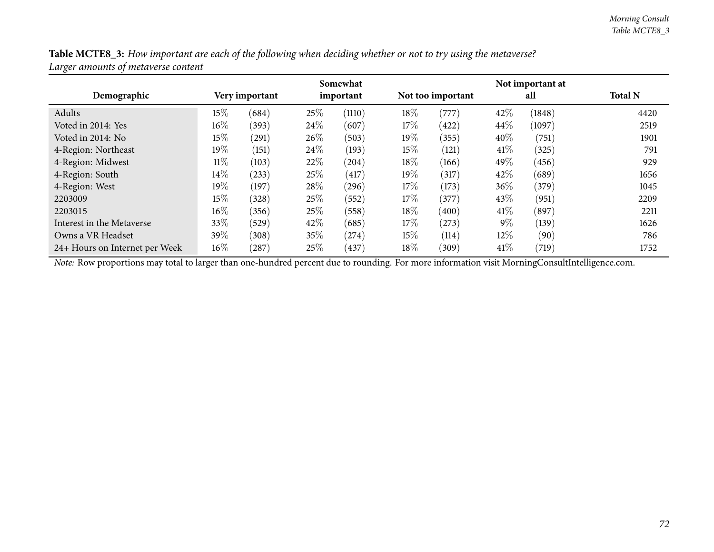| Table MCTE8_3: How important are each of the following when deciding whether or not to try using the metaverse? |  |
|-----------------------------------------------------------------------------------------------------------------|--|
| Larger amounts of metaverse content                                                                             |  |

|                                | Somewhat       |       |           |        | Not important at |                   |        |        |                |
|--------------------------------|----------------|-------|-----------|--------|------------------|-------------------|--------|--------|----------------|
| Demographic                    | Very important |       | important |        |                  | Not too important |        | all    | <b>Total N</b> |
| Adults                         | 15%            | (684) | 25\%      | (1110) | 18%              | '777              | 42\%   | (1848) | 4420           |
| Voted in 2014: Yes             | $16\%$         | (393) | 24\%      | (607)  | 17\%             | (422)             | 44\%   | (1097) | 2519           |
| Voted in 2014: No              | 15%            | (291) | 26\%      | (503)  | $19\%$           | (355)             | 40%    | (751)  | 1901           |
| 4-Region: Northeast            | 19%            | (151) | 24\%      | (193)  | $15\%$           | (121)             | 41%    | (325)  | 791            |
| 4-Region: Midwest              | $11\%$         | (103) | 22%       | (204)  | 18%              | (166)             | 49%    | (456)  | 929            |
| 4-Region: South                | 14\%           | (233) | 25\%      | (417)  | $19\%$           | (317)             | 42\%   | (689)  | 1656           |
| 4-Region: West                 | 19%            | (197) | 28\%      | (296)  | 17%              | (173)             | 36\%   | (379)  | 1045           |
| 2203009                        | $15\%$         | (328) | 25\%      | (552)  | 17%              | (377)             | 43\%   | (951)  | 2209           |
| 2203015                        | $16\%$         | (356) | 25\%      | (558)  | 18%              | (400)             | 41\%   | (897)  | 2211           |
| Interest in the Metaverse      | 33%            | (529) | 42\%      | (685)  | $17\%$           | (273)             | $9\%$  | (139)  | 1626           |
| Owns a VR Headset              | 39\%           | (308) | $35\%$    | (274)  | $15\%$           | (114)             | $12\%$ | (90)   | 786            |
| 24+ Hours on Internet per Week | $16\%$         | (287) | 25\%      | (437)  | $18\%$           | (309)             | 41%    | (719)  | 1752           |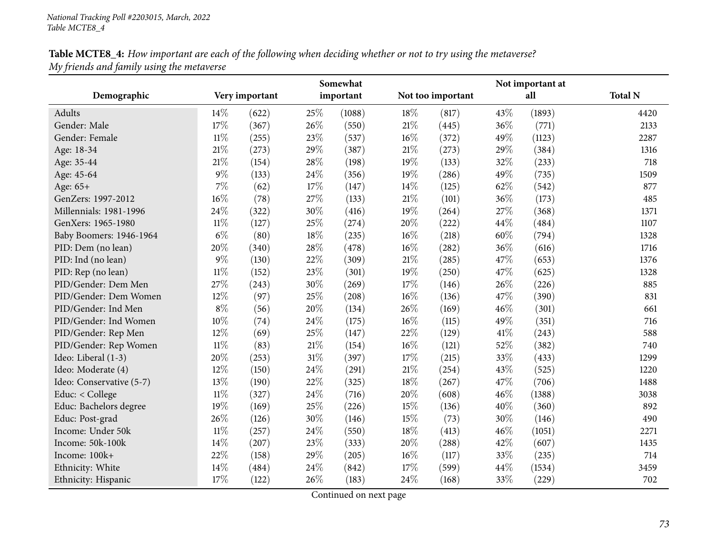| Table MCTE8_4: How important are each of the following when deciding whether or not to try using the metaverse? |  |
|-----------------------------------------------------------------------------------------------------------------|--|
| My friends and family using the metaverse                                                                       |  |

|                          |        |                |        | Somewhat  |        |                   |     | Not important at |                |
|--------------------------|--------|----------------|--------|-----------|--------|-------------------|-----|------------------|----------------|
| Demographic              |        | Very important |        | important |        | Not too important |     | all              | <b>Total N</b> |
| Adults                   | $14\%$ | (622)          | 25%    | (1088)    | 18%    | (817)             | 43% | (1893)           | 4420           |
| Gender: Male             | 17%    | (367)          | 26%    | (550)     | $21\%$ | (445)             | 36% | (771)            | 2133           |
| Gender: Female           | $11\%$ | (255)          | 23\%   | (537)     | $16\%$ | (372)             | 49% | (1123)           | 2287           |
| Age: 18-34               | $21\%$ | (273)          | 29%    | (387)     | $21\%$ | (273)             | 29% | (384)            | 1316           |
| Age: 35-44               | 21\%   | (154)          | 28%    | (198)     | 19%    | (133)             | 32% | (233)            | 718            |
| Age: 45-64               | $9\%$  | (133)          | 24%    | (356)     | 19%    | (286)             | 49% | (735)            | 1509           |
| Age: 65+                 | $7\%$  | (62)           | 17%    | (147)     | 14%    | (125)             | 62% | (542)            | 877            |
| GenZers: 1997-2012       | $16\%$ | (78)           | 27%    | (133)     | $21\%$ | (101)             | 36% | (173)            | 485            |
| Millennials: 1981-1996   | 24%    | (322)          | 30%    | (416)     | 19%    | (264)             | 27% | (368)            | 1371           |
| GenXers: 1965-1980       | $11\%$ | (127)          | 25%    | (274)     | 20%    | (222)             | 44% | (484)            | 1107           |
| Baby Boomers: 1946-1964  | $6\%$  | (80)           | 18%    | (235)     | $16\%$ | (218)             | 60% | (794)            | 1328           |
| PID: Dem (no lean)       | 20%    | (340)          | 28%    | (478)     | 16%    | (282)             | 36% | (616)            | 1716           |
| PID: Ind (no lean)       | $9\%$  | (130)          | 22%    | (309)     | $21\%$ | (285)             | 47% | (653)            | 1376           |
| PID: Rep (no lean)       | $11\%$ | (152)          | 23%    | (301)     | 19%    | (250)             | 47% | (625)            | 1328           |
| PID/Gender: Dem Men      | 27%    | (243)          | 30%    | (269)     | 17%    | (146)             | 26% | (226)            | 885            |
| PID/Gender: Dem Women    | 12%    | (97)           | 25%    | (208)     | 16%    | (136)             | 47% | (390)            | 831            |
| PID/Gender: Ind Men      | $8\%$  | (56)           | 20%    | (134)     | 26%    | (169)             | 46% | (301)            | 661            |
| PID/Gender: Ind Women    | 10%    | (74)           | 24%    | (175)     | $16\%$ | (115)             | 49% | (351)            | 716            |
| PID/Gender: Rep Men      | $12\%$ | (69)           | 25%    | (147)     | 22%    | (129)             | 41% | (243)            | 588            |
| PID/Gender: Rep Women    | $11\%$ | (83)           | $21\%$ | (154)     | 16%    | (121)             | 52% | (382)            | 740            |
| Ideo: Liberal (1-3)      | 20%    | (253)          | 31%    | (397)     | 17%    | (215)             | 33% | (433)            | 1299           |
| Ideo: Moderate (4)       | 12%    | (150)          | 24%    | (291)     | $21\%$ | (254)             | 43% | (525)            | 1220           |
| Ideo: Conservative (5-7) | 13%    | (190)          | 22%    | (325)     | 18%    | (267)             | 47% | (706)            | 1488           |
| Educ: < College          | $11\%$ | (327)          | 24%    | (716)     | 20%    | (608)             | 46% | (1388)           | 3038           |
| Educ: Bachelors degree   | 19%    | (169)          | 25%    | (226)     | 15%    | (136)             | 40% | (360)            | 892            |
| Educ: Post-grad          | 26%    | (126)          | 30%    | (146)     | 15%    | (73)              | 30% | (146)            | 490            |
| Income: Under 50k        | $11\%$ | (257)          | 24%    | (550)     | 18%    | (413)             | 46% | (1051)           | 2271           |
| Income: 50k-100k         | 14%    | (207)          | 23%    | (333)     | 20%    | (288)             | 42% | (607)            | 1435           |
| Income: 100k+            | 22%    | (158)          | 29%    | (205)     | $16\%$ | (117)             | 33% | (235)            | 714            |
| Ethnicity: White         | 14%    | (484)          | 24%    | (842)     | 17%    | (599)             | 44% | (1534)           | 3459           |
| Ethnicity: Hispanic      | 17%    | (122)          | 26%    | (183)     | 24%    | (168)             | 33% | (229)            | 702            |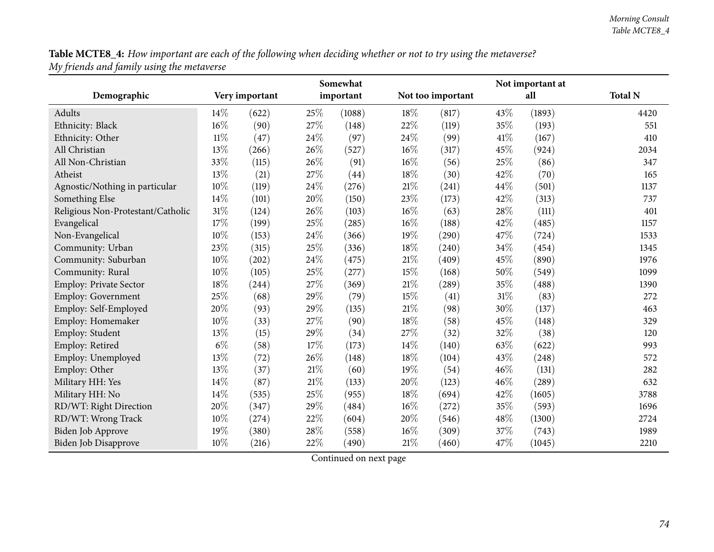Table MCTE8\_4: How important are each of the following when deciding whether or not to try using the metaverse? *My friends and family using the metaverse*

|                                   |        |                |        | Somewhat  |        |                   |        | Not important at |                |
|-----------------------------------|--------|----------------|--------|-----------|--------|-------------------|--------|------------------|----------------|
| Demographic                       |        | Very important |        | important |        | Not too important |        | all              | <b>Total N</b> |
| Adults                            | 14\%   | (622)          | 25%    | (1088)    | 18%    | (817)             | 43\%   | (1893)           | 4420           |
| Ethnicity: Black                  | 16%    | (90)           | 27%    | (148)     | 22%    | (119)             | 35%    | (193)            | 551            |
| Ethnicity: Other                  | $11\%$ | (47)           | 24%    | (97)      | 24%    | (99)              | 41\%   | (167)            | 410            |
| All Christian                     | 13%    | (266)          | 26%    | (527)     | 16%    | (317)             | 45%    | (924)            | 2034           |
| All Non-Christian                 | 33%    | (115)          | 26%    | (91)      | 16%    | (56)              | 25%    | (86)             | 347            |
| Atheist                           | 13%    | (21)           | 27%    | (44)      | 18%    | (30)              | 42%    | (70)             | 165            |
| Agnostic/Nothing in particular    | 10%    | (119)          | 24%    | (276)     | $21\%$ | (241)             | 44\%   | (501)            | 1137           |
| Something Else                    | 14%    | (101)          | 20%    | (150)     | 23%    | (173)             | 42%    | (313)            | 737            |
| Religious Non-Protestant/Catholic | 31%    | (124)          | 26%    | (103)     | $16\%$ | (63)              | 28%    | (111)            | 401            |
| Evangelical                       | 17%    | (199)          | 25%    | (285)     | $16\%$ | (188)             | 42%    | (485)            | 1157           |
| Non-Evangelical                   | 10%    | (153)          | $24\%$ | (366)     | 19%    | (290)             | 47%    | (724)            | 1533           |
| Community: Urban                  | 23%    | (315)          | 25%    | (336)     | 18%    | (240)             | 34%    | (454)            | 1345           |
| Community: Suburban               | 10%    | (202)          | 24%    | (475)     | $21\%$ | (409)             | 45%    | (890)            | 1976           |
| Community: Rural                  | 10%    | (105)          | 25%    | (277)     | 15%    | (168)             | 50%    | (549)            | 1099           |
| Employ: Private Sector            | 18%    | (244)          | $27\%$ | (369)     | $21\%$ | (289)             | 35%    | (488)            | 1390           |
| Employ: Government                | 25%    | (68)           | 29%    | (79)      | 15%    | (41)              | $31\%$ | (83)             | 272            |
| Employ: Self-Employed             | 20%    | (93)           | 29%    | (135)     | 21\%   | (98)              | 30%    | (137)            | 463            |
| Employ: Homemaker                 | 10%    | (33)           | 27%    | (90)      | 18%    | (58)              | 45%    | (148)            | 329            |
| Employ: Student                   | 13%    | (15)           | 29%    | (34)      | 27%    | (32)              | 32%    | (38)             | 120            |
| Employ: Retired                   | $6\%$  | (58)           | 17%    | (173)     | 14%    | (140)             | 63%    | (622)            | 993            |
| Employ: Unemployed                | 13%    | (72)           | $26\%$ | (148)     | 18%    | (104)             | 43%    | (248)            | 572            |
| Employ: Other                     | 13%    | (37)           | 21%    | (60)      | 19%    | (54)              | 46%    | (131)            | 282            |
| Military HH: Yes                  | 14\%   | (87)           | 21%    | (133)     | 20%    | (123)             | 46%    | (289)            | 632            |
| Military HH: No                   | 14\%   | (535)          | 25%    | (955)     | 18%    | (694)             | 42%    | (1605)           | 3788           |
| RD/WT: Right Direction            | 20%    | (347)          | 29%    | (484)     | $16\%$ | (272)             | 35%    | (593)            | 1696           |
| RD/WT: Wrong Track                | 10%    | (274)          | 22%    | (604)     | 20%    | (546)             | 48%    | (1300)           | 2724           |
| <b>Biden Job Approve</b>          | 19%    | (380)          | 28%    | (558)     | 16%    | (309)             | 37%    | (743)            | 1989           |
| Biden Job Disapprove              | 10%    | (216)          | 22%    | (490)     | 21%    | (460)             | 47%    | (1045)           | 2210           |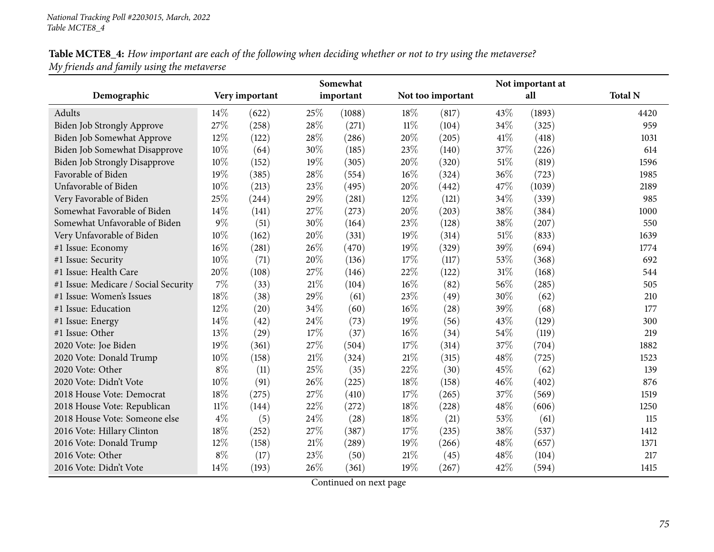Table MCTE8\_4: How important are each of the following when deciding whether or not to try using the metaverse? *My friends and family using the metaverse*

|                                      |        |                |        | Somewhat  |     |                   |        | Not important at |                |
|--------------------------------------|--------|----------------|--------|-----------|-----|-------------------|--------|------------------|----------------|
| Demographic                          |        | Very important |        | important |     | Not too important |        | all              | <b>Total N</b> |
| Adults                               | 14\%   | (622)          | 25%    | (1088)    | 18% | (817)             | 43\%   | (1893)           | 4420           |
| <b>Biden Job Strongly Approve</b>    | 27%    | (258)          | 28%    | (271)     | 11% | (104)             | 34%    | (325)            | 959            |
| Biden Job Somewhat Approve           | $12\%$ | (122)          | 28%    | (286)     | 20% | (205)             | 41\%   | (418)            | 1031           |
| Biden Job Somewhat Disapprove        | 10%    | (64)           | 30%    | (185)     | 23% | (140)             | 37%    | (226)            | 614            |
| Biden Job Strongly Disapprove        | 10%    | (152)          | 19%    | (305)     | 20% | (320)             | 51%    | (819)            | 1596           |
| Favorable of Biden                   | 19%    | (385)          | 28%    | (554)     | 16% | (324)             | 36%    | (723)            | 1985           |
| Unfavorable of Biden                 | 10%    | (213)          | 23%    | (495)     | 20% | (442)             | 47%    | (1039)           | 2189           |
| Very Favorable of Biden              | 25%    | (244)          | 29%    | (281)     | 12% | (121)             | 34%    | (339)            | 985            |
| Somewhat Favorable of Biden          | 14%    | (141)          | 27%    | (273)     | 20% | (203)             | 38%    | (384)            | 1000           |
| Somewhat Unfavorable of Biden        | $9\%$  | (51)           | 30%    | (164)     | 23% | (128)             | 38%    | (207)            | 550            |
| Very Unfavorable of Biden            | 10%    | (162)          | 20%    | (331)     | 19% | (314)             | 51%    | (833)            | 1639           |
| #1 Issue: Economy                    | 16%    | (281)          | 26%    | (470)     | 19% | (329)             | 39%    | (694)            | 1774           |
| #1 Issue: Security                   | 10%    | (71)           | 20%    | (136)     | 17% | (117)             | 53%    | (368)            | 692            |
| #1 Issue: Health Care                | 20%    | (108)          | 27%    | (146)     | 22% | (122)             | $31\%$ | (168)            | 544            |
| #1 Issue: Medicare / Social Security | 7%     | (33)           | 21\%   | (104)     | 16% | (82)              | 56%    | (285)            | 505            |
| #1 Issue: Women's Issues             | 18%    | (38)           | 29%    | (61)      | 23% | (49)              | 30%    | (62)             | 210            |
| #1 Issue: Education                  | 12%    | (20)           | 34%    | (60)      | 16% | (28)              | 39%    | (68)             | 177            |
| #1 Issue: Energy                     | 14%    | (42)           | 24\%   | (73)      | 19% | (56)              | 43%    | (129)            | 300            |
| #1 Issue: Other                      | 13%    | (29)           | 17%    | (37)      | 16% | (34)              | 54%    | (119)            | 219            |
| 2020 Vote: Joe Biden                 | 19%    | (361)          | 27%    | (504)     | 17% | (314)             | 37%    | (704)            | 1882           |
| 2020 Vote: Donald Trump              | 10%    | (158)          | $21\%$ | (324)     | 21% | (315)             | 48%    | (725)            | 1523           |
| 2020 Vote: Other                     | $8\%$  | (11)           | 25%    | (35)      | 22% | (30)              | 45%    | (62)             | 139            |
| 2020 Vote: Didn't Vote               | 10%    | (91)           | 26%    | (225)     | 18% | (158)             | 46%    | (402)            | 876            |
| 2018 House Vote: Democrat            | 18%    | (275)          | 27%    | (410)     | 17% | (265)             | 37%    | (569)            | 1519           |
| 2018 House Vote: Republican          | $11\%$ | (144)          | 22%    | (272)     | 18% | (228)             | 48%    | (606)            | 1250           |
| 2018 House Vote: Someone else        | $4\%$  | (5)            | 24%    | (28)      | 18% | (21)              | 53%    | (61)             | 115            |
| 2016 Vote: Hillary Clinton           | 18%    | (252)          | 27%    | (387)     | 17% | (235)             | 38%    | (537)            | 1412           |
| 2016 Vote: Donald Trump              | 12%    | (158)          | $21\%$ | (289)     | 19% | (266)             | 48%    | (657)            | 1371           |
| 2016 Vote: Other                     | $8\%$  | (17)           | 23%    | (50)      | 21% | (45)              | 48%    | (104)            | 217            |
| 2016 Vote: Didn't Vote               | 14%    | (193)          | 26%    | (361)     | 19% | (267)             | 42%    | (594)            | 1415           |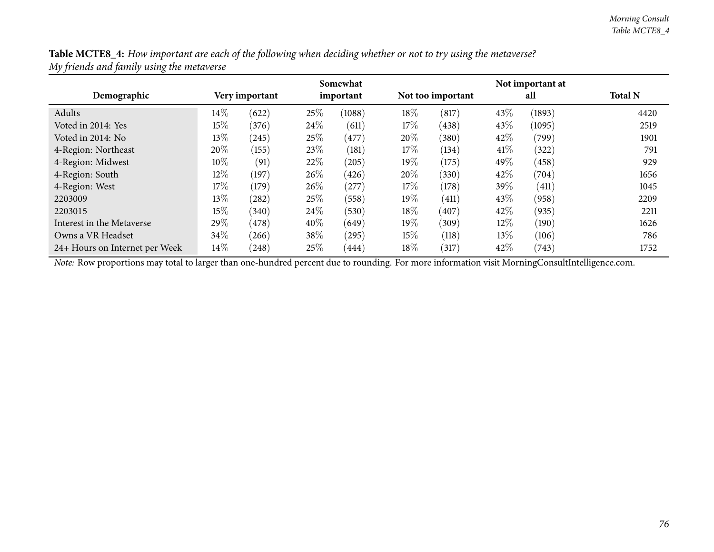Table MCTE8\_4: How important are each of the following when deciding whether or not to try using the metaverse? *My friends and family using the metaverse*

|                                |        |                |      | Somewhat  |        |                   |        | Not important at |                |
|--------------------------------|--------|----------------|------|-----------|--------|-------------------|--------|------------------|----------------|
| Demographic                    |        | Very important |      | important |        | Not too important |        | all              | <b>Total N</b> |
| Adults                         | 14\%   | (622)          | 25\% | (1088)    | 18%    | (817)             | 43%    | (1893)           | 4420           |
| Voted in 2014: Yes             | 15%    | (376)          | 24\% | (611)     | 17\%   | (438)             | 43\%   | (1095)           | 2519           |
| Voted in 2014: No              | 13%    | (245)          | 25\% | (477)     | $20\%$ | (380)             | 42\%   | (799)            | 1901           |
| 4-Region: Northeast            | 20%    | (155)          | 23\% | (181)     | 17\%   | (134)             | 41\%   | (322)            | 791            |
| 4-Region: Midwest              | 10%    | (91)           | 22%  | (205)     | $19\%$ | (175)             | 49%    | (458)            | 929            |
| 4-Region: South                | $12\%$ | (197)          | 26\% | (426)     | 20%    | (330)             | 42\%   | (704)            | 1656           |
| 4-Region: West                 | 17\%   | (179)          | 26\% | (277)     | 17%    | (178)             | 39%    | (411)            | 1045           |
| 2203009                        | 13%    | (282)          | 25\% | (558)     | $19\%$ | (411)             | 43\%   | (958)            | 2209           |
| 2203015                        | 15%    | (340)          | 24\% | (530)     | $18\%$ | (407)             | 42\%   | (935)            | 2211           |
| Interest in the Metaverse      | 29\%   | (478)          | 40%  | (649)     | $19\%$ | (309)             | $12\%$ | (190)            | 1626           |
| Owns a VR Headset              | 34%    | (266)          | 38\% | (295)     | 15%    | (118)             | $13\%$ | (106)            | 786            |
| 24+ Hours on Internet per Week | 14\%   | (248)          | 25\% | (444)     | $18\%$ | (317)             | 42%    | (743)            | 1752           |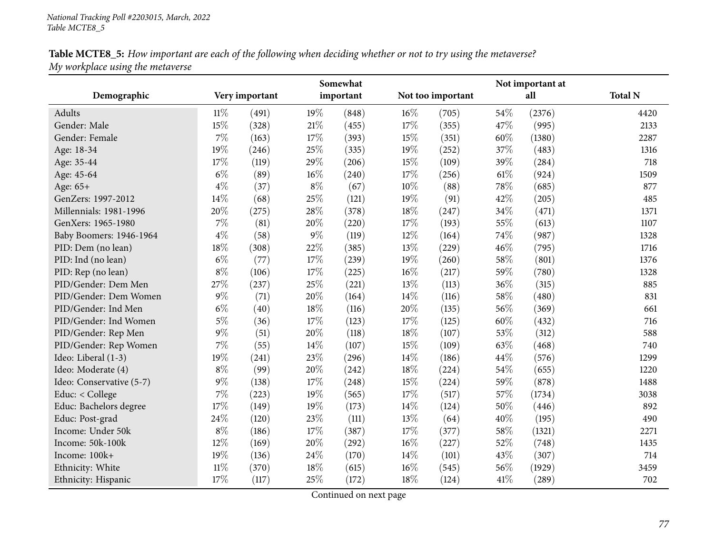| Table MCTE8_5: How important are each of the following when deciding whether or not to try using the metaverse? |  |
|-----------------------------------------------------------------------------------------------------------------|--|
| My workplace using the metaverse                                                                                |  |

|                          |        |                |        | Somewhat  |        |                   |      | Not important at |                |
|--------------------------|--------|----------------|--------|-----------|--------|-------------------|------|------------------|----------------|
| Demographic              |        | Very important |        | important |        | Not too important |      | all              | <b>Total N</b> |
| Adults                   | $11\%$ | (491)          | 19%    | (848)     | $16\%$ | (705)             | 54%  | (2376)           | 4420           |
| Gender: Male             | 15%    | (328)          | $21\%$ | (455)     | 17%    | (355)             | 47%  | (995)            | 2133           |
| Gender: Female           | $7\%$  | (163)          | 17%    | (393)     | 15%    | (351)             | 60%  | (1380)           | 2287           |
| Age: 18-34               | 19%    | (246)          | 25%    | (335)     | 19%    | (252)             | 37%  | (483)            | 1316           |
| Age: 35-44               | 17%    | (119)          | 29%    | (206)     | 15%    | (109)             | 39%  | (284)            | 718            |
| Age: 45-64               | $6\%$  | (89)           | 16%    | (240)     | 17%    | (256)             | 61\% | (924)            | 1509           |
| Age: 65+                 | $4\%$  | (37)           | $8\%$  | (67)      | 10%    | (88)              | 78%  | (685)            | 877            |
| GenZers: 1997-2012       | 14%    | (68)           | 25%    | (121)     | 19%    | (91)              | 42%  | (205)            | 485            |
| Millennials: 1981-1996   | $20\%$ | (275)          | 28%    | (378)     | 18%    | (247)             | 34%  | (471)            | 1371           |
| GenXers: 1965-1980       | $7\%$  | (81)           | 20%    | (220)     | 17%    | (193)             | 55%  | (613)            | 1107           |
| Baby Boomers: 1946-1964  | $4\%$  | (58)           | $9\%$  | (119)     | 12%    | (164)             | 74%  | (987)            | 1328           |
| PID: Dem (no lean)       | 18%    | (308)          | 22%    | (385)     | 13%    | (229)             | 46%  | (795)            | 1716           |
| PID: Ind (no lean)       | $6\%$  | (77)           | 17%    | (239)     | 19%    | (260)             | 58%  | (801)            | 1376           |
| PID: Rep (no lean)       | $8\%$  | (106)          | 17%    | (225)     | $16\%$ | (217)             | 59%  | (780)            | 1328           |
| PID/Gender: Dem Men      | 27%    | (237)          | 25%    | (221)     | 13%    | (113)             | 36%  | (315)            | 885            |
| PID/Gender: Dem Women    | $9\%$  | (71)           | 20%    | (164)     | 14\%   | (116)             | 58%  | (480)            | 831            |
| PID/Gender: Ind Men      | $6\%$  | (40)           | 18%    | (116)     | 20%    | (135)             | 56%  | (369)            | 661            |
| PID/Gender: Ind Women    | $5\%$  | (36)           | 17%    | (123)     | 17%    | (125)             | 60%  | (432)            | 716            |
| PID/Gender: Rep Men      | $9\%$  | (51)           | 20%    | (118)     | 18%    | (107)             | 53%  | (312)            | 588            |
| PID/Gender: Rep Women    | 7%     | (55)           | 14%    | (107)     | 15%    | (109)             | 63%  | (468)            | 740            |
| Ideo: Liberal (1-3)      | 19%    | (241)          | 23%    | (296)     | 14%    | (186)             | 44%  | (576)            | 1299           |
| Ideo: Moderate (4)       | $8\%$  | (99)           | 20%    | (242)     | 18%    | (224)             | 54%  | (655)            | 1220           |
| Ideo: Conservative (5-7) | $9\%$  | (138)          | 17%    | (248)     | 15%    | (224)             | 59%  | (878)            | 1488           |
| Educ: < College          | $7\%$  | (223)          | 19%    | (565)     | 17%    | (517)             | 57%  | (1734)           | 3038           |
| Educ: Bachelors degree   | 17%    | (149)          | 19%    | (173)     | 14\%   | (124)             | 50%  | (446)            | 892            |
| Educ: Post-grad          | 24\%   | (120)          | 23%    | (111)     | 13%    | (64)              | 40%  | (195)            | 490            |
| Income: Under 50k        | $8\%$  | (186)          | 17%    | (387)     | 17%    | (377)             | 58%  | (1321)           | 2271           |
| Income: 50k-100k         | 12%    | (169)          | 20%    | (292)     | $16\%$ | (227)             | 52%  | (748)            | 1435           |
| Income: 100k+            | 19%    | (136)          | 24%    | (170)     | 14\%   | (101)             | 43%  | (307)            | 714            |
| Ethnicity: White         | $11\%$ | (370)          | 18%    | (615)     | 16%    | (545)             | 56%  | (1929)           | 3459           |
| Ethnicity: Hispanic      | 17%    | (117)          | 25%    | (172)     | 18%    | (124)             | 41\% | (289)            | 702            |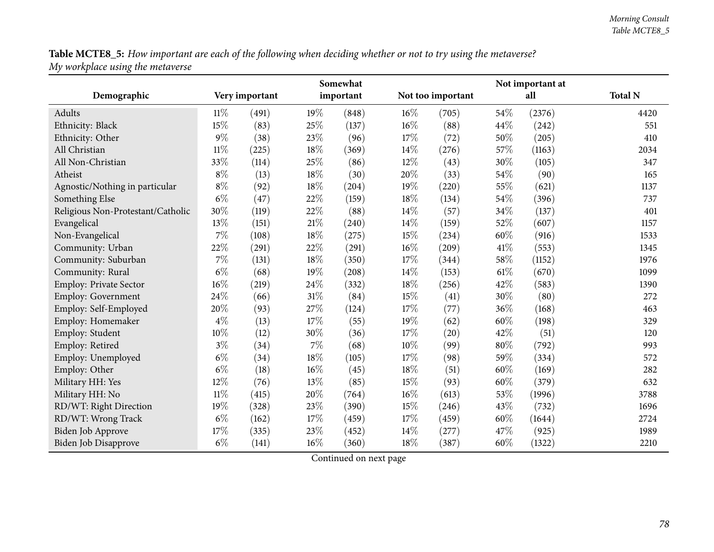Table MCTE8\_5: How important are each of the following when deciding whether or not to try using the metaverse? *My workplace using the metaverse*

|                                   |        |                |        | Somewhat  |        |                   |      | Not important at |                |
|-----------------------------------|--------|----------------|--------|-----------|--------|-------------------|------|------------------|----------------|
| Demographic                       |        | Very important |        | important |        | Not too important |      | all              | <b>Total N</b> |
| Adults                            | 11%    | (491)          | 19%    | (848)     | $16\%$ | (705)             | 54%  | (2376)           | 4420           |
| Ethnicity: Black                  | 15%    | (83)           | 25%    | (137)     | $16\%$ | (88)              | 44%  | (242)            | 551            |
| Ethnicity: Other                  | $9\%$  | (38)           | 23%    | (96)      | 17%    | (72)              | 50%  | (205)            | 410            |
| All Christian                     | $11\%$ | (225)          | $18\%$ | (369)     | 14%    | (276)             | 57%  | (1163)           | 2034           |
| All Non-Christian                 | 33%    | (114)          | $25\%$ | (86)      | $12\%$ | (43)              | 30%  | (105)            | 347            |
| Atheist                           | $8\%$  | (13)           | 18%    | (30)      | 20%    | (33)              | 54%  | (90)             | 165            |
| Agnostic/Nothing in particular    | $8\%$  | (92)           | 18%    | (204)     | 19%    | (220)             | 55%  | (621)            | 1137           |
| Something Else                    | $6\%$  | (47)           | 22%    | (159)     | 18%    | (134)             | 54%  | (396)            | 737            |
| Religious Non-Protestant/Catholic | 30%    | (119)          | 22%    | (88)      | 14\%   | (57)              | 34%  | (137)            | 401            |
| Evangelical                       | 13%    | (151)          | $21\%$ | (240)     | $14\%$ | (159)             | 52%  | (607)            | 1157           |
| Non-Evangelical                   | 7%     | (108)          | $18\%$ | (275)     | 15%    | (234)             | 60%  | (916)            | 1533           |
| Community: Urban                  | 22%    | (291)          | $22\%$ | (291)     | $16\%$ | (209)             | 41\% | (553)            | 1345           |
| Community: Suburban               | 7%     | (131)          | $18\%$ | (350)     | 17\%   | (344)             | 58%  | (1152)           | 1976           |
| Community: Rural                  | $6\%$  | (68)           | 19%    | (208)     | 14\%   | (153)             | 61\% | (670)            | 1099           |
| Employ: Private Sector            | 16%    | (219)          | 24%    | (332)     | 18%    | (256)             | 42%  | (583)            | 1390           |
| Employ: Government                | 24%    | (66)           | $31\%$ | (84)      | 15%    | (41)              | 30%  | (80)             | 272            |
| Employ: Self-Employed             | 20%    | (93)           | 27%    | (124)     | 17%    | (77)              | 36%  | (168)            | 463            |
| Employ: Homemaker                 | $4\%$  | (13)           | 17%    | (55)      | 19%    | (62)              | 60%  | (198)            | 329            |
| Employ: Student                   | 10%    | (12)           | 30%    | (36)      | 17%    | (20)              | 42%  | (51)             | 120            |
| Employ: Retired                   | $3\%$  | (34)           | $7\%$  | (68)      | $10\%$ | (99)              | 80%  | (792)            | 993            |
| Employ: Unemployed                | $6\%$  | (34)           | $18\%$ | (105)     | 17%    | (98)              | 59%  | (334)            | 572            |
| Employ: Other                     | $6\%$  | (18)           | 16%    | (45)      | 18%    | (51)              | 60%  | (169)            | 282            |
| Military HH: Yes                  | 12%    | (76)           | 13%    | (85)      | 15%    | (93)              | 60%  | (379)            | 632            |
| Military HH: No                   | $11\%$ | (415)          | 20%    | (764)     | 16%    | (613)             | 53%  | (1996)           | 3788           |
| RD/WT: Right Direction            | 19%    | (328)          | 23%    | (390)     | 15%    | (246)             | 43%  | (732)            | 1696           |
| RD/WT: Wrong Track                | $6\%$  | (162)          | $17\%$ | (459)     | 17%    | (459)             | 60%  | (1644)           | 2724           |
| Biden Job Approve                 | 17%    | (335)          | 23%    | (452)     | 14%    | (277)             | 47%  | (925)            | 1989           |
| <b>Biden Job Disapprove</b>       | $6\%$  | (141)          | 16%    | (360)     | 18%    | (387)             | 60%  | (1322)           | 2210           |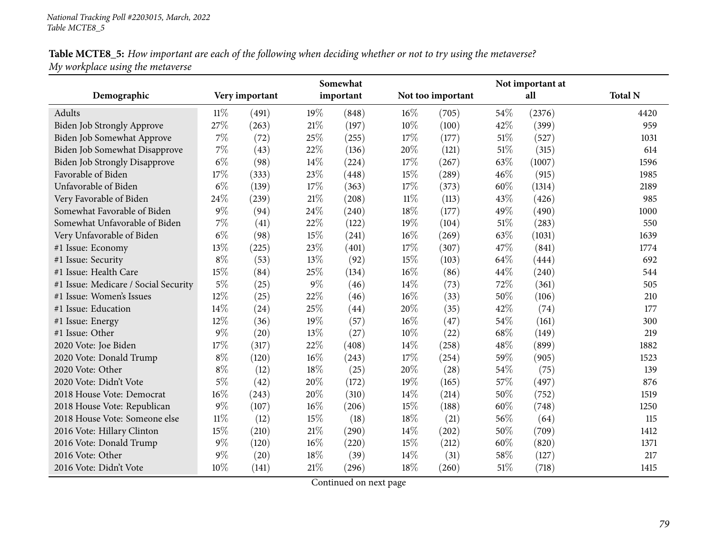Table MCTE8\_5: How important are each of the following when deciding whether or not to try using the metaverse? *My workplace using the metaverse*

|                                      |        |                |     | Somewhat  |        |                   |      | Not important at |                |
|--------------------------------------|--------|----------------|-----|-----------|--------|-------------------|------|------------------|----------------|
| Demographic                          |        | Very important |     | important |        | Not too important |      | all              | <b>Total N</b> |
| Adults                               | $11\%$ | (491)          | 19% | (848)     | 16%    | (705)             | 54%  | (2376)           | 4420           |
| <b>Biden Job Strongly Approve</b>    | 27%    | (263)          | 21% | (197)     | 10%    | (100)             | 42%  | (399)            | 959            |
| Biden Job Somewhat Approve           | 7%     | (72)           | 25% | (255)     | 17%    | (177)             | 51%  | (527)            | 1031           |
| Biden Job Somewhat Disapprove        | 7%     | (43)           | 22% | (136)     | 20%    | (121)             | 51%  | (315)            | 614            |
| <b>Biden Job Strongly Disapprove</b> | $6\%$  | (98)           | 14% | (224)     | 17%    | (267)             | 63%  | (1007)           | 1596           |
| Favorable of Biden                   | 17%    | (333)          | 23% | (448)     | 15%    | (289)             | 46%  | (915)            | 1985           |
| Unfavorable of Biden                 | $6\%$  | (139)          | 17% | (363)     | 17%    | (373)             | 60%  | (1314)           | 2189           |
| Very Favorable of Biden              | 24%    | (239)          | 21% | (208)     | $11\%$ | (113)             | 43%  | (426)            | 985            |
| Somewhat Favorable of Biden          | $9\%$  | (94)           | 24% | (240)     | 18%    | (177)             | 49%  | (490)            | 1000           |
| Somewhat Unfavorable of Biden        | 7%     | (41)           | 22% | (122)     | 19%    | (104)             | 51%  | (283)            | 550            |
| Very Unfavorable of Biden            | $6\%$  | (98)           | 15% | (241)     | 16%    | (269)             | 63%  | (1031)           | 1639           |
| #1 Issue: Economy                    | 13%    | (225)          | 23% | (401)     | 17%    | (307)             | 47%  | (841)            | 1774           |
| #1 Issue: Security                   | $8\%$  | (53)           | 13% | (92)      | 15%    | (103)             | 64%  | (444)            | 692            |
| #1 Issue: Health Care                | 15%    | (84)           | 25% | (134)     | 16%    | (86)              | 44%  | (240)            | 544            |
| #1 Issue: Medicare / Social Security | $5\%$  | (25)           | 9%  | (46)      | 14%    | (73)              | 72%  | (361)            | 505            |
| #1 Issue: Women's Issues             | 12%    | (25)           | 22% | (46)      | 16%    | (33)              | 50%  | (106)            | 210            |
| #1 Issue: Education                  | 14\%   | (24)           | 25% | (44)      | 20%    | (35)              | 42%  | (74)             | 177            |
| #1 Issue: Energy                     | 12%    | (36)           | 19% | (57)      | 16%    | (47)              | 54%  | (161)            | 300            |
| #1 Issue: Other                      | $9\%$  | (20)           | 13% | (27)      | 10%    | (22)              | 68\% | (149)            | 219            |
| 2020 Vote: Joe Biden                 | 17%    | (317)          | 22% | (408)     | 14%    | (258)             | 48%  | (899)            | 1882           |
| 2020 Vote: Donald Trump              | $8\%$  | (120)          | 16% | (243)     | 17%    | (254)             | 59%  | (905)            | 1523           |
| 2020 Vote: Other                     | $8\%$  | (12)           | 18% | (25)      | 20%    | (28)              | 54%  | (75)             | 139            |
| 2020 Vote: Didn't Vote               | $5\%$  | (42)           | 20% | (172)     | 19%    | (165)             | 57%  | (497)            | 876            |
| 2018 House Vote: Democrat            | 16%    | (243)          | 20% | (310)     | 14%    | (214)             | 50%  | (752)            | 1519           |
| 2018 House Vote: Republican          | $9\%$  | (107)          | 16% | (206)     | 15%    | (188)             | 60%  | (748)            | 1250           |
| 2018 House Vote: Someone else        | $11\%$ | (12)           | 15% | (18)      | 18%    | (21)              | 56%  | (64)             | 115            |
| 2016 Vote: Hillary Clinton           | 15%    | (210)          | 21% | (290)     | 14%    | (202)             | 50%  | (709)            | 1412           |
| 2016 Vote: Donald Trump              | $9\%$  | (120)          | 16% | (220)     | 15%    | (212)             | 60%  | (820)            | 1371           |
| 2016 Vote: Other                     | $9\%$  | (20)           | 18% | (39)      | 14%    | (31)              | 58%  | (127)            | 217            |
| 2016 Vote: Didn't Vote               | 10%    | (141)          | 21% | (296)     | 18%    | (260)             | 51\% | (718)            | 1415           |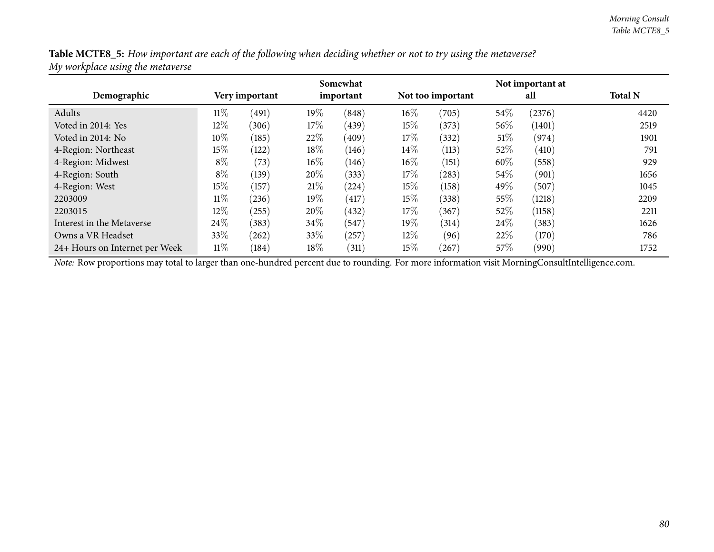Table MCTE8\_5: How important are each of the following when deciding whether or not to try using the metaverse? *My workplace using the metaverse*

|                                |        |                |        | Somewhat  |        |                   |        | Not important at |                |
|--------------------------------|--------|----------------|--------|-----------|--------|-------------------|--------|------------------|----------------|
| Demographic                    |        | Very important |        | important |        | Not too important |        | all              | <b>Total N</b> |
| Adults                         | $11\%$ | (491)          | 19%    | (848)     | $16\%$ | (705)             | 54%    | (2376)           | 4420           |
| Voted in 2014: Yes             | $12\%$ | (306)          | 17\%   | (439)     | $15\%$ | (373)             | 56\%   | (1401)           | 2519           |
| Voted in 2014: No              | 10%    | (185)          | 22\%   | (409)     | 17%    | (332)             | $51\%$ | (974)            | 1901           |
| 4-Region: Northeast            | 15%    | (122)          | 18%    | (146)     | $14\%$ | (113)             | $52\%$ | (410)            | 791            |
| 4-Region: Midwest              | $8\%$  | (73)           | $16\%$ | (146)     | $16\%$ | (151)             | 60%    | (558)            | 929            |
| 4-Region: South                | $8\%$  | (139)          | 20%    | (333)     | 17\%   | (283)             | 54\%   | (901)            | 1656           |
| 4-Region: West                 | $15\%$ | (157)          | 21%    | (224)     | $15\%$ | (158)             | 49%    | (507)            | 1045           |
| 2203009                        | $11\%$ | (236)          | 19%    | (417)     | $15\%$ | (338)             | $55\%$ | (1218)           | 2209           |
| 2203015                        | 12%    | (255)          | 20%    | (432)     | $17\%$ | (367)             | $52\%$ | (1158)           | 2211           |
| Interest in the Metaverse      | 24\%   | (383)          | 34\%   | (547)     | $19\%$ | (314)             | 24\%   | (383)            | 1626           |
| Owns a VR Headset              | 33%    | (262)          | 33\%   | (257)     | $12\%$ | (96)              | 22\%   | (170)            | 786            |
| 24+ Hours on Internet per Week | $11\%$ | (184)          | 18%    | (311)     | $15\%$ | 267               | $57\%$ | (990)            | 1752           |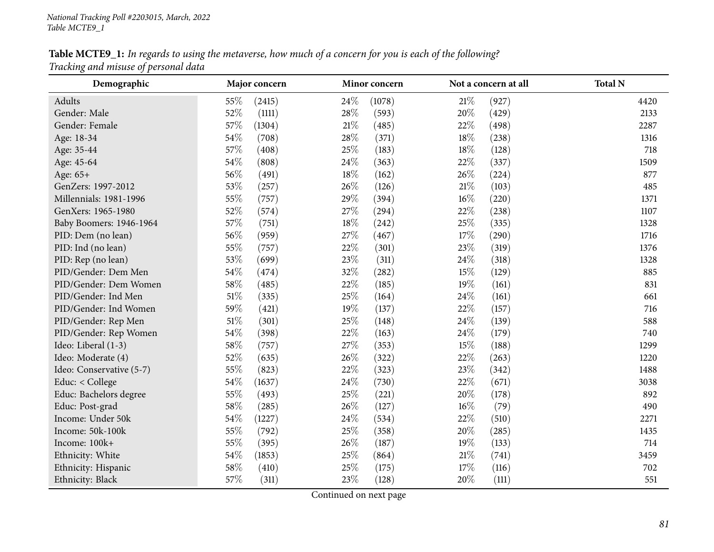Table MCTE9\_1: In regards to using the metaverse, how much of a concern for you is each of the following? *Tracking and misuse of persona<sup>l</sup> data*

| Demographic              | Major concern    | Minor concern | Not a concern at all | <b>Total N</b> |
|--------------------------|------------------|---------------|----------------------|----------------|
| Adults                   | 55%<br>(2415)    | 24%<br>(1078) | $21\%$<br>(927)      | 4420           |
| Gender: Male             | 52%<br>(1111)    | 28%<br>(593)  | 20%<br>(429)         | 2133           |
| Gender: Female           | 57%<br>(1304)    | 21%<br>(485)  | 22%<br>(498)         | 2287           |
| Age: 18-34               | 54%<br>(708)     | 28%<br>(371)  | 18%<br>(238)         | 1316           |
| Age: 35-44               | 57%<br>(408)     | 25\%<br>(183) | 18%<br>(128)         | 718            |
| Age: 45-64               | 54%<br>(808)     | 24\%<br>(363) | 22%<br>(337)         | 1509           |
| Age: 65+                 | 56%<br>(491)     | 18%<br>(162)  | 26%<br>(224)         | 877            |
| GenZers: 1997-2012       | 53%<br>(257)     | 26%<br>(126)  | $21\%$<br>(103)      | 485            |
| Millennials: 1981-1996   | $55\%$<br>(757)  | 29%<br>(394)  | 16%<br>(220)         | 1371           |
| GenXers: 1965-1980       | 52%<br>(574)     | 27%<br>(294)  | 22%<br>(238)         | 1107           |
| Baby Boomers: 1946-1964  | 57%<br>(751)     | 18%<br>(242)  | 25%<br>(335)         | 1328           |
| PID: Dem (no lean)       | 56%<br>(959)     | 27\%<br>(467) | 17%<br>(290)         | 1716           |
| PID: Ind (no lean)       | 55%<br>(757)     | 22%<br>(301)  | 23%<br>(319)         | 1376           |
| PID: Rep (no lean)       | 53%<br>(699)     | 23%<br>(311)  | 24\%<br>(318)        | 1328           |
| PID/Gender: Dem Men      | 54%<br>(474)     | 32%<br>(282)  | 15%<br>(129)         | 885            |
| PID/Gender: Dem Women    | 58%<br>(485)     | 22%<br>(185)  | 19%<br>(161)         | 831            |
| PID/Gender: Ind Men      | $51\%$<br>(335)  | 25%<br>(164)  | 24%<br>(161)         | 661            |
| PID/Gender: Ind Women    | 59%<br>(421)     | 19%<br>(137)  | 22%<br>(157)         | 716            |
| PID/Gender: Rep Men      | $51\%$<br>(301)  | 25%<br>(148)  | 24%<br>(139)         | 588            |
| PID/Gender: Rep Women    | 54%<br>(398)     | 22%<br>(163)  | 24%<br>(179)         | 740            |
| Ideo: Liberal (1-3)      | 58%<br>(757)     | 27%<br>(353)  | 15%<br>(188)         | 1299           |
| Ideo: Moderate (4)       | 52%<br>(635)     | 26\%<br>(322) | 22%<br>(263)         | 1220           |
| Ideo: Conservative (5-7) | 55%<br>(823)     | 22%<br>(323)  | 23%<br>(342)         | 1488           |
| Educ: < College          | 54%<br>(1637)    | 24\%<br>(730) | 22%<br>(671)         | 3038           |
| Educ: Bachelors degree   | 55%<br>(493)     | 25%<br>(221)  | 20%<br>(178)         | 892            |
| Educ: Post-grad          | 58%<br>(285)     | 26%<br>(127)  | 16%<br>(79)          | 490            |
| Income: Under 50k        | $54\%$<br>(1227) | 24\%<br>(534) | 22%<br>(510)         | 2271           |
| Income: 50k-100k         | $55\%$<br>(792)  | 25%<br>(358)  | $20\%$<br>(285)      | 1435           |
| Income: 100k+            | 55%<br>(395)     | 26\%<br>(187) | 19%<br>(133)         | 714            |
| Ethnicity: White         | 54%<br>(1853)    | 25\%<br>(864) | 21%<br>(741)         | 3459           |
| Ethnicity: Hispanic      | 58%<br>(410)     | 25%<br>(175)  | 17%<br>(116)         | 702            |
| Ethnicity: Black         | 57%<br>(311)     | 23%<br>(128)  | 20%<br>(111)         | 551            |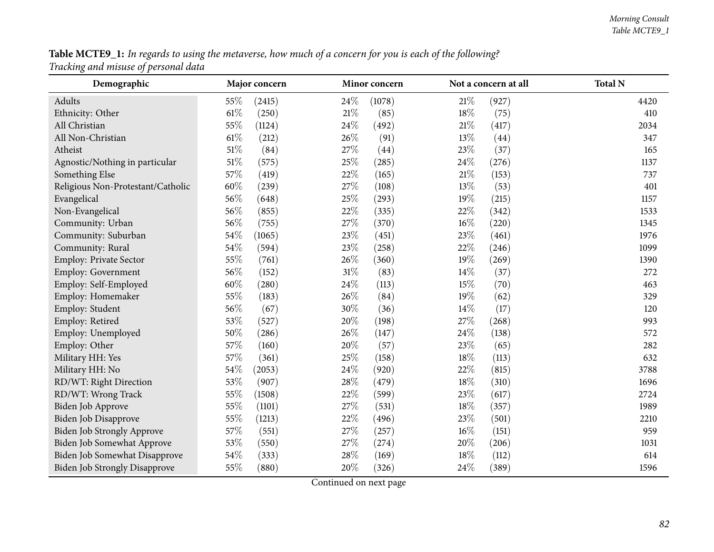| Table MCTE9_1: In regards to using the metaverse, how much of a concern for you is each of the following? |  |  |
|-----------------------------------------------------------------------------------------------------------|--|--|
| Tracking and misuse of personal data                                                                      |  |  |

| Demographic                          | Major concern   | Minor concern  | Not a concern at all | <b>Total N</b> |
|--------------------------------------|-----------------|----------------|----------------------|----------------|
| Adults                               | 55%<br>(2415)   | 24%<br>(1078)  | 21%<br>(927)         | 4420           |
| Ethnicity: Other                     | $61\%$<br>(250) | $21\%$<br>(85) | 18%<br>(75)          | 410            |
| All Christian                        | 55%<br>(1124)   | 24\%<br>(492)  | $21\%$<br>(417)      | 2034           |
| All Non-Christian                    | $61\%$<br>(212) | 26%<br>(91)    | 13%<br>(44)          | 347            |
| Atheist                              | 51\%<br>(84)    | 27%<br>(44)    | 23%<br>(37)          | 165            |
| Agnostic/Nothing in particular       | $51\%$<br>(575) | 25%<br>(285)   | 24\%<br>(276)        | 1137           |
| Something Else                       | 57%<br>(419)    | 22%<br>(165)   | $21\%$<br>(153)      | 737            |
| Religious Non-Protestant/Catholic    | $60\%$<br>(239) | 27%<br>(108)   | 13%<br>(53)          | 401            |
| Evangelical                          | 56%<br>(648)    | 25%<br>(293)   | 19%<br>(215)         | 1157           |
| Non-Evangelical                      | 56%<br>(855)    | 22%<br>(335)   | 22%<br>(342)         | 1533           |
| Community: Urban                     | 56%<br>(755)    | 27%<br>(370)   | $16\%$<br>(220)      | 1345           |
| Community: Suburban                  | 54\%<br>(1065)  | 23%<br>(451)   | 23%<br>(461)         | 1976           |
| Community: Rural                     | 54\%<br>(594)   | 23%<br>(258)   | 22%<br>(246)         | 1099           |
| Employ: Private Sector               | 55%<br>(761)    | 26%<br>(360)   | 19%<br>(269)         | 1390           |
| Employ: Government                   | 56%<br>(152)    | $31\%$<br>(83) | 14%<br>(37)          | 272            |
| Employ: Self-Employed                | $60\%$<br>(280) | 24%<br>(113)   | 15%<br>(70)          | 463            |
| Employ: Homemaker                    | 55%<br>(183)    | 26%<br>(84)    | 19%<br>(62)          | 329            |
| Employ: Student                      | 56%<br>(67)     | 30%<br>(36)    | 14\%<br>(17)         | 120            |
| Employ: Retired                      | 53%<br>(527)    | 20%<br>(198)   | 27\%<br>(268)        | 993            |
| Employ: Unemployed                   | 50%<br>(286)    | 26%<br>(147)   | 24\%<br>(138)        | 572            |
| Employ: Other                        | 57%<br>(160)    | 20%<br>(57)    | 23%<br>(65)          | 282            |
| Military HH: Yes                     | 57%<br>(361)    | 25%<br>(158)   | $18\%$<br>(113)      | 632            |
| Military HH: No                      | 54\%<br>(2053)  | 24%<br>(920)   | 22%<br>(815)         | 3788           |
| RD/WT: Right Direction               | 53%<br>(907)    | 28%<br>(479)   | 18%<br>(310)         | 1696           |
| RD/WT: Wrong Track                   | 55%<br>(1508)   | 22%<br>(599)   | 23\%<br>(617)        | 2724           |
| Biden Job Approve                    | 55%<br>(1101)   | 27%<br>(531)   | 18%<br>(357)         | 1989           |
| Biden Job Disapprove                 | 55%<br>(1213)   | 22%<br>(496)   | 23%<br>(501)         | 2210           |
| Biden Job Strongly Approve           | 57\%<br>(551)   | 27%<br>(257)   | $16\%$<br>(151)      | 959            |
| Biden Job Somewhat Approve           | 53%<br>(550)    | 27%<br>(274)   | 20%<br>(206)         | 1031           |
| Biden Job Somewhat Disapprove        | $54\%$<br>(333) | 28\%<br>(169)  | 18\%<br>(112)        | 614            |
| <b>Biden Job Strongly Disapprove</b> | 55%<br>(880)    | 20%<br>(326)   | 24\%<br>(389)        | 1596           |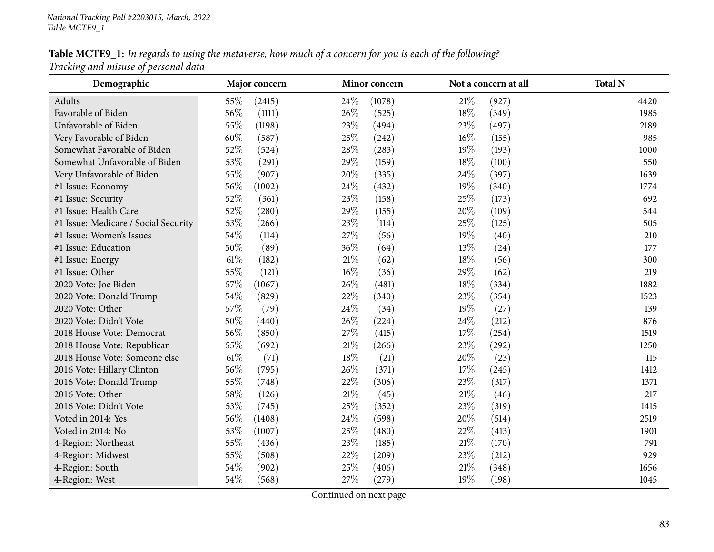# Table MCTE9\_1: In regards to using the metaverse, how much of a concern for you is each of the following? *Tracking and misuse of persona<sup>l</sup> data*

| Demographic                          | Major concern   | Minor concern   | Not a concern at all | <b>Total N</b> |
|--------------------------------------|-----------------|-----------------|----------------------|----------------|
| Adults                               | 55\%<br>(2415)  | 24%<br>(1078)   | 21%<br>(927)         | 4420           |
| Favorable of Biden                   | 56%<br>(1111)   | 26%<br>(525)    | 18%<br>(349)         | 1985           |
| Unfavorable of Biden                 | 55%<br>(1198)   | 23%<br>(494)    | 23\%<br>(497)        | 2189           |
| Very Favorable of Biden              | 60%<br>(587)    | 25%<br>(242)    | $16\%$<br>(155)      | 985            |
| Somewhat Favorable of Biden          | 52%<br>(524)    | 28%<br>(283)    | 19%<br>(193)         | 1000           |
| Somewhat Unfavorable of Biden        | 53%<br>(291)    | 29%<br>(159)    | 18%<br>(100)         | 550            |
| Very Unfavorable of Biden            | 55%<br>(907)    | $20\%$<br>(335) | 24%<br>(397)         | 1639           |
| #1 Issue: Economy                    | 56%<br>(1002)   | 24\%<br>(432)   | 19%<br>(340)         | 1774           |
| #1 Issue: Security                   | 52%<br>(361)    | 23%<br>(158)    | 25%<br>(173)         | 692            |
| #1 Issue: Health Care                | 52%<br>(280)    | 29%<br>(155)    | 20%<br>(109)         | 544            |
| #1 Issue: Medicare / Social Security | 53%<br>(266)    | 23%<br>(114)    | 25%<br>(125)         | 505            |
| #1 Issue: Women's Issues             | 54\%<br>(114)   | 27%<br>(56)     | 19%<br>(40)          | 210            |
| #1 Issue: Education                  | 50%<br>(89)     | 36%<br>(64)     | 13%<br>(24)          | 177            |
| #1 Issue: Energy                     | $61\%$<br>(182) | $21\%$<br>(62)  | 18%<br>(56)          | 300            |
| #1 Issue: Other                      | 55%<br>(121)    | $16\%$<br>(36)  | 29%<br>(62)          | 219            |
| 2020 Vote: Joe Biden                 | 57%<br>(1067)   | 26%<br>(481)    | 18%<br>(334)         | 1882           |
| 2020 Vote: Donald Trump              | 54%<br>(829)    | 22%<br>(340)    | 23%<br>(354)         | 1523           |
| 2020 Vote: Other                     | 57%<br>(79)     | 24%<br>(34)     | 19%<br>(27)          | 139            |
| 2020 Vote: Didn't Vote               | 50%<br>(440)    | 26%<br>(224)    | 24\%<br>(212)        | 876            |
| 2018 House Vote: Democrat            | 56%<br>(850)    | 27%<br>(415)    | $17\%$<br>(254)      | 1519           |
| 2018 House Vote: Republican          | 55%<br>(692)    | $21\%$<br>(266) | 23%<br>(292)         | 1250           |
| 2018 House Vote: Someone else        | $61\%$<br>(71)  | 18%<br>(21)     | 20%<br>(23)          | 115            |
| 2016 Vote: Hillary Clinton           | 56%<br>(795)    | 26%<br>(371)    | 17%<br>(245)         | 1412           |
| 2016 Vote: Donald Trump              | 55%<br>(748)    | 22%<br>(306)    | 23\%<br>(317)        | 1371           |
| 2016 Vote: Other                     | 58%<br>(126)    | $21\%$<br>(45)  | $21\%$<br>(46)       | 217            |
| 2016 Vote: Didn't Vote               | 53%<br>(745)    | 25%<br>(352)    | 23%<br>(319)         | 1415           |
| Voted in 2014: Yes                   | 56%<br>(1408)   | 24%<br>(598)    | 20%<br>(514)         | 2519           |
| Voted in 2014: No                    | 53%<br>(1007)   | $25\%$<br>(480) | 22%<br>(413)         | 1901           |
| 4-Region: Northeast                  | 55%<br>(436)    | 23%<br>(185)    | $21\%$<br>(170)      | 791            |
| 4-Region: Midwest                    | 55%<br>(508)    | 22%<br>(209)    | 23%<br>(212)         | 929            |
| 4-Region: South                      | 54%<br>(902)    | 25%<br>(406)    | 21%<br>(348)         | 1656           |
| 4-Region: West                       | 54%<br>(568)    | 27%<br>(279)    | 19%<br>(198)         | 1045           |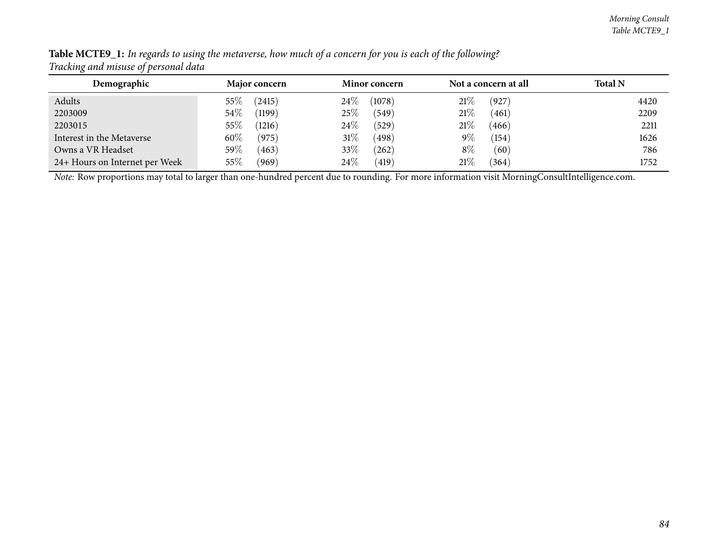| Demographic                    | <b>Major concern</b> | <b>Minor concern</b> | Not a concern at all | <b>Total N</b> |
|--------------------------------|----------------------|----------------------|----------------------|----------------|
| Adults                         | (2415)<br>55%        | $24\%$<br>(1078)     | 21%<br>(927)         | 4420           |
| 2203009                        | $54\%$<br>(1199)     | 25%<br>(549)         | 21%<br>(461)         | 2209           |
| 2203015                        | 55\%<br>(1216)       | $24\%$<br>(529)      | 21\%<br>(466)        | 2211           |
| Interest in the Metaverse      | $60\%$<br>(975)      | 31%<br>(498)         | $9\%$<br>(154)       | 1626           |
| Owns a VR Headset              | $59\%$<br>(463)      | 33\%<br>$^{'}262)$   | $8\%$<br>(60)        | 786            |
| 24+ Hours on Internet per Week | $55\%$<br>(969)      | $24\%$<br>(419)      | 21%<br>(364)         | 1752           |

Table MCTE9\_1: In regards to using the metaverse, how much of a concern for you is each of the following? *Tracking and misuse of persona<sup>l</sup> data*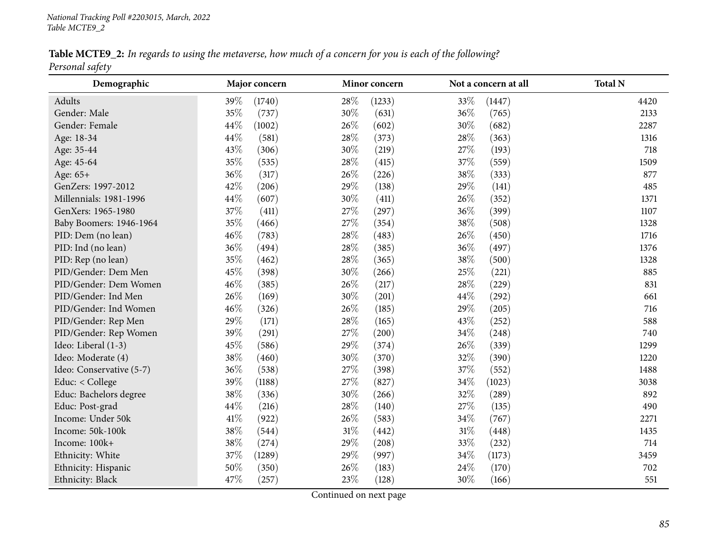Table MCTE9\_2: In regards to using the metaverse, how much of a concern for you is each of the following? *Personal safety*

| Demographic              | Major concern  | Minor concern   | Not a concern at all | <b>Total N</b> |
|--------------------------|----------------|-----------------|----------------------|----------------|
| Adults                   | 39%<br>(1740)  | 28\%<br>(1233)  | 33%<br>(1447)        | 4420           |
| Gender: Male             | 35%<br>(737)   | 30%<br>(631)    | 36%<br>(765)         | 2133           |
| Gender: Female           | 44\%<br>(1002) | 26\%<br>(602)   | 30%<br>(682)         | 2287           |
| Age: 18-34               | 44%<br>(581)   | 28\%<br>(373)   | 28\%<br>(363)        | 1316           |
| Age: 35-44               | 43%<br>(306)   | 30%<br>(219)    | 27%<br>(193)         | 718            |
| Age: 45-64               | 35%<br>(535)   | $28\%$<br>(415) | 37%<br>(559)         | 1509           |
| Age: 65+                 | 36%<br>(317)   | 26\%<br>(226)   | $38\%$<br>(333)      | 877            |
| GenZers: 1997-2012       | 42%<br>(206)   | 29%<br>(138)    | 29%<br>(141)         | 485            |
| Millennials: 1981-1996   | 44%<br>(607)   | 30%<br>(411)    | 26%<br>(352)         | 1371           |
| GenXers: 1965-1980       | 37%<br>(411)   | 27%<br>(297)    | 36%<br>(399)         | 1107           |
| Baby Boomers: 1946-1964  | 35%<br>(466)   | 27\%<br>(354)   | 38%<br>(508)         | 1328           |
| PID: Dem (no lean)       | 46%<br>(783)   | 28\%<br>(483)   | 26%<br>(450)         | 1716           |
| PID: Ind (no lean)       | 36%<br>(494)   | 28\%<br>(385)   | 36%<br>(497)         | 1376           |
| PID: Rep (no lean)       | 35%<br>(462)   | 28\%<br>(365)   | 38%<br>(500)         | 1328           |
| PID/Gender: Dem Men      | 45%<br>(398)   | $30\%$<br>(266) | 25%<br>(221)         | 885            |
| PID/Gender: Dem Women    | 46%<br>(385)   | 26\%<br>(217)   | 28%<br>(229)         | 831            |
| PID/Gender: Ind Men      | 26%<br>(169)   | 30%<br>(201)    | 44%<br>(292)         | 661            |
| PID/Gender: Ind Women    | 46%<br>(326)   | 26\%<br>(185)   | 29%<br>(205)         | 716            |
| PID/Gender: Rep Men      | 29%<br>(171)   | 28\%<br>(165)   | 43%<br>(252)         | 588            |
| PID/Gender: Rep Women    | 39%<br>(291)   | 27\%<br>(200)   | $34\%$<br>(248)      | 740            |
| Ideo: Liberal (1-3)      | 45%<br>(586)   | 29%<br>(374)    | 26%<br>(339)         | 1299           |
| Ideo: Moderate (4)       | 38%<br>(460)   | 30%<br>(370)    | 32%<br>(390)         | 1220           |
| Ideo: Conservative (5-7) | 36%<br>(538)   | 27\%<br>(398)   | 37%<br>(552)         | 1488           |
| Educ: < College          | 39%<br>(1188)  | $27\%$<br>(827) | $34\%$<br>(1023)     | 3038           |
| Educ: Bachelors degree   | 38%<br>(336)   | 30%<br>(266)    | 32%<br>(289)         | 892            |
| Educ: Post-grad          | 44%<br>(216)   | 28\%<br>(140)   | 27%<br>(135)         | 490            |
| Income: Under 50k        | 41%<br>(922)   | 26\%<br>(583)   | 34%<br>(767)         | 2271           |
| Income: 50k-100k         | 38%<br>(544)   | $31\%$<br>(442) | 31%<br>(448)         | 1435           |
| Income: 100k+            | 38%<br>(274)   | 29%<br>(208)    | 33%<br>(232)         | 714            |
| Ethnicity: White         | 37%<br>(1289)  | 29%<br>(997)    | 34%<br>(1173)        | 3459           |
| Ethnicity: Hispanic      | 50%<br>(350)   | 26\%<br>(183)   | 24%<br>(170)         | 702            |
| Ethnicity: Black         | 47%<br>(257)   | 23%<br>(128)    | 30%<br>(166)         | 551            |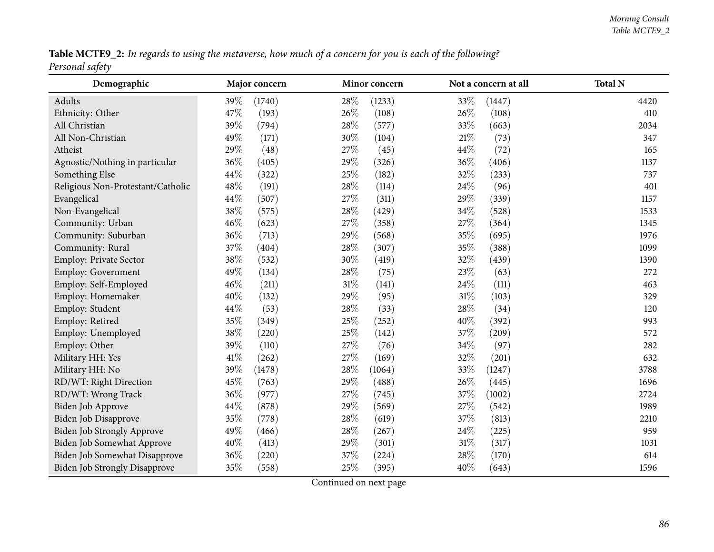Table MCTE9\_2: In regards to using the metaverse, how much of a concern for you is each of the following? *Personal safety*

| Demographic                          | Major concern   | Minor concern   | Not a concern at all | <b>Total N</b> |
|--------------------------------------|-----------------|-----------------|----------------------|----------------|
| Adults                               | 39\%<br>(1740)  | 28\%<br>(1233)  | 33%<br>(1447)        | 4420           |
| Ethnicity: Other                     | 47%<br>(193)    | 26\%<br>(108)   | 26%<br>(108)         | 410            |
| All Christian                        | 39%<br>(794)    | $28\%$<br>(577) | 33%<br>(663)         | 2034           |
| All Non-Christian                    | 49%<br>(171)    | 30%<br>(104)    | $21\%$<br>(73)       | 347            |
| Atheist                              | 29%<br>(48)     | 27\%<br>(45)    | 44\%<br>(72)         | 165            |
| Agnostic/Nothing in particular       | 36%<br>(405)    | 29%<br>(326)    | 36%<br>(406)         | 1137           |
| Something Else                       | 44%<br>(322)    | 25%<br>(182)    | 32%<br>(233)         | 737            |
| Religious Non-Protestant/Catholic    | 48\%<br>(191)   | 28\%<br>(114)   | 24\%<br>(96)         | 401            |
| Evangelical                          | 44%<br>(507)    | 27%<br>(311)    | 29%<br>(339)         | 1157           |
| Non-Evangelical                      | 38\%<br>(575)   | 28%<br>(429)    | 34%<br>(528)         | 1533           |
| Community: Urban                     | 46%<br>(623)    | 27%<br>(358)    | 27%<br>(364)         | 1345           |
| Community: Suburban                  | 36%<br>(713)    | 29%<br>(568)    | 35%<br>(695)         | 1976           |
| Community: Rural                     | $37\%$<br>(404) | $28\%$<br>(307) | $35\%$<br>(388)      | 1099           |
| Employ: Private Sector               | 38\%<br>(532)   | 30%<br>(419)    | 32%<br>(439)         | 1390           |
| Employ: Government                   | 49%<br>(134)    | 28\%<br>(75)    | 23%<br>(63)          | 272            |
| Employ: Self-Employed                | 46%<br>(211)    | $31\%$<br>(141) | 24\%<br>(111)        | 463            |
| Employ: Homemaker                    | 40%<br>(132)    | 29%<br>(95)     | $31\%$<br>(103)      | 329            |
| Employ: Student                      | 44%<br>(53)     | 28\%<br>(33)    | 28\%<br>(34)         | 120            |
| Employ: Retired                      | 35%<br>(349)    | 25%<br>(252)    | 40%<br>(392)         | 993            |
| Employ: Unemployed                   | 38\%<br>(220)   | 25%<br>(142)    | 37%<br>(209)         | 572            |
| Employ: Other                        | 39%<br>(110)    | 27%<br>(76)     | 34%<br>(97)          | 282            |
| Military HH: Yes                     | 41\%<br>(262)   | 27%<br>(169)    | 32%<br>(201)         | 632            |
| Military HH: No                      | 39%<br>(1478)   | 28%<br>(1064)   | 33%<br>(1247)        | 3788           |
| RD/WT: Right Direction               | 45%<br>(763)    | 29%<br>(488)    | 26%<br>(445)         | 1696           |
| RD/WT: Wrong Track                   | 36%<br>(977)    | 27%<br>(745)    | 37%<br>(1002)        | 2724           |
| Biden Job Approve                    | 44%<br>(878)    | 29%<br>(569)    | 27%<br>(542)         | 1989           |
| <b>Biden Job Disapprove</b>          | 35%<br>(778)    | 28%<br>(619)    | 37%<br>(813)         | 2210           |
| <b>Biden Job Strongly Approve</b>    | 49%<br>(466)    | 28%<br>(267)    | 24\%<br>(225)        | 959            |
| Biden Job Somewhat Approve           | 40%<br>(413)    | 29%<br>(301)    | $31\%$<br>(317)      | 1031           |
| Biden Job Somewhat Disapprove        | 36%<br>(220)    | 37%<br>(224)    | 28%<br>(170)         | 614            |
| <b>Biden Job Strongly Disapprove</b> | 35%<br>(558)    | 25%<br>(395)    | 40%<br>(643)         | 1596           |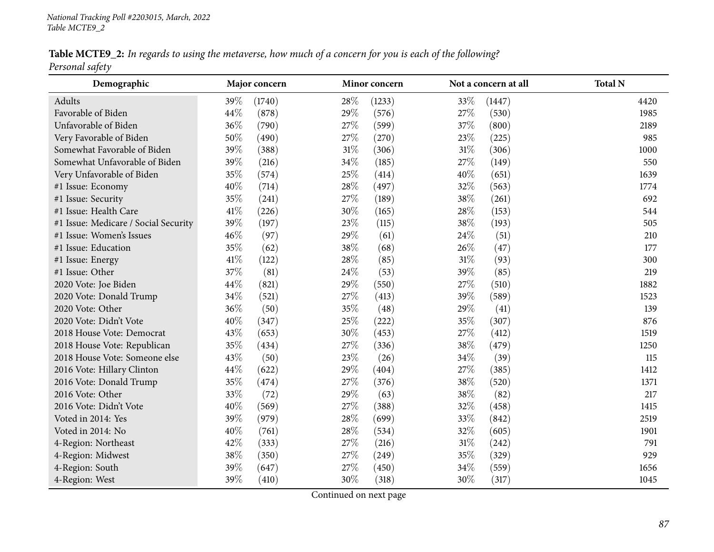Table MCTE9\_2: In regards to using the metaverse, how much of a concern for you is each of the following? *Personal safety*

| Demographic                          |        | Major concern |        | Minor concern |        | Not a concern at all | <b>Total N</b> |
|--------------------------------------|--------|---------------|--------|---------------|--------|----------------------|----------------|
| Adults                               | 39%    | (1740)        | 28\%   | (1233)        | 33%    | (1447)               | 4420           |
| Favorable of Biden                   | 44%    | (878)         | 29%    | (576)         | 27%    | (530)                | 1985           |
| Unfavorable of Biden                 | 36%    | (790)         | 27\%   | (599)         | 37%    | (800)                | 2189           |
| Very Favorable of Biden              | 50%    | (490)         | 27\%   | (270)         | 23%    | (225)                | 985            |
| Somewhat Favorable of Biden          | 39%    | (388)         | $31\%$ | (306)         | $31\%$ | (306)                | 1000           |
| Somewhat Unfavorable of Biden        | 39%    | (216)         | 34\%   | (185)         | $27\%$ | (149)                | 550            |
| Very Unfavorable of Biden            | 35%    | (574)         | 25%    | (414)         | 40%    | (651)                | 1639           |
| #1 Issue: Economy                    | 40%    | (714)         | $28\%$ | (497)         | 32%    | (563)                | 1774           |
| #1 Issue: Security                   | 35%    | (241)         | 27%    | (189)         | 38%    | (261)                | 692            |
| #1 Issue: Health Care                | 41\%   | (226)         | 30%    | (165)         | 28%    | (153)                | 544            |
| #1 Issue: Medicare / Social Security | 39%    | (197)         | 23%    | (115)         | 38%    | (193)                | 505            |
| #1 Issue: Women's Issues             | 46%    | (97)          | 29%    | (61)          | 24%    | (51)                 | 210            |
| #1 Issue: Education                  | 35%    | (62)          | 38%    | (68)          | 26%    | (47)                 | 177            |
| #1 Issue: Energy                     | $41\%$ | (122)         | 28\%   | (85)          | $31\%$ | (93)                 | 300            |
| #1 Issue: Other                      | 37%    | (81)          | 24\%   | (53)          | 39%    | (85)                 | 219            |
| 2020 Vote: Joe Biden                 | 44\%   | (821)         | 29%    | (550)         | 27%    | (510)                | 1882           |
| 2020 Vote: Donald Trump              | 34%    | (521)         | 27\%   | (413)         | 39%    | (589)                | 1523           |
| 2020 Vote: Other                     | 36%    | (50)          | 35%    | (48)          | 29%    | (41)                 | 139            |
| 2020 Vote: Didn't Vote               | 40%    | (347)         | 25%    | (222)         | 35%    | (307)                | 876            |
| 2018 House Vote: Democrat            | 43%    | (653)         | $30\%$ | (453)         | 27%    | (412)                | 1519           |
| 2018 House Vote: Republican          | 35%    | (434)         | 27\%   | (336)         | 38%    | (479)                | 1250           |
| 2018 House Vote: Someone else        | 43%    | (50)          | 23%    | (26)          | 34%    | (39)                 | 115            |
| 2016 Vote: Hillary Clinton           | 44\%   | (622)         | 29%    | (404)         | 27%    | (385)                | 1412           |
| 2016 Vote: Donald Trump              | 35%    | (474)         | 27\%   | (376)         | $38\%$ | (520)                | 1371           |
| 2016 Vote: Other                     | 33%    | (72)          | 29%    | (63)          | 38%    | (82)                 | 217            |
| 2016 Vote: Didn't Vote               | 40%    | (569)         | 27%    | (388)         | 32%    | (458)                | 1415           |
| Voted in 2014: Yes                   | 39%    | (979)         | 28\%   | (699)         | 33%    | (842)                | 2519           |
| Voted in 2014: No                    | 40%    | (761)         | 28\%   | (534)         | 32%    | (605)                | 1901           |
| 4-Region: Northeast                  | 42%    | (333)         | 27%    | (216)         | $31\%$ | (242)                | 791            |
| 4-Region: Midwest                    | 38%    | (350)         | 27\%   | (249)         | 35%    | (329)                | 929            |
| 4-Region: South                      | 39%    | (647)         | 27%    | (450)         | 34%    | (559)                | 1656           |
| 4-Region: West                       | 39%    | (410)         | 30%    | (318)         | 30%    | (317)                | 1045           |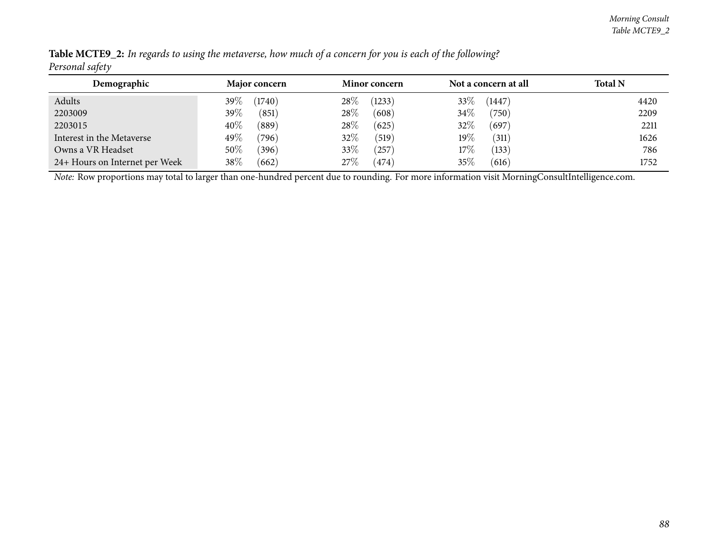| Demographic                    | <b>Major concern</b> | <b>Minor concern</b> | Not a concern at all | <b>Total N</b> |
|--------------------------------|----------------------|----------------------|----------------------|----------------|
| Adults                         | (1740)<br>39%        | 28%<br>(1233)        | 33\%<br>(1447)       | 4420           |
| 2203009                        | $39\%$<br>(851)      | 28\%<br>(608)        | 34\%<br>(750)        | 2209           |
| 2203015                        | $40\%$<br>(889)      | 28%<br>(625)         | 32%<br>(697)         | 2211           |
| Interest in the Metaverse      | 49\%<br>(796)        | 32%<br>(519)         | 19 $\%$<br>(311)     | 1626           |
| Owns a VR Headset              | $50\%$<br>(396)      | 33%<br>257           | $17\%$<br>(133)      | 786            |
| 24+ Hours on Internet per Week | $38\%$<br>662        | 27%<br>474           | 35%<br>(616)         | 1752           |

Table MCTE9\_2: In regards to using the metaverse, how much of a concern for you is each of the following? *Personal safety*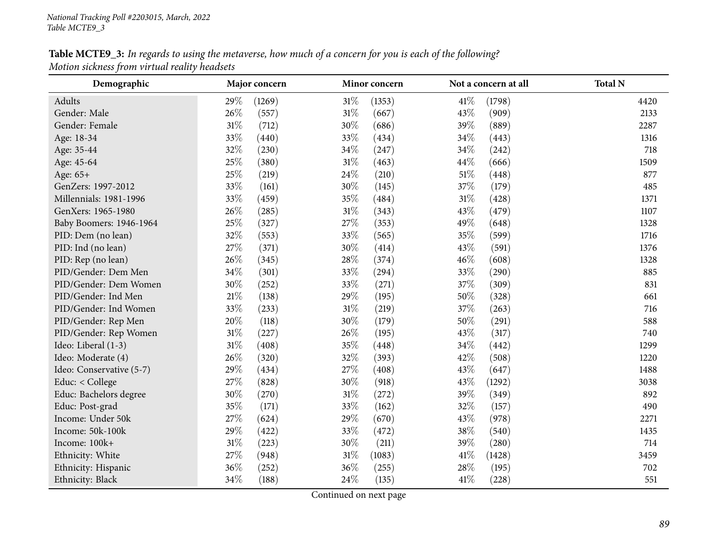# Table MCTE9\_3: In regards to using the metaverse, how much of a concern for you is each of the following? *Motion sickness from virtual reality headsets*

| Demographic              | Major concern |        |        | Minor concern |        | Not a concern at all | <b>Total N</b> |
|--------------------------|---------------|--------|--------|---------------|--------|----------------------|----------------|
| Adults                   | 29%           | (1269) | $31\%$ | (1353)        | $41\%$ | (1798)               | 4420           |
| Gender: Male             | 26%           | (557)  | $31\%$ | (667)         | 43%    | (909)                | 2133           |
| Gender: Female           | $31\%$        | (712)  | 30%    | (686)         | 39%    | (889)                | 2287           |
| Age: 18-34               | 33%           | (440)  | 33%    | (434)         | 34\%   | (443)                | 1316           |
| Age: 35-44               | 32%           | (230)  | 34%    | (247)         | 34%    | (242)                | 718            |
| Age: 45-64               | 25%           | (380)  | $31\%$ | (463)         | 44%    | (666)                | 1509           |
| Age: 65+                 | 25%           | (219)  | 24\%   | (210)         | $51\%$ | (448)                | 877            |
| GenZers: 1997-2012       | 33%           | (161)  | 30%    | (145)         | 37%    | (179)                | 485            |
| Millennials: 1981-1996   | 33%           | (459)  | 35%    | (484)         | $31\%$ | (428)                | 1371           |
| GenXers: 1965-1980       | 26%           | (285)  | $31\%$ | (343)         | 43%    | (479)                | 1107           |
| Baby Boomers: 1946-1964  | 25%           | (327)  | 27%    | (353)         | 49%    | (648)                | 1328           |
| PID: Dem (no lean)       | 32%           | (553)  | 33%    | (565)         | 35%    | (599)                | 1716           |
| PID: Ind (no lean)       | 27%           | (371)  | 30%    | (414)         | 43%    | (591)                | 1376           |
| PID: Rep (no lean)       | 26%           | (345)  | 28\%   | (374)         | 46%    | (608)                | 1328           |
| PID/Gender: Dem Men      | 34%           | (301)  | 33%    | (294)         | 33%    | (290)                | 885            |
| PID/Gender: Dem Women    | 30%           | (252)  | 33%    | (271)         | 37%    | (309)                | 831            |
| PID/Gender: Ind Men      | $21\%$        | (138)  | 29%    | (195)         | 50%    | (328)                | 661            |
| PID/Gender: Ind Women    | 33%           | (233)  | $31\%$ | (219)         | 37%    | (263)                | 716            |
| PID/Gender: Rep Men      | 20%           | (118)  | 30%    | (179)         | 50%    | (291)                | 588            |
| PID/Gender: Rep Women    | $31\%$        | (227)  | 26%    | (195)         | 43%    | (317)                | 740            |
| Ideo: Liberal (1-3)      | $31\%$        | (408)  | 35%    | (448)         | 34%    | (442)                | 1299           |
| Ideo: Moderate (4)       | 26%           | (320)  | 32%    | (393)         | 42%    | (508)                | 1220           |
| Ideo: Conservative (5-7) | 29%           | (434)  | 27%    | (408)         | 43%    | (647)                | 1488           |
| Educ: < College          | 27%           | (828)  | $30\%$ | (918)         | 43%    | (1292)               | 3038           |
| Educ: Bachelors degree   | 30%           | (270)  | $31\%$ | (272)         | 39%    | (349)                | 892            |
| Educ: Post-grad          | 35%           | (171)  | 33%    | (162)         | 32%    | (157)                | 490            |
| Income: Under 50k        | 27%           | (624)  | 29%    | (670)         | 43%    | (978)                | 2271           |
| Income: 50k-100k         | 29%           | (422)  | 33%    | (472)         | 38%    | (540)                | 1435           |
| Income: 100k+            | $31\%$        | (223)  | 30%    | (211)         | 39%    | (280)                | 714            |
| Ethnicity: White         | 27%           | (948)  | $31\%$ | (1083)        | 41\%   | (1428)               | 3459           |
| Ethnicity: Hispanic      | 36%           | (252)  | 36%    | (255)         | 28%    | (195)                | 702            |
| Ethnicity: Black         | 34\%          | (188)  | 24\%   | (135)         | 41%    | (228)                | 551            |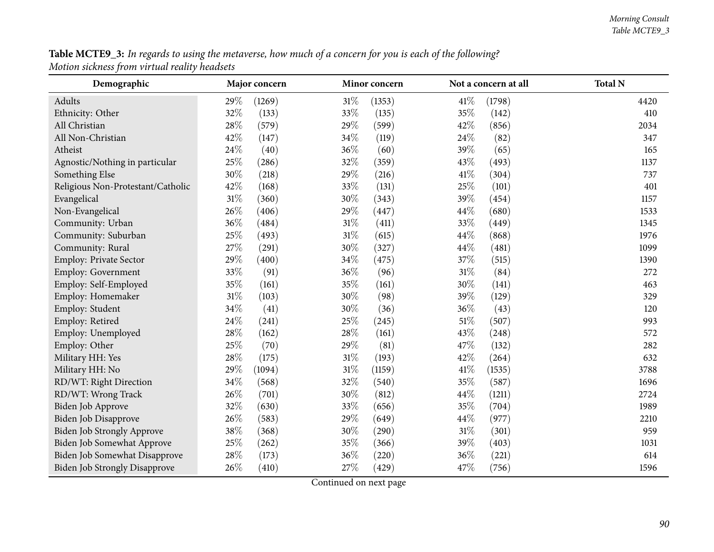**Table MCTE9\_3:** In regards to using the metaverse, how much of a concern for you is each of the following? *Motion sickness from virtual reality headsets*

| Demographic                          | Major concern |        |        | Minor concern |        | Not a concern at all | <b>Total N</b> |
|--------------------------------------|---------------|--------|--------|---------------|--------|----------------------|----------------|
| Adults                               | 29%           | (1269) | 31%    | (1353)        | 41\%   | (1798)               | 4420           |
| Ethnicity: Other                     | 32%           | (133)  | 33%    | (135)         | 35%    | (142)                | 410            |
| All Christian                        | 28%           | (579)  | 29%    | (599)         | 42%    | (856)                | 2034           |
| All Non-Christian                    | 42%           | (147)  | 34\%   | (119)         | 24\%   | (82)                 | 347            |
| Atheist                              | 24%           | (40)   | 36%    | (60)          | 39%    | (65)                 | 165            |
| Agnostic/Nothing in particular       | 25%           | (286)  | 32%    | (359)         | 43%    | (493)                | 1137           |
| Something Else                       | 30%           | (218)  | 29%    | (216)         | 41\%   | (304)                | 737            |
| Religious Non-Protestant/Catholic    | 42%           | (168)  | 33%    | (131)         | 25%    | (101)                | 401            |
| Evangelical                          | 31%           | (360)  | 30%    | (343)         | 39%    | (454)                | 1157           |
| Non-Evangelical                      | 26%           | (406)  | 29%    | (447)         | 44\%   | (680)                | 1533           |
| Community: Urban                     | 36%           | (484)  | $31\%$ | (411)         | 33%    | (449)                | 1345           |
| Community: Suburban                  | 25%           | (493)  | 31%    | (615)         | 44\%   | (868)                | 1976           |
| Community: Rural                     | 27%           | (291)  | 30%    | (327)         | 44%    | (481)                | 1099           |
| Employ: Private Sector               | 29%           | (400)  | 34%    | (475)         | 37%    | (515)                | 1390           |
| <b>Employ: Government</b>            | 33%           | (91)   | 36%    | (96)          | $31\%$ | (84)                 | 272            |
| Employ: Self-Employed                | 35%           | (161)  | 35%    | (161)         | 30%    | (141)                | 463            |
| Employ: Homemaker                    | 31%           | (103)  | 30%    | (98)          | 39%    | (129)                | 329            |
| Employ: Student                      | 34%           | (41)   | 30\%   | (36)          | 36\%   | (43)                 | 120            |
| Employ: Retired                      | 24%           | (241)  | 25\%   | (245)         | $51\%$ | (507)                | 993            |
| Employ: Unemployed                   | 28%           | (162)  | 28%    | (161)         | 43%    | (248)                | 572            |
| Employ: Other                        | 25%           | (70)   | 29%    | (81)          | 47%    | (132)                | 282            |
| Military HH: Yes                     | 28%           | (175)  | $31\%$ | (193)         | 42%    | (264)                | 632            |
| Military HH: No                      | 29%           | (1094) | 31%    | (1159)        | 41\%   | (1535)               | 3788           |
| RD/WT: Right Direction               | 34%           | (568)  | 32%    | (540)         | 35%    | (587)                | 1696           |
| RD/WT: Wrong Track                   | 26%           | (701)  | 30%    | (812)         | 44\%   | (1211)               | 2724           |
| Biden Job Approve                    | 32%           | (630)  | 33%    | (656)         | 35%    | (704)                | 1989           |
| Biden Job Disapprove                 | 26%           | (583)  | 29%    | (649)         | 44%    | (977)                | 2210           |
| <b>Biden Job Strongly Approve</b>    | 38%           | (368)  | 30%    | (290)         | $31\%$ | (301)                | 959            |
| Biden Job Somewhat Approve           | $25\%$        | (262)  | 35%    | (366)         | 39%    | (403)                | 1031           |
| Biden Job Somewhat Disapprove        | $28\%$        | (173)  | 36%    | (220)         | 36%    | (221)                | 614            |
| <b>Biden Job Strongly Disapprove</b> | 26%           | (410)  | 27%    | (429)         | 47%    | (756)                | 1596           |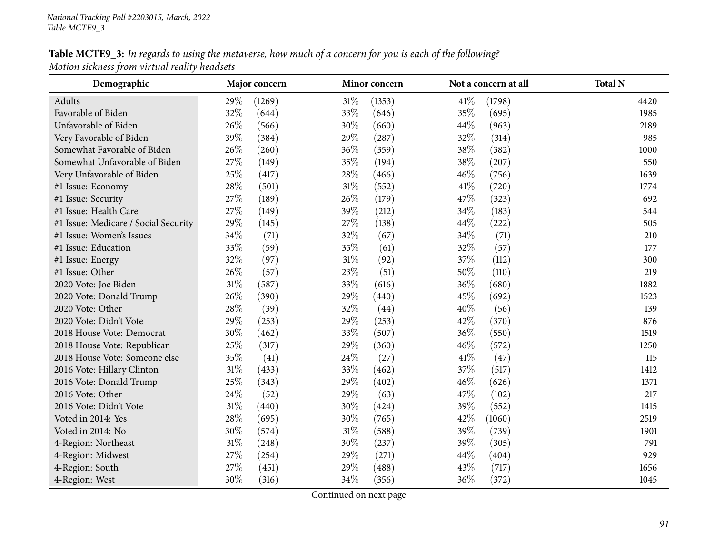# Table MCTE9\_3: In regards to using the metaverse, how much of a concern for you is each of the following? *Motion sickness from virtual reality headsets*

| Demographic                          |        | Major concern |        | Minor concern |      | Not a concern at all | <b>Total N</b> |
|--------------------------------------|--------|---------------|--------|---------------|------|----------------------|----------------|
| Adults                               | 29%    | (1269)        | $31\%$ | (1353)        | 41\% | (1798)               | 4420           |
| Favorable of Biden                   | 32%    | (644)         | 33%    | (646)         | 35%  | (695)                | 1985           |
| Unfavorable of Biden                 | 26%    | (566)         | 30%    | (660)         | 44%  | (963)                | 2189           |
| Very Favorable of Biden              | 39%    | (384)         | 29%    | (287)         | 32%  | (314)                | 985            |
| Somewhat Favorable of Biden          | 26%    | (260)         | 36%    | (359)         | 38%  | (382)                | 1000           |
| Somewhat Unfavorable of Biden        | 27%    | (149)         | 35%    | (194)         | 38%  | (207)                | 550            |
| Very Unfavorable of Biden            | 25%    | (417)         | 28%    | (466)         | 46%  | (756)                | 1639           |
| #1 Issue: Economy                    | 28\%   | (501)         | $31\%$ | (552)         | 41\% | (720)                | 1774           |
| #1 Issue: Security                   | 27%    | (189)         | 26%    | (179)         | 47%  | (323)                | 692            |
| #1 Issue: Health Care                | 27%    | (149)         | 39%    | (212)         | 34%  | (183)                | 544            |
| #1 Issue: Medicare / Social Security | 29%    | (145)         | 27%    | (138)         | 44%  | (222)                | 505            |
| #1 Issue: Women's Issues             | 34\%   | (71)          | 32%    | (67)          | 34%  | (71)                 | 210            |
| #1 Issue: Education                  | 33%    | (59)          | 35%    | (61)          | 32%  | (57)                 | 177            |
| #1 Issue: Energy                     | 32%    | (97)          | $31\%$ | (92)          | 37%  | (112)                | 300            |
| #1 Issue: Other                      | 26%    | (57)          | 23%    | (51)          | 50%  | (110)                | 219            |
| 2020 Vote: Joe Biden                 | $31\%$ | (587)         | 33%    | (616)         | 36%  | (680)                | 1882           |
| 2020 Vote: Donald Trump              | 26%    | (390)         | 29%    | (440)         | 45%  | (692)                | 1523           |
| 2020 Vote: Other                     | 28\%   | (39)          | 32%    | (44)          | 40%  | (56)                 | 139            |
| 2020 Vote: Didn't Vote               | 29%    | (253)         | 29%    | (253)         | 42%  | (370)                | 876            |
| 2018 House Vote: Democrat            | 30%    | (462)         | 33%    | (507)         | 36%  | (550)                | 1519           |
| 2018 House Vote: Republican          | 25%    | (317)         | 29%    | (360)         | 46%  | (572)                | 1250           |
| 2018 House Vote: Someone else        | 35%    | (41)          | 24%    | (27)          | 41\% | (47)                 | 115            |
| 2016 Vote: Hillary Clinton           | $31\%$ | (433)         | 33%    | (462)         | 37%  | (517)                | 1412           |
| 2016 Vote: Donald Trump              | 25%    | (343)         | 29%    | (402)         | 46%  | (626)                | 1371           |
| 2016 Vote: Other                     | 24%    | (52)          | 29%    | (63)          | 47%  | (102)                | 217            |
| 2016 Vote: Didn't Vote               | $31\%$ | (440)         | 30%    | (424)         | 39%  | (552)                | 1415           |
| Voted in 2014: Yes                   | 28\%   | (695)         | 30%    | (765)         | 42%  | (1060)               | 2519           |
| Voted in 2014: No                    | 30%    | (574)         | $31\%$ | (588)         | 39%  | (739)                | 1901           |
| 4-Region: Northeast                  | $31\%$ | (248)         | 30%    | (237)         | 39%  | (305)                | 791            |
| 4-Region: Midwest                    | 27%    | (254)         | 29%    | (271)         | 44\% | (404)                | 929            |
| 4-Region: South                      | 27%    | (451)         | 29%    | (488)         | 43%  | (717)                | 1656           |
| 4-Region: West                       | 30%    | (316)         | 34%    | (356)         | 36%  | (372)                | 1045           |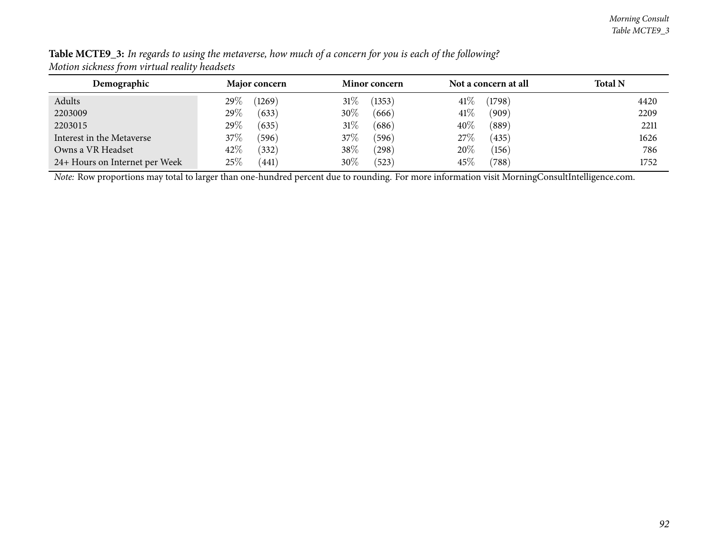| Demographic                    | Major concern     | <b>Minor concern</b> | Not a concern at all | <b>Total N</b> |
|--------------------------------|-------------------|----------------------|----------------------|----------------|
| Adults                         | (1269)<br>29 $\%$ | 31%<br>(1353)        | 41\%<br>(1798)       | 4420           |
| 2203009                        | 29\%<br>(633)     | 30%<br>(666)         | 41\%<br>(909)        | 2209           |
| 2203015                        | 29\%<br>(635)     | 31\%<br>(686)        | 40%<br>(889)         | 2211           |
| Interest in the Metaverse      | 37%<br>(596)      | 37%<br>(596)         | 27\%<br>(435)        | 1626           |
| Owns a VR Headset              | 42\%<br>(332)     | 38\%<br>$^{'}298)$   | 20%<br>(156)         | 786            |
| 24+ Hours on Internet per Week | $25\%$<br>(441)   | 30%<br>(523)         | 45\%<br>(788)        | 1752           |

Table MCTE9\_3: In regards to using the metaverse, how much of a concern for you is each of the following? *Motion sickness from virtual reality headsets*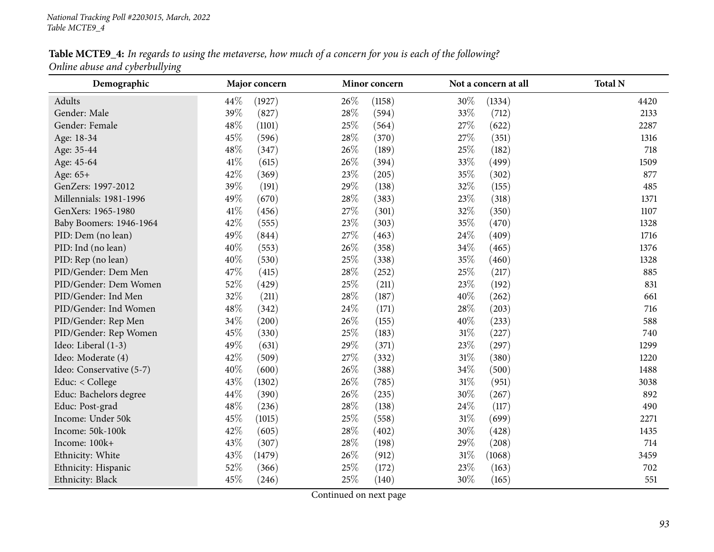Table MCTE9\_4: In regards to using the metaverse, how much of a concern for you is each of the following? *Online abuse and cyberbullying*

| Demographic              | Major concern | Minor concern  | Not a concern at all | <b>Total N</b> |  |
|--------------------------|---------------|----------------|----------------------|----------------|--|
| Adults                   | 44%<br>(1927) | 26\%<br>(1158) | 30%<br>(1334)        | 4420           |  |
| Gender: Male             | 39%<br>(827)  | 28%<br>(594)   | 33%<br>(712)         | 2133           |  |
| Gender: Female           | 48%<br>(1101) | 25%<br>(564)   | 27%<br>(622)         | 2287           |  |
| Age: 18-34               | 45%<br>(596)  | 28\%<br>(370)  | 27\%<br>(351)        | 1316           |  |
| Age: 35-44               | 48%<br>(347)  | 26\%<br>(189)  | 25%<br>(182)         | 718            |  |
| Age: 45-64               | 41\%<br>(615) | 26\%<br>(394)  | 33%<br>(499)         | 1509           |  |
| Age: 65+                 | 42%<br>(369)  | 23%<br>(205)   | 35%<br>(302)         | 877            |  |
| GenZers: 1997-2012       | 39%<br>(191)  | 29%<br>(138)   | 32%<br>(155)         | 485            |  |
| Millennials: 1981-1996   | 49%<br>(670)  | 28\%<br>(383)  | 23%<br>(318)         | 1371           |  |
| GenXers: 1965-1980       | 41%<br>(456)  | 27\%<br>(301)  | 32%<br>(350)         | 1107           |  |
| Baby Boomers: 1946-1964  | 42%<br>(555)  | 23%<br>(303)   | 35%<br>(470)         | 1328           |  |
| PID: Dem (no lean)       | 49%<br>(844)  | 27%<br>(463)   | 24%<br>(409)         | 1716           |  |
| PID: Ind (no lean)       | 40%<br>(553)  | 26\%<br>(358)  | 34%<br>(465)         | 1376           |  |
| PID: Rep (no lean)       | 40%<br>(530)  | 25%<br>(338)   | 35%<br>(460)         | 1328           |  |
| PID/Gender: Dem Men      | 47%<br>(415)  | 28\%<br>(252)  | 25%<br>(217)         | 885            |  |
| PID/Gender: Dem Women    | 52%<br>(429)  | 25%<br>(211)   | 23%<br>(192)         | 831            |  |
| PID/Gender: Ind Men      | 32%<br>(211)  | 28%<br>(187)   | 40%<br>(262)         | 661            |  |
| PID/Gender: Ind Women    | 48%<br>(342)  | 24\%<br>(171)  | 28%<br>(203)         | 716            |  |
| PID/Gender: Rep Men      | 34%<br>(200)  | 26\%<br>(155)  | 40%<br>(233)         | 588            |  |
| PID/Gender: Rep Women    | 45%<br>(330)  | 25%<br>(183)   | $31\%$<br>(227)      | 740            |  |
| Ideo: Liberal (1-3)      | 49%<br>(631)  | 29%<br>(371)   | 23%<br>(297)         | 1299           |  |
| Ideo: Moderate (4)       | 42%<br>(509)  | 27%<br>(332)   | $31\%$<br>(380)      | 1220           |  |
| Ideo: Conservative (5-7) | 40%<br>(600)  | 26\%<br>(388)  | 34%<br>(500)         | 1488           |  |
| Educ: < College          | 43%<br>(1302) | 26\%<br>(785)  | 31%<br>(951)         | 3038           |  |
| Educ: Bachelors degree   | 44%<br>(390)  | 26\%<br>(235)  | 30%<br>(267)         | 892            |  |
| Educ: Post-grad          | 48%<br>(236)  | 28%<br>(138)   | 24%<br>(117)         | 490            |  |
| Income: Under 50k        | 45%<br>(1015) | 25%<br>(558)   | $31\%$<br>(699)      | 2271           |  |
| Income: 50k-100k         | 42%<br>(605)  | 28\%<br>(402)  | 30%<br>(428)         | 1435           |  |
| Income: 100k+            | 43%<br>(307)  | 28\%<br>(198)  | 29%<br>(208)         | 714            |  |
| Ethnicity: White         | 43%<br>(1479) | 26\%<br>(912)  | $31\%$<br>(1068)     | 3459           |  |
| Ethnicity: Hispanic      | 52%<br>(366)  | 25%<br>(172)   | 23%<br>(163)         | 702            |  |
| Ethnicity: Black         | 45%<br>(246)  | 25%<br>(140)   | 30%<br>(165)         | 551            |  |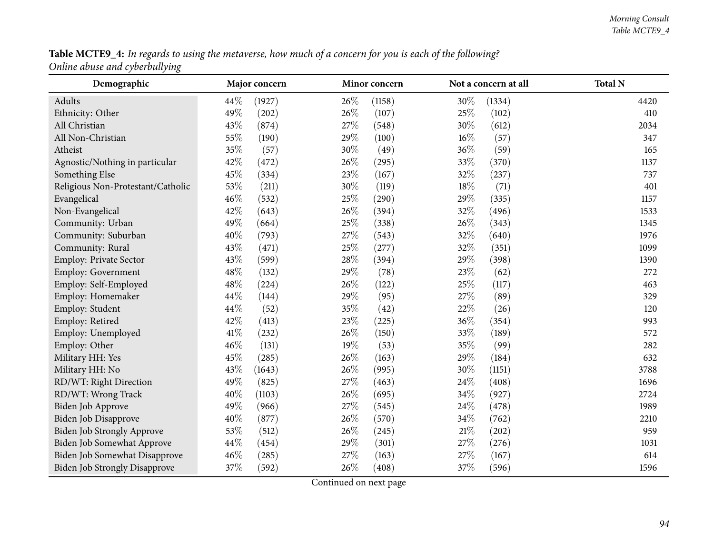**Table MCTE9\_4:** In regards to using the metaverse, how much of a concern for you is each of the following?  $\,$ *Online abuse and cyberbullying*

| Demographic                          |        | Major concern |        | Minor concern |        | Not a concern at all | <b>Total N</b> |
|--------------------------------------|--------|---------------|--------|---------------|--------|----------------------|----------------|
| Adults                               | 44\%   | (1927)        | 26%    | (1158)        | 30%    | (1334)               | 4420           |
| Ethnicity: Other                     | 49%    | (202)         | 26\%   | (107)         | 25%    | (102)                | 410            |
| All Christian                        | 43%    | (874)         | 27%    | (548)         | 30%    | (612)                | 2034           |
| All Non-Christian                    | 55%    | (190)         | 29%    | (100)         | $16\%$ | (57)                 | 347            |
| Atheist                              | 35%    | (57)          | 30%    | (49)          | 36%    | (59)                 | 165            |
| Agnostic/Nothing in particular       | 42%    | (472)         | 26%    | (295)         | $33\%$ | (370)                | 1137           |
| Something Else                       | 45%    | (334)         | 23%    | (167)         | 32%    | (237)                | 737            |
| Religious Non-Protestant/Catholic    | 53%    | (211)         | 30%    | (119)         | 18%    | (71)                 | 401            |
| Evangelical                          | 46%    | (532)         | 25%    | (290)         | 29%    | (335)                | 1157           |
| Non-Evangelical                      | 42%    | (643)         | 26\%   | (394)         | $32\%$ | (496)                | 1533           |
| Community: Urban                     | 49%    | (664)         | 25%    | (338)         | 26%    | (343)                | 1345           |
| Community: Suburban                  | 40%    | (793)         | 27%    | (543)         | 32%    | (640)                | 1976           |
| Community: Rural                     | 43%    | (471)         | $25\%$ | (277)         | $32\%$ | (351)                | 1099           |
| Employ: Private Sector               | 43%    | (599)         | 28\%   | (394)         | 29%    | (398)                | 1390           |
| Employ: Government                   | 48%    | (132)         | 29%    | (78)          | 23%    | (62)                 | 272            |
| Employ: Self-Employed                | 48%    | (224)         | 26%    | (122)         | 25%    | (117)                | 463            |
| Employ: Homemaker                    | 44\%   | (144)         | 29%    | (95)          | 27%    | (89)                 | 329            |
| Employ: Student                      | 44\%   | (52)          | 35%    | (42)          | 22\%   | (26)                 | 120            |
| Employ: Retired                      | 42%    | (413)         | 23\%   | (225)         | 36%    | (354)                | 993            |
| Employ: Unemployed                   | $41\%$ | (232)         | $26\%$ | (150)         | 33%    | (189)                | 572            |
| Employ: Other                        | 46%    | (131)         | 19%    | (53)          | 35%    | (99)                 | 282            |
| Military HH: Yes                     | 45%    | (285)         | 26\%   | (163)         | 29%    | (184)                | 632            |
| Military HH: No                      | 43%    | (1643)        | 26%    | (995)         | 30%    | (1151)               | 3788           |
| RD/WT: Right Direction               | 49%    | (825)         | 27%    | (463)         | 24\%   | (408)                | 1696           |
| RD/WT: Wrong Track                   | 40%    | (1103)        | 26%    | (695)         | 34%    | (927)                | 2724           |
| Biden Job Approve                    | 49%    | (966)         | 27%    | (545)         | 24\%   | (478)                | 1989           |
| Biden Job Disapprove                 | 40%    | (877)         | 26\%   | (570)         | $34\%$ | (762)                | 2210           |
| <b>Biden Job Strongly Approve</b>    | 53%    | (512)         | 26\%   | (245)         | $21\%$ | (202)                | 959            |
| Biden Job Somewhat Approve           | 44%    | (454)         | 29%    | (301)         | $27\%$ | (276)                | 1031           |
| Biden Job Somewhat Disapprove        | 46%    | (285)         | 27%    | (163)         | 27%    | (167)                | 614            |
| <b>Biden Job Strongly Disapprove</b> | 37%    | (592)         | 26%    | (408)         | 37%    | (596)                | 1596           |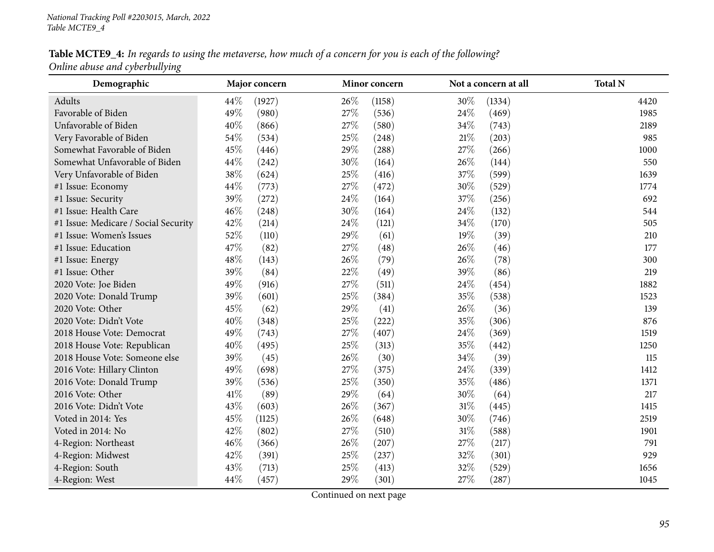Table MCTE9\_4: In regards to using the metaverse, how much of a concern for you is each of the following? *Online abuse and cyberbullying*

| Demographic                          |      | Major concern |      | Minor concern |      | Not a concern at all | <b>Total N</b> |
|--------------------------------------|------|---------------|------|---------------|------|----------------------|----------------|
| Adults                               | 44\% | (1927)        | 26\% | (1158)        | 30%  | (1334)               | 4420           |
| Favorable of Biden                   | 49%  | (980)         | 27%  | (536)         | 24%  | (469)                | 1985           |
| Unfavorable of Biden                 | 40%  | (866)         | 27\% | (580)         | 34%  | (743)                | 2189           |
| Very Favorable of Biden              | 54%  | (534)         | 25\% | (248)         | 21%  | (203)                | 985            |
| Somewhat Favorable of Biden          | 45%  | (446)         | 29%  | (288)         | 27%  | (266)                | 1000           |
| Somewhat Unfavorable of Biden        | 44%  | (242)         | 30%  | (164)         | 26%  | (144)                | 550            |
| Very Unfavorable of Biden            | 38%  | (624)         | 25%  | (416)         | 37%  | (599)                | 1639           |
| #1 Issue: Economy                    | 44%  | (773)         | 27%  | (472)         | 30%  | (529)                | 1774           |
| #1 Issue: Security                   | 39%  | (272)         | 24\% | (164)         | 37%  | (256)                | 692            |
| #1 Issue: Health Care                | 46%  | (248)         | 30%  | (164)         | 24%  | (132)                | 544            |
| #1 Issue: Medicare / Social Security | 42%  | (214)         | 24\% | (121)         | 34%  | (170)                | 505            |
| #1 Issue: Women's Issues             | 52%  | (110)         | 29%  | (61)          | 19%  | (39)                 | 210            |
| #1 Issue: Education                  | 47%  | (82)          | 27\% | (48)          | 26%  | (46)                 | 177            |
| #1 Issue: Energy                     | 48%  | (143)         | 26\% | (79)          | 26%  | (78)                 | 300            |
| #1 Issue: Other                      | 39%  | (84)          | 22%  | (49)          | 39%  | (86)                 | 219            |
| 2020 Vote: Joe Biden                 | 49%  | (916)         | 27%  | (511)         | 24\% | (454)                | 1882           |
| 2020 Vote: Donald Trump              | 39%  | (601)         | 25%  | (384)         | 35%  | (538)                | 1523           |
| 2020 Vote: Other                     | 45%  | (62)          | 29%  | (41)          | 26\% | (36)                 | 139            |
| 2020 Vote: Didn't Vote               | 40%  | (348)         | 25%  | (222)         | 35%  | (306)                | 876            |
| 2018 House Vote: Democrat            | 49%  | (743)         | 27\% | (407)         | 24%  | (369)                | 1519           |
| 2018 House Vote: Republican          | 40%  | (495)         | 25%  | (313)         | 35%  | (442)                | 1250           |
| 2018 House Vote: Someone else        | 39%  | (45)          | 26\% | (30)          | 34%  | (39)                 | 115            |
| 2016 Vote: Hillary Clinton           | 49%  | (698)         | 27\% | (375)         | 24%  | (339)                | 1412           |
| 2016 Vote: Donald Trump              | 39%  | (536)         | 25\% | (350)         | 35%  | (486)                | 1371           |
| 2016 Vote: Other                     | 41\% | (89)          | 29%  | (64)          | 30%  | (64)                 | 217            |
| 2016 Vote: Didn't Vote               | 43%  | (603)         | 26%  | (367)         | 31%  | (445)                | 1415           |
| Voted in 2014: Yes                   | 45%  | (1125)        | 26\% | (648)         | 30%  | (746)                | 2519           |
| Voted in 2014: No                    | 42%  | (802)         | 27\% | (510)         | 31%  | (588)                | 1901           |
| 4-Region: Northeast                  | 46%  | (366)         | 26\% | (207)         | 27\% | (217)                | 791            |
| 4-Region: Midwest                    | 42%  | (391)         | 25%  | (237)         | 32%  | (301)                | 929            |
| 4-Region: South                      | 43%  | (713)         | 25%  | (413)         | 32%  | (529)                | 1656           |
| 4-Region: West                       | 44%  | (457)         | 29%  | (301)         | 27%  | (287)                | 1045           |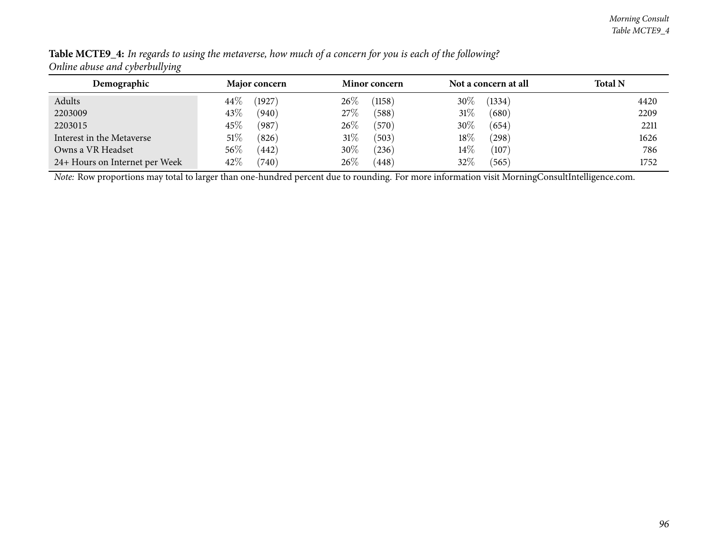| Demographic                    | <b>Major concern</b> | <b>Minor concern</b> | Not a concern at all | <b>Total N</b> |
|--------------------------------|----------------------|----------------------|----------------------|----------------|
| Adults                         | (1927)<br>$44\%$     | 26%<br>(1158)        | $30\%$<br>(1334)     | 4420           |
| 2203009                        | 43\%<br>(940)        | 27\%<br>(588)        | $31\%$<br>(680)      | 2209           |
| 2203015                        | 45%<br>(987)         | 26\%<br>(570)        | 30%<br>(654)         | 2211           |
| Interest in the Metaverse      | $51\%$<br>(826)      | 31%<br>(503)         | $18\%$<br>(298)      | 1626           |
| Owns a VR Headset              | $56\%$<br>442        | 30%<br>$^{(236)}$    | $14\%$<br>(107)      | 786            |
| 24+ Hours on Internet per Week | 42\%<br>(740)        | 26\%<br>(448)        | 32\%<br>(565)        | 1752           |

Table MCTE9\_4: In regards to using the metaverse, how much of a concern for you is each of the following? *Online abuse and cyberbullying*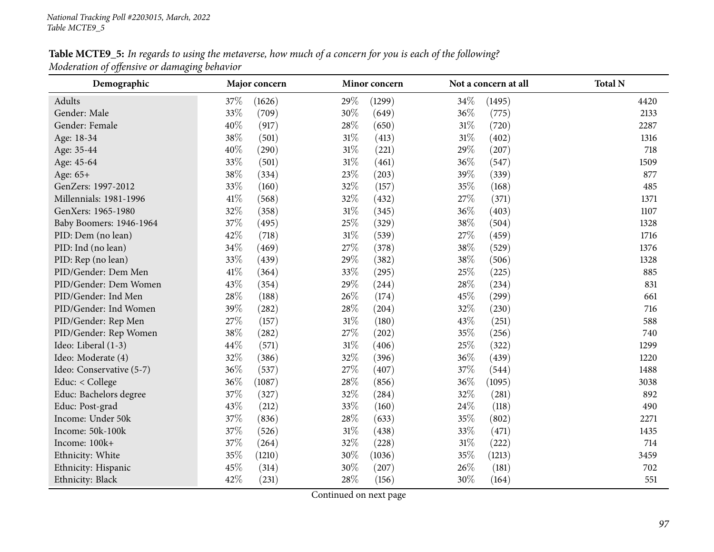# Table MCTE9\_5: In regards to using the metaverse, how much of a concern for you is each of the following? *Moderation of offensive or damaging behavior*

| Demographic              | Major concern   | Minor concern   | Not a concern at all | <b>Total N</b> |
|--------------------------|-----------------|-----------------|----------------------|----------------|
| Adults                   | 37%<br>(1626)   | 29%<br>(1299)   | 34%<br>(1495)        | 4420           |
| Gender: Male             | 33%<br>(709)    | $30\%$<br>(649) | 36%<br>(775)         | 2133           |
| Gender: Female           | 40%<br>(917)    | 28%<br>(650)    | $31\%$<br>(720)      | 2287           |
| Age: 18-34               | 38%<br>(501)    | 31%<br>(413)    | $31\%$<br>(402)      | 1316           |
| Age: 35-44               | 40%<br>(290)    | $31\%$<br>(221) | 29%<br>(207)         | 718            |
| Age: 45-64               | 33%<br>(501)    | $31\%$<br>(461) | 36%<br>(547)         | 1509           |
| Age: 65+                 | 38%<br>(334)    | 23%<br>(203)    | 39%<br>(339)         | 877            |
| GenZers: 1997-2012       | 33%<br>(160)    | $32\%$<br>(157) | 35%<br>(168)         | 485            |
| Millennials: 1981-1996   | 41\%<br>(568)   | 32%<br>(432)    | 27%<br>(371)         | 1371           |
| GenXers: 1965-1980       | 32%<br>(358)    | $31\%$<br>(345) | 36%<br>(403)         | 1107           |
| Baby Boomers: 1946-1964  | 37%<br>(495)    | 25%<br>(329)    | 38%<br>(504)         | 1328           |
| PID: Dem (no lean)       | 42%<br>(718)    | $31\%$<br>(539) | 27%<br>(459)         | 1716           |
| PID: Ind (no lean)       | $34\%$<br>(469) | 27%<br>(378)    | 38%<br>(529)         | 1376           |
| PID: Rep (no lean)       | 33%<br>(439)    | 29%<br>(382)    | $38\%$<br>(506)      | 1328           |
| PID/Gender: Dem Men      | 41\%<br>(364)   | 33%<br>(295)    | 25%<br>(225)         | 885            |
| PID/Gender: Dem Women    | 43%<br>(354)    | 29%<br>(244)    | 28%<br>(234)         | 831            |
| PID/Gender: Ind Men      | 28%<br>(188)    | 26%<br>(174)    | 45%<br>(299)         | 661            |
| PID/Gender: Ind Women    | 39%<br>(282)    | 28%<br>(204)    | 32%<br>(230)         | 716            |
| PID/Gender: Rep Men      | 27\%<br>(157)   | $31\%$<br>(180) | 43%<br>(251)         | 588            |
| PID/Gender: Rep Women    | 38\%<br>(282)   | 27%<br>(202)    | 35%<br>(256)         | 740            |
| Ideo: Liberal (1-3)      | 44\%<br>(571)   | $31\%$<br>(406) | 25%<br>(322)         | 1299           |
| Ideo: Moderate (4)       | 32%<br>(386)    | 32%<br>(396)    | 36%<br>(439)         | 1220           |
| Ideo: Conservative (5-7) | 36%<br>(537)    | 27%<br>(407)    | 37%<br>(544)         | 1488           |
| Educ: < College          | 36%<br>(1087)   | 28%<br>(856)    | 36%<br>(1095)        | 3038           |
| Educ: Bachelors degree   | 37%<br>(327)    | 32%<br>(284)    | 32%<br>(281)         | 892            |
| Educ: Post-grad          | 43%<br>(212)    | 33%<br>(160)    | 24%<br>(118)         | 490            |
| Income: Under 50k        | 37%<br>(836)    | 28%<br>(633)    | 35%<br>(802)         | 2271           |
| Income: 50k-100k         | 37%<br>(526)    | $31\%$<br>(438) | 33%<br>(471)         | 1435           |
| Income: 100k+            | $37\%$<br>(264) | 32%<br>(228)    | $31\%$<br>(222)      | 714            |
| Ethnicity: White         | 35%<br>(1210)   | 30%<br>(1036)   | 35%<br>(1213)        | 3459           |
| Ethnicity: Hispanic      | 45%<br>(314)    | 30%<br>(207)    | 26%<br>(181)         | 702            |
| Ethnicity: Black         | 42%<br>(231)    | 28\%<br>(156)   | 30%<br>(164)         | 551            |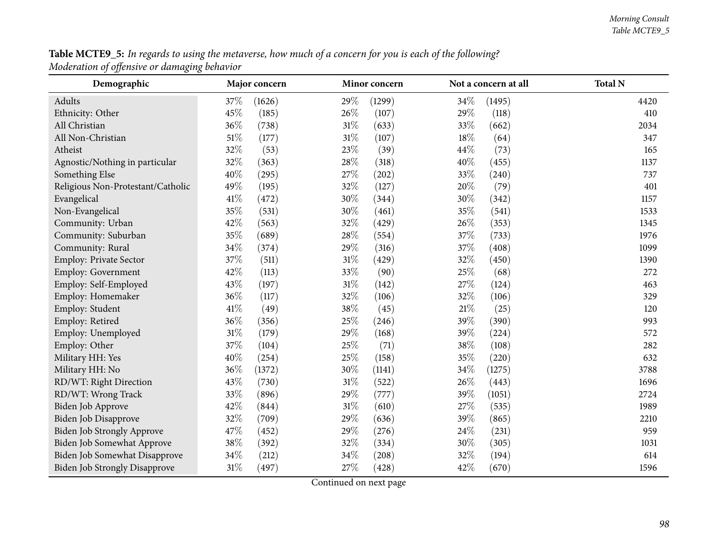${\bf Table~MCTE9\_5:}$  In regards to using the metaverse, how much of a concern for you is each of the following? *Moderation of offensive or damaging behavior*

| Demographic                          | Major concern   | Minor concern   | Not a concern at all | <b>Total N</b> |
|--------------------------------------|-----------------|-----------------|----------------------|----------------|
| Adults                               | 37%<br>(1626)   | 29%<br>(1299)   | 34%<br>(1495)        | 4420           |
| Ethnicity: Other                     | 45%<br>(185)    | 26%<br>(107)    | 29%<br>(118)         | 410            |
| All Christian                        | 36%<br>(738)    | $31\%$<br>(633) | 33%<br>(662)         | 2034           |
| All Non-Christian                    | $51\%$<br>(177) | $31\%$<br>(107) | 18%<br>(64)          | 347            |
| Atheist                              | 32%<br>(53)     | 23%<br>(39)     | 44%<br>(73)          | 165            |
| Agnostic/Nothing in particular       | 32%<br>(363)    | 28%<br>(318)    | 40%<br>(455)         | 1137           |
| Something Else                       | 40%<br>(295)    | $27\%$<br>(202) | $33\%$<br>(240)      | 737            |
| Religious Non-Protestant/Catholic    | 49%<br>(195)    | $32\%$<br>(127) | 20%<br>(79)          | 401            |
| Evangelical                          | 41\%<br>(472)   | 30%<br>(344)    | 30%<br>(342)         | 1157           |
| Non-Evangelical                      | 35%<br>(531)    | 30%<br>(461)    | 35%<br>(541)         | 1533           |
| Community: Urban                     | 42%<br>(563)    | 32%<br>(429)    | 26%<br>(353)         | 1345           |
| Community: Suburban                  | 35%<br>(689)    | 28%<br>(554)    | 37%<br>(733)         | 1976           |
| Community: Rural                     | $34\%$<br>(374) | 29%<br>(316)    | 37%<br>(408)         | 1099           |
| Employ: Private Sector               | 37%<br>(511)    | $31\%$<br>(429) | 32%<br>(450)         | 1390           |
| Employ: Government                   | 42%<br>(113)    | 33%<br>(90)     | 25%<br>(68)          | 272            |
| Employ: Self-Employed                | 43%<br>(197)    | $31\%$<br>(142) | 27%<br>(124)         | 463            |
| Employ: Homemaker                    | 36%<br>(117)    | 32%<br>(106)    | 32%<br>(106)         | 329            |
| Employ: Student                      | 41\%<br>(49)    | 38%<br>(45)     | $21\%$<br>(25)       | 120            |
| Employ: Retired                      | 36%<br>(356)    | 25%<br>(246)    | 39%<br>(390)         | 993            |
| Employ: Unemployed                   | $31\%$<br>(179) | 29%<br>(168)    | 39%<br>(224)         | 572            |
| Employ: Other                        | 37%<br>(104)    | 25%<br>(71)     | 38%<br>(108)         | 282            |
| Military HH: Yes                     | 40%<br>(254)    | 25%<br>(158)    | 35%<br>(220)         | 632            |
| Military HH: No                      | 36%<br>(1372)   | 30%<br>(1141)   | 34\%<br>(1275)       | 3788           |
| RD/WT: Right Direction               | 43%<br>(730)    | $31\%$<br>(522) | 26%<br>(443)         | 1696           |
| RD/WT: Wrong Track                   | 33%<br>(896)    | 29%<br>(777)    | 39%<br>(1051)        | 2724           |
| Biden Job Approve                    | 42%<br>(844)    | $31\%$<br>(610) | 27%<br>(535)         | 1989           |
| Biden Job Disapprove                 | 32%<br>(709)    | 29%<br>(636)    | 39%<br>(865)         | 2210           |
| <b>Biden Job Strongly Approve</b>    | 47%<br>(452)    | 29%<br>(276)    | 24\%<br>(231)        | 959            |
| Biden Job Somewhat Approve           | $38\%$<br>(392) | 32%<br>(334)    | 30%<br>(305)         | 1031           |
| Biden Job Somewhat Disapprove        | $34\%$<br>(212) | $34\%$<br>(208) | 32%<br>(194)         | 614            |
| <b>Biden Job Strongly Disapprove</b> | $31\%$<br>(497) | 27%<br>(428)    | 42%<br>(670)         | 1596           |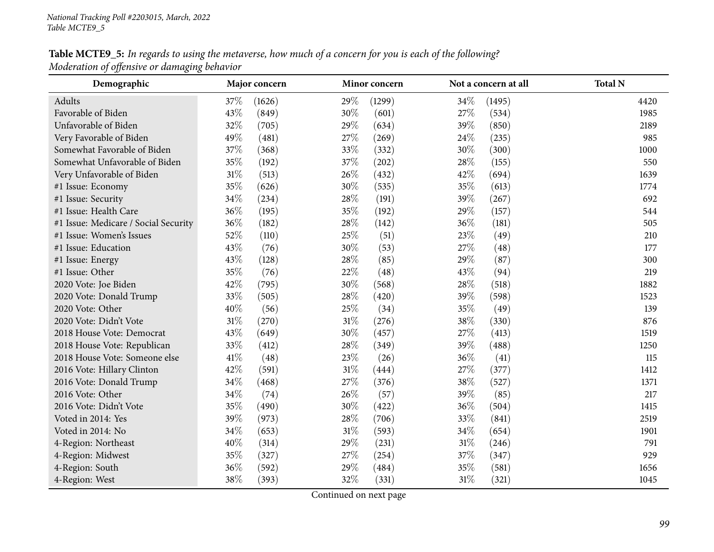# Table MCTE9\_5: In regards to using the metaverse, how much of a concern for you is each of the following? *Moderation of offensive or damaging behavior*

| Demographic                          |        | Major concern |        | Minor concern |        | Not a concern at all | <b>Total N</b> |
|--------------------------------------|--------|---------------|--------|---------------|--------|----------------------|----------------|
| Adults                               | 37%    | (1626)        | 29%    | (1299)        | 34%    | (1495)               | 4420           |
| Favorable of Biden                   | 43%    | (849)         | 30%    | (601)         | 27%    | (534)                | 1985           |
| Unfavorable of Biden                 | 32%    | (705)         | 29%    | (634)         | 39%    | (850)                | 2189           |
| Very Favorable of Biden              | 49%    | (481)         | 27%    | (269)         | 24\%   | (235)                | 985            |
| Somewhat Favorable of Biden          | 37%    | (368)         | 33%    | (332)         | 30%    | (300)                | 1000           |
| Somewhat Unfavorable of Biden        | 35%    | (192)         | 37%    | (202)         | 28%    | (155)                | 550            |
| Very Unfavorable of Biden            | $31\%$ | (513)         | 26%    | (432)         | 42%    | (694)                | 1639           |
| #1 Issue: Economy                    | 35%    | (626)         | 30%    | (535)         | 35%    | (613)                | 1774           |
| #1 Issue: Security                   | 34\%   | (234)         | 28%    | (191)         | 39%    | (267)                | 692            |
| #1 Issue: Health Care                | 36%    | (195)         | 35%    | (192)         | 29%    | (157)                | 544            |
| #1 Issue: Medicare / Social Security | 36%    | (182)         | 28%    | (142)         | 36%    | (181)                | 505            |
| #1 Issue: Women's Issues             | 52%    | (110)         | 25%    | (51)          | 23%    | (49)                 | 210            |
| #1 Issue: Education                  | 43%    | (76)          | 30%    | (53)          | 27%    | (48)                 | 177            |
| #1 Issue: Energy                     | 43%    | (128)         | 28\%   | (85)          | 29%    | (87)                 | 300            |
| #1 Issue: Other                      | 35%    | (76)          | 22%    | (48)          | 43%    | (94)                 | 219            |
| 2020 Vote: Joe Biden                 | 42%    | (795)         | 30%    | (568)         | 28%    | (518)                | 1882           |
| 2020 Vote: Donald Trump              | 33%    | (505)         | 28%    | (420)         | 39%    | (598)                | 1523           |
| 2020 Vote: Other                     | 40%    | (56)          | 25%    | (34)          | 35%    | (49)                 | 139            |
| 2020 Vote: Didn't Vote               | $31\%$ | (270)         | $31\%$ | (276)         | 38%    | (330)                | 876            |
| 2018 House Vote: Democrat            | 43%    | (649)         | 30%    | (457)         | 27%    | (413)                | 1519           |
| 2018 House Vote: Republican          | 33%    | (412)         | 28%    | (349)         | 39%    | (488)                | 1250           |
| 2018 House Vote: Someone else        | 41\%   | (48)          | 23%    | (26)          | 36%    | (41)                 | 115            |
| 2016 Vote: Hillary Clinton           | 42%    | (591)         | $31\%$ | (444)         | 27%    | (377)                | 1412           |
| 2016 Vote: Donald Trump              | 34%    | (468)         | 27\%   | (376)         | 38%    | (527)                | 1371           |
| 2016 Vote: Other                     | 34%    | (74)          | 26%    | (57)          | 39%    | (85)                 | 217            |
| 2016 Vote: Didn't Vote               | 35%    | (490)         | 30%    | (422)         | 36%    | (504)                | 1415           |
| Voted in 2014: Yes                   | 39%    | (973)         | 28%    | (706)         | 33%    | (841)                | 2519           |
| Voted in 2014: No                    | 34%    | (653)         | $31\%$ | (593)         | 34%    | (654)                | 1901           |
| 4-Region: Northeast                  | 40%    | (314)         | 29%    | (231)         | $31\%$ | (246)                | 791            |
| 4-Region: Midwest                    | 35%    | (327)         | 27%    | (254)         | 37%    | (347)                | 929            |
| 4-Region: South                      | 36%    | (592)         | 29%    | (484)         | 35%    | (581)                | 1656           |
| 4-Region: West                       | 38%    | (393)         | 32%    | (331)         | 31%    | (321)                | 1045           |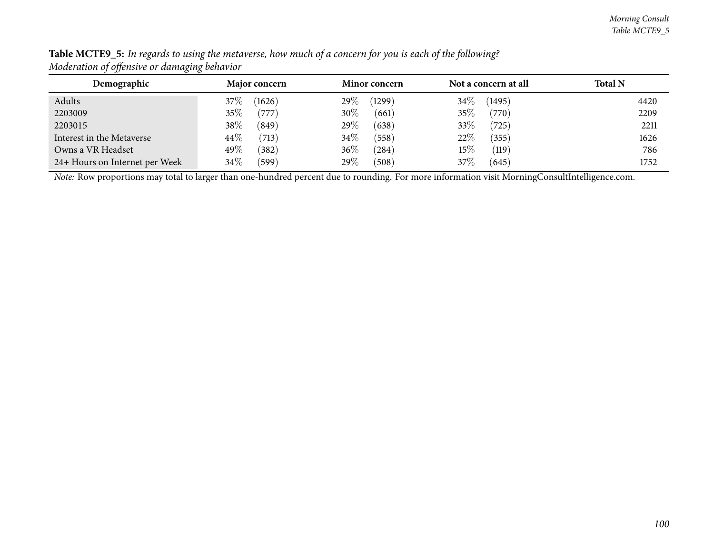| Demographic                    | Major concern         | <b>Minor concern</b> | Not a concern at all | <b>Total N</b> |
|--------------------------------|-----------------------|----------------------|----------------------|----------------|
| Adults                         | (1626)<br>$37\%$      | 29 $\%$<br>(1299)    | $34\%$<br>(1495)     | 4420           |
| 2203009                        | 35%<br>$^{\prime}777$ | $30\%$<br>(661)      | 35%<br>(770)         | 2209           |
| 2203015                        | 38\%<br>(849)         | $29\%$<br>(638)      | 33%<br>(725)         | 2211           |
| Interest in the Metaverse      | $44\%$<br>(713)       | $34\%$<br>(558)      | 22%<br>(355)         | 1626           |
| Owns a VR Headset              | 49\%<br>(382)         | $36\%$<br>284        | $15\%$<br>(119)      | 786            |
| 24+ Hours on Internet per Week | 34\%<br>(599)         | $29\%$<br>(508)      | 37%<br>(645)         | 1752           |

Table MCTE9\_5: In regards to using the metaverse, how much of a concern for you is each of the following? *Moderation of offensive or damaging behavior*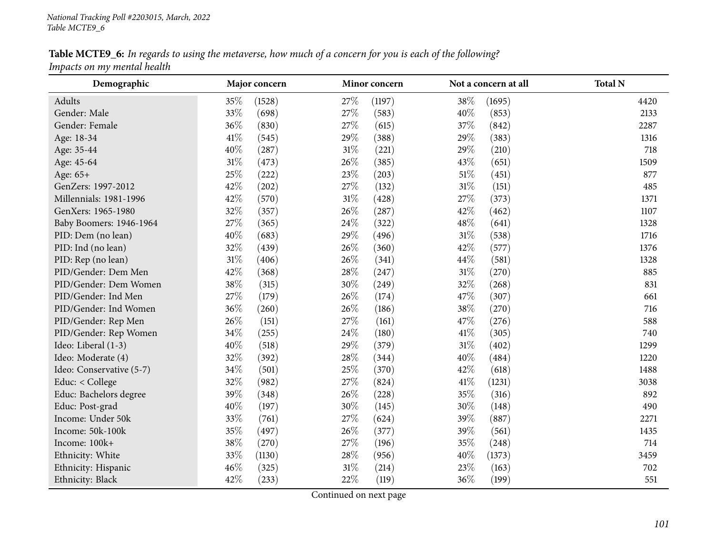Table MCTE9\_6: In regards to using the metaverse, how much of a concern for you is each of the following? *Impacts on my mental health*

| Demographic              |        | Major concern |        | Minor concern |        | Not a concern at all | <b>Total N</b> |
|--------------------------|--------|---------------|--------|---------------|--------|----------------------|----------------|
| Adults                   | 35%    | (1528)        | 27%    | (1197)        | 38%    | (1695)               | 4420           |
| Gender: Male             | 33%    | (698)         | 27%    | (583)         | 40%    | (853)                | 2133           |
| Gender: Female           | 36%    | (830)         | 27\%   | (615)         | 37%    | (842)                | 2287           |
| Age: 18-34               | 41%    | (545)         | 29\%   | (388)         | 29%    | (383)                | 1316           |
| Age: 35-44               | 40%    | (287)         | $31\%$ | (221)         | 29%    | (210)                | 718            |
| Age: 45-64               | 31%    | (473)         | 26%    | (385)         | 43%    | (651)                | 1509           |
| Age: 65+                 | 25%    | (222)         | 23\%   | (203)         | $51\%$ | (451)                | 877            |
| GenZers: 1997-2012       | 42%    | (202)         | 27%    | (132)         | 31%    | (151)                | 485            |
| Millennials: 1981-1996   | 42%    | (570)         | $31\%$ | (428)         | 27%    | (373)                | 1371           |
| GenXers: 1965-1980       | 32%    | (357)         | 26\%   | (287)         | 42%    | (462)                | 1107           |
| Baby Boomers: 1946-1964  | 27%    | (365)         | 24\%   | (322)         | 48%    | (641)                | 1328           |
| PID: Dem (no lean)       | 40%    | (683)         | 29%    | (496)         | $31\%$ | (538)                | 1716           |
| PID: Ind (no lean)       | 32%    | (439)         | 26\%   | (360)         | 42%    | (577)                | 1376           |
| PID: Rep (no lean)       | $31\%$ | (406)         | 26\%   | (341)         | 44\%   | (581)                | 1328           |
| PID/Gender: Dem Men      | 42%    | (368)         | 28\%   | (247)         | $31\%$ | (270)                | 885            |
| PID/Gender: Dem Women    | 38%    | (315)         | 30%    | (249)         | 32%    | (268)                | 831            |
| PID/Gender: Ind Men      | 27%    | (179)         | 26\%   | (174)         | 47%    | (307)                | 661            |
| PID/Gender: Ind Women    | 36%    | (260)         | 26\%   | (186)         | 38%    | (270)                | 716            |
| PID/Gender: Rep Men      | 26%    | (151)         | 27\%   | (161)         | 47%    | (276)                | 588            |
| PID/Gender: Rep Women    | 34\%   | (255)         | 24\%   | (180)         | 41\%   | (305)                | 740            |
| Ideo: Liberal (1-3)      | 40%    | (518)         | 29%    | (379)         | $31\%$ | (402)                | 1299           |
| Ideo: Moderate (4)       | 32%    | (392)         | 28\%   | (344)         | 40%    | (484)                | 1220           |
| Ideo: Conservative (5-7) | 34%    | (501)         | 25%    | (370)         | 42%    | (618)                | 1488           |
| Educ: < College          | 32%    | (982)         | 27\%   | (824)         | 41\%   | (1231)               | 3038           |
| Educ: Bachelors degree   | 39%    | (348)         | 26\%   | (228)         | 35%    | (316)                | 892            |
| Educ: Post-grad          | 40%    | (197)         | 30%    | (145)         | 30%    | (148)                | 490            |
| Income: Under 50k        | 33%    | (761)         | 27%    | (624)         | 39%    | (887)                | 2271           |
| Income: 50k-100k         | 35%    | (497)         | 26\%   | (377)         | 39%    | (561)                | 1435           |
| Income: 100k+            | 38%    | (270)         | 27\%   | (196)         | 35%    | (248)                | 714            |
| Ethnicity: White         | 33%    | (1130)        | 28%    | (956)         | 40%    | (1373)               | 3459           |
| Ethnicity: Hispanic      | 46%    | (325)         | 31%    | (214)         | 23%    | (163)                | 702            |
| Ethnicity: Black         | 42%    | (233)         | 22%    | (119)         | 36%    | (199)                | 551            |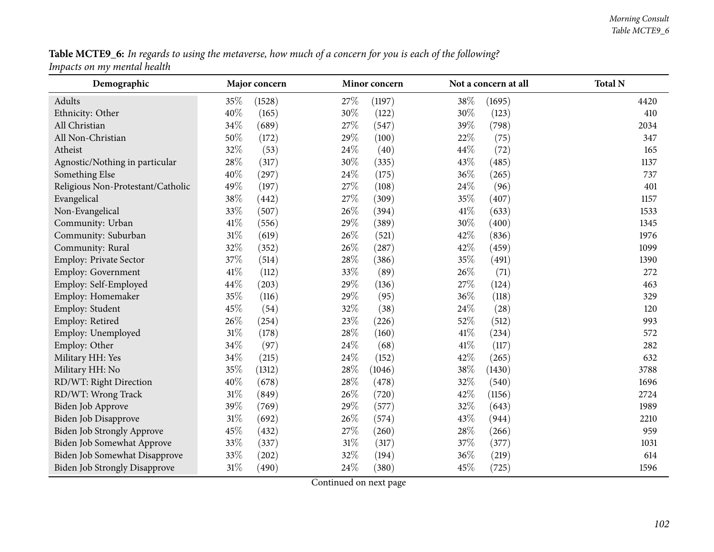Table MCTE9\_6: In regards to using the metaverse, how much of a concern for you is each of the following? *Impacts on my mental health*

| Demographic                          |        | Major concern |        | Minor concern |      | Not a concern at all | <b>Total N</b> |
|--------------------------------------|--------|---------------|--------|---------------|------|----------------------|----------------|
| Adults                               | 35%    | (1528)        | 27\%   | (1197)        | 38%  | (1695)               | 4420           |
| Ethnicity: Other                     | 40%    | (165)         | 30%    | (122)         | 30%  | (123)                | 410            |
| All Christian                        | 34%    | (689)         | 27\%   | (547)         | 39\% | (798)                | 2034           |
| All Non-Christian                    | 50%    | (172)         | 29%    | (100)         | 22%  | (75)                 | 347            |
| Atheist                              | 32%    | (53)          | 24%    | (40)          | 44\% | (72)                 | 165            |
| Agnostic/Nothing in particular       | 28%    | (317)         | 30%    | (335)         | 43%  | (485)                | 1137           |
| Something Else                       | 40%    | (297)         | 24%    | (175)         | 36\% | (265)                | 737            |
| Religious Non-Protestant/Catholic    | 49%    | (197)         | 27%    | (108)         | 24\% | (96)                 | 401            |
| Evangelical                          | 38%    | (442)         | 27%    | (309)         | 35%  | (407)                | 1157           |
| Non-Evangelical                      | 33%    | (507)         | 26%    | (394)         | 41\% | (633)                | 1533           |
| Community: Urban                     | 41\%   | (556)         | 29%    | (389)         | 30%  | (400)                | 1345           |
| Community: Suburban                  | $31\%$ | (619)         | 26%    | (521)         | 42%  | (836)                | 1976           |
| Community: Rural                     | 32%    | (352)         | 26%    | (287)         | 42%  | (459)                | 1099           |
| Employ: Private Sector               | 37%    | (514)         | 28%    | (386)         | 35%  | (491)                | 1390           |
| Employ: Government                   | 41\%   | (112)         | 33%    | (89)          | 26%  | (71)                 | 272            |
| Employ: Self-Employed                | 44%    | (203)         | 29%    | (136)         | 27%  | (124)                | 463            |
| Employ: Homemaker                    | 35%    | (116)         | 29%    | (95)          | 36\% | (118)                | 329            |
| Employ: Student                      | 45%    | (54)          | 32%    | (38)          | 24\% | (28)                 | 120            |
| Employ: Retired                      | 26%    | (254)         | 23%    | (226)         | 52%  | (512)                | 993            |
| Employ: Unemployed                   | $31\%$ | (178)         | 28%    | (160)         | 41\% | (234)                | 572            |
| Employ: Other                        | 34%    | (97)          | 24%    | (68)          | 41\% | (117)                | 282            |
| Military HH: Yes                     | 34%    | (215)         | 24%    | (152)         | 42%  | (265)                | 632            |
| Military HH: No                      | 35%    | (1312)        | 28%    | (1046)        | 38%  | (1430)               | 3788           |
| RD/WT: Right Direction               | 40%    | (678)         | 28%    | (478)         | 32%  | (540)                | 1696           |
| RD/WT: Wrong Track                   | $31\%$ | (849)         | 26%    | (720)         | 42%  | (1156)               | 2724           |
| Biden Job Approve                    | 39%    | (769)         | 29%    | (577)         | 32%  | (643)                | 1989           |
| Biden Job Disapprove                 | $31\%$ | (692)         | 26%    | (574)         | 43%  | (944)                | 2210           |
| Biden Job Strongly Approve           | 45%    | (432)         | 27%    | (260)         | 28%  | (266)                | 959            |
| Biden Job Somewhat Approve           | 33%    | (337)         | $31\%$ | (317)         | 37%  | (377)                | 1031           |
| Biden Job Somewhat Disapprove        | 33%    | (202)         | 32%    | (194)         | 36%  | (219)                | 614            |
| <b>Biden Job Strongly Disapprove</b> | $31\%$ | (490)         | 24%    | (380)         | 45%  | (725)                | 1596           |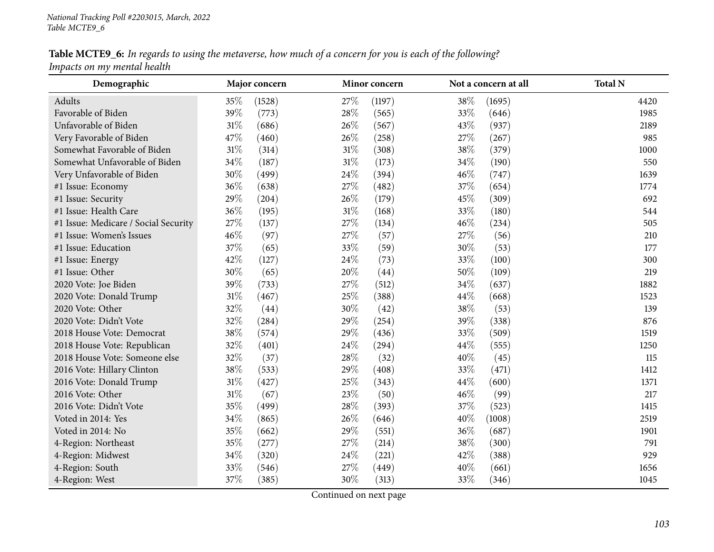Table MCTE9\_6: In regards to using the metaverse, how much of a concern for you is each of the following? *Impacts on my mental health*

| Demographic                          |        | Major concern |        | Minor concern |        | Not a concern at all | <b>Total N</b> |
|--------------------------------------|--------|---------------|--------|---------------|--------|----------------------|----------------|
| Adults                               | 35%    | (1528)        | 27%    | (1197)        | 38%    | (1695)               | 4420           |
| Favorable of Biden                   | 39%    | (773)         | 28\%   | (565)         | 33%    | (646)                | 1985           |
| Unfavorable of Biden                 | $31\%$ | (686)         | 26%    | (567)         | 43%    | (937)                | 2189           |
| Very Favorable of Biden              | 47%    | (460)         | 26\%   | (258)         | 27%    | (267)                | 985            |
| Somewhat Favorable of Biden          | 31%    | (314)         | $31\%$ | (308)         | 38%    | (379)                | 1000           |
| Somewhat Unfavorable of Biden        | 34%    | (187)         | $31\%$ | (173)         | 34%    | (190)                | 550            |
| Very Unfavorable of Biden            | 30%    | (499)         | 24\%   | (394)         | 46%    | (747)                | 1639           |
| #1 Issue: Economy                    | 36%    | (638)         | 27\%   | (482)         | 37%    | (654)                | 1774           |
| #1 Issue: Security                   | 29%    | (204)         | 26\%   | (179)         | 45%    | (309)                | 692            |
| #1 Issue: Health Care                | 36%    | (195)         | $31\%$ | (168)         | 33%    | (180)                | 544            |
| #1 Issue: Medicare / Social Security | 27%    | (137)         | 27%    | (134)         | 46%    | (234)                | 505            |
| #1 Issue: Women's Issues             | 46%    | (97)          | 27\%   | (57)          | 27\%   | (56)                 | 210            |
| #1 Issue: Education                  | 37%    | (65)          | 33%    | (59)          | 30%    | (53)                 | 177            |
| #1 Issue: Energy                     | 42%    | (127)         | 24\%   | (73)          | 33%    | (100)                | 300            |
| #1 Issue: Other                      | 30%    | (65)          | 20%    | (44)          | 50%    | (109)                | 219            |
| 2020 Vote: Joe Biden                 | 39%    | (733)         | 27%    | (512)         | 34%    | (637)                | 1882           |
| 2020 Vote: Donald Trump              | 31%    | (467)         | 25%    | (388)         | 44%    | (668)                | 1523           |
| 2020 Vote: Other                     | 32%    | (44)          | $30\%$ | (42)          | $38\%$ | (53)                 | 139            |
| 2020 Vote: Didn't Vote               | 32%    | (284)         | 29%    | (254)         | 39%    | (338)                | 876            |
| 2018 House Vote: Democrat            | 38%    | (574)         | 29%    | (436)         | 33%    | (509)                | 1519           |
| 2018 House Vote: Republican          | 32%    | (401)         | 24%    | (294)         | 44%    | (555)                | 1250           |
| 2018 House Vote: Someone else        | 32%    | (37)          | 28\%   | (32)          | 40%    | (45)                 | 115            |
| 2016 Vote: Hillary Clinton           | 38%    | (533)         | 29%    | (408)         | 33%    | (471)                | 1412           |
| 2016 Vote: Donald Trump              | $31\%$ | (427)         | 25%    | (343)         | 44%    | (600)                | 1371           |
| 2016 Vote: Other                     | $31\%$ | (67)          | 23%    | (50)          | 46%    | (99)                 | 217            |
| 2016 Vote: Didn't Vote               | 35%    | (499)         | 28%    | (393)         | 37%    | (523)                | 1415           |
| Voted in 2014: Yes                   | 34%    | (865)         | 26%    | (646)         | 40%    | (1008)               | 2519           |
| Voted in 2014: No                    | 35%    | (662)         | 29%    | (551)         | 36%    | (687)                | 1901           |
| 4-Region: Northeast                  | 35%    | (277)         | 27\%   | (214)         | 38%    | (300)                | 791            |
| 4-Region: Midwest                    | 34\%   | (320)         | 24\%   | (221)         | 42\%   | (388)                | 929            |
| 4-Region: South                      | 33%    | (546)         | 27%    | (449)         | 40%    | (661)                | 1656           |
| 4-Region: West                       | 37%    | (385)         | 30%    | (313)         | 33%    | (346)                | 1045           |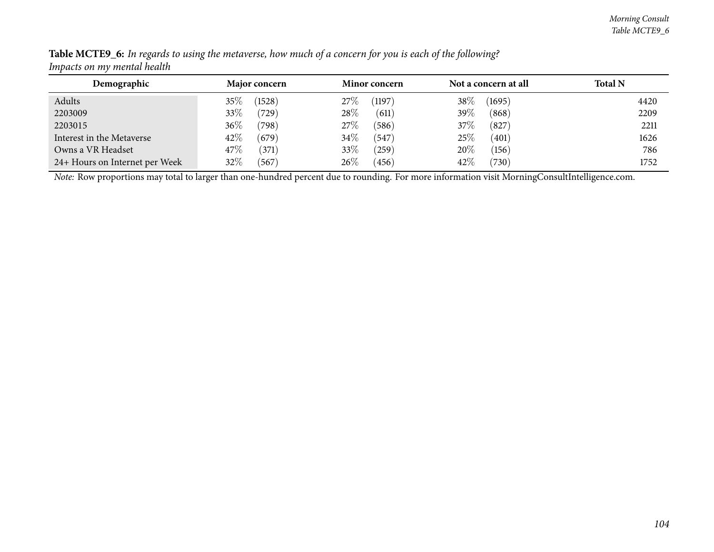| Demographic                    | <b>Major concern</b> | <b>Minor concern</b> | Not a concern at all | <b>Total N</b> |
|--------------------------------|----------------------|----------------------|----------------------|----------------|
| Adults                         | (1528)<br>35%        | (1197)<br>27%        | 38\%<br>(1695)       | 4420           |
| 2203009                        | 33%<br>(729)         | 28%<br>(611)         | 39\%<br>(868)        | 2209           |
| 2203015                        | $36\%$<br>(798)      | 27%<br>(586)         | 37%<br>(827)         | 2211           |
| Interest in the Metaverse      | 42\%<br>(679)        | $34\%$<br>(547)      | 25%<br>(401)         | 1626           |
| Owns a VR Headset              | 47\%<br>(371)        | 33\%<br>(259)        | 20%<br>(156)         | 786            |
| 24+ Hours on Internet per Week | 32%<br>(567)         | 26\%<br>(456)        | 42\%<br>(730)        | 1752           |

Table MCTE9\_6: In regards to using the metaverse, how much of a concern for you is each of the following? *Impacts on my mental health*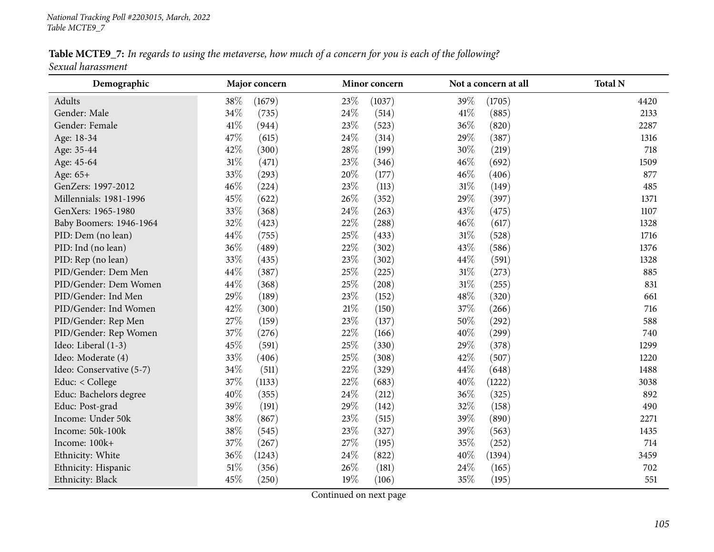Table MCTE9\_7: In regards to using the metaverse, how much of a concern for you is each of the following? *Sexual harassment*

| Demographic              | Major concern   | Minor concern   | Not a concern at all | <b>Total N</b> |
|--------------------------|-----------------|-----------------|----------------------|----------------|
| Adults                   | 38%<br>(1679)   | 23%<br>(1037)   | 39%<br>(1705)        | 4420           |
| Gender: Male             | 34%<br>(735)    | 24%<br>(514)    | $41\%$<br>(885)      | 2133           |
| Gender: Female           | 41\%<br>(944)   | 23%<br>(523)    | 36%<br>(820)         | 2287           |
| Age: 18-34               | 47%<br>(615)    | 24%<br>(314)    | 29%<br>(387)         | 1316           |
| Age: 35-44               | 42%<br>(300)    | 28\%<br>(199)   | 30%<br>(219)         | 718            |
| Age: 45-64               | $31\%$<br>(471) | 23%<br>(346)    | 46%<br>(692)         | 1509           |
| Age: 65+                 | 33%<br>(293)    | 20%<br>(177)    | 46%<br>(406)         | 877            |
| GenZers: 1997-2012       | 46%<br>(224)    | 23%<br>(113)    | 31%<br>(149)         | 485            |
| Millennials: 1981-1996   | 45%<br>(622)    | 26%<br>(352)    | 29%<br>(397)         | 1371           |
| GenXers: 1965-1980       | 33%<br>(368)    | 24%<br>(263)    | 43%<br>(475)         | 1107           |
| Baby Boomers: 1946-1964  | 32%<br>(423)    | 22%<br>(288)    | 46%<br>(617)         | 1328           |
| PID: Dem (no lean)       | 44\%<br>(755)   | 25%<br>(433)    | $31\%$<br>(528)      | 1716           |
| PID: Ind (no lean)       | 36%<br>(489)    | 22%<br>(302)    | 43%<br>(586)         | 1376           |
| PID: Rep (no lean)       | 33%<br>(435)    | 23%<br>(302)    | 44%<br>(591)         | 1328           |
| PID/Gender: Dem Men      | 44\%<br>(387)   | 25%<br>(225)    | $31\%$<br>(273)      | 885            |
| PID/Gender: Dem Women    | 44%<br>(368)    | 25%<br>(208)    | 31%<br>(255)         | 831            |
| PID/Gender: Ind Men      | 29%<br>(189)    | 23%<br>(152)    | 48%<br>(320)         | 661            |
| PID/Gender: Ind Women    | 42%<br>(300)    | $21\%$<br>(150) | 37%<br>(266)         | 716            |
| PID/Gender: Rep Men      | 27\%<br>(159)   | 23%<br>(137)    | $50\%$<br>(292)      | 588            |
| PID/Gender: Rep Women    | 37%<br>(276)    | 22%<br>(166)    | 40%<br>(299)         | 740            |
| Ideo: Liberal (1-3)      | 45%<br>(591)    | 25%<br>(330)    | 29%<br>(378)         | 1299           |
| Ideo: Moderate (4)       | 33%<br>(406)    | 25%<br>(308)    | 42%<br>(507)         | 1220           |
| Ideo: Conservative (5-7) | $34\%$<br>(511) | 22%<br>(329)    | 44%<br>(648)         | 1488           |
| Educ: < College          | 37%<br>(1133)   | 22%<br>(683)    | 40%<br>(1222)        | 3038           |
| Educ: Bachelors degree   | 40%<br>(355)    | 24%<br>(212)    | 36%<br>(325)         | 892            |
| Educ: Post-grad          | 39%<br>(191)    | 29%<br>(142)    | 32%<br>(158)         | 490            |
| Income: Under 50k        | 38%<br>(867)    | 23%<br>(515)    | 39%<br>(890)         | 2271           |
| Income: 50k-100k         | 38\%<br>(545)   | 23%<br>(327)    | 39%<br>(563)         | 1435           |
| Income: 100k+            | 37%<br>(267)    | 27%<br>(195)    | 35%<br>(252)         | 714            |
| Ethnicity: White         | 36%<br>(1243)   | 24%<br>(822)    | 40%<br>(1394)        | 3459           |
| Ethnicity: Hispanic      | $51\%$<br>(356) | 26%<br>(181)    | 24%<br>(165)         | 702            |
| Ethnicity: Black         | 45%<br>(250)    | 19%<br>(106)    | 35%<br>(195)         | 551            |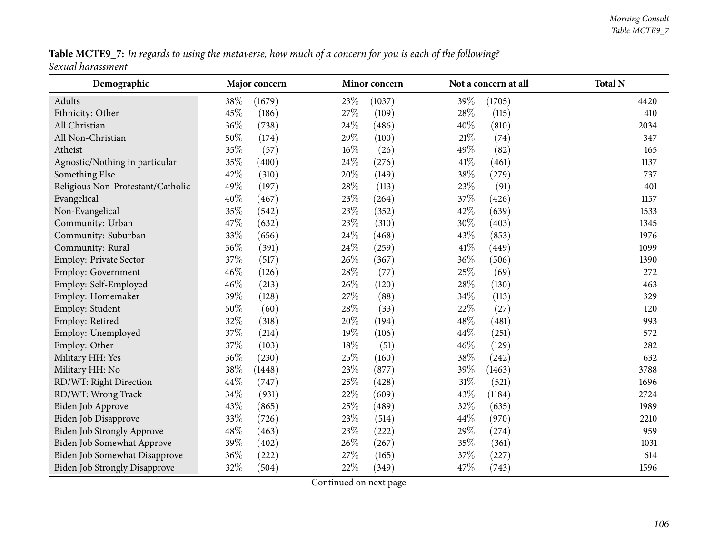Table MCTE9\_7: In regards to using the metaverse, how much of a concern for you is each of the following? *Sexual harassment*

| Demographic                          | Major concern   | Minor concern   | Not a concern at all | <b>Total N</b> |
|--------------------------------------|-----------------|-----------------|----------------------|----------------|
| Adults                               | 38%<br>(1679)   | 23%<br>(1037)   | 39%<br>(1705)        | 4420           |
| Ethnicity: Other                     | 45%<br>(186)    | 27%<br>(109)    | 28%<br>(115)         | 410            |
| All Christian                        | 36%<br>(738)    | 24\%<br>(486)   | 40%<br>(810)         | 2034           |
| All Non-Christian                    | 50%<br>(174)    | 29%<br>(100)    | $21\%$<br>(74)       | 347            |
| Atheist                              | 35%<br>(57)     | 16%<br>(26)     | 49%<br>(82)          | 165            |
| Agnostic/Nothing in particular       | 35%<br>(400)    | 24\%<br>(276)   | 41\%<br>(461)        | 1137           |
| Something Else                       | 42%<br>(310)    | 20%<br>(149)    | $38\%$<br>(279)      | 737            |
| Religious Non-Protestant/Catholic    | 49%<br>(197)    | 28%<br>(113)    | 23%<br>(91)          | 401            |
| Evangelical                          | 40%<br>(467)    | 23%<br>(264)    | 37%<br>(426)         | 1157           |
| Non-Evangelical                      | 35%<br>(542)    | 23%<br>(352)    | 42%<br>(639)         | 1533           |
| Community: Urban                     | 47%<br>(632)    | 23%<br>(310)    | 30%<br>(403)         | 1345           |
| Community: Suburban                  | 33%<br>(656)    | 24%<br>(468)    | 43%<br>(853)         | 1976           |
| Community: Rural                     | 36%<br>(391)    | 24\%<br>(259)   | 41\%<br>(449)        | 1099           |
| Employ: Private Sector               | $37\%$<br>(517) | 26%<br>(367)    | 36%<br>(506)         | 1390           |
| Employ: Government                   | 46%<br>(126)    | 28%<br>(77)     | 25%<br>(69)          | 272            |
| Employ: Self-Employed                | 46%<br>(213)    | 26%<br>(120)    | 28%<br>(130)         | 463            |
| Employ: Homemaker                    | 39%<br>(128)    | 27%<br>(88)     | 34\%<br>(113)        | 329            |
| Employ: Student                      | 50%<br>(60)     | 28%<br>(33)     | 22%<br>(27)          | 120            |
| Employ: Retired                      | 32%<br>(318)    | 20%<br>(194)    | 48%<br>(481)         | 993            |
| Employ: Unemployed                   | 37%<br>(214)    | 19%<br>(106)    | 44%<br>(251)         | 572            |
| Employ: Other                        | 37%<br>(103)    | 18%<br>(51)     | 46%<br>(129)         | 282            |
| Military HH: Yes                     | $36\%$<br>(230) | 25%<br>(160)    | $38\%$<br>(242)      | 632            |
| Military HH: No                      | 38%<br>(1448)   | 23%<br>(877)    | 39%<br>(1463)        | 3788           |
| RD/WT: Right Direction               | 44%<br>(747)    | 25%<br>(428)    | $31\%$<br>(521)      | 1696           |
| RD/WT: Wrong Track                   | 34%<br>(931)    | 22%<br>(609)    | 43%<br>(1184)        | 2724           |
| Biden Job Approve                    | 43%<br>(865)    | 25%<br>(489)    | 32\%<br>(635)        | 1989           |
| Biden Job Disapprove                 | 33%<br>(726)    | 23%<br>(514)    | 44\%<br>(970)        | 2210           |
| <b>Biden Job Strongly Approve</b>    | 48%<br>(463)    | 23%<br>(222)    | 29%<br>(274)         | 959            |
| Biden Job Somewhat Approve           | 39%<br>(402)    | 26%<br>(267)    | 35%<br>(361)         | 1031           |
| Biden Job Somewhat Disapprove        | 36%<br>(222)    | $27\%$<br>(165) | $37\%$<br>(227)      | 614            |
| <b>Biden Job Strongly Disapprove</b> | 32%<br>(504)    | 22%<br>(349)    | 47%<br>(743)         | 1596           |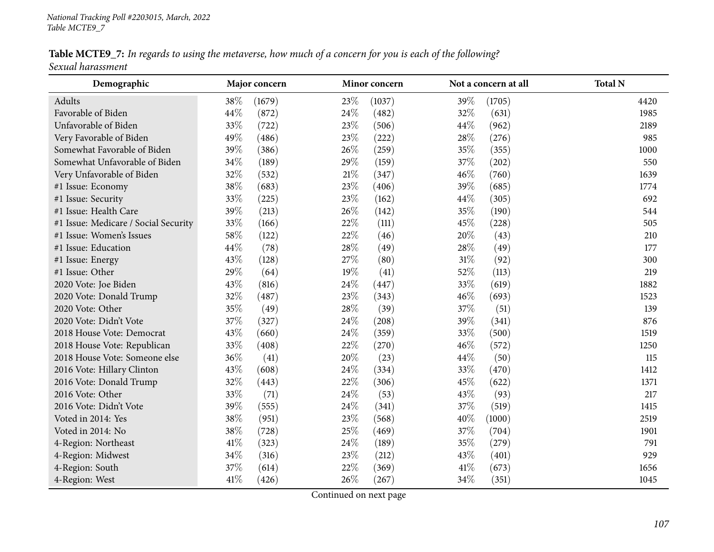Table MCTE9\_7: In regards to using the metaverse, how much of a concern for you is each of the following? *Sexual harassment*

| Demographic                          |      | Major concern |        | Minor concern |        | Not a concern at all | <b>Total N</b> |
|--------------------------------------|------|---------------|--------|---------------|--------|----------------------|----------------|
| Adults                               | 38%  | (1679)        | 23%    | (1037)        | 39%    | (1705)               | 4420           |
| Favorable of Biden                   | 44%  | (872)         | 24%    | (482)         | 32%    | (631)                | 1985           |
| Unfavorable of Biden                 | 33%  | (722)         | 23%    | (506)         | 44%    | (962)                | 2189           |
| Very Favorable of Biden              | 49%  | (486)         | 23%    | (222)         | 28%    | (276)                | 985            |
| Somewhat Favorable of Biden          | 39%  | (386)         | 26%    | (259)         | 35%    | (355)                | 1000           |
| Somewhat Unfavorable of Biden        | 34%  | (189)         | 29%    | (159)         | 37%    | (202)                | 550            |
| Very Unfavorable of Biden            | 32%  | (532)         | $21\%$ | (347)         | 46%    | (760)                | 1639           |
| #1 Issue: Economy                    | 38%  | (683)         | 23%    | (406)         | 39%    | (685)                | 1774           |
| #1 Issue: Security                   | 33%  | (225)         | 23%    | (162)         | 44%    | (305)                | 692            |
| #1 Issue: Health Care                | 39%  | (213)         | 26%    | (142)         | 35%    | (190)                | 544            |
| #1 Issue: Medicare / Social Security | 33%  | (166)         | 22%    | (111)         | 45%    | (228)                | 505            |
| #1 Issue: Women's Issues             | 58%  | (122)         | 22%    | (46)          | 20%    | (43)                 | 210            |
| #1 Issue: Education                  | 44%  | (78)          | 28%    | (49)          | 28%    | (49)                 | 177            |
| #1 Issue: Energy                     | 43%  | (128)         | 27%    | (80)          | $31\%$ | (92)                 | 300            |
| #1 Issue: Other                      | 29%  | (64)          | 19%    | (41)          | 52%    | (113)                | 219            |
| 2020 Vote: Joe Biden                 | 43%  | (816)         | 24\%   | (447)         | 33%    | (619)                | 1882           |
| 2020 Vote: Donald Trump              | 32%  | (487)         | 23%    | (343)         | 46%    | (693)                | 1523           |
| 2020 Vote: Other                     | 35%  | (49)          | 28%    | (39)          | 37%    | (51)                 | 139            |
| 2020 Vote: Didn't Vote               | 37%  | (327)         | 24\%   | (208)         | 39%    | (341)                | 876            |
| 2018 House Vote: Democrat            | 43%  | (660)         | 24%    | (359)         | 33%    | (500)                | 1519           |
| 2018 House Vote: Republican          | 33%  | (408)         | 22%    | (270)         | 46%    | (572)                | 1250           |
| 2018 House Vote: Someone else        | 36%  | (41)          | 20%    | (23)          | 44%    | (50)                 | 115            |
| 2016 Vote: Hillary Clinton           | 43%  | (608)         | 24\%   | (334)         | 33%    | (470)                | 1412           |
| 2016 Vote: Donald Trump              | 32%  | (443)         | 22%    | (306)         | 45%    | (622)                | 1371           |
| 2016 Vote: Other                     | 33%  | (71)          | 24%    | (53)          | 43%    | (93)                 | 217            |
| 2016 Vote: Didn't Vote               | 39%  | (555)         | 24\%   | (341)         | 37%    | (519)                | 1415           |
| Voted in 2014: Yes                   | 38\% | (951)         | 23%    | (568)         | 40%    | (1000)               | 2519           |
| Voted in 2014: No                    | 38%  | (728)         | 25%    | (469)         | 37%    | (704)                | 1901           |
| 4-Region: Northeast                  | 41\% | (323)         | 24\%   | (189)         | 35%    | (279)                | 791            |
| 4-Region: Midwest                    | 34%  | (316)         | 23%    | (212)         | 43%    | (401)                | 929            |
| 4-Region: South                      | 37%  | (614)         | 22%    | (369)         | 41\%   | (673)                | 1656           |
| 4-Region: West                       | 41\% | (426)         | 26%    | (267)         | 34%    | (351)                | 1045           |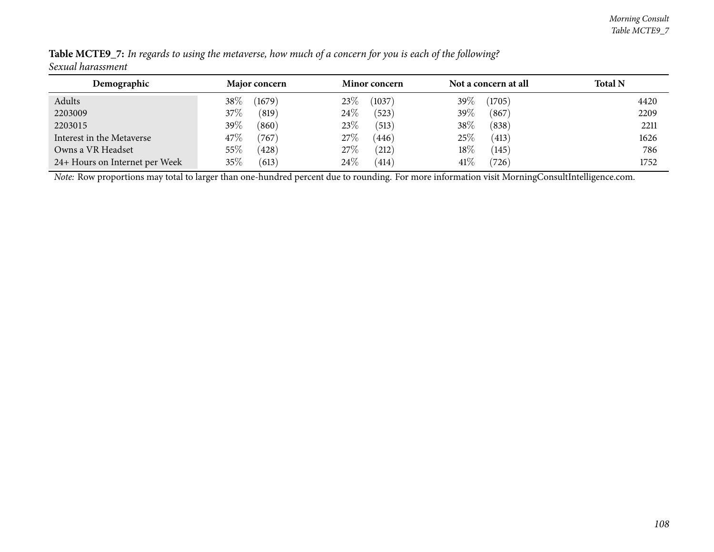| Demographic                    | <b>Major concern</b> | <b>Minor concern</b> | Not a concern at all | <b>Total N</b> |
|--------------------------------|----------------------|----------------------|----------------------|----------------|
| Adults                         | $38\%$<br>(1679)     | 23\%<br>(1037)       | 39\%<br>(1705)       | 4420           |
| 2203009                        | $37\%$<br>(819)      | $24\%$<br>(523)      | 39%<br>(867)         | 2209           |
| 2203015                        | 39 $\%$<br>(860)     | 23%<br>(513)         | 38%<br>(838)         | 2211           |
| Interest in the Metaverse      | 47\%<br>(767)        | 27\%<br>(446)        | 25%<br>(413)         | 1626           |
| Owns a VR Headset              | $55\%$<br>(428)      | 27%<br>(212)         | $18\%$<br>(145)      | 786            |
| 24+ Hours on Internet per Week | $35\%$<br>(613)      | 24%<br>(414)         | 41\%<br>(726)        | 1752           |

Table MCTE9\_7: In regards to using the metaverse, how much of a concern for you is each of the following? *Sexual harassment*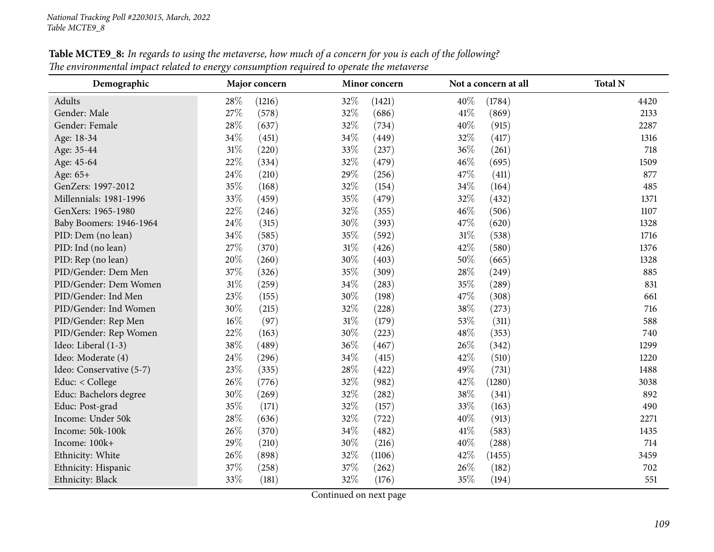| Demographic              | Major concern   |        | Minor concern |        | Not a concern at all | <b>Total N</b> |
|--------------------------|-----------------|--------|---------------|--------|----------------------|----------------|
| Adults                   | 28%<br>(1216)   | 32%    | (1421)        | 40%    | (1784)               | 4420           |
| Gender: Male             | 27%<br>(578)    | 32%    | (686)         | 41\%   | (869)                | 2133           |
| Gender: Female           | 28%<br>(637)    | 32%    | (734)         | 40%    | (915)                | 2287           |
| Age: 18-34               | 34%<br>(451)    | 34%    | (449)         | 32%    | (417)                | 1316           |
| Age: 35-44               | $31\%$<br>(220) | 33%    | (237)         | 36%    | (261)                | 718            |
| Age: 45-64               | 22%<br>(334)    | 32%    | (479)         | 46%    | (695)                | 1509           |
| Age: 65+                 | $24\%$<br>(210) | 29%    | (256)         | 47\%   | (411)                | 877            |
| GenZers: 1997-2012       | 35%<br>(168)    | 32%    | (154)         | 34%    | (164)                | 485            |
| Millennials: 1981-1996   | 33%<br>(459)    | 35%    | (479)         | 32%    | (432)                | 1371           |
| GenXers: 1965-1980       | 22%<br>(246)    | 32%    | (355)         | 46%    | (506)                | 1107           |
| Baby Boomers: 1946-1964  | 24%<br>(315)    | 30%    | (393)         | 47\%   | (620)                | 1328           |
| PID: Dem (no lean)       | 34%<br>(585)    | 35%    | (592)         | $31\%$ | (538)                | 1716           |
| PID: Ind (no lean)       | 27%<br>(370)    | 31%    | (426)         | 42\%   | (580)                | 1376           |
| PID: Rep (no lean)       | 20%<br>(260)    | 30%    | (403)         | 50%    | (665)                | 1328           |
| PID/Gender: Dem Men      | 37%<br>(326)    | 35%    | (309)         | 28%    | (249)                | 885            |
| PID/Gender: Dem Women    | $31\%$<br>(259) | 34%    | (283)         | 35%    | (289)                | 831            |
| PID/Gender: Ind Men      | 23%<br>(155)    | 30%    | (198)         | 47%    | (308)                | 661            |
| PID/Gender: Ind Women    | 30%<br>(215)    | 32%    | (228)         | 38%    | (273)                | 716            |
| PID/Gender: Rep Men      | $16\%$<br>(97)  | $31\%$ | (179)         | 53%    | (311)                | 588            |
| PID/Gender: Rep Women    | 22%<br>(163)    | 30%    | (223)         | 48%    | (353)                | 740            |
| Ideo: Liberal (1-3)      | 38%<br>(489)    | 36%    | (467)         | 26%    | (342)                | 1299           |
| Ideo: Moderate (4)       | 24\%<br>(296)   | $34\%$ | (415)         | 42%    | (510)                | 1220           |
| Ideo: Conservative (5-7) | 23%<br>(335)    | 28%    | (422)         | 49%    | (731)                | 1488           |
| Educ: < College          | 26%<br>(776)    | 32%    | (982)         | 42%    | (1280)               | 3038           |
| Educ: Bachelors degree   | 30%<br>(269)    | 32%    | (282)         | 38%    | (341)                | 892            |
| Educ: Post-grad          | 35%<br>(171)    | 32%    | (157)         | 33%    | (163)                | 490            |
| Income: Under 50k        | 28%<br>(636)    | 32%    | (722)         | 40%    | (913)                | 2271           |
| Income: 50k-100k         | 26%<br>(370)    | 34%    | (482)         | 41\%   | (583)                | 1435           |
| Income: 100k+            | 29%<br>(210)    | 30%    | (216)         | 40%    | (288)                | 714            |
| Ethnicity: White         | 26%<br>(898)    | 32%    | (1106)        | 42%    | (1455)               | 3459           |
| Ethnicity: Hispanic      | 37%<br>(258)    | 37%    | (262)         | 26%    | (182)                | 702            |
| Ethnicity: Black         | 33%<br>(181)    | 32%    | (176)         | 35%    | (194)                | 551            |

Table MCTE9\_8: In regards to using the metaverse, how much of a concern for you is each of the following? The environmental impact related to energy consumption required to operate the metaverse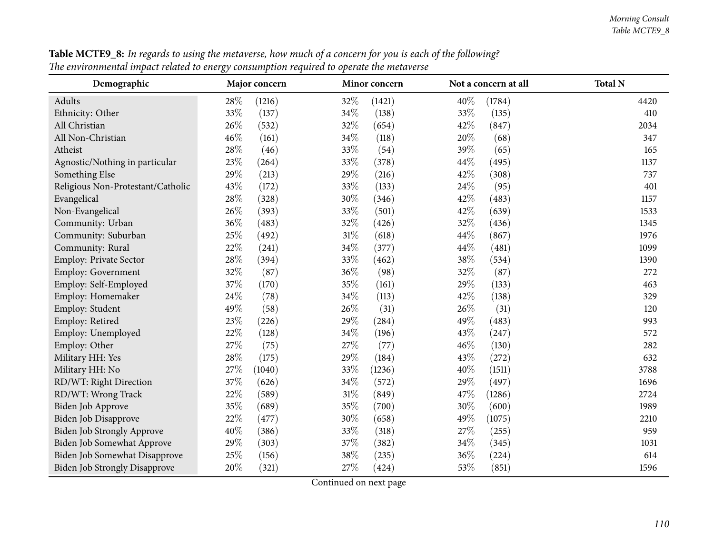| Demographic                          |        | Major concern |                                         | Minor concern |        | Not a concern at all | <b>Total N</b> |
|--------------------------------------|--------|---------------|-----------------------------------------|---------------|--------|----------------------|----------------|
| Adults                               | 28\%   | (1216)        | 32%                                     | (1421)        | 40%    | (1784)               | 4420           |
| Ethnicity: Other                     | 33%    | (137)         | 34%                                     | (138)         | 33%    | (135)                | 410            |
| All Christian                        | 26%    | (532)         | 32%                                     | (654)         | 42%    | (847)                | 2034           |
| All Non-Christian                    | 46%    | (161)         | 34%                                     | (118)         | 20%    | (68)                 | 347            |
| Atheist                              | 28%    | (46)          | 33%                                     | (54)          | 39%    | (65)                 | 165            |
| Agnostic/Nothing in particular       | 23%    | (264)         | 33%                                     | (378)         | 44%    | (495)                | 1137           |
| Something Else                       | 29%    | (213)         | 29%                                     | (216)         | 42%    | (308)                | 737            |
| Religious Non-Protestant/Catholic    | 43%    | (172)         | 33%                                     | (133)         | 24%    | (95)                 | 401            |
| Evangelical                          | 28\%   | (328)         | 30%                                     | (346)         | 42%    | (483)                | 1157           |
| Non-Evangelical                      | 26%    | (393)         | 33%                                     | (501)         | 42%    | (639)                | 1533           |
| Community: Urban                     | $36\%$ | (483)         | 32%                                     | (426)         | 32%    | (436)                | 1345           |
| Community: Suburban                  | 25%    | (492)         | $31\%$                                  | (618)         | 44%    | (867)                | 1976           |
| Community: Rural                     | 22%    | (241)         | 34%                                     | (377)         | 44%    | (481)                | 1099           |
| Employ: Private Sector               | 28%    | (394)         | 33%                                     | (462)         | 38%    | (534)                | 1390           |
| Employ: Government                   | 32%    | (87)          | 36%                                     | (98)          | 32%    | (87)                 | 272            |
| Employ: Self-Employed                | 37%    | (170)         | 35%                                     | (161)         | 29%    | (133)                | 463            |
| Employ: Homemaker                    | 24\%   | (78)          | 34%                                     | (113)         | 42%    | (138)                | 329            |
| Employ: Student                      | 49%    | (58)          | 26%                                     | (31)          | 26%    | (31)                 | 120            |
| Employ: Retired                      | 23%    | (226)         | 29%                                     | (284)         | 49%    | (483)                | 993            |
| Employ: Unemployed                   | 22%    | (128)         | 34%                                     | (196)         | 43%    | (247)                | 572            |
| Employ: Other                        | 27%    | (75)          | 27%                                     | (77)          | 46%    | (130)                | 282            |
| Military HH: Yes                     | 28%    | (175)         | 29%                                     | (184)         | 43%    | (272)                | 632            |
| Military HH: No                      | 27%    | (1040)        | 33%                                     | (1236)        | 40%    | (1511)               | 3788           |
| RD/WT: Right Direction               | 37%    | (626)         | 34%                                     | (572)         | 29%    | (497)                | 1696           |
| RD/WT: Wrong Track                   | 22%    | (589)         | $31\%$                                  | (849)         | 47%    | (1286)               | 2724           |
| Biden Job Approve                    | 35%    | (689)         | 35%                                     | (700)         | 30%    | (600)                | 1989           |
| Biden Job Disapprove                 | 22%    | (477)         | 30%                                     | (658)         | 49%    | (1075)               | 2210           |
| Biden Job Strongly Approve           | $40\%$ | (386)         | 33%                                     | (318)         | $27\%$ | (255)                | 959            |
| Biden Job Somewhat Approve           | 29%    | (303)         | 37%                                     | (382)         | $34\%$ | (345)                | 1031           |
| Biden Job Somewhat Disapprove        | 25%    | (156)         | 38%                                     | (235)         | 36%    | (224)                | 614            |
| <b>Biden Job Strongly Disapprove</b> | 20%    | (321)         | $27\%$<br>$\mathbf{1}$<br>$\sim$ $\sim$ | (424)         | 53%    | (851)                | 1596           |

Table MCTE9\_8: In regards to using the metaverse, how much of a concern for you is each of the following? The environmental impact related to energy consumption required to operate the metaverse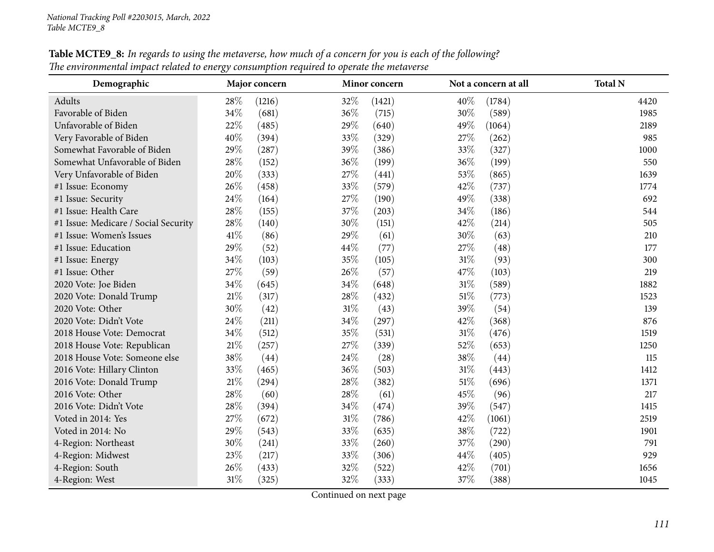| Demographic                          |        | Major concern |      | Minor concern |        | Not a concern at all | <b>Total N</b> |
|--------------------------------------|--------|---------------|------|---------------|--------|----------------------|----------------|
| Adults                               | 28%    | (1216)        | 32%  | (1421)        | 40%    | (1784)               | 4420           |
| Favorable of Biden                   | 34%    | (681)         | 36%  | (715)         | 30%    | (589)                | 1985           |
| Unfavorable of Biden                 | 22%    | (485)         | 29%  | (640)         | 49%    | (1064)               | 2189           |
| Very Favorable of Biden              | 40%    | (394)         | 33%  | (329)         | 27\%   | (262)                | 985            |
| Somewhat Favorable of Biden          | 29%    | (287)         | 39%  | (386)         | 33%    | (327)                | 1000           |
| Somewhat Unfavorable of Biden        | 28%    | (152)         | 36%  | (199)         | 36%    | (199)                | 550            |
| Very Unfavorable of Biden            | $20\%$ | (333)         | 27%  | (441)         | 53%    | (865)                | 1639           |
| #1 Issue: Economy                    | 26%    | (458)         | 33%  | (579)         | 42%    | (737)                | 1774           |
| #1 Issue: Security                   | 24%    | (164)         | 27%  | (190)         | 49%    | (338)                | 692            |
| #1 Issue: Health Care                | 28%    | (155)         | 37%  | (203)         | 34%    | (186)                | 544            |
| #1 Issue: Medicare / Social Security | 28%    | (140)         | 30%  | (151)         | 42%    | (214)                | 505            |
| #1 Issue: Women's Issues             | 41\%   | (86)          | 29%  | (61)          | 30%    | (63)                 | 210            |
| #1 Issue: Education                  | 29%    | (52)          | 44%  | (77)          | 27%    | (48)                 | 177            |
| #1 Issue: Energy                     | 34%    | (103)         | 35%  | (105)         | $31\%$ | (93)                 | 300            |
| #1 Issue: Other                      | 27%    | (59)          | 26%  | (57)          | 47\%   | (103)                | 219            |
| 2020 Vote: Joe Biden                 | 34%    | (645)         | 34%  | (648)         | 31%    | (589)                | 1882           |
| 2020 Vote: Donald Trump              | $21\%$ | (317)         | 28\% | (432)         | 51\%   | (773)                | 1523           |
| 2020 Vote: Other                     | 30%    | (42)          | 31%  | (43)          | 39%    | (54)                 | 139            |
| 2020 Vote: Didn't Vote               | 24%    | (211)         | 34%  | (297)         | 42\%   | (368)                | 876            |
| 2018 House Vote: Democrat            | 34%    | (512)         | 35%  | (531)         | 31%    | (476)                | 1519           |
| 2018 House Vote: Republican          | $21\%$ | (257)         | 27%  | (339)         | 52%    | (653)                | 1250           |
| 2018 House Vote: Someone else        | 38%    | (44)          | 24\% | (28)          | 38%    | (44)                 | 115            |
| 2016 Vote: Hillary Clinton           | 33%    | (465)         | 36%  | (503)         | 31%    | (443)                | 1412           |
| 2016 Vote: Donald Trump              | $21\%$ | (294)         | 28\% | (382)         | $51\%$ | (696)                | 1371           |
| 2016 Vote: Other                     | 28%    | (60)          | 28\% | (61)          | 45%    | (96)                 | 217            |
| 2016 Vote: Didn't Vote               | 28%    | (394)         | 34%  | (474)         | 39%    | (547)                | 1415           |
| Voted in 2014: Yes                   | 27%    | (672)         | 31%  | (786)         | 42%    | (1061)               | 2519           |
| Voted in 2014: No                    | 29%    | (543)         | 33%  | (635)         | 38%    | (722)                | 1901           |
| 4-Region: Northeast                  | 30%    | (241)         | 33%  | (260)         | 37%    | (290)                | 791            |
| 4-Region: Midwest                    | 23%    | (217)         | 33%  | (306)         | 44%    | (405)                | 929            |
| 4-Region: South                      | 26%    | (433)         | 32%  | (522)         | 42%    | (701)                | 1656           |
| 4-Region: West                       | $31\%$ | (325)         | 32%  | (333)         | 37%    | (388)                | 1045           |

Table MCTE9\_8: In regards to using the metaverse, how much of a concern for you is each of the following? The environmental impact related to energy consumption required to operate the metaverse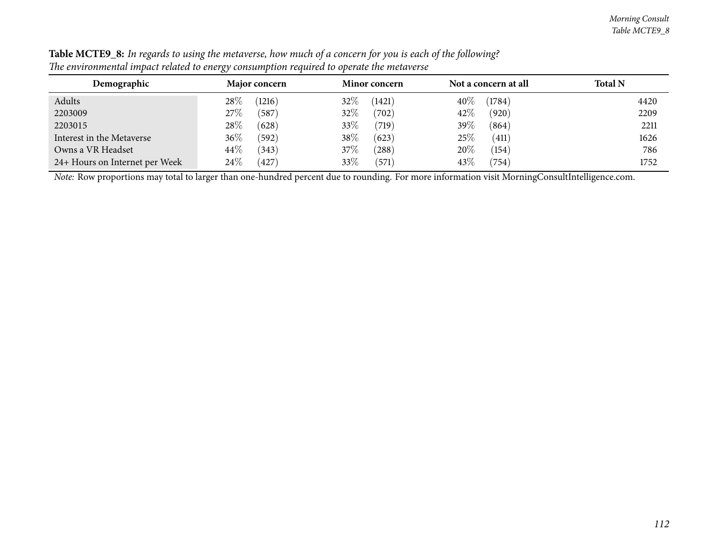| Demographic                    | <b>Major concern</b> | <b>Minor concern</b>   | Not a concern at all      | <b>Total N</b> |
|--------------------------------|----------------------|------------------------|---------------------------|----------------|
| Adults                         | $28\%$<br>(1216)     | 32\%<br>(1421)         | 40%<br>(1784)             | 4420           |
| 2203009                        | 27%<br>587           | 32%<br>$^{\prime}702)$ | 42%<br>(920)              | 2209           |
| 2203015                        | 28\%<br>(628)        | 33\%<br>(719)          | 39\%<br>(864)             | 2211           |
| Interest in the Metaverse      | $36\%$<br>(592)      | 38\%<br>(623)          | 25%<br>$\left(411\right)$ | 1626           |
| Owns a VR Headset              | $44\%$<br>(343)      | 37%<br>$^{'}288)$      | 20%<br>(154)              | 786            |
| 24+ Hours on Internet per Week | $24\%$<br>427        | 33%<br>(571)           | 43\%<br>$^{\prime}754)$   | 1752           |

Table MCTE9\_8: In regards to using the metaverse, how much of a concern for you is each of the following? The environmental impact related to energy consumption required to operate the metaverse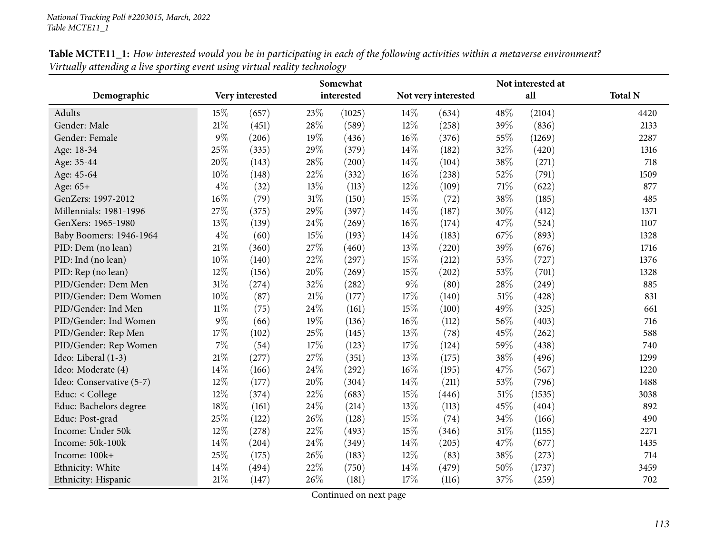|                          | Somewhat |                 |        |            |        |                     | Not interested at |        |                |
|--------------------------|----------|-----------------|--------|------------|--------|---------------------|-------------------|--------|----------------|
| Demographic              |          | Very interested |        | interested |        | Not very interested |                   | all    | <b>Total N</b> |
| <b>Adults</b>            | 15%      | (657)           | 23%    | (1025)     | 14\%   | (634)               | 48%               | (2104) | 4420           |
| Gender: Male             | 21%      | (451)           | 28%    | (589)      | 12%    | (258)               | 39%               | (836)  | 2133           |
| Gender: Female           | $9\%$    | (206)           | 19%    | (436)      | $16\%$ | (376)               | 55%               | (1269) | 2287           |
| Age: 18-34               | 25%      | (335)           | 29%    | (379)      | 14%    | (182)               | 32%               | (420)  | 1316           |
| Age: 35-44               | 20%      | (143)           | 28%    | (200)      | 14%    | (104)               | 38%               | (271)  | 718            |
| Age: 45-64               | 10%      | (148)           | 22%    | (332)      | 16%    | (238)               | 52%               | (791)  | 1509           |
| Age: 65+                 | $4\%$    | (32)            | 13%    | (113)      | 12%    | (109)               | $71\%$            | (622)  | 877            |
| GenZers: 1997-2012       | 16%      | (79)            | 31%    | (150)      | 15%    | (72)                | 38%               | (185)  | 485            |
| Millennials: 1981-1996   | 27%      | (375)           | 29%    | (397)      | 14%    | (187)               | 30%               | (412)  | 1371           |
| GenXers: 1965-1980       | 13%      | (139)           | 24%    | (269)      | 16%    | (174)               | 47%               | (524)  | 1107           |
| Baby Boomers: 1946-1964  | $4\%$    | (60)            | 15%    | (193)      | 14%    | (183)               | 67%               | (893)  | 1328           |
| PID: Dem (no lean)       | 21%      | (360)           | 27%    | (460)      | 13%    | (220)               | 39%               | (676)  | 1716           |
| PID: Ind (no lean)       | 10%      | (140)           | 22%    | (297)      | 15%    | (212)               | 53%               | (727)  | 1376           |
| PID: Rep (no lean)       | 12%      | (156)           | 20%    | (269)      | 15%    | (202)               | 53%               | (701)  | 1328           |
| PID/Gender: Dem Men      | 31%      | (274)           | 32%    | (282)      | 9%     | (80)                | 28%               | (249)  | 885            |
| PID/Gender: Dem Women    | 10%      | (87)            | $21\%$ | (177)      | 17%    | (140)               | $51\%$            | (428)  | 831            |
| PID/Gender: Ind Men      | $11\%$   | (75)            | 24%    | (161)      | 15%    | (100)               | 49%               | (325)  | 661            |
| PID/Gender: Ind Women    | $9\%$    | (66)            | 19%    | (136)      | 16%    | (112)               | 56%               | (403)  | 716            |
| PID/Gender: Rep Men      | 17%      | (102)           | 25%    | (145)      | $13\%$ | (78)                | 45%               | (262)  | 588            |
| PID/Gender: Rep Women    | $7\%$    | (54)            | 17%    | (123)      | 17%    | (124)               | 59%               | (438)  | 740            |
| Ideo: Liberal (1-3)      | $21\%$   | (277)           | 27%    | (351)      | 13%    | (175)               | 38%               | (496)  | 1299           |
| Ideo: Moderate (4)       | 14%      | (166)           | 24%    | (292)      | 16%    | (195)               | 47%               | (567)  | 1220           |
| Ideo: Conservative (5-7) | $12\%$   | (177)           | 20%    | (304)      | 14\%   | (211)               | 53%               | (796)  | 1488           |
| Educ: < College          | 12%      | (374)           | 22%    | (683)      | 15%    | (446)               | $51\%$            | (1535) | 3038           |
| Educ: Bachelors degree   | 18%      | (161)           | 24%    | (214)      | 13%    | (113)               | 45%               | (404)  | 892            |
| Educ: Post-grad          | 25%      | (122)           | 26%    | (128)      | 15%    | (74)                | 34%               | (166)  | 490            |
| Income: Under 50k        | 12%      | (278)           | 22%    | (493)      | 15%    | (346)               | $51\%$            | (1155) | 2271           |
| Income: 50k-100k         | 14%      | (204)           | 24%    | (349)      | 14%    | (205)               | 47%               | (677)  | 1435           |
| Income: 100k+            | 25%      | (175)           | 26%    | (183)      | 12%    | (83)                | 38%               | (273)  | 714            |
| Ethnicity: White         | 14%      | (494)           | 22%    | (750)      | 14%    | (479)               | 50%               | (1737) | 3459           |
| Ethnicity: Hispanic      | 21%      | (147)           | 26%    | (181)      | 17%    | (116)               | 37%               | (259)  | 702            |

Table MCTE11\_1: How interested would you be in participating in each of the following activities within a metaverse environment? *Virtually attending <sup>a</sup> live sporting event using virtual reality technology*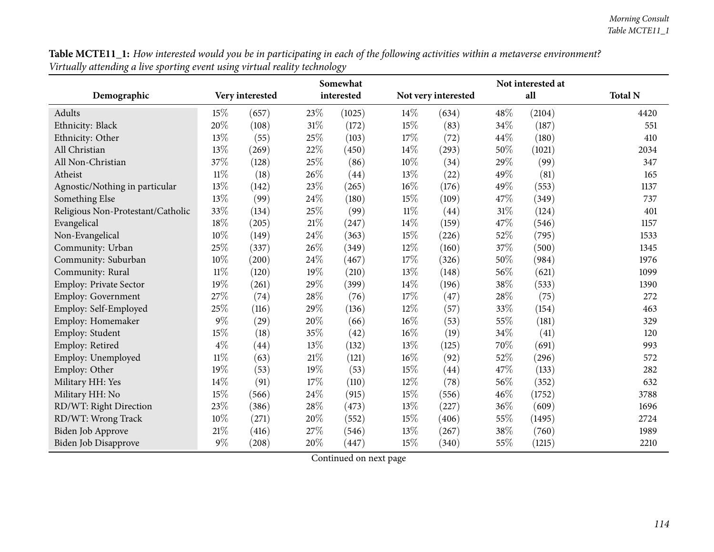| Table MCTE11_1: How interested would you be in participating in each of the following activities within a metaverse environment? |  |
|----------------------------------------------------------------------------------------------------------------------------------|--|
| Virtually attending a live sporting event using virtual reality technology                                                       |  |

|                                   |        |                 |        | Somewhat   |        | Not interested at   |        |        |                |  |
|-----------------------------------|--------|-----------------|--------|------------|--------|---------------------|--------|--------|----------------|--|
| Demographic                       |        | Very interested |        | interested |        | Not very interested |        | all    | <b>Total N</b> |  |
| Adults                            | 15%    | (657)           | 23%    | (1025)     | 14%    | (634)               | 48%    | (2104) | 4420           |  |
| Ethnicity: Black                  | 20%    | (108)           | $31\%$ | (172)      | 15%    | (83)                | 34%    | (187)  | 551            |  |
| Ethnicity: Other                  | $13\%$ | (55)            | 25%    | (103)      | 17%    | (72)                | 44%    | (180)  | 410            |  |
| All Christian                     | 13%    | (269)           | 22%    | (450)      | 14%    | (293)               | 50%    | (1021) | 2034           |  |
| All Non-Christian                 | 37%    | (128)           | 25%    | (86)       | 10%    | (34)                | 29%    | (99)   | 347            |  |
| Atheist                           | $11\%$ | (18)            | 26%    | (44)       | 13%    | (22)                | 49%    | (81)   | 165            |  |
| Agnostic/Nothing in particular    | 13%    | (142)           | $23\%$ | (265)      | 16%    | (176)               | 49%    | (553)  | 1137           |  |
| Something Else                    | 13%    | (99)            | 24%    | (180)      | 15%    | (109)               | 47%    | (349)  | 737            |  |
| Religious Non-Protestant/Catholic | 33%    | (134)           | 25%    | (99)       | $11\%$ | (44)                | $31\%$ | (124)  | 401            |  |
| Evangelical                       | 18%    | (205)           | 21%    | (247)      | 14%    | (159)               | 47%    | (546)  | 1157           |  |
| Non-Evangelical                   | 10%    | (149)           | 24%    | (363)      | 15%    | (226)               | 52%    | (795)  | 1533           |  |
| Community: Urban                  | 25%    | (337)           | 26%    | (349)      | 12%    | (160)               | 37%    | (500)  | 1345           |  |
| Community: Suburban               | 10%    | (200)           | 24%    | (467)      | 17%    | (326)               | 50%    | (984)  | 1976           |  |
| Community: Rural                  | $11\%$ | (120)           | 19%    | (210)      | 13%    | (148)               | 56%    | (621)  | 1099           |  |
| Employ: Private Sector            | 19%    | (261)           | 29%    | (399)      | 14%    | (196)               | 38%    | (533)  | 1390           |  |
| <b>Employ: Government</b>         | 27%    | (74)            | 28%    | (76)       | 17%    | (47)                | 28%    | (75)   | 272            |  |
| Employ: Self-Employed             | 25%    | (116)           | 29%    | (136)      | 12%    | (57)                | 33%    | (154)  | 463            |  |
| Employ: Homemaker                 | $9\%$  | (29)            | 20%    | (66)       | 16%    | (53)                | 55%    | (181)  | 329            |  |
| Employ: Student                   | 15%    | (18)            | 35%    | (42)       | 16%    | (19)                | 34%    | (41)   | 120            |  |
| Employ: Retired                   | $4\%$  | (44)            | 13%    | (132)      | 13%    | (125)               | 70%    | (691)  | 993            |  |
| Employ: Unemployed                | $11\%$ | (63)            | $21\%$ | (121)      | 16%    | (92)                | 52%    | (296)  | 572            |  |
| Employ: Other                     | 19%    | (53)            | 19%    | (53)       | 15%    | (44)                | 47%    | (133)  | 282            |  |
| Military HH: Yes                  | 14%    | (91)            | 17%    | (110)      | 12%    | (78)                | 56%    | (352)  | 632            |  |
| Military HH: No                   | 15%    | (566)           | 24%    | (915)      | 15%    | (556)               | 46%    | (1752) | 3788           |  |
| RD/WT: Right Direction            | 23%    | (386)           | 28%    | (473)      | 13%    | (227)               | 36%    | (609)  | 1696           |  |
| RD/WT: Wrong Track                | $10\%$ | (271)           | 20%    | (552)      | 15%    | (406)               | 55%    | (1495) | 2724           |  |
| <b>Biden Job Approve</b>          | $21\%$ | (416)           | 27%    | (546)      | 13%    | (267)               | 38%    | (760)  | 1989           |  |
| <b>Biden Job Disapprove</b>       | $9\%$  | (208)           | 20%    | (447)      | 15%    | (340)               | 55%    | (1215) | 2210           |  |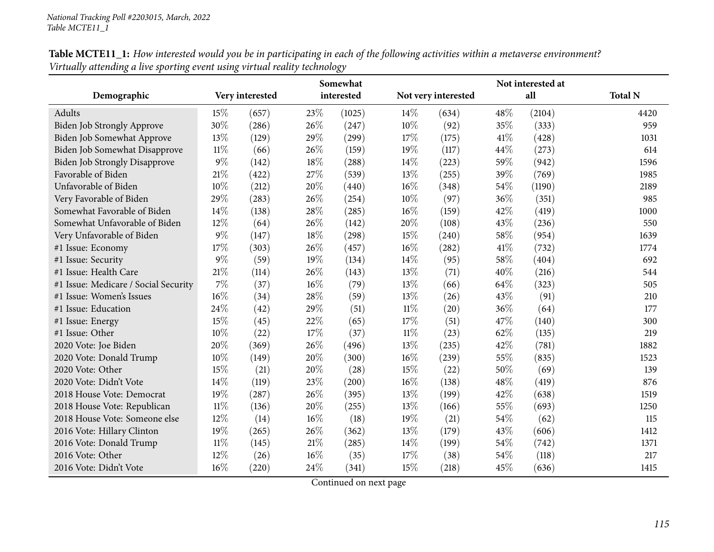|                                      |        |                 |        | Somewhat   |        |                     | Not interested at |        |                |
|--------------------------------------|--------|-----------------|--------|------------|--------|---------------------|-------------------|--------|----------------|
| Demographic                          |        | Very interested |        | interested |        | Not very interested |                   | all    | <b>Total N</b> |
| Adults                               | 15%    | (657)           | 23%    | (1025)     | 14%    | (634)               | 48%               | (2104) | 4420           |
| Biden Job Strongly Approve           | 30%    | (286)           | 26%    | (247)      | $10\%$ | (92)                | 35%               | (333)  | 959            |
| Biden Job Somewhat Approve           | 13%    | (129)           | 29%    | (299)      | 17%    | (175)               | 41\%              | (428)  | 1031           |
| Biden Job Somewhat Disapprove        | $11\%$ | (66)            | 26%    | (159)      | 19%    | (117)               | 44%               | (273)  | 614            |
| <b>Biden Job Strongly Disapprove</b> | $9\%$  | (142)           | 18%    | (288)      | 14%    | (223)               | 59%               | (942)  | 1596           |
| Favorable of Biden                   | 21%    | (422)           | 27%    | (539)      | 13%    | (255)               | 39%               | (769)  | 1985           |
| Unfavorable of Biden                 | 10%    | (212)           | 20%    | (440)      | 16%    | (348)               | 54%               | (1190) | 2189           |
| Very Favorable of Biden              | 29%    | (283)           | 26%    | (254)      | $10\%$ | (97)                | 36%               | (351)  | 985            |
| Somewhat Favorable of Biden          | 14\%   | (138)           | 28%    | (285)      | $16\%$ | (159)               | 42%               | (419)  | 1000           |
| Somewhat Unfavorable of Biden        | 12%    | (64)            | 26%    | (142)      | 20%    | (108)               | 43%               | (236)  | 550            |
| Very Unfavorable of Biden            | $9\%$  | (147)           | 18%    | (298)      | 15%    | (240)               | 58%               | (954)  | 1639           |
| #1 Issue: Economy                    | 17%    | (303)           | 26%    | (457)      | 16%    | (282)               | 41\%              | (732)  | 1774           |
| #1 Issue: Security                   | $9\%$  | (59)            | 19%    | (134)      | 14%    | (95)                | 58%               | (404)  | 692            |
| #1 Issue: Health Care                | $21\%$ | (114)           | 26%    | (143)      | 13%    | (71)                | 40%               | (216)  | 544            |
| #1 Issue: Medicare / Social Security | $7\%$  | (37)            | 16%    | (79)       | 13%    | (66)                | 64%               | (323)  | 505            |
| #1 Issue: Women's Issues             | 16%    | (34)            | 28%    | (59)       | 13%    | (26)                | 43%               | (91)   | 210            |
| #1 Issue: Education                  | 24%    | (42)            | 29%    | (51)       | $11\%$ | (20)                | 36%               | (64)   | 177            |
| #1 Issue: Energy                     | 15%    | (45)            | 22%    | (65)       | 17%    | (51)                | 47%               | (140)  | 300            |
| #1 Issue: Other                      | 10%    | (22)            | 17%    | (37)       | $11\%$ | (23)                | 62%               | (135)  | 219            |
| 2020 Vote: Joe Biden                 | 20%    | (369)           | 26%    | (496)      | 13%    | (235)               | 42%               | (781)  | 1882           |
| 2020 Vote: Donald Trump              | 10%    | (149)           | 20%    | (300)      | 16%    | (239)               | 55%               | (835)  | 1523           |
| 2020 Vote: Other                     | 15%    | (21)            | 20%    | (28)       | 15%    | (22)                | 50%               | (69)   | 139            |
| 2020 Vote: Didn't Vote               | 14%    | (119)           | 23%    | (200)      | 16%    | (138)               | 48%               | (419)  | 876            |
| 2018 House Vote: Democrat            | 19%    | (287)           | 26%    | (395)      | 13\%   | (199)               | 42%               | (638)  | 1519           |
| 2018 House Vote: Republican          | $11\%$ | (136)           | 20%    | (255)      | 13%    | (166)               | 55%               | (693)  | 1250           |
| 2018 House Vote: Someone else        | 12%    | (14)            | 16%    | (18)       | 19%    | (21)                | 54%               | (62)   | 115            |
| 2016 Vote: Hillary Clinton           | 19%    | (265)           | 26%    | (362)      | 13%    | (179)               | 43%               | (606)  | 1412           |
| 2016 Vote: Donald Trump              | $11\%$ | (145)           | $21\%$ | (285)      | 14%    | (199)               | 54%               | (742)  | 1371           |
| 2016 Vote: Other                     | 12%    | (26)            | 16%    | (35)       | 17%    | (38)                | 54%               | (118)  | 217            |
| 2016 Vote: Didn't Vote               | 16%    | (220)           | 24%    | (341)      | 15%    | (218)               | 45%               | (636)  | 1415           |

Table MCTE11\_1: How interested would you be in participating in each of the following activities within a metaverse environment? *Virtually attending <sup>a</sup> live sporting event using virtual reality technology*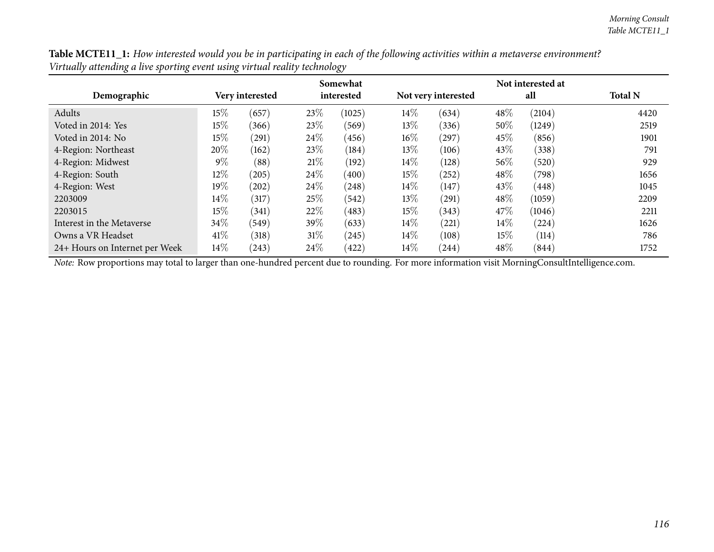| Table MCTE11_1: How interested would you be in participating in each of the following activities within a metaverse environment? |  |
|----------------------------------------------------------------------------------------------------------------------------------|--|
| Virtually attending a live sporting event using virtual reality technology                                                       |  |

|                                |        |                 |        | Somewhat   |        |                     |        |        |                |
|--------------------------------|--------|-----------------|--------|------------|--------|---------------------|--------|--------|----------------|
| Demographic                    |        | Very interested |        | interested |        | Not very interested |        | all    | <b>Total N</b> |
| Adults                         | $15\%$ | (657)           | 23\%   | (1025)     | $14\%$ | (634)               | 48%    | (2104) | 4420           |
| Voted in 2014: Yes             | $15\%$ | (366)           | 23\%   | (569)      | $13\%$ | (336)               | 50%    | (1249) | 2519           |
| Voted in 2014: No              | $15\%$ | (291)           | 24\%   | (456)      | $16\%$ | (297)               | 45\%   | (856)  | 1901           |
| 4-Region: Northeast            | 20%    | (162)           | 23\%   | (184)      | $13\%$ | (106)               | 43\%   | (338)  | 791            |
| 4-Region: Midwest              | $9\%$  | (88)            | 21%    | (192)      | $14\%$ | (128)               | 56\%   | (520)  | 929            |
| 4-Region: South                | $12\%$ | (205)           | 24\%   | (400)      | $15\%$ | (252)               | 48\%   | (798)  | 1656           |
| 4-Region: West                 | $19\%$ | (202)           | 24\%   | (248)      | $14\%$ | (147)               | 43%    | (448)  | 1045           |
| 2203009                        | $14\%$ | (317)           | 25\%   | (542)      | $13\%$ | (291)               | 48%    | (1059) | 2209           |
| 2203015                        | $15\%$ | (341)           | 22\%   | (483)      | $15\%$ | (343)               | 47\%   | (1046) | 2211           |
| Interest in the Metaverse      | 34\%   | (549)           | 39\%   | (633)      | $14\%$ | (221)               | $14\%$ | (224)  | 1626           |
| Owns a VR Headset              | 41\%   | (318)           | $31\%$ | (245)      | $14\%$ | (108)               | $15\%$ | (114)  | 786            |
| 24+ Hours on Internet per Week | $14\%$ | (243)           | 24\%   | (422)      | $14\%$ | (244)               | $48\%$ | (844)  | 1752           |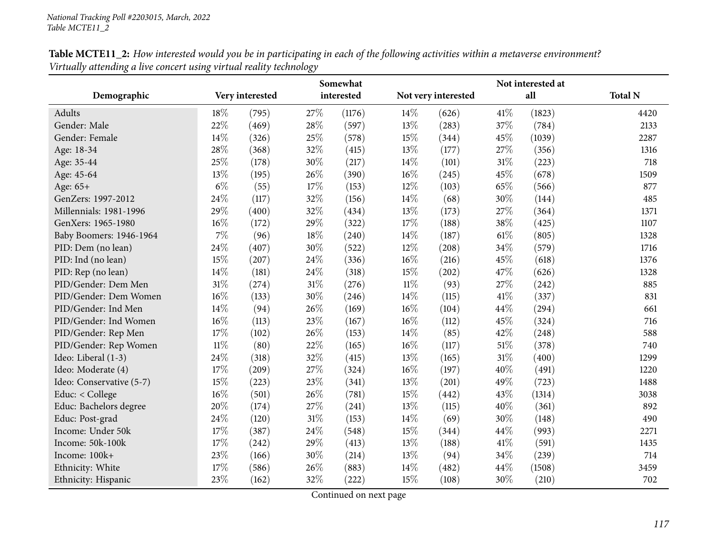|                          |        |                 |        | Somewhat   |        |                     |        | Not interested at |                |
|--------------------------|--------|-----------------|--------|------------|--------|---------------------|--------|-------------------|----------------|
| Demographic              |        | Very interested |        | interested |        | Not very interested |        | all               | <b>Total N</b> |
| Adults                   | 18%    | (795)           | 27%    | (1176)     | 14%    | (626)               | 41\%   | (1823)            | 4420           |
| Gender: Male             | 22%    | (469)           | 28%    | (597)      | 13%    | (283)               | 37%    | (784)             | 2133           |
| Gender: Female           | 14%    | (326)           | 25%    | (578)      | 15%    | (344)               | 45%    | (1039)            | 2287           |
| Age: 18-34               | 28%    | (368)           | 32%    | (415)      | 13%    | (177)               | 27%    | (356)             | 1316           |
| Age: 35-44               | 25%    | (178)           | 30%    | (217)      | 14%    | (101)               | $31\%$ | (223)             | 718            |
| Age: 45-64               | 13%    | (195)           | 26%    | (390)      | 16%    | (245)               | 45%    | (678)             | 1509           |
| Age: 65+                 | $6\%$  | (55)            | 17%    | (153)      | 12%    | (103)               | 65%    | (566)             | 877            |
| GenZers: 1997-2012       | 24%    | (117)           | 32%    | (156)      | 14%    | (68)                | 30%    | (144)             | 485            |
| Millennials: 1981-1996   | 29%    | (400)           | 32%    | (434)      | 13%    | (173)               | 27%    | (364)             | 1371           |
| GenXers: 1965-1980       | 16%    | (172)           | 29%    | (322)      | 17%    | (188)               | 38%    | (425)             | 1107           |
| Baby Boomers: 1946-1964  | 7%     | (96)            | 18%    | (240)      | 14\%   | (187)               | 61\%   | (805)             | 1328           |
| PID: Dem (no lean)       | 24%    | (407)           | 30%    | (522)      | 12%    | (208)               | 34%    | (579)             | 1716           |
| PID: Ind (no lean)       | 15%    | (207)           | 24%    | (336)      | 16%    | (216)               | 45%    | (618)             | 1376           |
| PID: Rep (no lean)       | 14%    | (181)           | 24%    | (318)      | 15%    | (202)               | 47%    | (626)             | 1328           |
| PID/Gender: Dem Men      | $31\%$ | (274)           | $31\%$ | (276)      | $11\%$ | (93)                | 27%    | (242)             | 885            |
| PID/Gender: Dem Women    | 16%    | (133)           | 30%    | (246)      | 14%    | (115)               | 41\%   | (337)             | 831            |
| PID/Gender: Ind Men      | 14%    | (94)            | 26%    | (169)      | 16%    | (104)               | 44%    | (294)             | 661            |
| PID/Gender: Ind Women    | 16%    | (113)           | 23%    | (167)      | 16%    | (112)               | 45%    | (324)             | 716            |
| PID/Gender: Rep Men      | 17%    | (102)           | 26%    | (153)      | 14%    | (85)                | 42%    | (248)             | 588            |
| PID/Gender: Rep Women    | $11\%$ | (80)            | 22%    | (165)      | 16%    | (117)               | $51\%$ | (378)             | 740            |
| Ideo: Liberal (1-3)      | 24%    | (318)           | 32%    | (415)      | 13%    | (165)               | 31%    | (400)             | 1299           |
| Ideo: Moderate (4)       | 17%    | (209)           | 27%    | (324)      | 16%    | (197)               | 40%    | (491)             | 1220           |
| Ideo: Conservative (5-7) | 15%    | (223)           | 23%    | (341)      | 13%    | (201)               | 49%    | (723)             | 1488           |
| Educ: < College          | 16%    | (501)           | 26%    | (781)      | 15%    | (442)               | 43%    | (1314)            | 3038           |
| Educ: Bachelors degree   | 20%    | (174)           | 27%    | (241)      | 13%    | (115)               | 40%    | (361)             | 892            |
| Educ: Post-grad          | 24%    | (120)           | $31\%$ | (153)      | 14%    | (69)                | 30%    | (148)             | 490            |
| Income: Under 50k        | 17%    | (387)           | 24%    | (548)      | 15%    | (344)               | 44%    | (993)             | 2271           |
| Income: 50k-100k         | 17%    | (242)           | 29%    | (413)      | 13\%   | (188)               | 41\%   | (591)             | 1435           |
| Income: 100k+            | 23%    | (166)           | 30%    | (214)      | 13%    | (94)                | 34%    | (239)             | 714            |
| Ethnicity: White         | 17%    | (586)           | 26%    | (883)      | 14\%   | (482)               | 44%    | (1508)            | 3459           |
| Ethnicity: Hispanic      | 23%    | (162)           | 32%    | (222)      | 15%    | (108)               | 30%    | (210)             | 702            |

Table MCTE11\_2: How interested would you be in participating in each of the following activities within a metaverse environment? *Virtually attending <sup>a</sup> live concert using virtual reality technology*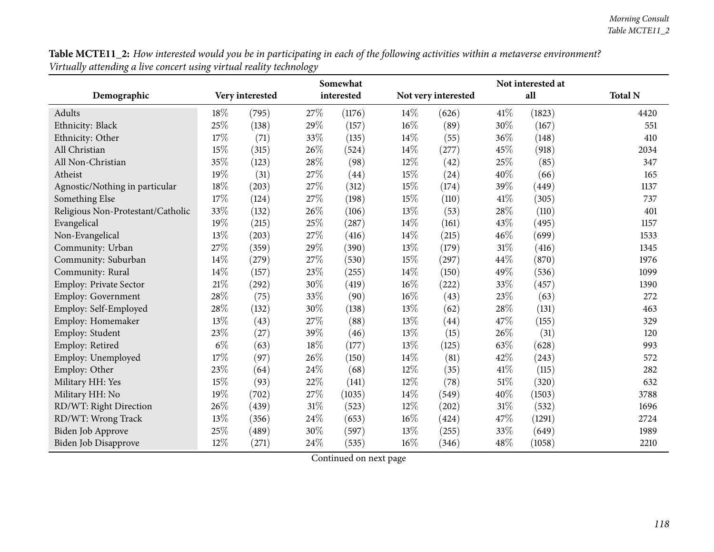Table MCTE11\_2: How interested would you be in participating in each of the following activities within a metaverse environment? *Virtually attending <sup>a</sup> live concert using virtual reality technology*

|                                   |       |                 |        | Somewhat   |        | Not interested at   |      |        |                |  |
|-----------------------------------|-------|-----------------|--------|------------|--------|---------------------|------|--------|----------------|--|
| Demographic                       |       | Very interested |        | interested |        | Not very interested |      | all    | <b>Total N</b> |  |
| Adults                            | 18%   | (795)           | 27\%   | (1176)     | 14%    | (626)               | 41\% | (1823) | 4420           |  |
| Ethnicity: Black                  | 25%   | (138)           | 29%    | (157)      | $16\%$ | (89)                | 30%  | (167)  | 551            |  |
| Ethnicity: Other                  | 17%   | (71)            | 33%    | (135)      | 14%    | (55)                | 36%  | (148)  | 410            |  |
| All Christian                     | 15%   | (315)           | 26%    | (524)      | 14%    | (277)               | 45%  | (918)  | 2034           |  |
| All Non-Christian                 | 35%   | (123)           | 28%    | (98)       | 12%    | (42)                | 25%  | (85)   | 347            |  |
| Atheist                           | 19%   | (31)            | 27%    | (44)       | 15%    | (24)                | 40%  | (66)   | 165            |  |
| Agnostic/Nothing in particular    | 18%   | (203)           | 27%    | (312)      | 15%    | (174)               | 39%  | (449)  | 1137           |  |
| Something Else                    | 17%   | (124)           | $27\%$ | (198)      | 15%    | (110)               | 41\% | (305)  | 737            |  |
| Religious Non-Protestant/Catholic | 33%   | (132)           | 26%    | (106)      | 13%    | (53)                | 28%  | (110)  | 401            |  |
| Evangelical                       | 19%   | (215)           | 25%    | (287)      | 14%    | (161)               | 43%  | (495)  | 1157           |  |
| Non-Evangelical                   | 13%   | (203)           | 27%    | (416)      | 14%    | (215)               | 46%  | (699)  | 1533           |  |
| Community: Urban                  | 27%   | (359)           | 29%    | (390)      | 13%    | (179)               | 31%  | (416)  | 1345           |  |
| Community: Suburban               | 14%   | (279)           | 27%    | (530)      | 15%    | (297)               | 44%  | (870)  | 1976           |  |
| Community: Rural                  | 14%   | (157)           | $23\%$ | (255)      | 14%    | (150)               | 49%  | (536)  | 1099           |  |
| <b>Employ: Private Sector</b>     | 21%   | (292)           | $30\%$ | (419)      | 16%    | (222)               | 33%  | (457)  | 1390           |  |
| <b>Employ: Government</b>         | 28%   | (75)            | 33%    | (90)       | 16%    | (43)                | 23%  | (63)   | 272            |  |
| Employ: Self-Employed             | 28%   | (132)           | 30%    | (138)      | 13%    | (62)                | 28%  | (131)  | 463            |  |
| Employ: Homemaker                 | 13%   | (43)            | 27%    | (88)       | 13%    | (44)                | 47%  | (155)  | 329            |  |
| Employ: Student                   | 23%   | (27)            | 39%    | (46)       | 13%    | (15)                | 26%  | (31)   | 120            |  |
| Employ: Retired                   | $6\%$ | (63)            | 18%    | (177)      | 13%    | (125)               | 63%  | (628)  | 993            |  |
| Employ: Unemployed                | 17%   | (97)            | 26%    | (150)      | 14%    | (81)                | 42%  | (243)  | 572            |  |
| Employ: Other                     | 23%   | (64)            | 24%    | (68)       | 12%    | (35)                | 41\% | (115)  | 282            |  |
| Military HH: Yes                  | 15%   | (93)            | 22%    | (141)      | 12%    | (78)                | 51%  | (320)  | 632            |  |
| Military HH: No                   | 19%   | (702)           | 27%    | (1035)     | 14\%   | (549)               | 40%  | (1503) | 3788           |  |
| RD/WT: Right Direction            | 26%   | (439)           | $31\%$ | (523)      | 12%    | (202)               | 31%  | (532)  | 1696           |  |
| RD/WT: Wrong Track                | 13%   | (356)           | $24\%$ | (653)      | 16%    | (424)               | 47%  | (1291) | 2724           |  |
| <b>Biden Job Approve</b>          | 25%   | (489)           | 30%    | (597)      | 13%    | (255)               | 33%  | (649)  | 1989           |  |
| Biden Job Disapprove              | 12%   | (271)           | $24\%$ | (535)      | 16%    | (346)               | 48%  | (1058) | 2210           |  |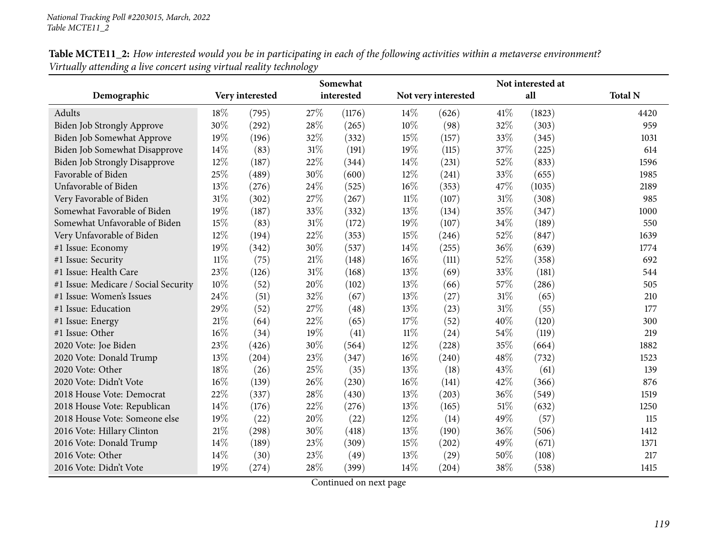| Table MCTE11_2: How interested would you be in participating in each of the following activities within a metaverse environment? |  |
|----------------------------------------------------------------------------------------------------------------------------------|--|
| Virtually attending a live concert using virtual reality technology                                                              |  |

|                                      |        |                 |        | Somewhat   |        |                     |      | Not interested at |                |
|--------------------------------------|--------|-----------------|--------|------------|--------|---------------------|------|-------------------|----------------|
| Demographic                          |        | Very interested |        | interested |        | Not very interested |      | all               | <b>Total N</b> |
| Adults                               | 18%    | (795)           | 27%    | (1176)     | 14\%   | (626)               | 41\% | (1823)            | 4420           |
| Biden Job Strongly Approve           | 30%    | (292)           | 28%    | (265)      | 10%    | (98)                | 32%  | (303)             | 959            |
| Biden Job Somewhat Approve           | 19%    | (196)           | 32%    | (332)      | 15%    | (157)               | 33%  | (345)             | 1031           |
| <b>Biden Job Somewhat Disapprove</b> | 14\%   | (83)            | 31%    | (191)      | 19%    | (115)               | 37%  | (225)             | 614            |
| <b>Biden Job Strongly Disapprove</b> | 12%    | (187)           | 22%    | (344)      | $14\%$ | (231)               | 52%  | (833)             | 1596           |
| Favorable of Biden                   | 25%    | (489)           | 30%    | (600)      | $12\%$ | (241)               | 33%  | (655)             | 1985           |
| Unfavorable of Biden                 | 13%    | (276)           | 24%    | (525)      | 16%    | (353)               | 47%  | (1035)            | 2189           |
| Very Favorable of Biden              | 31%    | (302)           | 27%    | (267)      | $11\%$ | (107)               | 31%  | (308)             | 985            |
| Somewhat Favorable of Biden          | 19%    | (187)           | 33%    | (332)      | 13%    | (134)               | 35%  | (347)             | 1000           |
| Somewhat Unfavorable of Biden        | 15%    | (83)            | $31\%$ | (172)      | 19%    | (107)               | 34%  | (189)             | 550            |
| Very Unfavorable of Biden            | 12%    | (194)           | 22%    | (353)      | 15%    | (246)               | 52%  | (847)             | 1639           |
| #1 Issue: Economy                    | 19%    | (342)           | 30%    | (537)      | 14%    | (255)               | 36%  | (639)             | 1774           |
| #1 Issue: Security                   | $11\%$ | (75)            | $21\%$ | (148)      | $16\%$ | (111)               | 52%  | (358)             | 692            |
| #1 Issue: Health Care                | 23%    | (126)           | 31%    | (168)      | $13\%$ | (69)                | 33%  | (181)             | 544            |
| #1 Issue: Medicare / Social Security | 10%    | (52)            | 20%    | (102)      | 13%    | (66)                | 57%  | (286)             | 505            |
| #1 Issue: Women's Issues             | 24%    | (51)            | 32%    | (67)       | 13%    | (27)                | 31%  | (65)              | 210            |
| #1 Issue: Education                  | 29%    | (52)            | 27%    | (48)       | 13\%   | (23)                | 31%  | (55)              | 177            |
| #1 Issue: Energy                     | 21%    | (64)            | 22%    | (65)       | 17%    | (52)                | 40%  | (120)             | 300            |
| #1 Issue: Other                      | 16%    | (34)            | 19%    | (41)       | $11\%$ | (24)                | 54%  | (119)             | 219            |
| 2020 Vote: Joe Biden                 | 23\%   | (426)           | 30%    | (564)      | 12%    | (228)               | 35%  | (664)             | 1882           |
| 2020 Vote: Donald Trump              | 13%    | (204)           | 23%    | (347)      | $16\%$ | (240)               | 48%  | (732)             | 1523           |
| 2020 Vote: Other                     | 18%    | (26)            | 25%    | (35)       | 13\%   | (18)                | 43%  | (61)              | 139            |
| 2020 Vote: Didn't Vote               | $16\%$ | (139)           | 26%    | (230)      | 16%    | (141)               | 42%  | (366)             | 876            |
| 2018 House Vote: Democrat            | 22%    | (337)           | 28%    | (430)      | 13%    | (203)               | 36%  | (549)             | 1519           |
| 2018 House Vote: Republican          | 14%    | (176)           | 22%    | (276)      | 13%    | (165)               | 51%  | (632)             | 1250           |
| 2018 House Vote: Someone else        | 19%    | (22)            | 20%    | (22)       | $12\%$ | (14)                | 49%  | (57)              | 115            |
| 2016 Vote: Hillary Clinton           | 21%    | (298)           | 30%    | (418)      | 13%    | (190)               | 36%  | (506)             | 1412           |
| 2016 Vote: Donald Trump              | 14%    | (189)           | 23%    | (309)      | 15%    | (202)               | 49%  | (671)             | 1371           |
| 2016 Vote: Other                     | 14\%   | (30)            | 23%    | (49)       | $13\%$ | (29)                | 50%  | (108)             | 217            |
| 2016 Vote: Didn't Vote               | 19%    | (274)           | 28%    | (399)      | 14\%   | (204)               | 38%  | (538)             | 1415           |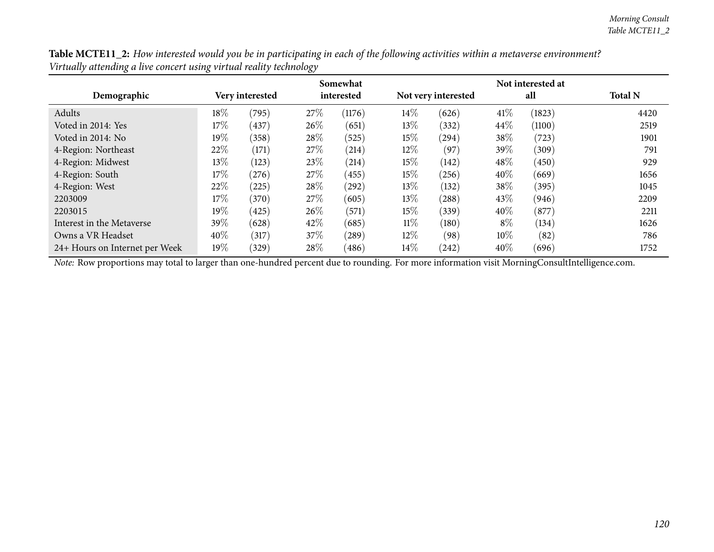Table MCTE11\_2: How interested would you be in participating in each of the following activities within a metaverse environment? *Virtually attending <sup>a</sup> live concert using virtual reality technology*

|                                |        |                 |      | Somewhat   |        | Not interested at   |        |        |                |
|--------------------------------|--------|-----------------|------|------------|--------|---------------------|--------|--------|----------------|
| Demographic                    |        | Very interested |      | interested |        | Not very interested |        | all    | <b>Total N</b> |
| Adults                         | 18%    | (795)           | 27\% | (1176)     | $14\%$ | (626)               | 41\%   | (1823) | 4420           |
| Voted in 2014: Yes             | 17%    | (437)           | 26\% | (651)      | 13\%   | (332)               | 44\%   | (1100) | 2519           |
| Voted in 2014: No              | $19\%$ | (358)           | 28\% | (525)      | $15\%$ | (294)               | 38%    | (723)  | 1901           |
| 4-Region: Northeast            | 22%    | (171)           | 27\% | (214)      | $12\%$ | (97)                | 39\%   | (309)  | 791            |
| 4-Region: Midwest              | 13%    | (123)           | 23\% | (214)      | $15\%$ | (142)               | 48%    | (450)  | 929            |
| 4-Region: South                | 17%    | (276)           | 27\% | (455)      | $15\%$ | (256)               | 40%    | (669)  | 1656           |
| 4-Region: West                 | 22%    | (225)           | 28\% | (292)      | 13\%   | (132)               | 38%    | (395)  | 1045           |
| 2203009                        | 17%    | (370)           | 27\% | (605)      | $13\%$ | (288)               | 43\%   | (946)  | 2209           |
| 2203015                        | 19%    | (425)           | 26\% | (571)      | $15\%$ | (339)               | 40%    | (877)  | 2211           |
| Interest in the Metaverse      | 39%    | (628)           | 42\% | (685)      | $11\%$ | (180)               | $8\%$  | (134)  | 1626           |
| Owns a VR Headset              | 40%    | (317)           | 37\% | (289)      | $12\%$ | (98)                | $10\%$ | (82)   | 786            |
| 24+ Hours on Internet per Week | 19%    | (329)           | 28%  | (486)      | $14\%$ | (242)               | 40%    | (696)  | 1752           |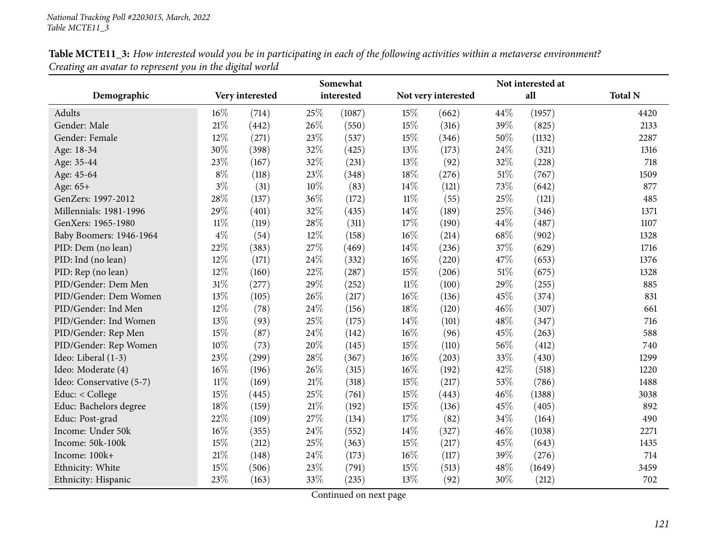|                          |        |                 |        | Somewhat   |        | Not interested at   |        |        |                |  |
|--------------------------|--------|-----------------|--------|------------|--------|---------------------|--------|--------|----------------|--|
| Demographic              |        | Very interested |        | interested |        | Not very interested |        | all    | <b>Total N</b> |  |
| Adults                   | 16%    | (714)           | 25%    | (1087)     | 15%    | (662)               | 44%    | (1957) | 4420           |  |
| Gender: Male             | 21%    | (442)           | 26%    | (550)      | 15%    | (316)               | 39%    | (825)  | 2133           |  |
| Gender: Female           | 12%    | (271)           | 23%    | (537)      | 15%    | (346)               | 50%    | (1132) | 2287           |  |
| Age: 18-34               | 30%    | (398)           | 32%    | (425)      | 13%    | (173)               | 24\%   | (321)  | 1316           |  |
| Age: 35-44               | 23%    | (167)           | 32%    | (231)      | 13%    | (92)                | 32%    | (228)  | 718            |  |
| Age: 45-64               | $8\%$  | (118)           | 23%    | (348)      | 18%    | (276)               | $51\%$ | (767)  | 1509           |  |
| Age: 65+                 | $3\%$  | (31)            | $10\%$ | (83)       | 14\%   | (121)               | 73%    | (642)  | 877            |  |
| GenZers: 1997-2012       | 28%    | (137)           | 36%    | (172)      | $11\%$ | (55)                | 25%    | (121)  | 485            |  |
| Millennials: 1981-1996   | 29%    | (401)           | 32%    | (435)      | 14%    | (189)               | 25%    | (346)  | 1371           |  |
| GenXers: 1965-1980       | $11\%$ | (119)           | 28%    | (311)      | 17%    | (190)               | 44%    | (487)  | 1107           |  |
| Baby Boomers: 1946-1964  | $4\%$  | (54)            | 12%    | (158)      | 16%    | (214)               | 68%    | (902)  | 1328           |  |
| PID: Dem (no lean)       | 22%    | (383)           | 27%    | (469)      | 14\%   | (236)               | 37%    | (629)  | 1716           |  |
| PID: Ind (no lean)       | 12%    | (171)           | 24\%   | (332)      | $16\%$ | (220)               | 47\%   | (653)  | 1376           |  |
| PID: Rep (no lean)       | 12%    | (160)           | 22%    | (287)      | 15%    | (206)               | $51\%$ | (675)  | 1328           |  |
| PID/Gender: Dem Men      | 31%    | (277)           | 29%    | (252)      | $11\%$ | (100)               | 29%    | (255)  | 885            |  |
| PID/Gender: Dem Women    | 13%    | (105)           | 26%    | (217)      | $16\%$ | (136)               | 45%    | (374)  | 831            |  |
| PID/Gender: Ind Men      | 12%    | (78)            | 24%    | (156)      | $18\%$ | (120)               | 46%    | (307)  | 661            |  |
| PID/Gender: Ind Women    | 13%    | (93)            | 25%    | (175)      | 14\%   | (101)               | 48%    | (347)  | 716            |  |
| PID/Gender: Rep Men      | 15%    | (87)            | 24%    | (142)      | 16%    | (96)                | 45%    | (263)  | 588            |  |
| PID/Gender: Rep Women    | 10%    | (73)            | 20%    | (145)      | 15%    | (110)               | 56%    | (412)  | 740            |  |
| Ideo: Liberal (1-3)      | 23%    | (299)           | 28%    | (367)      | $16\%$ | (203)               | 33%    | (430)  | 1299           |  |
| Ideo: Moderate (4)       | 16%    | (196)           | 26%    | (315)      | 16%    | (192)               | 42%    | (518)  | 1220           |  |
| Ideo: Conservative (5-7) | $11\%$ | (169)           | $21\%$ | (318)      | 15%    | (217)               | 53%    | (786)  | 1488           |  |
| Educ: < College          | 15%    | (445)           | 25%    | (761)      | 15%    | (443)               | 46%    | (1388) | 3038           |  |
| Educ: Bachelors degree   | 18%    | (159)           | $21\%$ | (192)      | 15%    | (136)               | 45%    | (405)  | 892            |  |
| Educ: Post-grad          | 22%    | (109)           | 27%    | (134)      | 17%    | (82)                | 34%    | (164)  | 490            |  |
| Income: Under 50k        | 16%    | (355)           | 24%    | (552)      | 14%    | (327)               | 46%    | (1038) | 2271           |  |
| Income: 50k-100k         | 15%    | (212)           | 25%    | (363)      | 15%    | (217)               | 45%    | (643)  | 1435           |  |
| Income: 100k+            | 21%    | (148)           | 24%    | (173)      | $16\%$ | (117)               | 39%    | (276)  | 714            |  |
| Ethnicity: White         | 15%    | (506)           | 23%    | (791)      | 15%    | (513)               | 48%    | (1649) | 3459           |  |
| Ethnicity: Hispanic      | 23%    | (163)           | 33%    | (235)      | 13%    | (92)                | 30%    | (212)  | 702            |  |

Table MCTE11\_3: How interested would you be in participating in each of the following activities within a metaverse environment? *Creating an avatar to represent you in the digital world*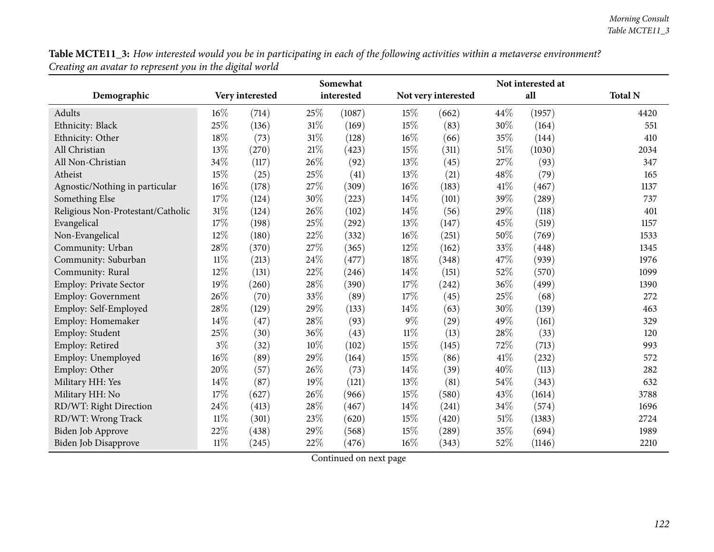Table MCTE11\_3: How interested would you be in participating in each of the following activities within a metaverse environment? *Creating an avatar to represent you in the digital world*

|                                   | Somewhat |                 |        |            |        |                     | Not interested at |        |                |
|-----------------------------------|----------|-----------------|--------|------------|--------|---------------------|-------------------|--------|----------------|
| Demographic                       |          | Very interested |        | interested |        | Not very interested |                   | all    | <b>Total N</b> |
| Adults                            | $16\%$   | (714)           | 25%    | (1087)     | 15%    | (662)               | 44\%              | (1957) | 4420           |
| Ethnicity: Black                  | 25%      | (136)           | 31%    | (169)      | 15%    | (83)                | 30%               | (164)  | 551            |
| Ethnicity: Other                  | 18%      | (73)            | $31\%$ | (128)      | 16%    | (66)                | 35%               | (144)  | 410            |
| All Christian                     | 13%      | (270)           | 21%    | (423)      | 15%    | (311)               | 51\%              | (1030) | 2034           |
| All Non-Christian                 | 34%      | (117)           | 26%    | (92)       | 13%    | (45)                | 27%               | (93)   | 347            |
| Atheist                           | 15%      | (25)            | 25%    | (41)       | 13%    | (21)                | 48%               | (79)   | 165            |
| Agnostic/Nothing in particular    | 16%      | (178)           | $27\%$ | (309)      | 16%    | (183)               | 41\%              | (467)  | 1137           |
| Something Else                    | 17%      | (124)           | 30%    | (223)      | 14%    | (101)               | 39%               | (289)  | 737            |
| Religious Non-Protestant/Catholic | 31\%     | (124)           | 26%    | (102)      | 14%    | (56)                | 29%               | (118)  | 401            |
| Evangelical                       | 17%      | (198)           | 25%    | (292)      | 13%    | (147)               | 45\%              | (519)  | 1157           |
| Non-Evangelical                   | 12%      | (180)           | 22%    | (332)      | 16%    | (251)               | 50%               | (769)  | 1533           |
| Community: Urban                  | 28\%     | (370)           | $27\%$ | (365)      | 12%    | (162)               | 33%               | (448)  | 1345           |
| Community: Suburban               | $11\%$   | (213)           | 24%    | (477)      | 18%    | (348)               | 47%               | (939)  | 1976           |
| Community: Rural                  | 12%      | (131)           | $22\%$ | (246)      | 14%    | (151)               | 52%               | (570)  | 1099           |
| <b>Employ: Private Sector</b>     | 19%      | (260)           | $28\%$ | (390)      | 17%    | (242)               | 36%               | (499)  | 1390           |
| <b>Employ: Government</b>         | 26%      | (70)            | 33%    | (89)       | 17%    | (45)                | 25%               | (68)   | 272            |
| Employ: Self-Employed             | 28%      | (129)           | 29%    | (133)      | 14%    | (63)                | 30%               | (139)  | 463            |
| Employ: Homemaker                 | 14%      | (47)            | 28%    | (93)       | $9\%$  | (29)                | 49%               | (161)  | 329            |
| Employ: Student                   | 25%      | (30)            | 36%    | (43)       | $11\%$ | (13)                | 28%               | (33)   | 120            |
| Employ: Retired                   | $3\%$    | (32)            | 10%    | (102)      | $15\%$ | (145)               | 72\%              | (713)  | 993            |
| Employ: Unemployed                | 16%      | (89)            | 29%    | (164)      | 15%    | (86)                | $41\%$            | (232)  | 572            |
| Employ: Other                     | 20%      | (57)            | 26%    | (73)       | 14%    | (39)                | 40%               | (113)  | 282            |
| Military HH: Yes                  | 14%      | (87)            | 19%    | (121)      | 13%    | (81)                | 54%               | (343)  | 632            |
| Military HH: No                   | 17%      | (627)           | 26%    | (966)      | 15%    | (580)               | 43%               | (1614) | 3788           |
| RD/WT: Right Direction            | 24%      | (413)           | $28\%$ | (467)      | 14%    | (241)               | 34%               | (574)  | 1696           |
| RD/WT: Wrong Track                | $11\%$   | (301)           | 23%    | (620)      | 15%    | (420)               | 51\%              | (1383) | 2724           |
| <b>Biden Job Approve</b>          | 22%      | (438)           | 29%    | (568)      | 15%    | (289)               | 35%               | (694)  | 1989           |
| Biden Job Disapprove              | $11\%$   | (245)           | 22%    | (476)      | 16%    | (343)               | 52%               | (1146) | 2210           |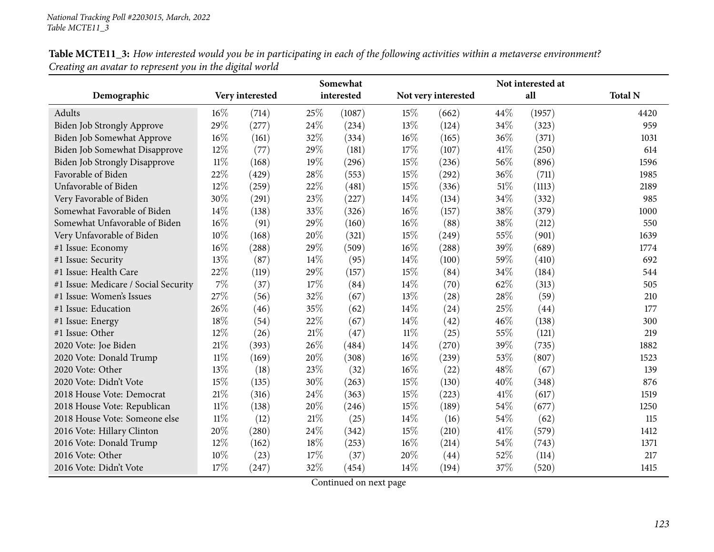| Table MCTE11_3: How interested would you be in participating in each of the following activities within a metaverse environment? |  |
|----------------------------------------------------------------------------------------------------------------------------------|--|
| Creating an avatar to represent you in the digital world                                                                         |  |

|                                      | Somewhat |                 |        | Not interested at |        |                     |      |        |                |
|--------------------------------------|----------|-----------------|--------|-------------------|--------|---------------------|------|--------|----------------|
| Demographic                          |          | Very interested |        | interested        |        | Not very interested |      | all    | <b>Total N</b> |
| Adults                               | $16\%$   | (714)           | 25%    | (1087)            | 15%    | (662)               | 44%  | (1957) | 4420           |
| <b>Biden Job Strongly Approve</b>    | 29%      | (277)           | 24\%   | (234)             | 13%    | (124)               | 34\% | (323)  | 959            |
| Biden Job Somewhat Approve           | $16\%$   | (161)           | 32%    | (334)             | $16\%$ | (165)               | 36%  | (371)  | 1031           |
| <b>Biden Job Somewhat Disapprove</b> | 12%      | (77)            | 29%    | (181)             | 17%    | (107)               | 41\% | (250)  | 614            |
| <b>Biden Job Strongly Disapprove</b> | $11\%$   | (168)           | 19%    | (296)             | 15%    | (236)               | 56%  | (896)  | 1596           |
| Favorable of Biden                   | 22%      | (429)           | 28%    | (553)             | 15%    | (292)               | 36%  | (711)  | 1985           |
| Unfavorable of Biden                 | $12\%$   | (259)           | 22%    | (481)             | 15%    | (336)               | 51\% | (1113) | 2189           |
| Very Favorable of Biden              | 30%      | (291)           | 23%    | (227)             | 14%    | (134)               | 34%  | (332)  | 985            |
| Somewhat Favorable of Biden          | 14%      | (138)           | 33%    | (326)             | $16\%$ | (157)               | 38%  | (379)  | 1000           |
| Somewhat Unfavorable of Biden        | $16\%$   | (91)            | 29%    | (160)             | $16\%$ | (88)                | 38%  | (212)  | 550            |
| Very Unfavorable of Biden            | 10%      | (168)           | 20%    | (321)             | 15%    | (249)               | 55%  | (901)  | 1639           |
| #1 Issue: Economy                    | 16%      | (288)           | 29%    | (509)             | 16%    | (288)               | 39%  | (689)  | 1774           |
| #1 Issue: Security                   | 13%      | (87)            | 14%    | (95)              | 14%    | (100)               | 59%  | (410)  | 692            |
| #1 Issue: Health Care                | 22%      | (119)           | 29%    | (157)             | 15%    | (84)                | 34%  | (184)  | 544            |
| #1 Issue: Medicare / Social Security | $7\%$    | (37)            | 17%    | (84)              | 14\%   | (70)                | 62%  | (313)  | 505            |
| #1 Issue: Women's Issues             | 27\%     | (56)            | 32%    | (67)              | 13%    | (28)                | 28%  | (59)   | 210            |
| #1 Issue: Education                  | 26\%     | (46)            | 35%    | (62)              | 14\%   | (24)                | 25%  | (44)   | 177            |
| #1 Issue: Energy                     | 18%      | (54)            | 22%    | (67)              | 14%    | (42)                | 46%  | (138)  | 300            |
| #1 Issue: Other                      | 12%      | (26)            | $21\%$ | (47)              | $11\%$ | (25)                | 55%  | (121)  | 219            |
| 2020 Vote: Joe Biden                 | 21%      | (393)           | 26%    | (484)             | 14\%   | (270)               | 39%  | (735)  | 1882           |
| 2020 Vote: Donald Trump              | 11%      | (169)           | 20%    | (308)             | 16%    | (239)               | 53%  | (807)  | 1523           |
| 2020 Vote: Other                     | 13%      | (18)            | 23%    | (32)              | 16%    | (22)                | 48%  | (67)   | 139            |
| 2020 Vote: Didn't Vote               | 15%      | (135)           | 30%    | (263)             | 15%    | (130)               | 40%  | (348)  | 876            |
| 2018 House Vote: Democrat            | $21\%$   | (316)           | 24%    | (363)             | 15%    | (223)               | 41\% | (617)  | 1519           |
| 2018 House Vote: Republican          | $11\%$   | (138)           | 20%    | (246)             | 15%    | (189)               | 54%  | (677)  | 1250           |
| 2018 House Vote: Someone else        | $11\%$   | (12)            | 21%    | (25)              | 14%    | (16)                | 54%  | (62)   | 115            |
| 2016 Vote: Hillary Clinton           | 20%      | (280)           | 24%    | (342)             | 15%    | (210)               | 41\% | (579)  | 1412           |
| 2016 Vote: Donald Trump              | 12%      | (162)           | 18%    | (253)             | $16\%$ | (214)               | 54%  | (743)  | 1371           |
| 2016 Vote: Other                     | $10\%$   | (23)            | 17%    | (37)              | 20%    | (44)                | 52%  | (114)  | 217            |
| 2016 Vote: Didn't Vote               | 17%      | (247)           | 32%    | (454)             | 14\%   | (194)               | 37%  | (520)  | 1415           |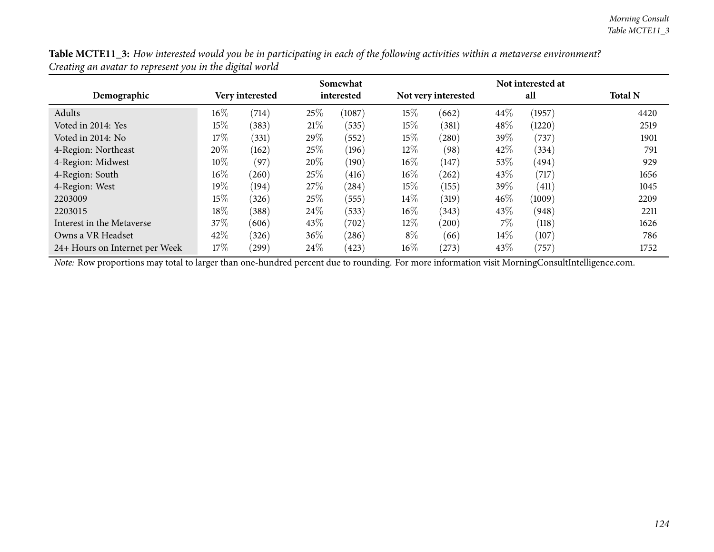Table MCTE11\_3: How interested would you be in participating in each of the following activities within a metaverse environment? *Creating an avatar to represent you in the digital world*

|                                |        |                 |      | Somewhat   |        | Not interested at   |        |        |                |  |  |
|--------------------------------|--------|-----------------|------|------------|--------|---------------------|--------|--------|----------------|--|--|
| Demographic                    |        | Very interested |      | interested |        | Not very interested |        | all    | <b>Total N</b> |  |  |
| Adults                         | $16\%$ | (714)           | 25%  | (1087)     | 15%    | (662)               | 44\%   | (1957) | 4420           |  |  |
| Voted in 2014: Yes             | 15%    | (383)           | 21%  | (535)      | 15%    | (381)               | 48%    | (1220) | 2519           |  |  |
| Voted in 2014: No              | 17%    | (331)           | 29%  | (552)      | $15\%$ | (280)               | 39%    | (737)  | 1901           |  |  |
| 4-Region: Northeast            | 20%    | (162)           | 25%  | (196)      | $12\%$ | (98)                | 42\%   | (334)  | 791            |  |  |
| 4-Region: Midwest              | $10\%$ | (97)            | 20%  | (190)      | $16\%$ | (147)               | $53\%$ | (494)  | 929            |  |  |
| 4-Region: South                | $16\%$ | (260)           | 25%  | (416)      | $16\%$ | (262)               | 43\%   | (717)  | 1656           |  |  |
| 4-Region: West                 | 19%    | (194)           | 27\% | (284)      | 15%    | (155)               | 39\%   | (411)  | 1045           |  |  |
| 2203009                        | $15\%$ | (326)           | 25%  | (555)      | $14\%$ | (319)               | 46%    | (1009) | 2209           |  |  |
| 2203015                        | 18\%   | (388)           | 24\% | (533)      | $16\%$ | (343)               | 43\%   | (948)  | 2211           |  |  |
| Interest in the Metaverse      | 37\%   | (606)           | 43\% | (702)      | $12\%$ | (200)               | $7\%$  | (118)  | 1626           |  |  |
| Owns a VR Headset              | 42\%   | (326)           | 36%  | (286)      | $8\%$  | (66)                | $14\%$ | (107)  | 786            |  |  |
| 24+ Hours on Internet per Week | 17%    | $^{'}299)$      | 24\% | (423)      | $16\%$ | (273)               | $43\%$ | (757)  | 1752           |  |  |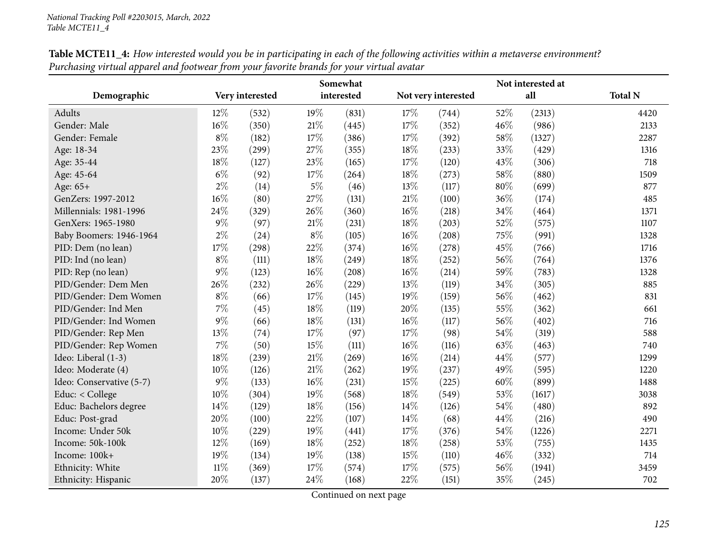|                          |        |                 |        | Somewhat   |     |                     | Not interested at |        |                |
|--------------------------|--------|-----------------|--------|------------|-----|---------------------|-------------------|--------|----------------|
| Demographic              |        | Very interested |        | interested |     | Not very interested |                   | all    | <b>Total N</b> |
| Adults                   | 12%    | (532)           | 19%    | (831)      | 17% | (744)               | 52%               | (2313) | 4420           |
| Gender: Male             | 16%    | (350)           | 21%    | (445)      | 17% | (352)               | 46%               | (986)  | 2133           |
| Gender: Female           | $8\%$  | (182)           | 17%    | (386)      | 17% | (392)               | 58%               | (1327) | 2287           |
| Age: 18-34               | 23%    | (299)           | 27%    | (355)      | 18% | (233)               | 33%               | (429)  | 1316           |
| Age: 35-44               | $18\%$ | (127)           | 23%    | (165)      | 17% | (120)               | 43%               | (306)  | 718            |
| Age: 45-64               | $6\%$  | (92)            | 17%    | (264)      | 18% | (273)               | 58%               | (880)  | 1509           |
| Age: 65+                 | $2\%$  | (14)            | $5\%$  | (46)       | 13% | (117)               | 80%               | (699)  | 877            |
| GenZers: 1997-2012       | 16%    | (80)            | 27%    | (131)      | 21% | (100)               | 36%               | (174)  | 485            |
| Millennials: 1981-1996   | 24%    | (329)           | 26%    | (360)      | 16% | (218)               | 34%               | (464)  | 1371           |
| GenXers: 1965-1980       | $9\%$  | (97)            | $21\%$ | (231)      | 18% | (203)               | 52%               | (575)  | 1107           |
| Baby Boomers: 1946-1964  | $2\%$  | (24)            | $8\%$  | (105)      | 16% | (208)               | 75%               | (991)  | 1328           |
| PID: Dem (no lean)       | 17%    | (298)           | 22%    | (374)      | 16% | (278)               | 45%               | (766)  | 1716           |
| PID: Ind (no lean)       | $8\%$  | (111)           | 18%    | (249)      | 18% | (252)               | 56%               | (764)  | 1376           |
| PID: Rep (no lean)       | $9\%$  | (123)           | 16%    | (208)      | 16% | (214)               | 59%               | (783)  | 1328           |
| PID/Gender: Dem Men      | 26\%   | (232)           | 26%    | (229)      | 13% | (119)               | 34%               | (305)  | 885            |
| PID/Gender: Dem Women    | $8\%$  | (66)            | 17%    | (145)      | 19% | (159)               | 56%               | (462)  | 831            |
| PID/Gender: Ind Men      | $7\%$  | (45)            | $18\%$ | (119)      | 20% | (135)               | 55%               | (362)  | 661            |
| PID/Gender: Ind Women    | $9\%$  | (66)            | $18\%$ | (131)      | 16% | (117)               | 56%               | (402)  | 716            |
| PID/Gender: Rep Men      | 13%    | (74)            | $17\%$ | (97)       | 17% | (98)                | 54%               | (319)  | 588            |
| PID/Gender: Rep Women    | $7\%$  | (50)            | 15%    | (111)      | 16% | (116)               | 63%               | (463)  | 740            |
| Ideo: Liberal (1-3)      | 18%    | (239)           | $21\%$ | (269)      | 16% | (214)               | 44%               | (577)  | 1299           |
| Ideo: Moderate (4)       | 10%    | (126)           | 21%    | (262)      | 19% | (237)               | 49%               | (595)  | 1220           |
| Ideo: Conservative (5-7) | $9\%$  | (133)           | 16%    | (231)      | 15% | (225)               | 60%               | (899)  | 1488           |
| Educ: < College          | 10%    | (304)           | 19%    | (568)      | 18% | (549)               | 53%               | (1617) | 3038           |
| Educ: Bachelors degree   | 14%    | (129)           | 18%    | (156)      | 14% | (126)               | 54%               | (480)  | 892            |
| Educ: Post-grad          | 20%    | (100)           | 22%    | (107)      | 14% | (68)                | 44%               | (216)  | 490            |
| Income: Under 50k        | 10%    | (229)           | 19%    | (441)      | 17% | (376)               | 54%               | (1226) | 2271           |
| Income: 50k-100k         | 12%    | (169)           | $18\%$ | (252)      | 18% | (258)               | 53%               | (755)  | 1435           |
| Income: 100k+            | 19%    | (134)           | 19%    | (138)      | 15% | (110)               | 46%               | (332)  | 714            |
| Ethnicity: White         | $11\%$ | (369)           | 17%    | (574)      | 17% | (575)               | 56%               | (1941) | 3459           |
| Ethnicity: Hispanic      | 20%    | (137)           | 24%    | (168)      | 22% | (151)               | 35%               | (245)  | 702            |

Table MCTE11\_4: How interested would you be in participating in each of the following activities within a metaverse environment? Purchasing virtual apparel and footwear from your favorite brands for your virtual avatar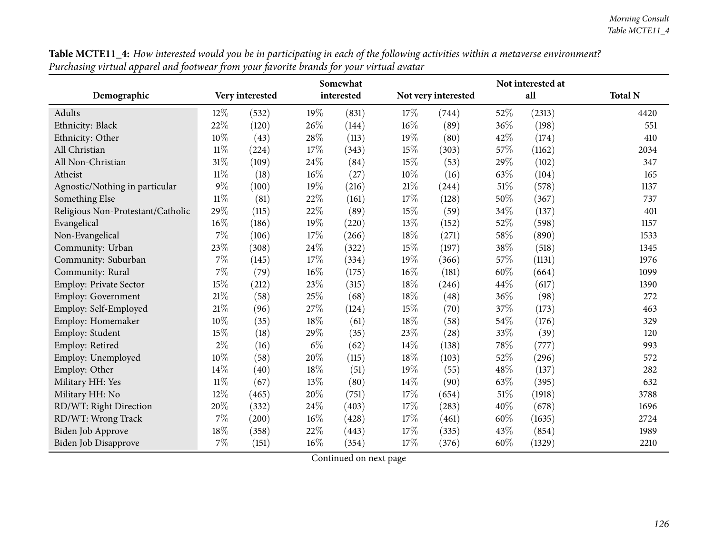| 1 J                               |        |                 |       | Somewhat   |     |                     | Not interested at |        |                |
|-----------------------------------|--------|-----------------|-------|------------|-----|---------------------|-------------------|--------|----------------|
| Demographic                       |        | Very interested |       | interested |     | Not very interested |                   | all    | <b>Total N</b> |
| Adults                            | 12%    | (532)           | 19%   | (831)      | 17% | (744)               | 52%               | (2313) | 4420           |
| Ethnicity: Black                  | 22%    | (120)           | 26%   | (144)      | 16% | (89)                | 36%               | (198)  | 551            |
| Ethnicity: Other                  | 10%    | (43)            | 28%   | (113)      | 19% | (80)                | 42%               | (174)  | 410            |
| All Christian                     | $11\%$ | (224)           | 17%   | (343)      | 15% | (303)               | 57%               | (1162) | 2034           |
| All Non-Christian                 | 31%    | (109)           | 24%   | (84)       | 15% | (53)                | 29%               | (102)  | 347            |
| Atheist                           | $11\%$ | (18)            | 16%   | (27)       | 10% | (16)                | 63%               | (104)  | 165            |
| Agnostic/Nothing in particular    | $9\%$  | (100)           | 19%   | (216)      | 21% | (244)               | 51%               | (578)  | 1137           |
| Something Else                    | $11\%$ | (81)            | 22%   | (161)      | 17% | (128)               | 50%               | (367)  | 737            |
| Religious Non-Protestant/Catholic | 29%    | (115)           | 22%   | (89)       | 15% | (59)                | 34%               | (137)  | 401            |
| Evangelical                       | 16%    | (186)           | 19%   | (220)      | 13% | (152)               | 52%               | (598)  | 1157           |
| Non-Evangelical                   | $7\%$  | (106)           | 17%   | (266)      | 18% | (271)               | 58%               | (890)  | 1533           |
| Community: Urban                  | 23%    | (308)           | 24%   | (322)      | 15% | (197)               | 38%               | (518)  | 1345           |
| Community: Suburban               | $7\%$  | (145)           | 17%   | (334)      | 19% | (366)               | 57%               | (1131) | 1976           |
| Community: Rural                  | 7%     | (79)            | 16%   | (175)      | 16% | (181)               | 60%               | (664)  | 1099           |
| Employ: Private Sector            | 15%    | (212)           | 23%   | (315)      | 18% | (246)               | 44%               | (617)  | 1390           |
| <b>Employ: Government</b>         | $21\%$ | (58)            | 25%   | (68)       | 18% | (48)                | 36%               | (98)   | 272            |
| Employ: Self-Employed             | 21\%   | (96)            | 27%   | (124)      | 15% | (70)                | 37%               | (173)  | 463            |
| Employ: Homemaker                 | 10%    | (35)            | 18%   | (61)       | 18% | (58)                | 54%               | (176)  | 329            |
| Employ: Student                   | 15%    | (18)            | 29%   | (35)       | 23% | (28)                | 33%               | (39)   | 120            |
| Employ: Retired                   | $2\%$  | (16)            | $6\%$ | (62)       | 14% | (138)               | 78%               | (777)  | 993            |
| Employ: Unemployed                | 10%    | (58)            | 20%   | (115)      | 18% | (103)               | 52%               | (296)  | 572            |
| Employ: Other                     | 14%    | (40)            | 18%   | (51)       | 19% | (55)                | 48%               | (137)  | 282            |
| Military HH: Yes                  | $11\%$ | (67)            | 13%   | (80)       | 14% | (90)                | 63%               | (395)  | 632            |
| Military HH: No                   | 12%    | (465)           | 20%   | (751)      | 17% | (654)               | 51%               | (1918) | 3788           |
| RD/WT: Right Direction            | 20%    | (332)           | 24%   | (403)      | 17% | (283)               | 40%               | (678)  | 1696           |
| RD/WT: Wrong Track                | $7\%$  | (200)           | 16%   | (428)      | 17% | (461)               | 60%               | (1635) | 2724           |
| Biden Job Approve                 | 18%    | (358)           | 22%   | (443)      | 17% | (335)               | 43%               | (854)  | 1989           |
| Biden Job Disapprove              | 7%     | (151)           | 16%   | (354)      | 17% | (376)               | 60%               | (1329) | 2210           |

Table MCTE11\_4: How interested would you be in participating in each of the following activities within a metaverse environment? Purchasing virtual apparel and footwear from your favorite brands for your virtual avatar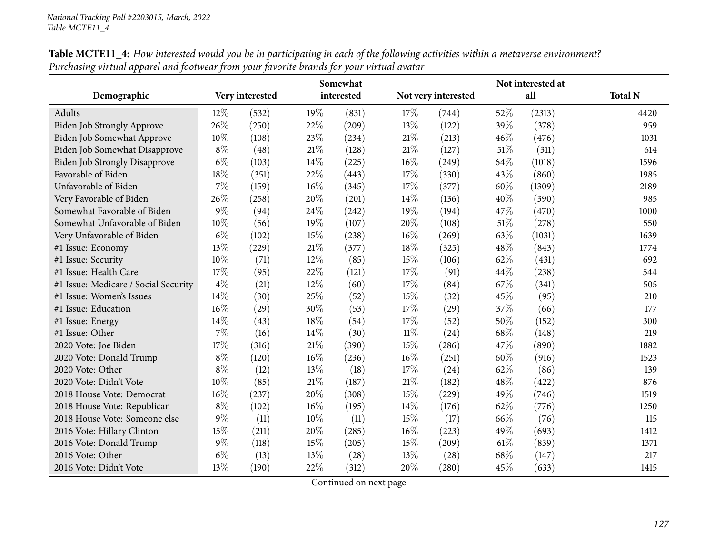|                                      | Somewhat |                 |        | Not interested at |        |                     |      |        |                |
|--------------------------------------|----------|-----------------|--------|-------------------|--------|---------------------|------|--------|----------------|
| Demographic                          |          | Very interested |        | interested        |        | Not very interested |      | all    | <b>Total N</b> |
| Adults                               | 12%      | (532)           | 19%    | (831)             | 17\%   | (744)               | 52%  | (2313) | 4420           |
| Biden Job Strongly Approve           | 26\%     | (250)           | 22%    | (209)             | 13%    | (122)               | 39%  | (378)  | 959            |
| Biden Job Somewhat Approve           | 10%      | (108)           | 23%    | (234)             | 21%    | (213)               | 46%  | (476)  | 1031           |
| <b>Biden Job Somewhat Disapprove</b> | $8\%$    | (48)            | 21%    | (128)             | 21%    | (127)               | 51%  | (311)  | 614            |
| <b>Biden Job Strongly Disapprove</b> | $6\%$    | (103)           | 14%    | (225)             | 16%    | (249)               | 64%  | (1018) | 1596           |
| Favorable of Biden                   | 18%      | (351)           | 22%    | (443)             | 17%    | (330)               | 43%  | (860)  | 1985           |
| Unfavorable of Biden                 | 7%       | (159)           | 16%    | (345)             | 17%    | (377)               | 60%  | (1309) | 2189           |
| Very Favorable of Biden              | 26%      | (258)           | 20%    | (201)             | 14\%   | (136)               | 40%  | (390)  | 985            |
| Somewhat Favorable of Biden          | $9\%$    | (94)            | 24\%   | (242)             | 19%    | (194)               | 47%  | (470)  | 1000           |
| Somewhat Unfavorable of Biden        | 10%      | (56)            | 19%    | (107)             | 20%    | (108)               | 51%  | (278)  | 550            |
| Very Unfavorable of Biden            | $6\%$    | (102)           | 15%    | (238)             | 16%    | (269)               | 63%  | (1031) | 1639           |
| #1 Issue: Economy                    | 13%      | (229)           | $21\%$ | (377)             | 18%    | (325)               | 48%  | (843)  | 1774           |
| #1 Issue: Security                   | 10%      | (71)            | 12%    | (85)              | 15%    | (106)               | 62%  | (431)  | 692            |
| #1 Issue: Health Care                | 17%      | (95)            | 22%    | (121)             | 17%    | (91)                | 44\% | (238)  | 544            |
| #1 Issue: Medicare / Social Security | $4\%$    | (21)            | 12%    | (60)              | 17%    | (84)                | 67%  | (341)  | 505            |
| #1 Issue: Women's Issues             | 14%      | (30)            | 25%    | (52)              | 15%    | (32)                | 45%  | (95)   | 210            |
| #1 Issue: Education                  | 16%      | (29)            | 30%    | (53)              | 17%    | (29)                | 37%  | (66)   | 177            |
| #1 Issue: Energy                     | 14%      | (43)            | 18%    | (54)              | 17%    | (52)                | 50%  | (152)  | 300            |
| #1 Issue: Other                      | $7\%$    | (16)            | 14\%   | (30)              | $11\%$ | (24)                | 68\% | (148)  | 219            |
| 2020 Vote: Joe Biden                 | 17%      | (316)           | $21\%$ | (390)             | 15%    | (286)               | 47%  | (890)  | 1882           |
| 2020 Vote: Donald Trump              | $8\%$    | (120)           | 16%    | (236)             | 16%    | (251)               | 60%  | (916)  | 1523           |
| 2020 Vote: Other                     | $8\%$    | (12)            | 13%    | (18)              | 17%    | (24)                | 62%  | (86)   | 139            |
| 2020 Vote: Didn't Vote               | 10%      | (85)            | $21\%$ | (187)             | 21%    | (182)               | 48%  | (422)  | 876            |
| 2018 House Vote: Democrat            | 16%      | (237)           | 20%    | (308)             | 15%    | (229)               | 49%  | (746)  | 1519           |
| 2018 House Vote: Republican          | $8\%$    | (102)           | $16\%$ | (195)             | 14\%   | (176)               | 62%  | (776)  | 1250           |
| 2018 House Vote: Someone else        | $9\%$    | (11)            | 10%    | (11)              | 15%    | (17)                | 66%  | (76)   | 115            |
| 2016 Vote: Hillary Clinton           | 15%      | (211)           | 20%    | (285)             | 16%    | (223)               | 49%  | (693)  | 1412           |
| 2016 Vote: Donald Trump              | $9\%$    | (118)           | 15%    | (205)             | 15%    | (209)               | 61\% | (839)  | 1371           |
| 2016 Vote: Other                     | $6\%$    | (13)            | 13%    | (28)              | 13%    | (28)                | 68\% | (147)  | 217            |
| 2016 Vote: Didn't Vote               | 13%      | (190)           | 22%    | (312)             | 20%    | (280)               | 45%  | (633)  | 1415           |

Table MCTE11\_4: How interested would you be in participating in each of the following activities within a metaverse environment? Purchasing virtual apparel and footwear from your favorite brands for your virtual avatar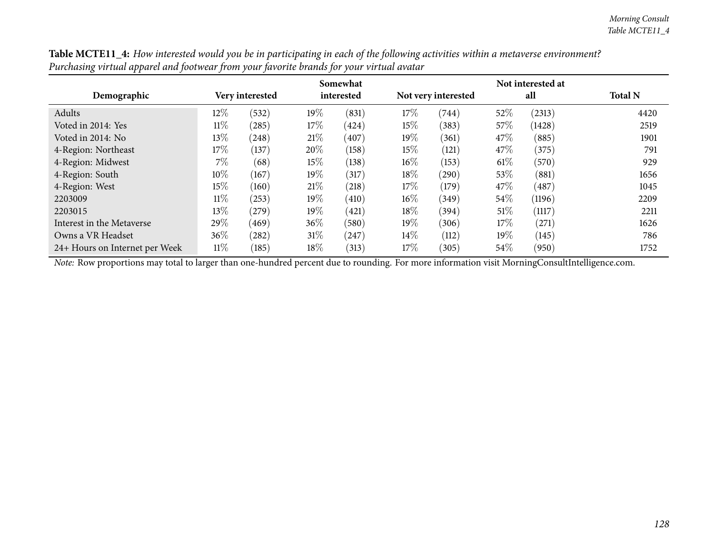| the characters when appear of annoyour can prove your part of an order your whenever |                 | Somewhat<br>Not interested at |            |       |                     |       |        |        |                |  |  |  |  |  |
|--------------------------------------------------------------------------------------|-----------------|-------------------------------|------------|-------|---------------------|-------|--------|--------|----------------|--|--|--|--|--|
| Demographic                                                                          | Very interested |                               | interested |       | Not very interested |       | all    |        | <b>Total N</b> |  |  |  |  |  |
| Adults                                                                               | $12\%$          | (532)                         | $19\%$     | (831) | 17%                 | (744) | 52\%   | (2313) | 4420           |  |  |  |  |  |
| Voted in 2014: Yes                                                                   | $11\%$          | $^{'}285)$                    | $17\%$     | (424) | $15\%$              | (383) | $57\%$ | (1428) | 2519           |  |  |  |  |  |
| Voted in 2014: No                                                                    | $13\%$          | (248)                         | 21%        | (407) | $19\%$              | (361) | 47\%   | (885)  | 1901           |  |  |  |  |  |
| 4-Region: Northeast                                                                  | $17\%$          | (137)                         | 20%        | (158) | $15\%$              | (121) | 47\%   | (375)  | 791            |  |  |  |  |  |
| 4-Region: Midwest                                                                    | $7\%$           | (68)                          | $15\%$     | (138) | $16\%$              | (153) | $61\%$ | (570)  | 929            |  |  |  |  |  |
| 4-Region: South                                                                      | $10\%$          | (167)                         | $19\%$     | (317) | $18\%$              | (290) | $53\%$ | (881)  | 1656           |  |  |  |  |  |
| 4-Region: West                                                                       | 15%             | (160)                         | 21%        | (218) | 17%                 | (179) | 47\%   | (487)  | 1045           |  |  |  |  |  |
| 2203009                                                                              | $11\%$          | (253)                         | $19\%$     | (410) | $16\%$              | (349) | $54\%$ | (1196) | 2209           |  |  |  |  |  |
| 2203015                                                                              | $13\%$          | (279)                         | $19\%$     | (421) | $18\%$              | (394) | 51%    | (1117) | 2211           |  |  |  |  |  |
| Interest in the Metaverse                                                            | 29%             | (469)                         | $36\%$     | (580) | $19\%$              | (306) | $17\%$ | (271)  | 1626           |  |  |  |  |  |
| Owns a VR Headset                                                                    | $36\%$          | (282)                         | $31\%$     | (247) | $14\%$              | (112) | 19%    | (145)  | 786            |  |  |  |  |  |
| 24+ Hours on Internet per Week                                                       | $11\%$          | (185)                         | $18\%$     | (313) | $17\%$              | (305) | $54\%$ | (950)  | 1752           |  |  |  |  |  |

Table MCTE11\_4: How interested would you be in participating in each of the following activities within a metaverse environment? Purchasing virtual apparel and footwear from your favorite brands for your virtual avatar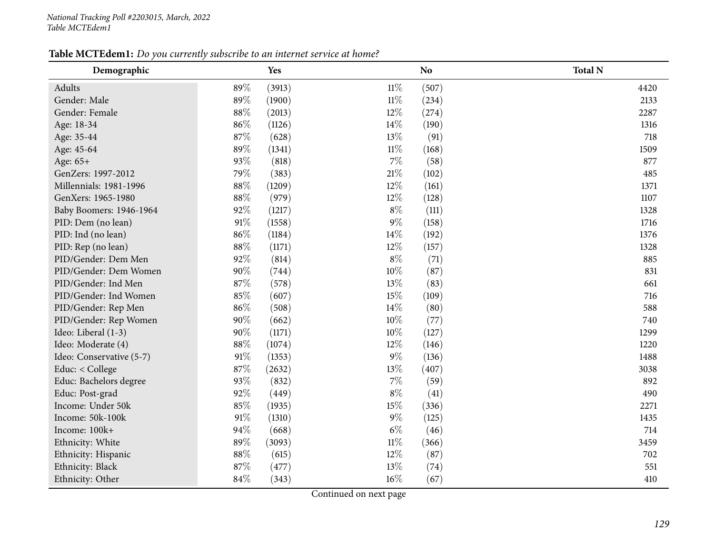# Table MCTEdem1: Do you currently subscribe to an internet service at home?

| Demographic              |        | Yes    |        | N <sub>o</sub> | <b>Total N</b> |
|--------------------------|--------|--------|--------|----------------|----------------|
| Adults                   | 89%    | (3913) | $11\%$ | (507)          | 4420           |
| Gender: Male             | 89%    | (1900) | $11\%$ | (234)          | 2133           |
| Gender: Female           | 88%    | (2013) | 12%    | (274)          | 2287           |
| Age: 18-34               | 86%    | (1126) | 14%    | (190)          | 1316           |
| Age: 35-44               | 87%    | (628)  | 13%    | (91)           | 718            |
| Age: 45-64               | 89%    | (1341) | $11\%$ | (168)          | 1509           |
| Age: 65+                 | 93%    | (818)  | 7%     | (58)           | 877            |
| GenZers: 1997-2012       | 79%    | (383)  | 21%    | (102)          | 485            |
| Millennials: 1981-1996   | 88%    | (1209) | 12%    | (161)          | 1371           |
| GenXers: 1965-1980       | 88%    | (979)  | 12%    | (128)          | 1107           |
| Baby Boomers: 1946-1964  | 92%    | (1217) | $8\%$  | (111)          | 1328           |
| PID: Dem (no lean)       | $91\%$ | (1558) | $9\%$  | (158)          | 1716           |
| PID: Ind (no lean)       | 86%    | (1184) | 14%    | (192)          | 1376           |
| PID: Rep (no lean)       | 88%    | (1171) | 12%    | (157)          | 1328           |
| PID/Gender: Dem Men      | 92%    | (814)  | $8\%$  | (71)           | 885            |
| PID/Gender: Dem Women    | 90%    | (744)  | 10%    | (87)           | 831            |
| PID/Gender: Ind Men      | 87%    | (578)  | 13%    | (83)           | 661            |
| PID/Gender: Ind Women    | 85%    | (607)  | 15%    | (109)          | 716            |
| PID/Gender: Rep Men      | 86%    | (508)  | 14%    | (80)           | 588            |
| PID/Gender: Rep Women    | 90%    | (662)  | 10%    | (77)           | 740            |
| Ideo: Liberal (1-3)      | 90%    | (1171) | 10%    | (127)          | 1299           |
| Ideo: Moderate (4)       | 88%    | (1074) | 12%    | (146)          | 1220           |
| Ideo: Conservative (5-7) | $91\%$ | (1353) | 9%     | (136)          | 1488           |
| Educ: < College          | 87%    | (2632) | 13%    | (407)          | 3038           |
| Educ: Bachelors degree   | 93%    | (832)  | $7\%$  | (59)           | 892            |
| Educ: Post-grad          | 92%    | (449)  | $8\%$  | (41)           | 490            |
| Income: Under 50k        | 85%    | (1935) | 15%    | (336)          | 2271           |
| Income: 50k-100k         | 91%    | (1310) | 9%     | (125)          | 1435           |
| Income: 100k+            | 94%    | (668)  | $6\%$  | (46)           | 714            |
| Ethnicity: White         | 89%    | (3093) | $11\%$ | (366)          | 3459           |
| Ethnicity: Hispanic      | 88%    | (615)  | 12%    | (87)           | 702            |
| Ethnicity: Black         | 87%    | (477)  | 13%    | (74)           | 551            |
| Ethnicity: Other         | 84%    | (343)  | 16%    | (67)           | 410            |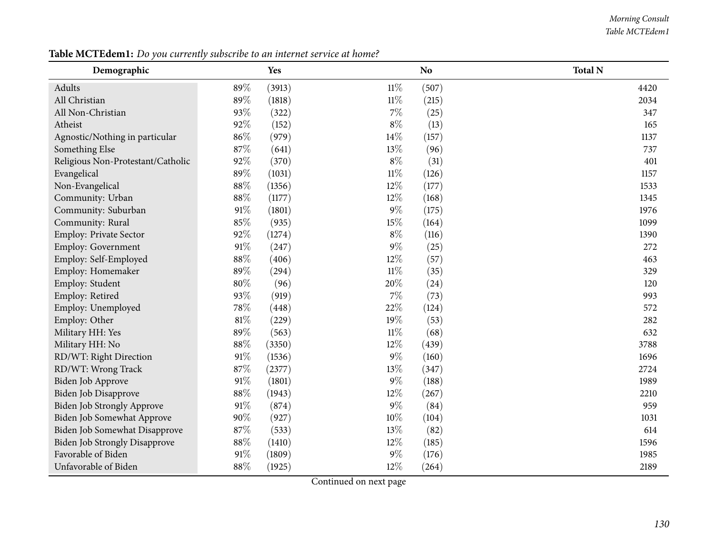#### *Morning Consult Table MCTEdem1*

| Demographic                          |        | Yes    |        | N <sub>o</sub> | <b>Total N</b> |
|--------------------------------------|--------|--------|--------|----------------|----------------|
| Adults                               | 89%    | (3913) | $11\%$ | (507)          | 4420           |
| All Christian                        | 89%    | (1818) | $11\%$ | (215)          | 2034           |
| All Non-Christian                    | 93%    | (322)  | $7\%$  | (25)           | 347            |
| Atheist                              | 92%    | (152)  | $8\%$  | (13)           | 165            |
| Agnostic/Nothing in particular       | 86%    | (979)  | 14%    | (157)          | 1137           |
| Something Else                       | 87%    | (641)  | 13%    | (96)           | 737            |
| Religious Non-Protestant/Catholic    | 92%    | (370)  | $8\%$  | (31)           | 401            |
| Evangelical                          | 89%    | (1031) | $11\%$ | (126)          | 1157           |
| Non-Evangelical                      | 88%    | (1356) | 12%    | (177)          | 1533           |
| Community: Urban                     | 88%    | (1177) | $12\%$ | (168)          | 1345           |
| Community: Suburban                  | $91\%$ | (1801) | $9\%$  | (175)          | 1976           |
| Community: Rural                     | 85%    | (935)  | 15%    | (164)          | 1099           |
| Employ: Private Sector               | 92%    | (1274) | $8\%$  | (116)          | 1390           |
| Employ: Government                   | $91\%$ | (247)  | $9\%$  | (25)           | 272            |
| Employ: Self-Employed                | $88\%$ | (406)  | 12%    | (57)           | 463            |
| Employ: Homemaker                    | 89%    | (294)  | $11\%$ | (35)           | 329            |
| Employ: Student                      | $80\%$ | (96)   | 20%    | (24)           | 120            |
| Employ: Retired                      | 93%    | (919)  | $7\%$  | (73)           | 993            |
| Employ: Unemployed                   | 78%    | (448)  | 22%    | (124)          | 572            |
| Employ: Other                        | $81\%$ | (229)  | 19%    | (53)           | 282            |
| Military HH: Yes                     | 89%    | (563)  | $11\%$ | (68)           | 632            |
| Military HH: No                      | $88\%$ | (3350) | 12%    | (439)          | 3788           |
| RD/WT: Right Direction               | $91\%$ | (1536) | $9\%$  | (160)          | 1696           |
| RD/WT: Wrong Track                   | 87%    | (2377) | 13%    | (347)          | 2724           |
| Biden Job Approve                    | $91\%$ | (1801) | $9\%$  | (188)          | 1989           |
| Biden Job Disapprove                 | 88%    | (1943) | $12\%$ | (267)          | 2210           |
| Biden Job Strongly Approve           | 91%    | (874)  | $9\%$  | (84)           | 959            |
| <b>Biden Job Somewhat Approve</b>    | 90%    | (927)  | $10\%$ | (104)          | 1031           |
| Biden Job Somewhat Disapprove        | 87%    | (533)  | 13%    | (82)           | 614            |
| <b>Biden Job Strongly Disapprove</b> | $88\%$ | (1410) | 12%    | (185)          | 1596           |
| Favorable of Biden                   | $91\%$ | (1809) | $9\%$  | (176)          | 1985           |
| Unfavorable of Biden                 | 88%    | (1925) | 12%    | (264)          | 2189           |

Table MCTEdem1: Do you currently subscribe to an internet service at home?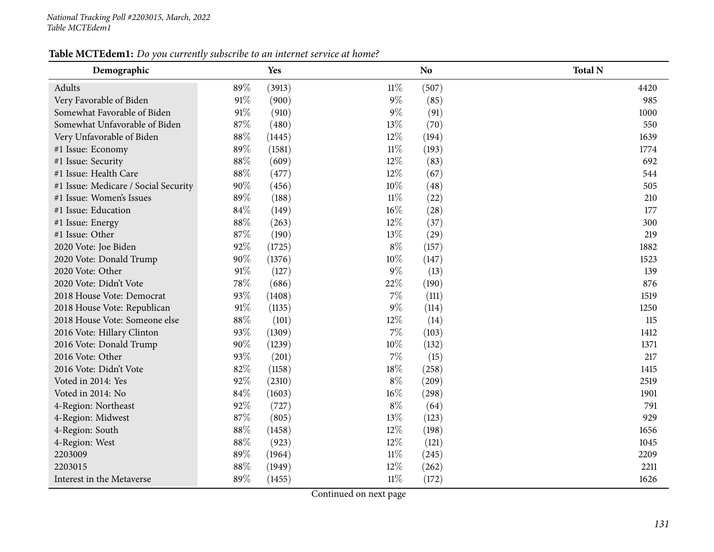# Table MCTEdem1: Do you currently subscribe to an internet service at home?

| Demographic                          |        | Yes    |        | <b>No</b> | <b>Total N</b> |
|--------------------------------------|--------|--------|--------|-----------|----------------|
| Adults                               | 89%    | (3913) | $11\%$ | (507)     | 4420           |
| Very Favorable of Biden              | $91\%$ | (900)  | $9\%$  | (85)      | 985            |
| Somewhat Favorable of Biden          | $91\%$ | (910)  | $9\%$  | (91)      | 1000           |
| Somewhat Unfavorable of Biden        | 87%    | (480)  | 13%    | (70)      | 550            |
| Very Unfavorable of Biden            | $88\%$ | (1445) | 12%    | (194)     | 1639           |
| #1 Issue: Economy                    | 89%    | (1581) | $11\%$ | (193)     | 1774           |
| #1 Issue: Security                   | $88\%$ | (609)  | 12%    | (83)      | 692            |
| #1 Issue: Health Care                | $88\%$ | (477)  | 12%    | (67)      | 544            |
| #1 Issue: Medicare / Social Security | 90%    | (456)  | 10%    | (48)      | 505            |
| #1 Issue: Women's Issues             | 89%    | (188)  | $11\%$ | (22)      | 210            |
| #1 Issue: Education                  | 84%    | (149)  | 16%    | (28)      | 177            |
| #1 Issue: Energy                     | 88%    | (263)  | 12%    | (37)      | 300            |
| #1 Issue: Other                      | 87%    | (190)  | 13%    | (29)      | 219            |
| 2020 Vote: Joe Biden                 | 92%    | (1725) | $8\%$  | (157)     | 1882           |
| 2020 Vote: Donald Trump              | 90%    | (1376) | 10%    | (147)     | 1523           |
| 2020 Vote: Other                     | $91\%$ | (127)  | 9%     | (13)      | 139            |
| 2020 Vote: Didn't Vote               | 78%    | (686)  | 22%    | (190)     | 876            |
| 2018 House Vote: Democrat            | 93%    | (1408) | 7%     | (111)     | 1519           |
| 2018 House Vote: Republican          | $91\%$ | (1135) | $9\%$  | (114)     | 1250           |
| 2018 House Vote: Someone else        | 88%    | (101)  | 12%    | (14)      | 115            |
| 2016 Vote: Hillary Clinton           | 93%    | (1309) | 7%     | (103)     | 1412           |
| 2016 Vote: Donald Trump              | 90%    | (1239) | 10%    | (132)     | 1371           |
| 2016 Vote: Other                     | 93%    | (201)  | 7%     | (15)      | 217            |
| 2016 Vote: Didn't Vote               | 82%    | (1158) | 18%    | (258)     | 1415           |
| Voted in 2014: Yes                   | 92%    | (2310) | $8\%$  | (209)     | 2519           |
| Voted in 2014: No                    | 84%    | (1603) | 16%    | (298)     | 1901           |
| 4-Region: Northeast                  | 92%    | (727)  | $8\%$  | (64)      | 791            |
| 4-Region: Midwest                    | 87%    | (805)  | 13%    | (123)     | 929            |
| 4-Region: South                      | 88%    | (1458) | 12%    | (198)     | 1656           |
| 4-Region: West                       | 88%    | (923)  | 12%    | (121)     | 1045           |
| 2203009                              | 89%    | (1964) | $11\%$ | (245)     | 2209           |
| 2203015                              | 88%    | (1949) | 12%    | (262)     | 2211           |
| Interest in the Metaverse            | 89%    | (1455) | 11%    | (172)     | 1626           |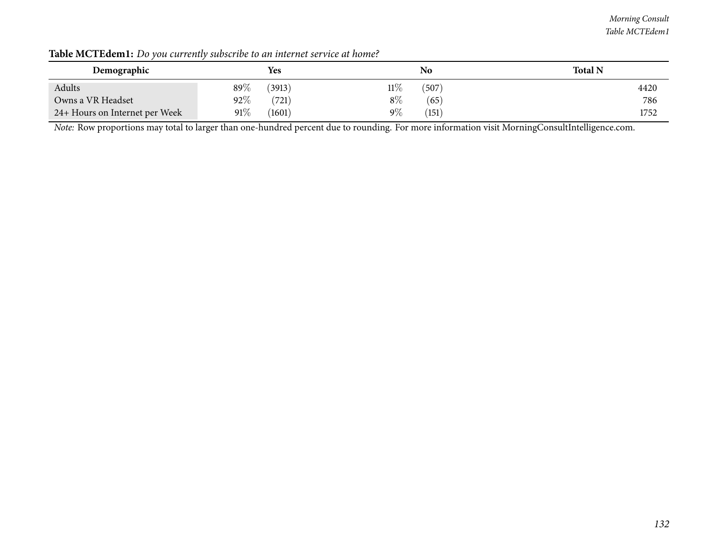### *Morning Consult Table MCTEdem1*

| Demographic                    | <b>Yes</b>        | No             | <b>Total N</b> |
|--------------------------------|-------------------|----------------|----------------|
| Adults                         | 89 $\%$<br>(3913) | 11%<br>(507)   | 4420           |
| Owns a VR Headset              | $92\%$<br>(721)   | $8\%$<br>(65)  | 786            |
| 24+ Hours on Internet per Week | $91\%$<br>(1601)  | $9\%$<br>(151) | 1752           |

Table MCTEdem1: Do you currently subscribe to an internet service at home?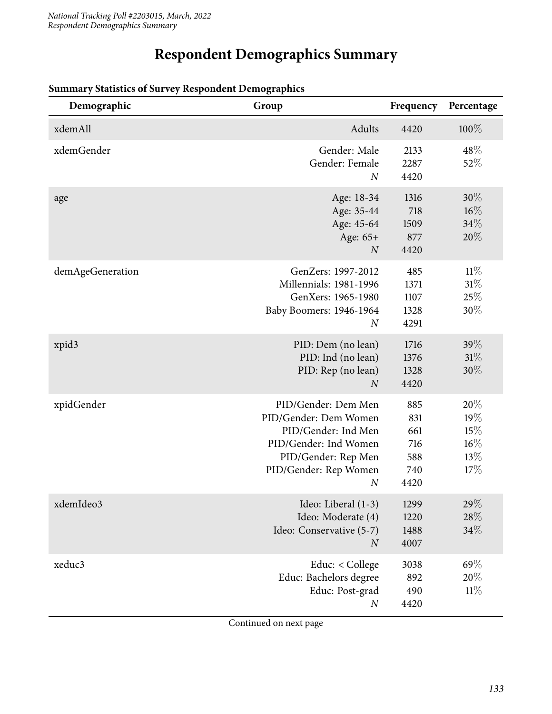# **Respondent Demographics Summary**

| Demographic      | Group                                                                                                                                                            | Frequency                                      | Percentage                                |
|------------------|------------------------------------------------------------------------------------------------------------------------------------------------------------------|------------------------------------------------|-------------------------------------------|
| xdemAll          | Adults                                                                                                                                                           | 4420                                           | 100%                                      |
| xdemGender       | Gender: Male<br>Gender: Female<br>$\boldsymbol{N}$                                                                                                               | 2133<br>2287<br>4420                           | 48%<br>52%                                |
| age              | Age: 18-34<br>Age: 35-44<br>Age: 45-64<br>Age: 65+<br>$\boldsymbol{N}$                                                                                           | 1316<br>718<br>1509<br>877<br>4420             | $30\%$<br>$16\%$<br>34%<br>20%            |
| demAgeGeneration | GenZers: 1997-2012<br>Millennials: 1981-1996<br>GenXers: 1965-1980<br>Baby Boomers: 1946-1964<br>$\boldsymbol{N}$                                                | 485<br>1371<br>1107<br>1328<br>4291            | 11%<br>31%<br>25%<br>30%                  |
| xpid3            | PID: Dem (no lean)<br>PID: Ind (no lean)<br>PID: Rep (no lean)<br>$\overline{N}$                                                                                 | 1716<br>1376<br>1328<br>4420                   | 39%<br>31%<br>$30\%$                      |
| xpidGender       | PID/Gender: Dem Men<br>PID/Gender: Dem Women<br>PID/Gender: Ind Men<br>PID/Gender: Ind Women<br>PID/Gender: Rep Men<br>PID/Gender: Rep Women<br>$\boldsymbol{N}$ | 885<br>831<br>661<br>716<br>588<br>740<br>4420 | 20%<br>19%<br>15%<br>$16\%$<br>13%<br>17% |
| xdemIdeo3        | Ideo: Liberal (1-3)<br>Ideo: Moderate (4)<br>Ideo: Conservative (5-7)<br>$\boldsymbol{N}$                                                                        | 1299<br>1220<br>1488<br>4007                   | 29\%<br>28\%<br>34%                       |
| xeduc3           | Educ: < College<br>Educ: Bachelors degree<br>Educ: Post-grad<br>$\boldsymbol{N}$                                                                                 | 3038<br>892<br>490<br>4420                     | 69%<br>20%<br>11%                         |

### **Summary Statistics of Survey Respondent Demographics**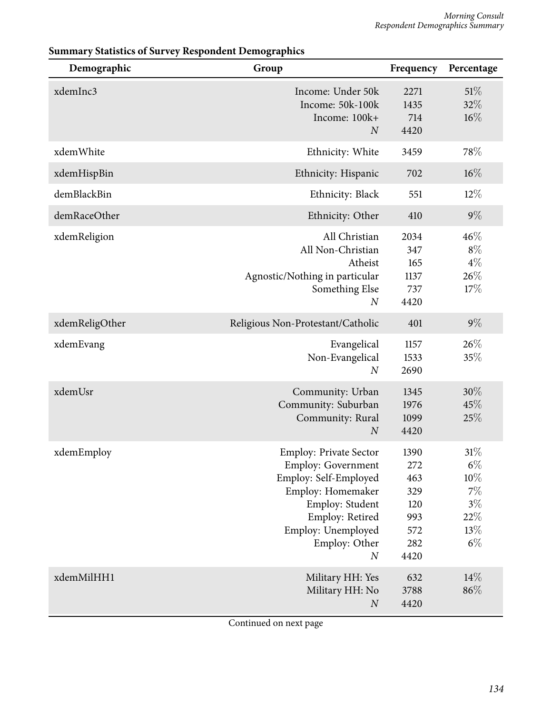| Demographic    | Group                                                                                                                                                                                                     | Frequency                                                     | Percentage                                                         |
|----------------|-----------------------------------------------------------------------------------------------------------------------------------------------------------------------------------------------------------|---------------------------------------------------------------|--------------------------------------------------------------------|
| xdemInc3       | Income: Under 50k<br>Income: 50k-100k<br>Income: 100k+<br>$\overline{N}$                                                                                                                                  | 2271<br>1435<br>714<br>4420                                   | 51%<br>32%<br>16%                                                  |
| xdemWhite      | Ethnicity: White                                                                                                                                                                                          | 3459                                                          | 78%                                                                |
| xdemHispBin    | Ethnicity: Hispanic                                                                                                                                                                                       | 702                                                           | $16\%$                                                             |
| demBlackBin    | Ethnicity: Black                                                                                                                                                                                          | 551                                                           | $12\%$                                                             |
| demRaceOther   | Ethnicity: Other                                                                                                                                                                                          | 410                                                           | $9\%$                                                              |
| xdemReligion   | All Christian<br>All Non-Christian<br>Atheist<br>Agnostic/Nothing in particular<br>Something Else<br>$\boldsymbol{N}$                                                                                     | 2034<br>347<br>165<br>1137<br>737<br>4420                     | 46%<br>$8\%$<br>$4\%$<br>26%<br>17%                                |
| xdemReligOther | Religious Non-Protestant/Catholic                                                                                                                                                                         | 401                                                           | $9\%$                                                              |
| xdemEvang      | Evangelical<br>Non-Evangelical<br>$\boldsymbol{N}$                                                                                                                                                        | 1157<br>1533<br>2690                                          | 26\%<br>35%                                                        |
| xdemUsr        | Community: Urban<br>Community: Suburban<br>Community: Rural<br>$\boldsymbol{N}$                                                                                                                           | 1345<br>1976<br>1099<br>4420                                  | 30%<br>45%<br>25%                                                  |
| xdemEmploy     | <b>Employ: Private Sector</b><br><b>Employ: Government</b><br>Employ: Self-Employed<br>Employ: Homemaker<br>Employ: Student<br>Employ: Retired<br>Employ: Unemployed<br>Employ: Other<br>$\boldsymbol{N}$ | 1390<br>272<br>463<br>329<br>120<br>993<br>572<br>282<br>4420 | 31%<br>$6\%$<br>$10\%$<br>$7\%$<br>$3\%$<br>$22\%$<br>13%<br>$6\%$ |
| xdemMilHH1     | Military HH: Yes<br>Military HH: No<br>$\boldsymbol{N}$                                                                                                                                                   | 632<br>3788<br>4420                                           | 14%<br>86%                                                         |

# **Summary Statistics of Survey Respondent Demographics**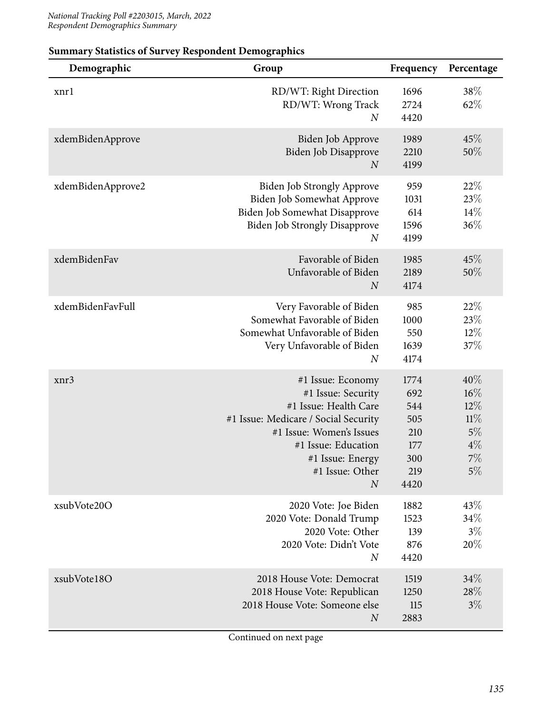| Demographic       | Group                                                                                                                                                                                                                  | Frequency                                                     | Percentage                                                |
|-------------------|------------------------------------------------------------------------------------------------------------------------------------------------------------------------------------------------------------------------|---------------------------------------------------------------|-----------------------------------------------------------|
| xnrl              | RD/WT: Right Direction<br>RD/WT: Wrong Track<br>$\boldsymbol{N}$                                                                                                                                                       | 1696<br>2724<br>4420                                          | 38\%<br>62%                                               |
| xdemBidenApprove  | Biden Job Approve<br>Biden Job Disapprove<br>$\boldsymbol{N}$                                                                                                                                                          | 1989<br>2210<br>4199                                          | 45%<br>50%                                                |
| xdemBidenApprove2 | <b>Biden Job Strongly Approve</b><br>Biden Job Somewhat Approve<br>Biden Job Somewhat Disapprove<br><b>Biden Job Strongly Disapprove</b><br>$\boldsymbol{N}$                                                           | 959<br>1031<br>614<br>1596<br>4199                            | 22%<br>23\%<br>14%<br>36%                                 |
| xdemBidenFav      | Favorable of Biden<br>Unfavorable of Biden<br>$\boldsymbol{N}$                                                                                                                                                         | 1985<br>2189<br>4174                                          | 45\%<br>50%                                               |
| xdemBidenFavFull  | Very Favorable of Biden<br>Somewhat Favorable of Biden<br>Somewhat Unfavorable of Biden<br>Very Unfavorable of Biden<br>$\boldsymbol{N}$                                                                               | 985<br>1000<br>550<br>1639<br>4174                            | 22%<br>23%<br>$12\%$<br>37%                               |
| xnr3              | #1 Issue: Economy<br>#1 Issue: Security<br>#1 Issue: Health Care<br>#1 Issue: Medicare / Social Security<br>#1 Issue: Women's Issues<br>#1 Issue: Education<br>#1 Issue: Energy<br>#1 Issue: Other<br>$\boldsymbol{N}$ | 1774<br>692<br>544<br>505<br>210<br>177<br>300<br>219<br>4420 | 40%<br>16%<br>$12\%$<br>11%<br>5%<br>$4\%$<br>$7\%$<br>5% |
| xsubVote20O       | 2020 Vote: Joe Biden<br>2020 Vote: Donald Trump<br>2020 Vote: Other<br>2020 Vote: Didn't Vote<br>$\boldsymbol{N}$                                                                                                      | 1882<br>1523<br>139<br>876<br>4420                            | 43%<br>34%<br>$3\%$<br>20%                                |
| xsubVote18O       | 2018 House Vote: Democrat<br>2018 House Vote: Republican<br>2018 House Vote: Someone else<br>$\boldsymbol{N}$                                                                                                          | 1519<br>1250<br>115<br>2883                                   | 34%<br>28%<br>$3\%$                                       |

### **Summary Statistics of Survey Respondent Demographics**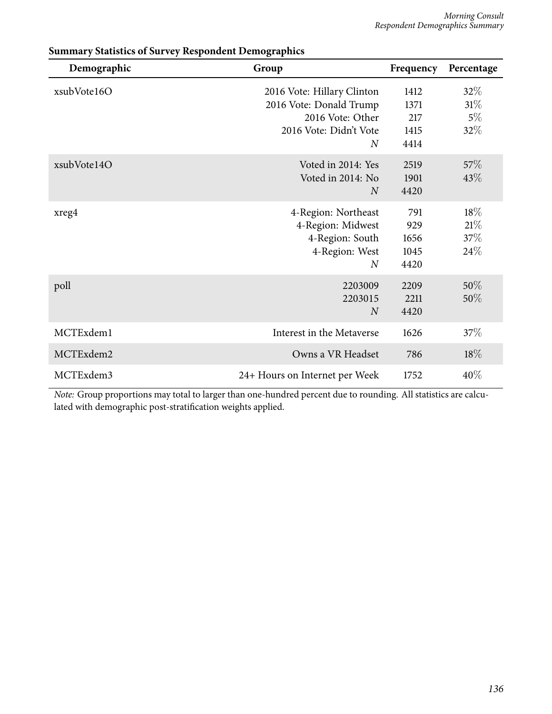| Demographic | Group                                                                                                    | Frequency                           | Percentage                       |
|-------------|----------------------------------------------------------------------------------------------------------|-------------------------------------|----------------------------------|
| xsubVote16O | 2016 Vote: Hillary Clinton<br>2016 Vote: Donald Trump<br>2016 Vote: Other<br>2016 Vote: Didn't Vote<br>N | 1412<br>1371<br>217<br>1415<br>4414 | $32\%$<br>$31\%$<br>$5\%$<br>32% |
| xsubVote14O | Voted in 2014: Yes<br>Voted in 2014: No<br>$\overline{N}$                                                | 2519<br>1901<br>4420                | 57\%<br>43%                      |
| xreg4       | 4-Region: Northeast<br>4-Region: Midwest<br>4-Region: South<br>4-Region: West<br>$\overline{N}$          | 791<br>929<br>1656<br>1045<br>4420  | $18\%$<br>21%<br>37%<br>24%      |
| poll        | 2203009<br>2203015<br>$\overline{N}$                                                                     | 2209<br>2211<br>4420                | 50%<br>50%                       |
| MCTExdem1   | Interest in the Metaverse                                                                                | 1626                                | 37\%                             |
| MCTExdem2   | Owns a VR Headset                                                                                        | 786                                 | 18%                              |
| MCTExdem3   | 24+ Hours on Internet per Week                                                                           | 1752                                | 40%                              |

# **Summary Statistics of Survey Respondent Demographics**

*Note:* Group proportions may total to larger than one-hundred percent due to rounding. All statistics are calculated with demographic post-stratification weights applied.